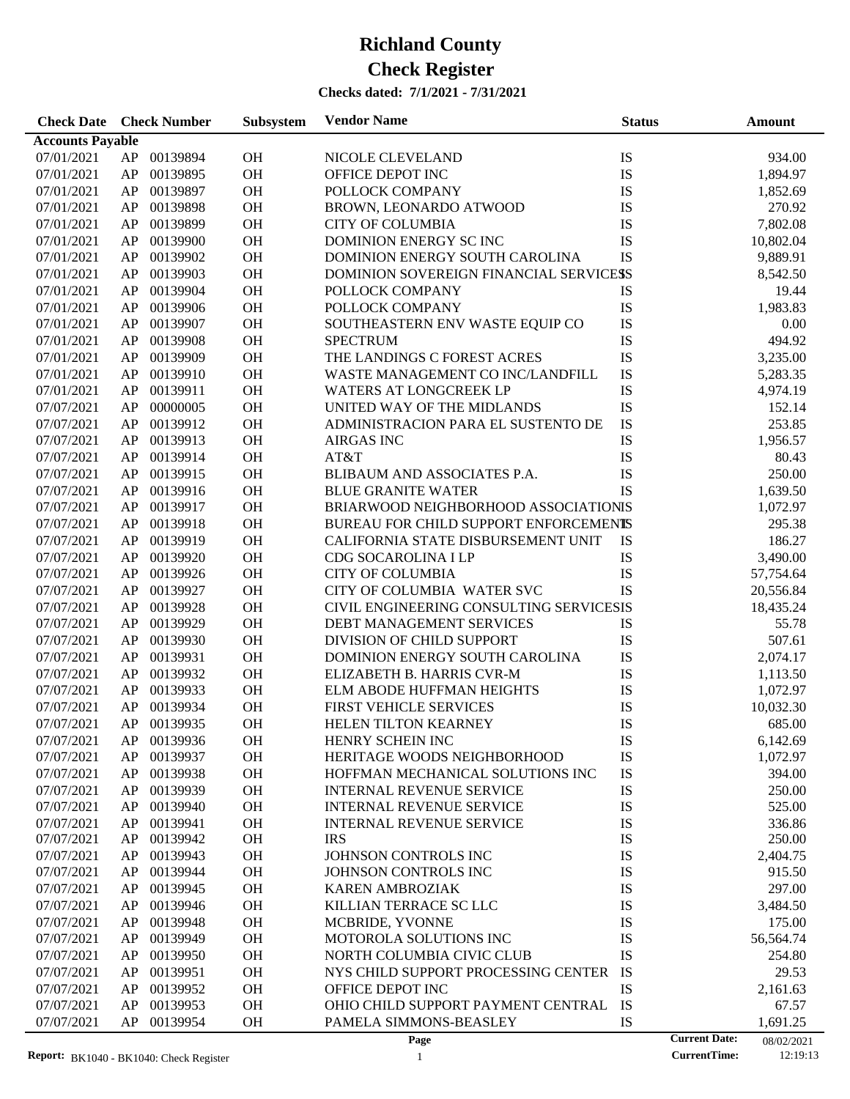#### **Checks dated: 7/1/2021 - 7/31/2021**

| <b>Check Date</b> Check Number |    |             | Subsystem | <b>Vendor Name</b>                      | <b>Status</b> |                      | Amount     |
|--------------------------------|----|-------------|-----------|-----------------------------------------|---------------|----------------------|------------|
| <b>Accounts Payable</b>        |    |             |           |                                         |               |                      |            |
| 07/01/2021                     | AP | 00139894    | <b>OH</b> | NICOLE CLEVELAND                        | IS            |                      | 934.00     |
| 07/01/2021                     | AP | 00139895    | OH        | OFFICE DEPOT INC                        | IS            |                      | 1,894.97   |
| 07/01/2021                     | AP | 00139897    | <b>OH</b> | POLLOCK COMPANY                         | IS            |                      | 1,852.69   |
| 07/01/2021                     | AP | 00139898    | <b>OH</b> | BROWN, LEONARDO ATWOOD                  | IS            |                      | 270.92     |
| 07/01/2021                     | AP | 00139899    | OH        | <b>CITY OF COLUMBIA</b>                 | IS            |                      | 7,802.08   |
| 07/01/2021                     | AP | 00139900    | OH        | DOMINION ENERGY SC INC                  | IS            |                      | 10,802.04  |
| 07/01/2021                     | AP | 00139902    | OH        | DOMINION ENERGY SOUTH CAROLINA          | IS            |                      | 9,889.91   |
| 07/01/2021                     | AP | 00139903    | OH        | DOMINION SOVEREIGN FINANCIAL SERVICESS  |               |                      | 8,542.50   |
| 07/01/2021                     | AP | 00139904    | OH        | POLLOCK COMPANY                         | IS            |                      | 19.44      |
|                                |    |             | OH        |                                         |               |                      |            |
| 07/01/2021                     | AP | 00139906    |           | POLLOCK COMPANY                         | IS            |                      | 1,983.83   |
| 07/01/2021                     | AP | 00139907    | OH        | SOUTHEASTERN ENV WASTE EQUIP CO         | $\mathbf{IS}$ |                      | 0.00       |
| 07/01/2021                     | AP | 00139908    | OH        | <b>SPECTRUM</b>                         | IS            |                      | 494.92     |
| 07/01/2021                     | AP | 00139909    | OH        | THE LANDINGS C FOREST ACRES             | IS            |                      | 3,235.00   |
| 07/01/2021                     | AP | 00139910    | OH        | WASTE MANAGEMENT CO INC/LANDFILL        | IS            |                      | 5,283.35   |
| 07/01/2021                     | AP | 00139911    | OH        | <b>WATERS AT LONGCREEK LP</b>           | $\mathbf{IS}$ |                      | 4,974.19   |
| 07/07/2021                     | AP | 00000005    | OH        | UNITED WAY OF THE MIDLANDS              | $\mathbf{IS}$ |                      | 152.14     |
| 07/07/2021                     | AP | 00139912    | OH        | ADMINISTRACION PARA EL SUSTENTO DE      | IS            |                      | 253.85     |
| 07/07/2021                     | AP | 00139913    | OH        | <b>AIRGAS INC</b>                       | $\mathbf{IS}$ |                      | 1,956.57   |
| 07/07/2021                     | AP | 00139914    | OH        | AT&T                                    | IS            |                      | 80.43      |
| 07/07/2021                     | AP | 00139915    | OH        | BLIBAUM AND ASSOCIATES P.A.             | IS            |                      | 250.00     |
| 07/07/2021                     | AP | 00139916    | OH        | <b>BLUE GRANITE WATER</b>               | IS            |                      | 1,639.50   |
| 07/07/2021                     | AP | 00139917    | OH        | BRIARWOOD NEIGHBORHOOD ASSOCIATIONIS    |               |                      | 1,072.97   |
| 07/07/2021                     | AP | 00139918    | OH        | BUREAU FOR CHILD SUPPORT ENFORCEMENTS   |               |                      | 295.38     |
| 07/07/2021                     | AP | 00139919    | OH        | CALIFORNIA STATE DISBURSEMENT UNIT      | IS            |                      | 186.27     |
| 07/07/2021                     | AP | 00139920    | OH        | CDG SOCAROLINA I LP                     | IS            |                      | 3,490.00   |
| 07/07/2021                     | AP | 00139926    | OH        | <b>CITY OF COLUMBIA</b>                 | IS            |                      | 57,754.64  |
| 07/07/2021                     | AP | 00139927    | OH        | CITY OF COLUMBIA WATER SVC              | IS            |                      | 20,556.84  |
| 07/07/2021                     | AP | 00139928    | OH        | CIVIL ENGINEERING CONSULTING SERVICESIS |               |                      | 18,435.24  |
| 07/07/2021                     | AP | 00139929    | OH        | DEBT MANAGEMENT SERVICES                | IS            |                      | 55.78      |
| 07/07/2021                     | AP | 00139930    | OH        | DIVISION OF CHILD SUPPORT               | IS            |                      | 507.61     |
| 07/07/2021                     | AP | 00139931    | OH        | DOMINION ENERGY SOUTH CAROLINA          | IS            |                      | 2,074.17   |
| 07/07/2021                     | AP | 00139932    | OH        | ELIZABETH B. HARRIS CVR-M               | $\mathbf{IS}$ |                      | 1,113.50   |
| 07/07/2021                     | AP | 00139933    | OH        | ELM ABODE HUFFMAN HEIGHTS               | IS            |                      | 1,072.97   |
| 07/07/2021                     | AP | 00139934    | OH        | FIRST VEHICLE SERVICES                  | IS            |                      | 10,032.30  |
| 07/07/2021                     |    | AP 00139935 | OH        | HELEN TILTON KEARNEY                    | IS            |                      | 685.00     |
| 07/07/2021                     |    | AP 00139936 | <b>OH</b> | HENRY SCHEIN INC                        | IS            |                      | 6,142.69   |
| 07/07/2021                     | AP | 00139937    | <b>OH</b> | HERITAGE WOODS NEIGHBORHOOD             | IS            |                      | 1,072.97   |
| 07/07/2021                     | AP | 00139938    | OH        | HOFFMAN MECHANICAL SOLUTIONS INC        | IS            |                      | 394.00     |
| 07/07/2021                     | AP | 00139939    | OH        | <b>INTERNAL REVENUE SERVICE</b>         | IS            |                      | 250.00     |
| 07/07/2021                     | AP | 00139940    | OH        | <b>INTERNAL REVENUE SERVICE</b>         | IS            |                      | 525.00     |
| 07/07/2021                     | AP | 00139941    | OH        | <b>INTERNAL REVENUE SERVICE</b>         | IS            |                      | 336.86     |
| 07/07/2021                     | AP | 00139942    | OH        | <b>IRS</b>                              | IS            |                      | 250.00     |
| 07/07/2021                     | AP | 00139943    | OH        | JOHNSON CONTROLS INC                    | IS            |                      | 2,404.75   |
| 07/07/2021                     | AP | 00139944    | OH        | JOHNSON CONTROLS INC                    | IS            |                      | 915.50     |
| 07/07/2021                     | AP | 00139945    | OH        |                                         | IS            |                      | 297.00     |
|                                |    |             |           | <b>KAREN AMBROZIAK</b>                  |               |                      |            |
| 07/07/2021                     | AP | 00139946    | OH        | KILLIAN TERRACE SC LLC                  | IS            |                      | 3,484.50   |
| 07/07/2021                     | AP | 00139948    | OH        | MCBRIDE, YVONNE                         | IS            |                      | 175.00     |
| 07/07/2021                     | AP | 00139949    | OH        | MOTOROLA SOLUTIONS INC                  | IS            |                      | 56,564.74  |
| 07/07/2021                     | AP | 00139950    | OH        | NORTH COLUMBIA CIVIC CLUB               | <b>IS</b>     |                      | 254.80     |
| 07/07/2021                     | AP | 00139951    | OH        | NYS CHILD SUPPORT PROCESSING CENTER     | IS            |                      | 29.53      |
| 07/07/2021                     | AP | 00139952    | OH        | OFFICE DEPOT INC                        | <b>IS</b>     |                      | 2,161.63   |
| 07/07/2021                     | AP | 00139953    | OH        | OHIO CHILD SUPPORT PAYMENT CENTRAL      | IS            |                      | 67.57      |
| 07/07/2021                     | AP | 00139954    | OH        | PAMELA SIMMONS-BEASLEY                  | IS            |                      | 1,691.25   |
|                                |    |             |           | Page                                    |               | <b>Current Date:</b> | 08/02/2021 |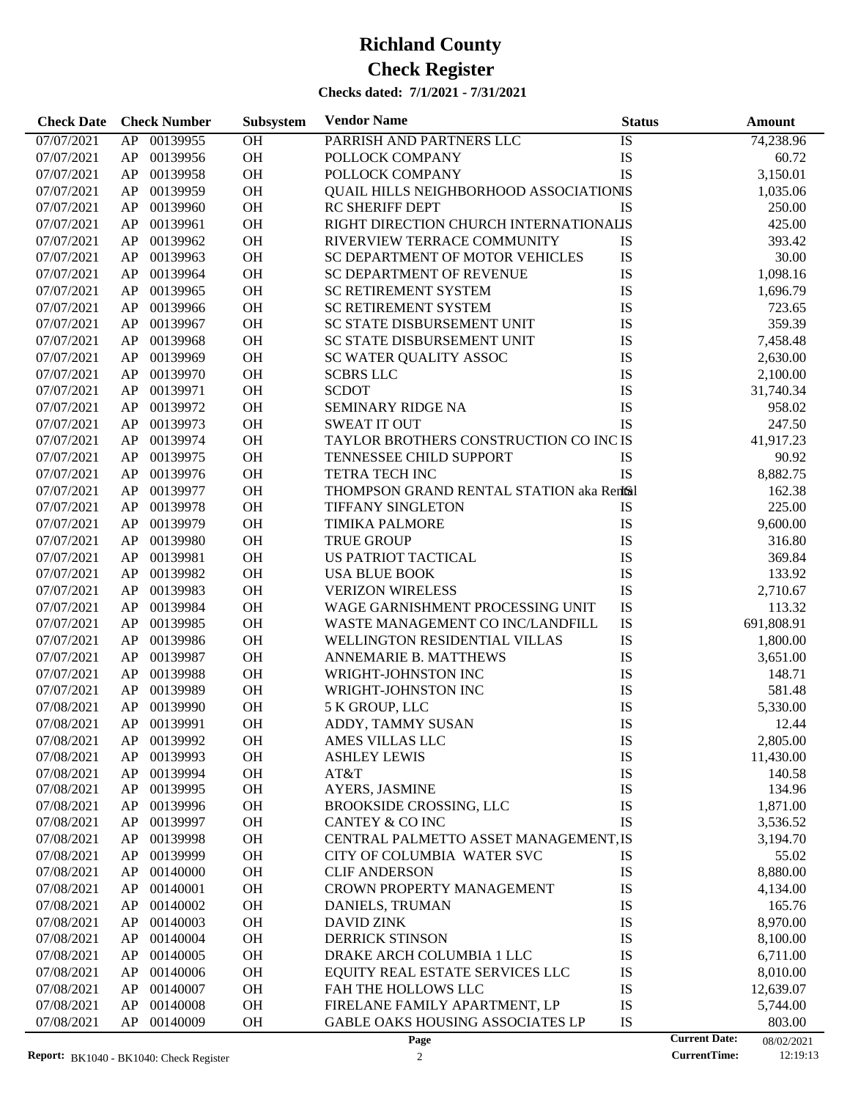| <b>Check Date</b> | <b>Check Number</b> | Subsystem      | <b>Vendor Name</b>                                            | <b>Status</b> |                      | Amount     |
|-------------------|---------------------|----------------|---------------------------------------------------------------|---------------|----------------------|------------|
| 07/07/2021        | 00139955<br>AP      | O <sub>H</sub> | PARRISH AND PARTNERS LLC                                      | IS            |                      | 74,238.96  |
| 07/07/2021        | 00139956<br>AP      | OH             | POLLOCK COMPANY                                               | IS            |                      | 60.72      |
| 07/07/2021        | 00139958<br>AP      | <b>OH</b>      | POLLOCK COMPANY                                               | IS            |                      | 3,150.01   |
| 07/07/2021        | 00139959<br>AP      | <b>OH</b>      | QUAIL HILLS NEIGHBORHOOD ASSOCIATIONIS                        |               |                      | 1,035.06   |
| 07/07/2021        | 00139960<br>AP      | OH             | <b>RC SHERIFF DEPT</b>                                        | IS            |                      | 250.00     |
| 07/07/2021        | 00139961<br>AP      | OH             | RIGHT DIRECTION CHURCH INTERNATIONALIS                        |               |                      | 425.00     |
| 07/07/2021        | 00139962<br>AP      | <b>OH</b>      | RIVERVIEW TERRACE COMMUNITY                                   | IS            |                      | 393.42     |
| 07/07/2021        | 00139963<br>AP      | <b>OH</b>      | <b>SC DEPARTMENT OF MOTOR VEHICLES</b>                        | IS            |                      | 30.00      |
| 07/07/2021        | 00139964<br>AP      | OH             | <b>SC DEPARTMENT OF REVENUE</b>                               | IS            |                      | 1,098.16   |
| 07/07/2021        | 00139965<br>AP      | <b>OH</b>      | <b>SC RETIREMENT SYSTEM</b>                                   | IS            |                      | 1,696.79   |
| 07/07/2021        | 00139966<br>AP      | <b>OH</b>      | <b>SC RETIREMENT SYSTEM</b>                                   | IS            |                      | 723.65     |
| 07/07/2021        | 00139967<br>AP      | <b>OH</b>      | SC STATE DISBURSEMENT UNIT                                    | IS            |                      | 359.39     |
| 07/07/2021        | 00139968<br>AP      | OH             | SC STATE DISBURSEMENT UNIT                                    | IS            |                      | 7,458.48   |
| 07/07/2021        | 00139969<br>AP      | OH             | SC WATER QUALITY ASSOC                                        | IS            |                      | 2,630.00   |
| 07/07/2021        | 00139970<br>AP      | <b>OH</b>      | <b>SCBRS LLC</b>                                              | IS            |                      | 2,100.00   |
| 07/07/2021        | 00139971<br>AP      | <b>OH</b>      | <b>SCDOT</b>                                                  | IS            |                      | 31,740.34  |
| 07/07/2021        | 00139972<br>AP      | <b>OH</b>      | SEMINARY RIDGE NA                                             | IS            |                      | 958.02     |
|                   | 00139973            | <b>OH</b>      |                                                               | IS            |                      |            |
| 07/07/2021        | AP                  |                | <b>SWEAT IT OUT</b><br>TAYLOR BROTHERS CONSTRUCTION CO INC IS |               |                      | 247.50     |
| 07/07/2021        | 00139974<br>AP      | <b>OH</b>      |                                                               |               |                      | 41,917.23  |
| 07/07/2021        | 00139975<br>AP      | <b>OH</b>      | <b>TENNESSEE CHILD SUPPORT</b>                                | IS            |                      | 90.92      |
| 07/07/2021        | 00139976<br>AP      | OH             | <b>TETRA TECH INC</b>                                         | <b>IS</b>     |                      | 8,882.75   |
| 07/07/2021        | 00139977<br>AP      | <b>OH</b>      | THOMPSON GRAND RENTAL STATION aka Rentsil                     |               |                      | 162.38     |
| 07/07/2021        | 00139978<br>AP      | <b>OH</b>      | <b>TIFFANY SINGLETON</b>                                      | IS            |                      | 225.00     |
| 07/07/2021        | 00139979<br>AP      | <b>OH</b>      | <b>TIMIKA PALMORE</b>                                         | IS            |                      | 9,600.00   |
| 07/07/2021        | 00139980<br>AP      | OH             | <b>TRUE GROUP</b>                                             | IS            |                      | 316.80     |
| 07/07/2021        | 00139981<br>AP      | <b>OH</b>      | US PATRIOT TACTICAL                                           | IS            |                      | 369.84     |
| 07/07/2021        | 00139982<br>AP      | <b>OH</b>      | <b>USA BLUE BOOK</b>                                          | IS            |                      | 133.92     |
| 07/07/2021        | 00139983<br>AP      | <b>OH</b>      | <b>VERIZON WIRELESS</b>                                       | IS            |                      | 2,710.67   |
| 07/07/2021        | 00139984<br>AP      | OH             | WAGE GARNISHMENT PROCESSING UNIT                              | IS            |                      | 113.32     |
| 07/07/2021        | 00139985<br>AP      | <b>OH</b>      | WASTE MANAGEMENT CO INC/LANDFILL                              | IS            |                      | 691,808.91 |
| 07/07/2021        | 00139986<br>AP      | <b>OH</b>      | WELLINGTON RESIDENTIAL VILLAS                                 | IS            |                      | 1,800.00   |
| 07/07/2021        | 00139987<br>AP      | <b>OH</b>      | <b>ANNEMARIE B. MATTHEWS</b>                                  | IS            |                      | 3,651.00   |
| 07/07/2021        | 00139988<br>AP      | <b>OH</b>      | WRIGHT-JOHNSTON INC                                           | IS            |                      | 148.71     |
| 07/07/2021        | 00139989<br>AP      | <b>OH</b>      | WRIGHT-JOHNSTON INC                                           | IS            |                      | 581.48     |
| 07/08/2021        | 00139990<br>AP      | OH             | 5 K GROUP, LLC                                                | IS            |                      | 5,330.00   |
| 07/08/2021        | AP<br>00139991      | OH             | ADDY, TAMMY SUSAN                                             | IS            |                      | 12.44      |
| 07/08/2021        | AP<br>00139992      | <b>OH</b>      | AMES VILLAS LLC                                               | <b>IS</b>     |                      | 2,805.00   |
| 07/08/2021        | 00139993<br>AP      | OH             | <b>ASHLEY LEWIS</b>                                           | IS            |                      | 11,430.00  |
| 07/08/2021        | 00139994<br>AP      | OH             | AT&T                                                          | IS            |                      | 140.58     |
| 07/08/2021        | AP<br>00139995      | OH             | AYERS, JASMINE                                                | IS            |                      | 134.96     |
| 07/08/2021        | AP<br>00139996      | OH             | <b>BROOKSIDE CROSSING, LLC</b>                                | IS            |                      | 1,871.00   |
| 07/08/2021        | 00139997<br>AP      | OH             | <b>CANTEY &amp; CO INC</b>                                    | IS            |                      | 3,536.52   |
| 07/08/2021        | 00139998<br>AP      | OH             | CENTRAL PALMETTO ASSET MANAGEMENT, IS                         |               |                      | 3,194.70   |
| 07/08/2021        | AP<br>00139999      | OH             | CITY OF COLUMBIA WATER SVC                                    | IS            |                      | 55.02      |
| 07/08/2021        | 00140000<br>AP      | OH             | <b>CLIF ANDERSON</b>                                          | IS            |                      | 8,880.00   |
| 07/08/2021        | 00140001<br>AP      | OH             | <b>CROWN PROPERTY MANAGEMENT</b>                              | IS            |                      | 4,134.00   |
| 07/08/2021        | 00140002<br>AP      | OH             | DANIELS, TRUMAN                                               | IS            |                      | 165.76     |
| 07/08/2021        | AP<br>00140003      | OH             | <b>DAVID ZINK</b>                                             | IS            |                      | 8,970.00   |
| 07/08/2021        | AP<br>00140004      | OH             | <b>DERRICK STINSON</b>                                        | IS            |                      | 8,100.00   |
| 07/08/2021        | 00140005<br>AP      | OH             | DRAKE ARCH COLUMBIA 1 LLC                                     | IS            |                      | 6,711.00   |
| 07/08/2021        | 00140006<br>AP      | OH             | EQUITY REAL ESTATE SERVICES LLC                               | IS            |                      | 8,010.00   |
| 07/08/2021        | AP<br>00140007      | OH             | FAH THE HOLLOWS LLC                                           | IS            |                      | 12,639.07  |
| 07/08/2021        | AP<br>00140008      | OH             | FIRELANE FAMILY APARTMENT, LP                                 | IS            |                      | 5,744.00   |
| 07/08/2021        | AP<br>00140009      | OH             | GABLE OAKS HOUSING ASSOCIATES LP                              | IS            |                      | 803.00     |
|                   |                     |                | Page                                                          |               | <b>Current Date:</b> | 08/02/2021 |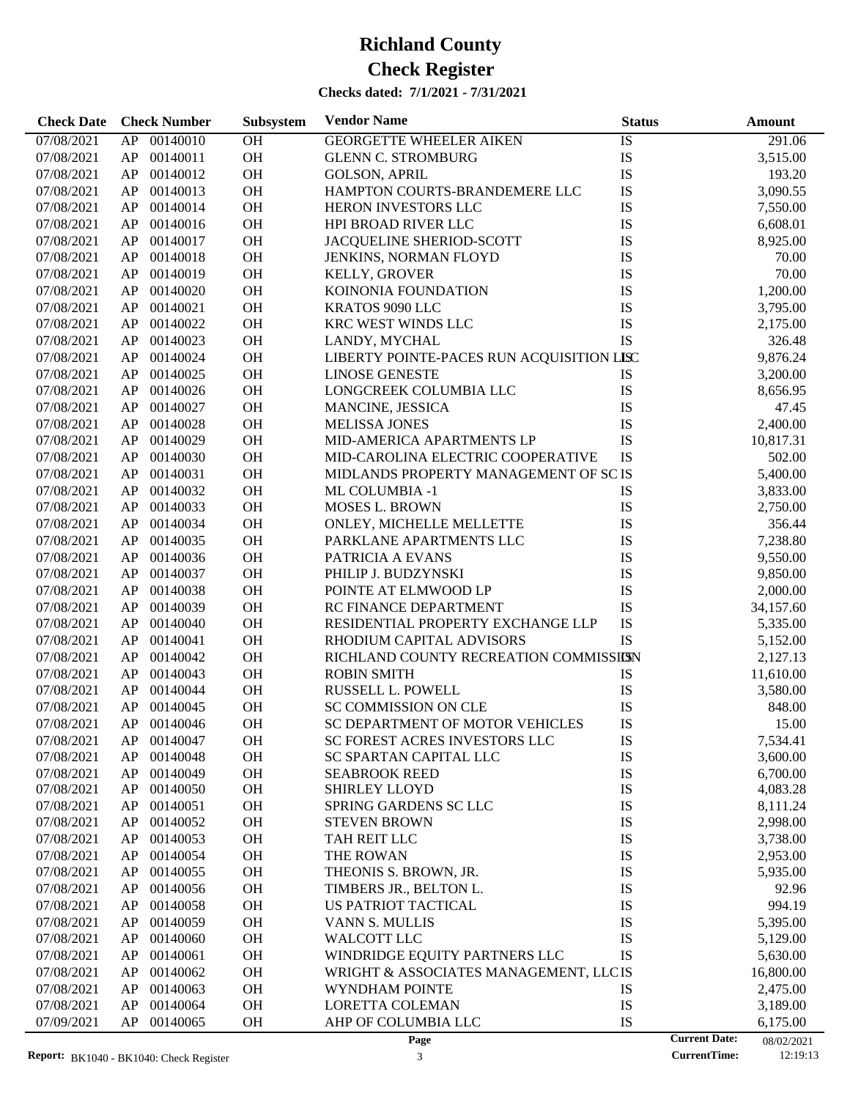| <b>Check Date</b>        | <b>Check Number</b>        | Subsystem | <b>Vendor Name</b>                        | <b>Status</b> | Amount                             |  |
|--------------------------|----------------------------|-----------|-------------------------------------------|---------------|------------------------------------|--|
| 07/08/2021               | 00140010<br>AP             | OH        | <b>GEORGETTE WHEELER AIKEN</b>            | IS            | 291.06                             |  |
| 07/08/2021               | 00140011<br>AP             | OH        | <b>GLENN C. STROMBURG</b>                 | IS            | 3,515.00                           |  |
| 07/08/2021               | 00140012<br>AP             | OH        | <b>GOLSON, APRIL</b>                      | IS            | 193.20                             |  |
| 07/08/2021               | 00140013<br>AP             | OH        | HAMPTON COURTS-BRANDEMERE LLC             | IS            | 3,090.55                           |  |
| 07/08/2021               | 00140014<br>AP             | OH        | <b>HERON INVESTORS LLC</b>                | IS            | 7,550.00                           |  |
| 07/08/2021               | 00140016<br>AP             | OH        | HPI BROAD RIVER LLC                       | IS            | 6,608.01                           |  |
| 07/08/2021               | 00140017<br>AP             | OH        | JACQUELINE SHERIOD-SCOTT                  | IS            | 8,925.00                           |  |
| 07/08/2021               | 00140018<br>AP             | <b>OH</b> | JENKINS, NORMAN FLOYD                     | IS            | 70.00                              |  |
| 07/08/2021               | 00140019<br>AP             | <b>OH</b> | <b>KELLY, GROVER</b>                      | IS            | 70.00                              |  |
| 07/08/2021               | 00140020<br>AP             | OH        | KOINONIA FOUNDATION                       | IS            | 1,200.00                           |  |
| 07/08/2021               | 00140021<br>AP             | <b>OH</b> | KRATOS 9090 LLC                           | IS            | 3,795.00                           |  |
| 07/08/2021               | 00140022<br>AP             | <b>OH</b> | KRC WEST WINDS LLC                        | IS            | 2,175.00                           |  |
| 07/08/2021               | 00140023<br>AP             | <b>OH</b> | LANDY, MYCHAL                             | IS            | 326.48                             |  |
| 07/08/2021               | 00140024<br>AP             | OH        | LIBERTY POINTE-PACES RUN ACQUISITION LISC |               | 9,876.24                           |  |
| 07/08/2021               | 00140025<br>AP             | <b>OH</b> | <b>LINOSE GENESTE</b>                     | IS            | 3,200.00                           |  |
| 07/08/2021               | 00140026<br>AP             | <b>OH</b> | LONGCREEK COLUMBIA LLC                    | IS            | 8,656.95                           |  |
| 07/08/2021               | 00140027<br>AP             | <b>OH</b> | MANCINE, JESSICA                          | IS            | 47.45                              |  |
| 07/08/2021               | 00140028<br>AP             | OH        | <b>MELISSA JONES</b>                      | IS            | 2,400.00                           |  |
| 07/08/2021               | 00140029<br>AP             | OH        | MID-AMERICA APARTMENTS LP                 | IS            | 10,817.31                          |  |
| 07/08/2021               | 00140030<br>AP             | <b>OH</b> | MID-CAROLINA ELECTRIC COOPERATIVE         | IS            | 502.00                             |  |
| 07/08/2021               | 00140031<br>AP             | <b>OH</b> | MIDLANDS PROPERTY MANAGEMENT OF SC IS     |               | 5,400.00                           |  |
| 07/08/2021               | 00140032<br>AP             | OH        | <b>ML COLUMBIA -1</b>                     | IS            | 3,833.00                           |  |
| 07/08/2021               | 00140033<br>AP             | <b>OH</b> | MOSES L. BROWN                            | IS            | 2,750.00                           |  |
| 07/08/2021               | 00140034<br>AP             | OH        | ONLEY, MICHELLE MELLETTE                  | IS            | 356.44                             |  |
| 07/08/2021               | 00140035<br>AP             | <b>OH</b> | PARKLANE APARTMENTS LLC                   | IS            | 7,238.80                           |  |
| 07/08/2021               | 00140036<br>AP             | OH        | PATRICIA A EVANS                          | IS            | 9,550.00                           |  |
| 07/08/2021               | 00140037<br>AP             | OH        | PHILIP J. BUDZYNSKI                       | IS            | 9,850.00                           |  |
| 07/08/2021               | 00140038<br>AP             | <b>OH</b> | POINTE AT ELMWOOD LP                      | IS            | 2,000.00                           |  |
| 07/08/2021               | 00140039<br>AP             | <b>OH</b> | RC FINANCE DEPARTMENT                     | IS            | 34,157.60                          |  |
| 07/08/2021               | 00140040<br>AP             | OH        | RESIDENTIAL PROPERTY EXCHANGE LLP         | IS            | 5,335.00                           |  |
| 07/08/2021               | 00140041<br>AP             | <b>OH</b> | RHODIUM CAPITAL ADVISORS                  | IS            | 5,152.00                           |  |
| 07/08/2021               | 00140042<br>AP             | <b>OH</b> | RICHLAND COUNTY RECREATION COMMISSIESN    |               | 2,127.13                           |  |
| 07/08/2021               | 00140043<br>AP             | <b>OH</b> | <b>ROBIN SMITH</b>                        | IS            | 11,610.00                          |  |
| 07/08/2021               | 00140044<br>AP             | <b>OH</b> | RUSSELL L. POWELL                         | IS            | 3,580.00                           |  |
| 07/08/2021               | 00140045<br>AP             | OH        | SC COMMISSION ON CLE                      | IS            | 848.00                             |  |
| 07/08/2021               | AP<br>00140046             | OH        | SC DEPARTMENT OF MOTOR VEHICLES           | IS            | 15.00                              |  |
|                          |                            |           |                                           |               |                                    |  |
| 07/08/2021               | AP.<br>00140047            | OН        | SC FOREST ACRES INVESTORS LLC             | IS            | 7,534.41                           |  |
| 07/08/2021               | 00140048<br>AP<br>00140049 | OH        | SC SPARTAN CAPITAL LLC                    | IS            | 3,600.00                           |  |
| 07/08/2021<br>07/08/2021 | AP<br>AP<br>00140050       | OH<br>OH  | <b>SEABROOK REED</b><br>SHIRLEY LLOYD     | IS<br>IS      | 6,700.00<br>4,083.28               |  |
| 07/08/2021               | 00140051<br>AP             | OH        | SPRING GARDENS SC LLC                     | IS            | 8,111.24                           |  |
| 07/08/2021               | 00140052<br>AP             | OH        | <b>STEVEN BROWN</b>                       | IS            | 2,998.00                           |  |
| 07/08/2021               | 00140053<br>AP             | OH        | TAH REIT LLC                              | IS            | 3,738.00                           |  |
| 07/08/2021               | 00140054                   | OH        | THE ROWAN                                 | IS            |                                    |  |
|                          | AP                         |           |                                           |               | 2,953.00                           |  |
| 07/08/2021               | 00140055<br>AP             | OH        | THEONIS S. BROWN, JR.                     | IS            | 5,935.00                           |  |
| 07/08/2021               | 00140056<br>AP             | OH        | TIMBERS JR., BELTON L.                    | IS            | 92.96                              |  |
| 07/08/2021               | 00140058<br>AP             | OH        | <b>US PATRIOT TACTICAL</b>                | IS            | 994.19                             |  |
| 07/08/2021               | 00140059<br>AP             | OH        | VANN S. MULLIS                            | IS            | 5,395.00                           |  |
| 07/08/2021               | 00140060<br>AP             | OH        | WALCOTT LLC                               | IS            | 5,129.00                           |  |
| 07/08/2021               | 00140061<br>AP             | OH        | WINDRIDGE EQUITY PARTNERS LLC             | IS            | 5,630.00                           |  |
| 07/08/2021               | 00140062<br>AP             | OH        | WRIGHT & ASSOCIATES MANAGEMENT, LLCIS     |               | 16,800.00                          |  |
| 07/08/2021               | 00140063<br>AP             | OH        | WYNDHAM POINTE                            | IS            | 2,475.00                           |  |
| 07/08/2021               | AP<br>00140064             | OH        | <b>LORETTA COLEMAN</b>                    | IS            | 3,189.00                           |  |
| 07/09/2021               | AP<br>00140065             | OH        | AHP OF COLUMBIA LLC                       | IS            | 6,175.00                           |  |
|                          |                            |           | Page                                      |               | <b>Current Date:</b><br>08/02/2021 |  |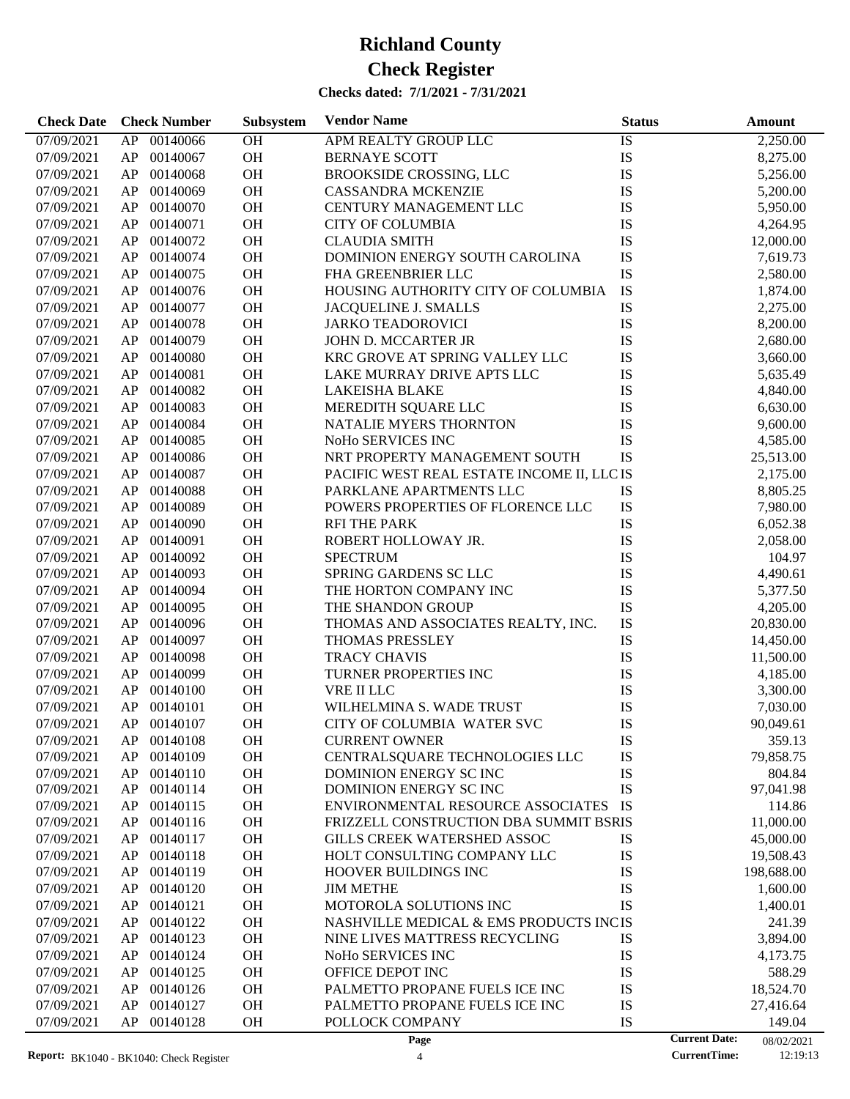| <b>Check Date</b> | <b>Check Number</b>        | Subsystem | <b>Vendor Name</b>                         | <b>Status</b> | <b>Amount</b>                      |
|-------------------|----------------------------|-----------|--------------------------------------------|---------------|------------------------------------|
| 07/09/2021        | 00140066<br>AP             | <b>OH</b> | APM REALTY GROUP LLC                       | IS            | 2,250.00                           |
| 07/09/2021        | AP<br>00140067             | OH        | <b>BERNAYE SCOTT</b>                       | IS            | 8,275.00                           |
| 07/09/2021        | AP<br>00140068             | OH        | BROOKSIDE CROSSING, LLC                    | <b>IS</b>     | 5,256.00                           |
| 07/09/2021        | AP<br>00140069             | OH        | <b>CASSANDRA MCKENZIE</b>                  | <b>IS</b>     | 5,200.00                           |
| 07/09/2021        | AP<br>00140070             | OH        | CENTURY MANAGEMENT LLC                     | IS            | 5,950.00                           |
| 07/09/2021        | AP<br>00140071             | OH        | <b>CITY OF COLUMBIA</b>                    | IS            | 4,264.95                           |
| 07/09/2021        | AP<br>00140072             | OH        | <b>CLAUDIA SMITH</b>                       | <b>IS</b>     | 12,000.00                          |
| 07/09/2021        | AP<br>00140074             | OH        | DOMINION ENERGY SOUTH CAROLINA             | <b>IS</b>     | 7,619.73                           |
| 07/09/2021        | AP<br>00140075             | OH        | FHA GREENBRIER LLC                         | <b>IS</b>     | 2,580.00                           |
| 07/09/2021        | AP<br>00140076             | OH        | HOUSING AUTHORITY CITY OF COLUMBIA         | IS            | 1,874.00                           |
| 07/09/2021        | AP<br>00140077             | OH        | JACQUELINE J. SMALLS                       | <b>IS</b>     | 2,275.00                           |
| 07/09/2021        | AP<br>00140078             | OH        | <b>JARKO TEADOROVICI</b>                   | IS            | 8,200.00                           |
| 07/09/2021        | AP<br>00140079             | OH        | JOHN D. MCCARTER JR                        | IS            | 2,680.00                           |
| 07/09/2021        | AP<br>00140080             | OH        | KRC GROVE AT SPRING VALLEY LLC             | IS            | 3,660.00                           |
| 07/09/2021        | AP<br>00140081             | OH        | LAKE MURRAY DRIVE APTS LLC                 | <b>IS</b>     | 5,635.49                           |
| 07/09/2021        | AP<br>00140082             | OH        | <b>LAKEISHA BLAKE</b>                      | <b>IS</b>     | 4,840.00                           |
| 07/09/2021        | AP<br>00140083             | OH        | MEREDITH SQUARE LLC                        | IS            | 6,630.00                           |
| 07/09/2021        | AP<br>00140084             | OH        | NATALIE MYERS THORNTON                     | IS            | 9,600.00                           |
| 07/09/2021        | AP<br>00140085             | OH        | NoHo SERVICES INC                          | <b>IS</b>     | 4,585.00                           |
| 07/09/2021        | AP<br>00140086             | OH        | NRT PROPERTY MANAGEMENT SOUTH              | IS            | 25,513.00                          |
| 07/09/2021        | AP<br>00140087             | OH        | PACIFIC WEST REAL ESTATE INCOME II, LLC IS |               | 2,175.00                           |
| 07/09/2021        | AP<br>00140088             | OH        | PARKLANE APARTMENTS LLC                    | IS            | 8,805.25                           |
| 07/09/2021        | AP<br>00140089             | OH        | POWERS PROPERTIES OF FLORENCE LLC          | IS            | 7,980.00                           |
| 07/09/2021        | AP<br>00140090             | OH        | <b>RFI THE PARK</b>                        | <b>IS</b>     | 6,052.38                           |
| 07/09/2021        | AP<br>00140091             | OH        | ROBERT HOLLOWAY JR.                        | IS            | 2,058.00                           |
| 07/09/2021        | AP<br>00140092             | OH        | <b>SPECTRUM</b>                            | IS            | 104.97                             |
| 07/09/2021        | AP<br>00140093             | OH        | SPRING GARDENS SC LLC                      | <b>IS</b>     | 4,490.61                           |
| 07/09/2021        | AP<br>00140094             | OH        | THE HORTON COMPANY INC                     | IS            | 5,377.50                           |
| 07/09/2021        | AP<br>00140095             | OH        | THE SHANDON GROUP                          | IS            | 4,205.00                           |
|                   | AP<br>00140096             | OH        | THOMAS AND ASSOCIATES REALTY, INC.         | IS            |                                    |
| 07/09/2021        | AP<br>00140097             | OH        |                                            | <b>IS</b>     | 20,830.00                          |
| 07/09/2021        |                            | OH        | <b>THOMAS PRESSLEY</b>                     | <b>IS</b>     | 14,450.00                          |
| 07/09/2021        | AP<br>00140098<br>00140099 |           | <b>TRACY CHAVIS</b>                        |               | 11,500.00                          |
| 07/09/2021        | AP                         | OH        | TURNER PROPERTIES INC                      | IS            | 4,185.00                           |
| 07/09/2021        | AP<br>00140100             | OH        | VRE II LLC                                 | IS            | 3,300.00                           |
| 07/09/2021        | AP<br>00140101             | OH        | WILHELMINA S. WADE TRUST                   | IS            | 7,030.00                           |
| 07/09/2021        | AP<br>00140107             | <b>OH</b> | CITY OF COLUMBIA WATER SVC                 | IS            | 90,049.61                          |
| 07/09/2021        | ${\sf AP}$<br>00140108     | <b>OH</b> | CURRENT OWNER                              | IS            | 359.13                             |
| 07/09/2021        | 00140109<br>AP             | <b>OH</b> | CENTRALSQUARE TECHNOLOGIES LLC             | IS            | 79,858.75                          |
| 07/09/2021        | 00140110<br>AP             | <b>OH</b> | DOMINION ENERGY SC INC                     | IS            | 804.84                             |
| 07/09/2021        | 00140114<br>AP             | OH        | DOMINION ENERGY SC INC                     | IS            | 97,041.98                          |
| 07/09/2021        | 00140115<br>AP             | <b>OH</b> | ENVIRONMENTAL RESOURCE ASSOCIATES          | IS            | 114.86                             |
| 07/09/2021        | AP<br>00140116             | <b>OH</b> | FRIZZELL CONSTRUCTION DBA SUMMIT BSRIS     |               | 11,000.00                          |
| 07/09/2021        | AP<br>00140117             | <b>OH</b> | GILLS CREEK WATERSHED ASSOC                | IS            | 45,000.00                          |
| 07/09/2021        | AP<br>00140118             | <b>OH</b> | HOLT CONSULTING COMPANY LLC                | IS            | 19,508.43                          |
| 07/09/2021        | AP<br>00140119             | OH        | HOOVER BUILDINGS INC                       | IS            | 198,688.00                         |
| 07/09/2021        | AP<br>00140120             | <b>OH</b> | <b>JIM METHE</b>                           | IS            | 1,600.00                           |
| 07/09/2021        | AP<br>00140121             | <b>OH</b> | MOTOROLA SOLUTIONS INC                     | IS            | 1,400.01                           |
| 07/09/2021        | AP<br>00140122             | <b>OH</b> | NASHVILLE MEDICAL & EMS PRODUCTS INCIS     |               | 241.39                             |
| 07/09/2021        | AP<br>00140123             | <b>OH</b> | NINE LIVES MATTRESS RECYCLING              | IS            | 3,894.00                           |
| 07/09/2021        | AP<br>00140124             | <b>OH</b> | NoHo SERVICES INC                          | IS            | 4,173.75                           |
| 07/09/2021        | AP<br>00140125             | <b>OH</b> | OFFICE DEPOT INC                           | IS            | 588.29                             |
| 07/09/2021        | AP<br>00140126             | <b>OH</b> | PALMETTO PROPANE FUELS ICE INC             | IS            | 18,524.70                          |
| 07/09/2021        | AP<br>00140127             | <b>OH</b> | PALMETTO PROPANE FUELS ICE INC             | IS            | 27,416.64                          |
| 07/09/2021        | AP<br>00140128             | <b>OH</b> | POLLOCK COMPANY                            | IS            | 149.04                             |
|                   |                            |           | Page                                       |               | <b>Current Date:</b><br>08/02/2021 |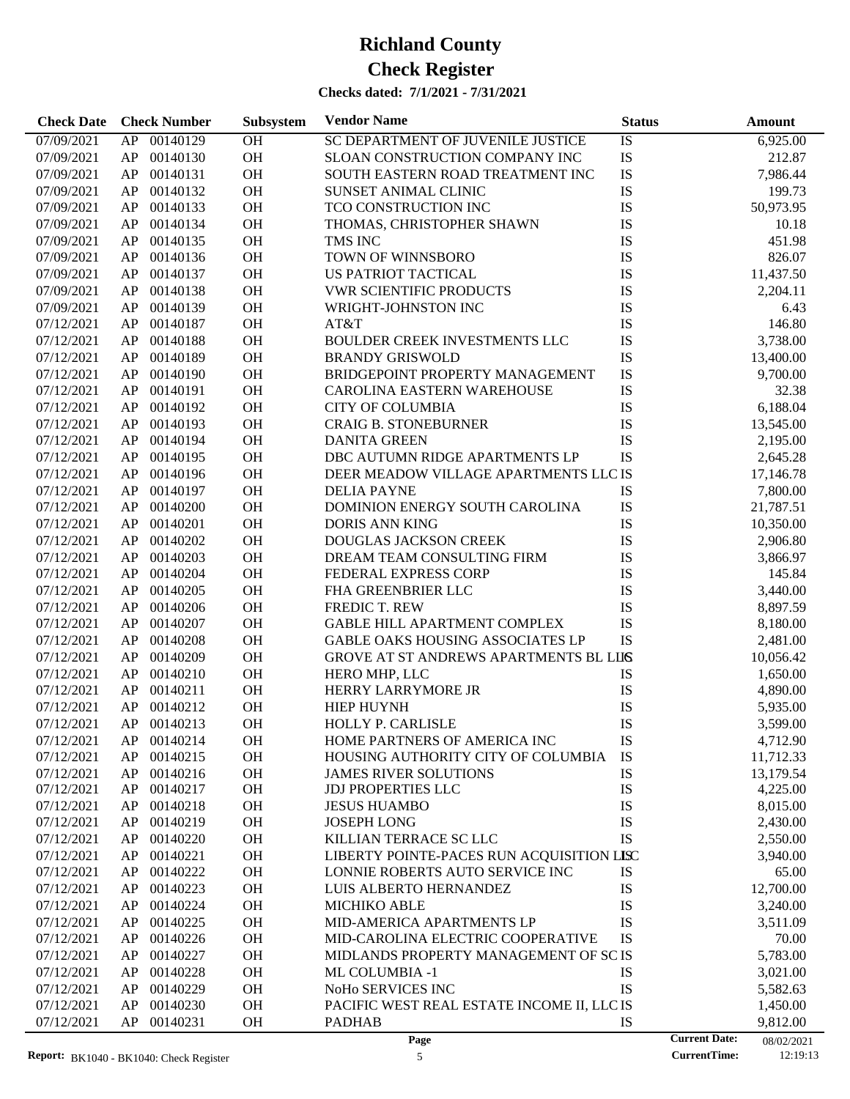| <b>Check Date</b>        | <b>Check Number</b>              | Subsystem              | <b>Vendor Name</b>                                        | <b>Status</b> |                      | <b>Amount</b>         |
|--------------------------|----------------------------------|------------------------|-----------------------------------------------------------|---------------|----------------------|-----------------------|
| 07/09/2021               | 00140129<br>AP                   | $\overline{OH}$        | SC DEPARTMENT OF JUVENILE JUSTICE                         | IS            |                      | 6,925.00              |
| 07/09/2021               | 00140130<br>AP                   | OH                     | SLOAN CONSTRUCTION COMPANY INC                            | IS            |                      | 212.87                |
| 07/09/2021               | 00140131<br>AP                   | OH                     | SOUTH EASTERN ROAD TREATMENT INC                          | IS            |                      | 7,986.44              |
| 07/09/2021               | 00140132<br>AP                   | <b>OH</b>              | SUNSET ANIMAL CLINIC                                      | IS            |                      | 199.73                |
| 07/09/2021               | 00140133<br>AP                   | OH                     | TCO CONSTRUCTION INC                                      | IS            |                      | 50,973.95             |
| 07/09/2021               | 00140134<br>AP                   | OH                     | THOMAS, CHRISTOPHER SHAWN                                 | IS            |                      | 10.18                 |
| 07/09/2021               | 00140135<br>AP                   | <b>OH</b>              | TMS INC                                                   | IS            |                      | 451.98                |
| 07/09/2021               | 00140136<br>AP                   | <b>OH</b>              | TOWN OF WINNSBORO                                         | IS            |                      | 826.07                |
| 07/09/2021               | 00140137<br>AP                   | OH                     | US PATRIOT TACTICAL                                       | IS            |                      | 11,437.50             |
| 07/09/2021               | 00140138<br>AP                   | OH                     | <b>VWR SCIENTIFIC PRODUCTS</b>                            | IS            |                      | 2,204.11              |
| 07/09/2021               | 00140139<br>AP                   | <b>OH</b>              | WRIGHT-JOHNSTON INC                                       | IS            |                      | 6.43                  |
| 07/12/2021               | 00140187<br>AP                   | <b>OH</b>              | AT&T                                                      | IS            |                      | 146.80                |
| 07/12/2021               | 00140188<br>AP                   | OH                     | <b>BOULDER CREEK INVESTMENTS LLC</b>                      | IS            |                      | 3,738.00              |
| 07/12/2021               | 00140189<br>AP                   | OH                     | <b>BRANDY GRISWOLD</b>                                    | IS            |                      | 13,400.00             |
| 07/12/2021               | 00140190<br>AP                   | <b>OH</b>              | BRIDGEPOINT PROPERTY MANAGEMENT                           | IS            |                      | 9,700.00              |
| 07/12/2021               | 00140191<br>AP                   | <b>OH</b>              | <b>CAROLINA EASTERN WAREHOUSE</b>                         | IS            |                      | 32.38                 |
| 07/12/2021               | 00140192<br>AP                   | OH                     | <b>CITY OF COLUMBIA</b>                                   | IS            |                      | 6,188.04              |
| 07/12/2021               | 00140193<br>AP                   | OH                     | <b>CRAIG B. STONEBURNER</b>                               | IS            |                      | 13,545.00             |
| 07/12/2021               | 00140194<br>AP                   | <b>OH</b>              | <b>DANITA GREEN</b>                                       | IS            |                      | 2,195.00              |
| 07/12/2021               | 00140195<br>AP                   | <b>OH</b>              | DBC AUTUMN RIDGE APARTMENTS LP                            | IS            |                      | 2,645.28              |
| 07/12/2021               | 00140196<br>AP                   | OH                     | DEER MEADOW VILLAGE APARTMENTS LLC IS                     |               |                      | 17,146.78             |
| 07/12/2021               | 00140197<br>AP                   | OH                     | <b>DELIA PAYNE</b>                                        | IS            |                      | 7,800.00              |
| 07/12/2021               | 00140200<br>AP                   | <b>OH</b>              | DOMINION ENERGY SOUTH CAROLINA                            | IS            |                      | 21,787.51             |
| 07/12/2021               | 00140201<br>AP                   | OH                     | <b>DORIS ANN KING</b>                                     | IS            |                      | 10,350.00             |
| 07/12/2021               | 00140202<br>AP                   | OH                     | <b>DOUGLAS JACKSON CREEK</b>                              | IS            |                      | 2,906.80              |
| 07/12/2021               | 00140203<br>AP                   | <b>OH</b>              | DREAM TEAM CONSULTING FIRM                                | IS            |                      | 3,866.97              |
| 07/12/2021               | 00140204<br>AP                   | <b>OH</b>              | FEDERAL EXPRESS CORP                                      | IS            |                      | 145.84                |
| 07/12/2021               | 00140205<br>AP                   | <b>OH</b>              | FHA GREENBRIER LLC                                        | IS            |                      | 3,440.00              |
| 07/12/2021               | 00140206<br>AP                   | OH                     | <b>FREDIC T. REW</b>                                      | IS            |                      | 8,897.59              |
| 07/12/2021               | 00140207<br>AP                   | <b>OH</b>              | GABLE HILL APARTMENT COMPLEX                              | IS            |                      | 8,180.00              |
| 07/12/2021               | 00140208<br>AP                   | <b>OH</b>              | <b>GABLE OAKS HOUSING ASSOCIATES LP</b>                   | IS            |                      | 2,481.00              |
| 07/12/2021               | 00140209<br>AP                   | <b>OH</b>              | GROVE AT ST ANDREWS APARTMENTS BL LIIS                    |               |                      | 10,056.42             |
| 07/12/2021               | 00140210<br>AP                   | OH                     | HERO MHP, LLC                                             | IS            |                      | 1,650.00              |
| 07/12/2021               | 00140211<br>AP                   | <b>OH</b>              | HERRY LARRYMORE JR                                        | IS            |                      | 4,890.00              |
| 07/12/2021               | AP<br>00140212                   | <b>OH</b>              | <b>HIEP HUYNH</b>                                         | IS            |                      | 5,935.00              |
|                          |                                  |                        |                                                           |               |                      |                       |
| 07/12/2021               | AP 00140213                      | <b>OH</b>              | HOLLY P. CARLISLE                                         | IS            |                      | 3,599.00              |
| 07/12/2021               | AP<br>00140214                   | <b>OH</b>              | HOME PARTNERS OF AMERICA INC                              | IS            |                      | 4,712.90              |
| 07/12/2021               | 00140215<br>AP                   | <b>OH</b>              | HOUSING AUTHORITY CITY OF COLUMBIA                        | IS            |                      | 11,712.33             |
| 07/12/2021<br>07/12/2021 | 00140216<br>AP<br>00140217<br>AP | <b>OH</b><br><b>OH</b> | <b>JAMES RIVER SOLUTIONS</b><br><b>JDJ PROPERTIES LLC</b> | IS<br>IS      |                      | 13,179.54<br>4,225.00 |
| 07/12/2021               | 00140218<br>AP                   | <b>OH</b>              | <b>JESUS HUAMBO</b>                                       | IS            |                      | 8,015.00              |
| 07/12/2021               | 00140219<br>AP                   | <b>OH</b>              | <b>JOSEPH LONG</b>                                        | IS            |                      | 2,430.00              |
| 07/12/2021               | 00140220<br>AP                   | <b>OH</b>              | KILLIAN TERRACE SC LLC                                    | IS            |                      | 2,550.00              |
|                          |                                  |                        |                                                           |               |                      |                       |
| 07/12/2021               | 00140221<br>AP                   | OH                     | LIBERTY POINTE-PACES RUN ACQUISITION LISC                 |               |                      | 3,940.00              |
| 07/12/2021               | 00140222<br>AP                   | OH                     | LONNIE ROBERTS AUTO SERVICE INC                           | IS            |                      | 65.00                 |
| 07/12/2021               | 00140223<br>AP                   | OH                     | LUIS ALBERTO HERNANDEZ                                    | IS            |                      | 12,700.00             |
| 07/12/2021               | 00140224<br>AP                   | OH                     | <b>MICHIKO ABLE</b>                                       | IS            |                      | 3,240.00              |
| 07/12/2021               | 00140225<br>AP                   | OH                     | MID-AMERICA APARTMENTS LP                                 | IS            |                      | 3,511.09              |
| 07/12/2021               | 00140226<br>AP                   | OH                     | MID-CAROLINA ELECTRIC COOPERATIVE                         | IS            |                      | 70.00                 |
| 07/12/2021               | 00140227<br>AP                   | OH                     | MIDLANDS PROPERTY MANAGEMENT OF SC IS                     |               |                      | 5,783.00              |
| 07/12/2021               | 00140228<br>AP                   | OH                     | ML COLUMBIA -1                                            | IS            |                      | 3,021.00              |
| 07/12/2021               | AP<br>00140229                   | OH                     | NoHo SERVICES INC                                         | IS            |                      | 5,582.63              |
| 07/12/2021               | AP<br>00140230                   | OH                     | PACIFIC WEST REAL ESTATE INCOME II, LLC IS                |               |                      | 1,450.00              |
| 07/12/2021               | AP<br>00140231                   | OH                     | <b>PADHAB</b>                                             | IS            |                      | 9,812.00              |
|                          |                                  |                        | Page                                                      |               | <b>Current Date:</b> | 08/02/2021            |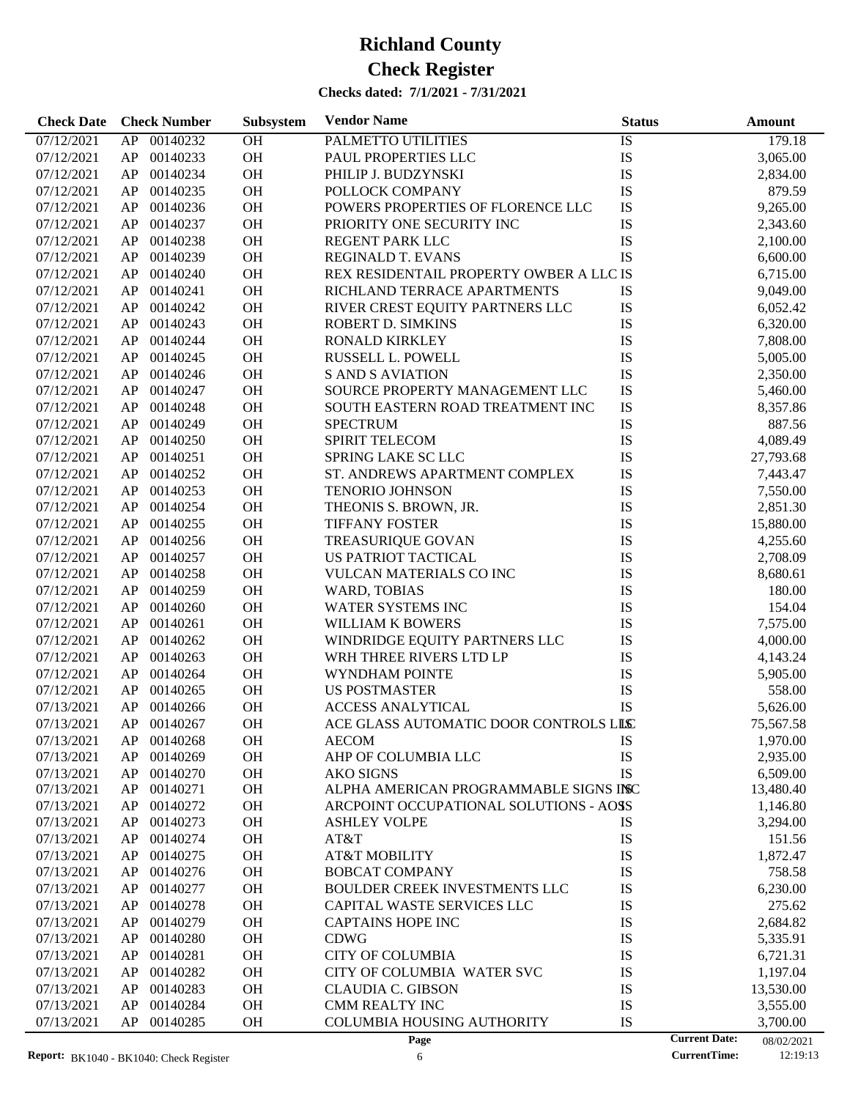| <b>Check Date</b>        | <b>Check Number</b>        | Subsystem | <b>Vendor Name</b>                      | <b>Status</b> |                      | <b>Amount</b> |
|--------------------------|----------------------------|-----------|-----------------------------------------|---------------|----------------------|---------------|
| 07/12/2021               | AP<br>00140232             | <b>OH</b> | PALMETTO UTILITIES                      | IS            |                      | 179.18        |
| 07/12/2021               | AP<br>00140233             | OH        | PAUL PROPERTIES LLC                     | IS            |                      | 3,065.00      |
| 07/12/2021               | AP<br>00140234             | OH        | PHILIP J. BUDZYNSKI                     | IS            |                      | 2,834.00      |
| 07/12/2021               | AP<br>00140235             | OH        | POLLOCK COMPANY                         | <b>IS</b>     |                      | 879.59        |
| 07/12/2021               | AP<br>00140236             | OH        | POWERS PROPERTIES OF FLORENCE LLC       | <b>IS</b>     |                      | 9,265.00      |
| 07/12/2021               | AP<br>00140237             | <b>OH</b> | PRIORITY ONE SECURITY INC               | IS            |                      | 2,343.60      |
| 07/12/2021               | AP<br>00140238             | OH        | REGENT PARK LLC                         | IS            |                      | 2,100.00      |
| 07/12/2021               | AP<br>00140239             | OH        | <b>REGINALD T. EVANS</b>                | IS            |                      | 6,600.00      |
| 07/12/2021               | AP<br>00140240             | OH        | REX RESIDENTAIL PROPERTY OWBER A LLC IS |               |                      | 6,715.00      |
| 07/12/2021               | AP<br>00140241             | OH        | RICHLAND TERRACE APARTMENTS             | IS            |                      | 9,049.00      |
| 07/12/2021               | AP<br>00140242             | OH        | RIVER CREST EQUITY PARTNERS LLC         | IS            |                      | 6,052.42      |
| 07/12/2021               | AP<br>00140243             | OH        | ROBERT D. SIMKINS                       | IS            |                      | 6,320.00      |
| 07/12/2021               | AP<br>00140244             | OH        | RONALD KIRKLEY                          | IS            |                      | 7,808.00      |
| 07/12/2021               | AP<br>00140245             | <b>OH</b> | RUSSELL L. POWELL                       | IS            |                      | 5,005.00      |
| 07/12/2021               | AP<br>00140246             | OH        | <b>S AND S AVIATION</b>                 | IS            |                      | 2,350.00      |
| 07/12/2021               | AP<br>00140247             | OH        | SOURCE PROPERTY MANAGEMENT LLC          | IS            |                      | 5,460.00      |
| 07/12/2021               | AP<br>00140248             | OH        | SOUTH EASTERN ROAD TREATMENT INC        | IS            |                      | 8,357.86      |
| 07/12/2021               | AP<br>00140249             | <b>OH</b> | <b>SPECTRUM</b>                         | IS            |                      | 887.56        |
| 07/12/2021               | AP<br>00140250             | OH        | SPIRIT TELECOM                          | IS            |                      | 4,089.49      |
| 07/12/2021               | AP<br>00140251             | OH        | SPRING LAKE SC LLC                      | IS            |                      | 27,793.68     |
| 07/12/2021               | AP<br>00140252             | OH        | ST. ANDREWS APARTMENT COMPLEX           | <b>IS</b>     |                      | 7,443.47      |
| 07/12/2021               | AP<br>00140253             | <b>OH</b> | <b>TENORIO JOHNSON</b>                  | IS            |                      | 7,550.00      |
| 07/12/2021               | AP<br>00140254             | OH        | THEONIS S. BROWN, JR.                   | IS            |                      | 2,851.30      |
| 07/12/2021               | AP<br>00140255             | OH        | <b>TIFFANY FOSTER</b>                   | IS            |                      | 15,880.00     |
| 07/12/2021               | AP<br>00140256             | OH        | <b>TREASURIQUE GOVAN</b>                | IS            |                      | 4,255.60      |
| 07/12/2021               | AP<br>00140257             | <b>OH</b> | US PATRIOT TACTICAL                     | IS            |                      | 2,708.09      |
| 07/12/2021               | AP<br>00140258             | OH        | VULCAN MATERIALS CO INC                 | IS            |                      | 8,680.61      |
| 07/12/2021               | AP<br>00140259             | OH        | WARD, TOBIAS                            | IS            |                      | 180.00        |
| 07/12/2021               | AP<br>00140260             | OH        | WATER SYSTEMS INC                       | IS            |                      | 154.04        |
| 07/12/2021               | AP<br>00140261             | OH        | WILLIAM K BOWERS                        | IS            |                      | 7,575.00      |
| 07/12/2021               | AP<br>00140262             | OH        | WINDRIDGE EQUITY PARTNERS LLC           | IS            |                      | 4,000.00      |
| 07/12/2021               | AP<br>00140263             | OH        | WRH THREE RIVERS LTD LP                 | IS            |                      | 4,143.24      |
| 07/12/2021               | AP<br>00140264             | OH        | WYNDHAM POINTE                          | IS            |                      | 5,905.00      |
| 07/12/2021               | AP<br>00140265             | OH        | <b>US POSTMASTER</b>                    | IS            |                      | 558.00        |
| 07/13/2021               | AP<br>00140266             | <b>OH</b> | <b>ACCESS ANALYTICAL</b>                | IS            |                      | 5,626.00      |
| 07/13/2021               | AP<br>00140267             | <b>OH</b> | ACE GLASS AUTOMATIC DOOR CONTROLS LILC  |               |                      | 75,567.58     |
| 07/13/2021               | AP<br>00140268             | OH        | <b>AECOM</b>                            | IS            |                      | 1,970.00      |
|                          | 00140269                   | <b>OH</b> |                                         | IS            |                      | 2,935.00      |
| 07/13/2021<br>07/13/2021 | AP<br>AP<br>00140270       | OH        | AHP OF COLUMBIA LLC<br><b>AKO SIGNS</b> | IS            |                      | 6,509.00      |
| 07/13/2021               | AP<br>00140271             | OH        | ALPHA AMERICAN PROGRAMMABLE SIGNS INC   |               |                      | 13,480.40     |
| 07/13/2021               | 00140272<br>AP             | OH        | ARCPOINT OCCUPATIONAL SOLUTIONS - AOSS  |               |                      | 1,146.80      |
| 07/13/2021               | AP<br>00140273             | OH        | <b>ASHLEY VOLPE</b>                     | IS            |                      | 3,294.00      |
| 07/13/2021               | AP<br>00140274             | OH        | AT&T                                    | IS            |                      | 151.56        |
| 07/13/2021               | AP<br>00140275             | OH        | <b>AT&amp;T MOBILITY</b>                | IS            |                      | 1,872.47      |
|                          | 00140276                   | OH        | <b>BOBCAT COMPANY</b>                   | IS            |                      | 758.58        |
| 07/13/2021               | AP                         |           |                                         |               |                      |               |
| 07/13/2021               | AP<br>00140277<br>00140278 | OH        | BOULDER CREEK INVESTMENTS LLC           | IS            |                      | 6,230.00      |
| 07/13/2021               | AP                         | OH        | CAPITAL WASTE SERVICES LLC              | IS            |                      | 275.62        |
| 07/13/2021               | AP<br>00140279             | OH        | <b>CAPTAINS HOPE INC</b>                | IS            |                      | 2,684.82      |
| 07/13/2021               | AP<br>00140280             | OH        | <b>CDWG</b>                             | IS            |                      | 5,335.91      |
| 07/13/2021               | AP<br>00140281             | OH        | <b>CITY OF COLUMBIA</b>                 | IS            |                      | 6,721.31      |
| 07/13/2021               | AP<br>00140282             | OH        | CITY OF COLUMBIA WATER SVC              | IS            |                      | 1,197.04      |
| 07/13/2021               | AP<br>00140283             | OH        | <b>CLAUDIA C. GIBSON</b>                | IS            |                      | 13,530.00     |
| 07/13/2021               | AP<br>00140284             | <b>OH</b> | <b>CMM REALTY INC</b>                   | IS            |                      | 3,555.00      |
| 07/13/2021               | AP<br>00140285             | <b>OH</b> | <b>COLUMBIA HOUSING AUTHORITY</b>       | IS            |                      | 3,700.00      |
|                          |                            |           | Page                                    |               | <b>Current Date:</b> | 08/02/2021    |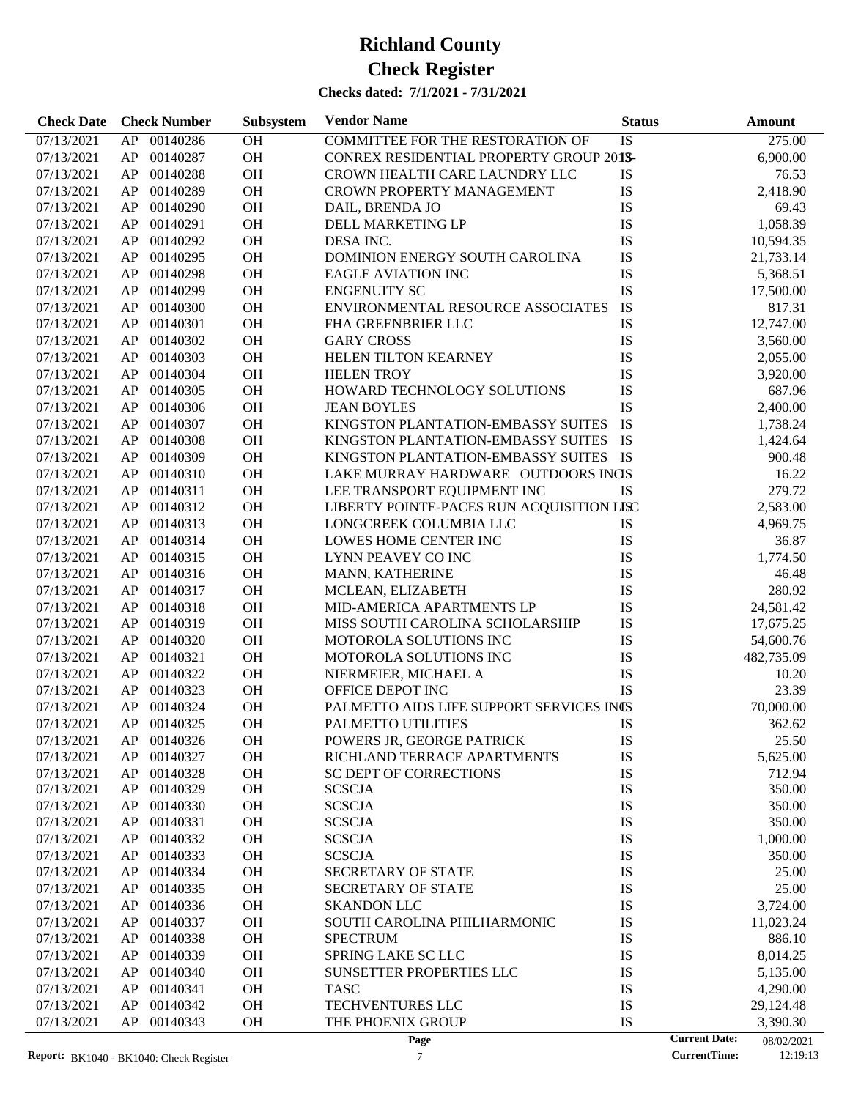| 275.00<br>07/13/2021<br>00140286<br>OH<br><b>COMMITTEE FOR THE RESTORATION OF</b><br>IS<br>AP<br>00140287<br>OH<br>CONREX RESIDENTIAL PROPERTY GROUP 2013-<br>6,900.00<br>07/13/2021<br>AP<br>OH<br>76.53<br>07/13/2021<br>AP<br>00140288<br>CROWN HEALTH CARE LAUNDRY LLC<br>IS<br>00140289<br>OH<br>IS<br>07/13/2021<br>AP<br><b>CROWN PROPERTY MANAGEMENT</b><br>2,418.90<br>00140290<br>OH<br>IS<br>07/13/2021<br>AP<br>DAIL, BRENDA JO<br>69.43<br>IS<br>00140291<br>OH<br>1,058.39<br>07/13/2021<br>AP<br>DELL MARKETING LP<br>IS<br>00140292<br>OH<br>07/13/2021<br>AP<br>DESA INC.<br>10,594.35<br>IS<br>OH<br>07/13/2021<br>AP<br>00140295<br>DOMINION ENERGY SOUTH CAROLINA<br>21,733.14<br>IS<br>00140298<br>OH<br>07/13/2021<br>AP<br><b>EAGLE AVIATION INC</b><br>5,368.51<br>IS<br>00140299<br>OH<br>07/13/2021<br>AP<br><b>ENGENUITY SC</b><br>17,500.00<br>IS<br>OH<br>ENVIRONMENTAL RESOURCE ASSOCIATES<br>07/13/2021<br>AP<br>00140300<br>817.31<br>IS<br>00140301<br>OH<br>07/13/2021<br>AP<br>FHA GREENBRIER LLC<br>12,747.00<br>00140302<br>OH<br><b>GARY CROSS</b><br>IS<br>07/13/2021<br>AP<br>3,560.00<br>IS<br>00140303<br>OH<br>07/13/2021<br>AP<br>HELEN TILTON KEARNEY<br>2,055.00<br>IS<br>00140304<br>OH<br>07/13/2021<br>AP<br><b>HELEN TROY</b><br>3,920.00<br>IS<br>00140305<br>OH<br>HOWARD TECHNOLOGY SOLUTIONS<br>07/13/2021<br>AP<br>687.96<br>IS<br>00140306<br>OH<br>07/13/2021<br>AP<br><b>JEAN BOYLES</b><br>2,400.00<br>IS<br>00140307<br>OH<br>07/13/2021<br>AP<br>KINGSTON PLANTATION-EMBASSY SUITES<br>1,738.24<br><b>IS</b><br>00140308<br>OH<br>07/13/2021<br>AP<br>KINGSTON PLANTATION-EMBASSY SUITES<br>1,424.64<br>00140309<br>OH<br>KINGSTON PLANTATION-EMBASSY SUITES IS<br>07/13/2021<br>AP<br>900.48<br>OH<br>LAKE MURRAY HARDWARE OUTDOORS INGS<br>16.22<br>07/13/2021<br>AP<br>00140310<br>OH<br>279.72<br>07/13/2021<br>AP<br>00140311<br>LEE TRANSPORT EQUIPMENT INC<br><b>IS</b><br>OH<br>LIBERTY POINTE-PACES RUN ACQUISITION LISC<br>2,583.00<br>07/13/2021<br>AP<br>00140312<br>00140313<br>OH<br>07/13/2021<br>AP<br>LONGCREEK COLUMBIA LLC<br>IS<br>4,969.75<br>OH<br>IS<br>07/13/2021<br>AP<br>00140314<br>LOWES HOME CENTER INC<br>36.87<br>OH<br>IS<br>07/13/2021<br>AP<br>00140315<br>LYNN PEAVEY CO INC<br>1,774.50<br>00140316<br>OH<br>IS<br>07/13/2021<br>AP<br>MANN, KATHERINE<br>46.48<br>IS<br>00140317<br>OH<br>280.92<br>07/13/2021<br>AP<br>MCLEAN, ELIZABETH<br>IS<br>OH<br>07/13/2021<br>AP<br>00140318<br>MID-AMERICA APARTMENTS LP<br>24,581.42<br>OH<br>IS<br>07/13/2021<br>AP<br>00140319<br>MISS SOUTH CAROLINA SCHOLARSHIP<br>17,675.25<br>OH<br>IS<br>07/13/2021<br>AP<br>00140320<br>MOTOROLA SOLUTIONS INC<br>54,600.76<br>00140321<br>OH<br>IS<br>07/13/2021<br>AP<br>MOTOROLA SOLUTIONS INC<br>482,735.09<br>00140322<br>OH<br>IS<br>07/13/2021<br>AP<br>NIERMEIER, MICHAEL A<br>10.20<br>IS<br>OH<br>23.39<br>07/13/2021<br>AP<br>00140323<br>OFFICE DEPOT INC<br>OH<br>PALMETTO AIDS LIFE SUPPORT SERVICES INCS<br>07/13/2021<br>AP<br>00140324<br>70,000.00<br>OH<br>07/13/2021<br>AP 00140325<br>PALMETTO UTILITIES<br>IS<br>362.62<br>07/13/2021<br>AP<br>00140326<br>ОH<br>POWERS JR, GEORGE PATRICK<br>IS<br>25.50<br>00140327<br>OH<br>IS<br>07/13/2021<br>AP<br>RICHLAND TERRACE APARTMENTS<br>5,625.00<br>00140328<br><b>OH</b><br>IS<br>712.94<br>07/13/2021<br>AP<br><b>SC DEPT OF CORRECTIONS</b><br>00140329<br>OH<br>IS<br>350.00<br>07/13/2021<br>AP<br><b>SCSCJA</b><br>IS<br>00140330<br>OH<br><b>SCSCJA</b><br>07/13/2021<br>AP<br>350.00<br>00140331<br>OH<br><b>SCSCJA</b><br>IS<br>350.00<br>07/13/2021<br>AP<br>00140332<br>OH<br><b>SCSCJA</b><br>IS<br>07/13/2021<br>AP<br>1,000.00<br>IS<br>00140333<br>OH<br><b>SCSCJA</b><br>07/13/2021<br>AP<br>350.00<br>IS<br>00140334<br>OH<br>25.00<br>07/13/2021<br>AP<br><b>SECRETARY OF STATE</b><br>00140335<br>OH<br>IS<br>25.00<br>07/13/2021<br>AP<br><b>SECRETARY OF STATE</b><br>00140336<br>OH<br>IS<br>07/13/2021<br>AP<br><b>SKANDON LLC</b><br>3,724.00<br>00140337<br>OH<br>IS<br>07/13/2021<br>AP<br>SOUTH CAROLINA PHILHARMONIC<br>11,023.24<br>IS<br>00140338<br>OH<br>886.10<br>07/13/2021<br>AP<br><b>SPECTRUM</b><br>00140339<br>OH<br>SPRING LAKE SC LLC<br>IS<br>07/13/2021<br>AP<br>8,014.25<br>00140340<br>OH<br>SUNSETTER PROPERTIES LLC<br>IS<br>07/13/2021<br>AP<br>5,135.00<br>00140341<br>OH<br>IS<br>07/13/2021<br>AP<br><b>TASC</b><br>4,290.00<br>IS<br>AP<br>00140342<br>OH<br>TECHVENTURES LLC<br>07/13/2021<br>29,124.48<br>IS<br>07/13/2021<br>AP<br>00140343<br>OH<br>THE PHOENIX GROUP<br>3,390.30<br><b>Current Date:</b><br>Page<br>08/02/2021 | <b>Check Date</b> | <b>Check Number</b> | Subsystem | <b>Vendor Name</b> | <b>Status</b> | <b>Amount</b> |
|----------------------------------------------------------------------------------------------------------------------------------------------------------------------------------------------------------------------------------------------------------------------------------------------------------------------------------------------------------------------------------------------------------------------------------------------------------------------------------------------------------------------------------------------------------------------------------------------------------------------------------------------------------------------------------------------------------------------------------------------------------------------------------------------------------------------------------------------------------------------------------------------------------------------------------------------------------------------------------------------------------------------------------------------------------------------------------------------------------------------------------------------------------------------------------------------------------------------------------------------------------------------------------------------------------------------------------------------------------------------------------------------------------------------------------------------------------------------------------------------------------------------------------------------------------------------------------------------------------------------------------------------------------------------------------------------------------------------------------------------------------------------------------------------------------------------------------------------------------------------------------------------------------------------------------------------------------------------------------------------------------------------------------------------------------------------------------------------------------------------------------------------------------------------------------------------------------------------------------------------------------------------------------------------------------------------------------------------------------------------------------------------------------------------------------------------------------------------------------------------------------------------------------------------------------------------------------------------------------------------------------------------------------------------------------------------------------------------------------------------------------------------------------------------------------------------------------------------------------------------------------------------------------------------------------------------------------------------------------------------------------------------------------------------------------------------------------------------------------------------------------------------------------------------------------------------------------------------------------------------------------------------------------------------------------------------------------------------------------------------------------------------------------------------------------------------------------------------------------------------------------------------------------------------------------------------------------------------------------------------------------------------------------------------------------------------------------------------------------------------------------------------------------------------------------------------------------------------------------------------------------------------------------------------------------------------------------------------------------------------------------------------------------------------------------------------------------------------------------------------------------------------------------------------------------------------------------------------------------------------------------------------------------------------------------------------------------------------------------------------------------------------------------------------------------------------------------------------------------------------------------------------------------------------------------------------------------------------------------------------------------------------------|-------------------|---------------------|-----------|--------------------|---------------|---------------|
|                                                                                                                                                                                                                                                                                                                                                                                                                                                                                                                                                                                                                                                                                                                                                                                                                                                                                                                                                                                                                                                                                                                                                                                                                                                                                                                                                                                                                                                                                                                                                                                                                                                                                                                                                                                                                                                                                                                                                                                                                                                                                                                                                                                                                                                                                                                                                                                                                                                                                                                                                                                                                                                                                                                                                                                                                                                                                                                                                                                                                                                                                                                                                                                                                                                                                                                                                                                                                                                                                                                                                                                                                                                                                                                                                                                                                                                                                                                                                                                                                                                                                                                                                                                                                                                                                                                                                                                                                                                                                                                                                                                                                                                    |                   |                     |           |                    |               |               |
|                                                                                                                                                                                                                                                                                                                                                                                                                                                                                                                                                                                                                                                                                                                                                                                                                                                                                                                                                                                                                                                                                                                                                                                                                                                                                                                                                                                                                                                                                                                                                                                                                                                                                                                                                                                                                                                                                                                                                                                                                                                                                                                                                                                                                                                                                                                                                                                                                                                                                                                                                                                                                                                                                                                                                                                                                                                                                                                                                                                                                                                                                                                                                                                                                                                                                                                                                                                                                                                                                                                                                                                                                                                                                                                                                                                                                                                                                                                                                                                                                                                                                                                                                                                                                                                                                                                                                                                                                                                                                                                                                                                                                                                    |                   |                     |           |                    |               |               |
|                                                                                                                                                                                                                                                                                                                                                                                                                                                                                                                                                                                                                                                                                                                                                                                                                                                                                                                                                                                                                                                                                                                                                                                                                                                                                                                                                                                                                                                                                                                                                                                                                                                                                                                                                                                                                                                                                                                                                                                                                                                                                                                                                                                                                                                                                                                                                                                                                                                                                                                                                                                                                                                                                                                                                                                                                                                                                                                                                                                                                                                                                                                                                                                                                                                                                                                                                                                                                                                                                                                                                                                                                                                                                                                                                                                                                                                                                                                                                                                                                                                                                                                                                                                                                                                                                                                                                                                                                                                                                                                                                                                                                                                    |                   |                     |           |                    |               |               |
|                                                                                                                                                                                                                                                                                                                                                                                                                                                                                                                                                                                                                                                                                                                                                                                                                                                                                                                                                                                                                                                                                                                                                                                                                                                                                                                                                                                                                                                                                                                                                                                                                                                                                                                                                                                                                                                                                                                                                                                                                                                                                                                                                                                                                                                                                                                                                                                                                                                                                                                                                                                                                                                                                                                                                                                                                                                                                                                                                                                                                                                                                                                                                                                                                                                                                                                                                                                                                                                                                                                                                                                                                                                                                                                                                                                                                                                                                                                                                                                                                                                                                                                                                                                                                                                                                                                                                                                                                                                                                                                                                                                                                                                    |                   |                     |           |                    |               |               |
|                                                                                                                                                                                                                                                                                                                                                                                                                                                                                                                                                                                                                                                                                                                                                                                                                                                                                                                                                                                                                                                                                                                                                                                                                                                                                                                                                                                                                                                                                                                                                                                                                                                                                                                                                                                                                                                                                                                                                                                                                                                                                                                                                                                                                                                                                                                                                                                                                                                                                                                                                                                                                                                                                                                                                                                                                                                                                                                                                                                                                                                                                                                                                                                                                                                                                                                                                                                                                                                                                                                                                                                                                                                                                                                                                                                                                                                                                                                                                                                                                                                                                                                                                                                                                                                                                                                                                                                                                                                                                                                                                                                                                                                    |                   |                     |           |                    |               |               |
|                                                                                                                                                                                                                                                                                                                                                                                                                                                                                                                                                                                                                                                                                                                                                                                                                                                                                                                                                                                                                                                                                                                                                                                                                                                                                                                                                                                                                                                                                                                                                                                                                                                                                                                                                                                                                                                                                                                                                                                                                                                                                                                                                                                                                                                                                                                                                                                                                                                                                                                                                                                                                                                                                                                                                                                                                                                                                                                                                                                                                                                                                                                                                                                                                                                                                                                                                                                                                                                                                                                                                                                                                                                                                                                                                                                                                                                                                                                                                                                                                                                                                                                                                                                                                                                                                                                                                                                                                                                                                                                                                                                                                                                    |                   |                     |           |                    |               |               |
|                                                                                                                                                                                                                                                                                                                                                                                                                                                                                                                                                                                                                                                                                                                                                                                                                                                                                                                                                                                                                                                                                                                                                                                                                                                                                                                                                                                                                                                                                                                                                                                                                                                                                                                                                                                                                                                                                                                                                                                                                                                                                                                                                                                                                                                                                                                                                                                                                                                                                                                                                                                                                                                                                                                                                                                                                                                                                                                                                                                                                                                                                                                                                                                                                                                                                                                                                                                                                                                                                                                                                                                                                                                                                                                                                                                                                                                                                                                                                                                                                                                                                                                                                                                                                                                                                                                                                                                                                                                                                                                                                                                                                                                    |                   |                     |           |                    |               |               |
|                                                                                                                                                                                                                                                                                                                                                                                                                                                                                                                                                                                                                                                                                                                                                                                                                                                                                                                                                                                                                                                                                                                                                                                                                                                                                                                                                                                                                                                                                                                                                                                                                                                                                                                                                                                                                                                                                                                                                                                                                                                                                                                                                                                                                                                                                                                                                                                                                                                                                                                                                                                                                                                                                                                                                                                                                                                                                                                                                                                                                                                                                                                                                                                                                                                                                                                                                                                                                                                                                                                                                                                                                                                                                                                                                                                                                                                                                                                                                                                                                                                                                                                                                                                                                                                                                                                                                                                                                                                                                                                                                                                                                                                    |                   |                     |           |                    |               |               |
|                                                                                                                                                                                                                                                                                                                                                                                                                                                                                                                                                                                                                                                                                                                                                                                                                                                                                                                                                                                                                                                                                                                                                                                                                                                                                                                                                                                                                                                                                                                                                                                                                                                                                                                                                                                                                                                                                                                                                                                                                                                                                                                                                                                                                                                                                                                                                                                                                                                                                                                                                                                                                                                                                                                                                                                                                                                                                                                                                                                                                                                                                                                                                                                                                                                                                                                                                                                                                                                                                                                                                                                                                                                                                                                                                                                                                                                                                                                                                                                                                                                                                                                                                                                                                                                                                                                                                                                                                                                                                                                                                                                                                                                    |                   |                     |           |                    |               |               |
|                                                                                                                                                                                                                                                                                                                                                                                                                                                                                                                                                                                                                                                                                                                                                                                                                                                                                                                                                                                                                                                                                                                                                                                                                                                                                                                                                                                                                                                                                                                                                                                                                                                                                                                                                                                                                                                                                                                                                                                                                                                                                                                                                                                                                                                                                                                                                                                                                                                                                                                                                                                                                                                                                                                                                                                                                                                                                                                                                                                                                                                                                                                                                                                                                                                                                                                                                                                                                                                                                                                                                                                                                                                                                                                                                                                                                                                                                                                                                                                                                                                                                                                                                                                                                                                                                                                                                                                                                                                                                                                                                                                                                                                    |                   |                     |           |                    |               |               |
|                                                                                                                                                                                                                                                                                                                                                                                                                                                                                                                                                                                                                                                                                                                                                                                                                                                                                                                                                                                                                                                                                                                                                                                                                                                                                                                                                                                                                                                                                                                                                                                                                                                                                                                                                                                                                                                                                                                                                                                                                                                                                                                                                                                                                                                                                                                                                                                                                                                                                                                                                                                                                                                                                                                                                                                                                                                                                                                                                                                                                                                                                                                                                                                                                                                                                                                                                                                                                                                                                                                                                                                                                                                                                                                                                                                                                                                                                                                                                                                                                                                                                                                                                                                                                                                                                                                                                                                                                                                                                                                                                                                                                                                    |                   |                     |           |                    |               |               |
|                                                                                                                                                                                                                                                                                                                                                                                                                                                                                                                                                                                                                                                                                                                                                                                                                                                                                                                                                                                                                                                                                                                                                                                                                                                                                                                                                                                                                                                                                                                                                                                                                                                                                                                                                                                                                                                                                                                                                                                                                                                                                                                                                                                                                                                                                                                                                                                                                                                                                                                                                                                                                                                                                                                                                                                                                                                                                                                                                                                                                                                                                                                                                                                                                                                                                                                                                                                                                                                                                                                                                                                                                                                                                                                                                                                                                                                                                                                                                                                                                                                                                                                                                                                                                                                                                                                                                                                                                                                                                                                                                                                                                                                    |                   |                     |           |                    |               |               |
|                                                                                                                                                                                                                                                                                                                                                                                                                                                                                                                                                                                                                                                                                                                                                                                                                                                                                                                                                                                                                                                                                                                                                                                                                                                                                                                                                                                                                                                                                                                                                                                                                                                                                                                                                                                                                                                                                                                                                                                                                                                                                                                                                                                                                                                                                                                                                                                                                                                                                                                                                                                                                                                                                                                                                                                                                                                                                                                                                                                                                                                                                                                                                                                                                                                                                                                                                                                                                                                                                                                                                                                                                                                                                                                                                                                                                                                                                                                                                                                                                                                                                                                                                                                                                                                                                                                                                                                                                                                                                                                                                                                                                                                    |                   |                     |           |                    |               |               |
|                                                                                                                                                                                                                                                                                                                                                                                                                                                                                                                                                                                                                                                                                                                                                                                                                                                                                                                                                                                                                                                                                                                                                                                                                                                                                                                                                                                                                                                                                                                                                                                                                                                                                                                                                                                                                                                                                                                                                                                                                                                                                                                                                                                                                                                                                                                                                                                                                                                                                                                                                                                                                                                                                                                                                                                                                                                                                                                                                                                                                                                                                                                                                                                                                                                                                                                                                                                                                                                                                                                                                                                                                                                                                                                                                                                                                                                                                                                                                                                                                                                                                                                                                                                                                                                                                                                                                                                                                                                                                                                                                                                                                                                    |                   |                     |           |                    |               |               |
|                                                                                                                                                                                                                                                                                                                                                                                                                                                                                                                                                                                                                                                                                                                                                                                                                                                                                                                                                                                                                                                                                                                                                                                                                                                                                                                                                                                                                                                                                                                                                                                                                                                                                                                                                                                                                                                                                                                                                                                                                                                                                                                                                                                                                                                                                                                                                                                                                                                                                                                                                                                                                                                                                                                                                                                                                                                                                                                                                                                                                                                                                                                                                                                                                                                                                                                                                                                                                                                                                                                                                                                                                                                                                                                                                                                                                                                                                                                                                                                                                                                                                                                                                                                                                                                                                                                                                                                                                                                                                                                                                                                                                                                    |                   |                     |           |                    |               |               |
|                                                                                                                                                                                                                                                                                                                                                                                                                                                                                                                                                                                                                                                                                                                                                                                                                                                                                                                                                                                                                                                                                                                                                                                                                                                                                                                                                                                                                                                                                                                                                                                                                                                                                                                                                                                                                                                                                                                                                                                                                                                                                                                                                                                                                                                                                                                                                                                                                                                                                                                                                                                                                                                                                                                                                                                                                                                                                                                                                                                                                                                                                                                                                                                                                                                                                                                                                                                                                                                                                                                                                                                                                                                                                                                                                                                                                                                                                                                                                                                                                                                                                                                                                                                                                                                                                                                                                                                                                                                                                                                                                                                                                                                    |                   |                     |           |                    |               |               |
|                                                                                                                                                                                                                                                                                                                                                                                                                                                                                                                                                                                                                                                                                                                                                                                                                                                                                                                                                                                                                                                                                                                                                                                                                                                                                                                                                                                                                                                                                                                                                                                                                                                                                                                                                                                                                                                                                                                                                                                                                                                                                                                                                                                                                                                                                                                                                                                                                                                                                                                                                                                                                                                                                                                                                                                                                                                                                                                                                                                                                                                                                                                                                                                                                                                                                                                                                                                                                                                                                                                                                                                                                                                                                                                                                                                                                                                                                                                                                                                                                                                                                                                                                                                                                                                                                                                                                                                                                                                                                                                                                                                                                                                    |                   |                     |           |                    |               |               |
|                                                                                                                                                                                                                                                                                                                                                                                                                                                                                                                                                                                                                                                                                                                                                                                                                                                                                                                                                                                                                                                                                                                                                                                                                                                                                                                                                                                                                                                                                                                                                                                                                                                                                                                                                                                                                                                                                                                                                                                                                                                                                                                                                                                                                                                                                                                                                                                                                                                                                                                                                                                                                                                                                                                                                                                                                                                                                                                                                                                                                                                                                                                                                                                                                                                                                                                                                                                                                                                                                                                                                                                                                                                                                                                                                                                                                                                                                                                                                                                                                                                                                                                                                                                                                                                                                                                                                                                                                                                                                                                                                                                                                                                    |                   |                     |           |                    |               |               |
|                                                                                                                                                                                                                                                                                                                                                                                                                                                                                                                                                                                                                                                                                                                                                                                                                                                                                                                                                                                                                                                                                                                                                                                                                                                                                                                                                                                                                                                                                                                                                                                                                                                                                                                                                                                                                                                                                                                                                                                                                                                                                                                                                                                                                                                                                                                                                                                                                                                                                                                                                                                                                                                                                                                                                                                                                                                                                                                                                                                                                                                                                                                                                                                                                                                                                                                                                                                                                                                                                                                                                                                                                                                                                                                                                                                                                                                                                                                                                                                                                                                                                                                                                                                                                                                                                                                                                                                                                                                                                                                                                                                                                                                    |                   |                     |           |                    |               |               |
|                                                                                                                                                                                                                                                                                                                                                                                                                                                                                                                                                                                                                                                                                                                                                                                                                                                                                                                                                                                                                                                                                                                                                                                                                                                                                                                                                                                                                                                                                                                                                                                                                                                                                                                                                                                                                                                                                                                                                                                                                                                                                                                                                                                                                                                                                                                                                                                                                                                                                                                                                                                                                                                                                                                                                                                                                                                                                                                                                                                                                                                                                                                                                                                                                                                                                                                                                                                                                                                                                                                                                                                                                                                                                                                                                                                                                                                                                                                                                                                                                                                                                                                                                                                                                                                                                                                                                                                                                                                                                                                                                                                                                                                    |                   |                     |           |                    |               |               |
|                                                                                                                                                                                                                                                                                                                                                                                                                                                                                                                                                                                                                                                                                                                                                                                                                                                                                                                                                                                                                                                                                                                                                                                                                                                                                                                                                                                                                                                                                                                                                                                                                                                                                                                                                                                                                                                                                                                                                                                                                                                                                                                                                                                                                                                                                                                                                                                                                                                                                                                                                                                                                                                                                                                                                                                                                                                                                                                                                                                                                                                                                                                                                                                                                                                                                                                                                                                                                                                                                                                                                                                                                                                                                                                                                                                                                                                                                                                                                                                                                                                                                                                                                                                                                                                                                                                                                                                                                                                                                                                                                                                                                                                    |                   |                     |           |                    |               |               |
|                                                                                                                                                                                                                                                                                                                                                                                                                                                                                                                                                                                                                                                                                                                                                                                                                                                                                                                                                                                                                                                                                                                                                                                                                                                                                                                                                                                                                                                                                                                                                                                                                                                                                                                                                                                                                                                                                                                                                                                                                                                                                                                                                                                                                                                                                                                                                                                                                                                                                                                                                                                                                                                                                                                                                                                                                                                                                                                                                                                                                                                                                                                                                                                                                                                                                                                                                                                                                                                                                                                                                                                                                                                                                                                                                                                                                                                                                                                                                                                                                                                                                                                                                                                                                                                                                                                                                                                                                                                                                                                                                                                                                                                    |                   |                     |           |                    |               |               |
|                                                                                                                                                                                                                                                                                                                                                                                                                                                                                                                                                                                                                                                                                                                                                                                                                                                                                                                                                                                                                                                                                                                                                                                                                                                                                                                                                                                                                                                                                                                                                                                                                                                                                                                                                                                                                                                                                                                                                                                                                                                                                                                                                                                                                                                                                                                                                                                                                                                                                                                                                                                                                                                                                                                                                                                                                                                                                                                                                                                                                                                                                                                                                                                                                                                                                                                                                                                                                                                                                                                                                                                                                                                                                                                                                                                                                                                                                                                                                                                                                                                                                                                                                                                                                                                                                                                                                                                                                                                                                                                                                                                                                                                    |                   |                     |           |                    |               |               |
|                                                                                                                                                                                                                                                                                                                                                                                                                                                                                                                                                                                                                                                                                                                                                                                                                                                                                                                                                                                                                                                                                                                                                                                                                                                                                                                                                                                                                                                                                                                                                                                                                                                                                                                                                                                                                                                                                                                                                                                                                                                                                                                                                                                                                                                                                                                                                                                                                                                                                                                                                                                                                                                                                                                                                                                                                                                                                                                                                                                                                                                                                                                                                                                                                                                                                                                                                                                                                                                                                                                                                                                                                                                                                                                                                                                                                                                                                                                                                                                                                                                                                                                                                                                                                                                                                                                                                                                                                                                                                                                                                                                                                                                    |                   |                     |           |                    |               |               |
|                                                                                                                                                                                                                                                                                                                                                                                                                                                                                                                                                                                                                                                                                                                                                                                                                                                                                                                                                                                                                                                                                                                                                                                                                                                                                                                                                                                                                                                                                                                                                                                                                                                                                                                                                                                                                                                                                                                                                                                                                                                                                                                                                                                                                                                                                                                                                                                                                                                                                                                                                                                                                                                                                                                                                                                                                                                                                                                                                                                                                                                                                                                                                                                                                                                                                                                                                                                                                                                                                                                                                                                                                                                                                                                                                                                                                                                                                                                                                                                                                                                                                                                                                                                                                                                                                                                                                                                                                                                                                                                                                                                                                                                    |                   |                     |           |                    |               |               |
|                                                                                                                                                                                                                                                                                                                                                                                                                                                                                                                                                                                                                                                                                                                                                                                                                                                                                                                                                                                                                                                                                                                                                                                                                                                                                                                                                                                                                                                                                                                                                                                                                                                                                                                                                                                                                                                                                                                                                                                                                                                                                                                                                                                                                                                                                                                                                                                                                                                                                                                                                                                                                                                                                                                                                                                                                                                                                                                                                                                                                                                                                                                                                                                                                                                                                                                                                                                                                                                                                                                                                                                                                                                                                                                                                                                                                                                                                                                                                                                                                                                                                                                                                                                                                                                                                                                                                                                                                                                                                                                                                                                                                                                    |                   |                     |           |                    |               |               |
|                                                                                                                                                                                                                                                                                                                                                                                                                                                                                                                                                                                                                                                                                                                                                                                                                                                                                                                                                                                                                                                                                                                                                                                                                                                                                                                                                                                                                                                                                                                                                                                                                                                                                                                                                                                                                                                                                                                                                                                                                                                                                                                                                                                                                                                                                                                                                                                                                                                                                                                                                                                                                                                                                                                                                                                                                                                                                                                                                                                                                                                                                                                                                                                                                                                                                                                                                                                                                                                                                                                                                                                                                                                                                                                                                                                                                                                                                                                                                                                                                                                                                                                                                                                                                                                                                                                                                                                                                                                                                                                                                                                                                                                    |                   |                     |           |                    |               |               |
|                                                                                                                                                                                                                                                                                                                                                                                                                                                                                                                                                                                                                                                                                                                                                                                                                                                                                                                                                                                                                                                                                                                                                                                                                                                                                                                                                                                                                                                                                                                                                                                                                                                                                                                                                                                                                                                                                                                                                                                                                                                                                                                                                                                                                                                                                                                                                                                                                                                                                                                                                                                                                                                                                                                                                                                                                                                                                                                                                                                                                                                                                                                                                                                                                                                                                                                                                                                                                                                                                                                                                                                                                                                                                                                                                                                                                                                                                                                                                                                                                                                                                                                                                                                                                                                                                                                                                                                                                                                                                                                                                                                                                                                    |                   |                     |           |                    |               |               |
|                                                                                                                                                                                                                                                                                                                                                                                                                                                                                                                                                                                                                                                                                                                                                                                                                                                                                                                                                                                                                                                                                                                                                                                                                                                                                                                                                                                                                                                                                                                                                                                                                                                                                                                                                                                                                                                                                                                                                                                                                                                                                                                                                                                                                                                                                                                                                                                                                                                                                                                                                                                                                                                                                                                                                                                                                                                                                                                                                                                                                                                                                                                                                                                                                                                                                                                                                                                                                                                                                                                                                                                                                                                                                                                                                                                                                                                                                                                                                                                                                                                                                                                                                                                                                                                                                                                                                                                                                                                                                                                                                                                                                                                    |                   |                     |           |                    |               |               |
|                                                                                                                                                                                                                                                                                                                                                                                                                                                                                                                                                                                                                                                                                                                                                                                                                                                                                                                                                                                                                                                                                                                                                                                                                                                                                                                                                                                                                                                                                                                                                                                                                                                                                                                                                                                                                                                                                                                                                                                                                                                                                                                                                                                                                                                                                                                                                                                                                                                                                                                                                                                                                                                                                                                                                                                                                                                                                                                                                                                                                                                                                                                                                                                                                                                                                                                                                                                                                                                                                                                                                                                                                                                                                                                                                                                                                                                                                                                                                                                                                                                                                                                                                                                                                                                                                                                                                                                                                                                                                                                                                                                                                                                    |                   |                     |           |                    |               |               |
|                                                                                                                                                                                                                                                                                                                                                                                                                                                                                                                                                                                                                                                                                                                                                                                                                                                                                                                                                                                                                                                                                                                                                                                                                                                                                                                                                                                                                                                                                                                                                                                                                                                                                                                                                                                                                                                                                                                                                                                                                                                                                                                                                                                                                                                                                                                                                                                                                                                                                                                                                                                                                                                                                                                                                                                                                                                                                                                                                                                                                                                                                                                                                                                                                                                                                                                                                                                                                                                                                                                                                                                                                                                                                                                                                                                                                                                                                                                                                                                                                                                                                                                                                                                                                                                                                                                                                                                                                                                                                                                                                                                                                                                    |                   |                     |           |                    |               |               |
|                                                                                                                                                                                                                                                                                                                                                                                                                                                                                                                                                                                                                                                                                                                                                                                                                                                                                                                                                                                                                                                                                                                                                                                                                                                                                                                                                                                                                                                                                                                                                                                                                                                                                                                                                                                                                                                                                                                                                                                                                                                                                                                                                                                                                                                                                                                                                                                                                                                                                                                                                                                                                                                                                                                                                                                                                                                                                                                                                                                                                                                                                                                                                                                                                                                                                                                                                                                                                                                                                                                                                                                                                                                                                                                                                                                                                                                                                                                                                                                                                                                                                                                                                                                                                                                                                                                                                                                                                                                                                                                                                                                                                                                    |                   |                     |           |                    |               |               |
|                                                                                                                                                                                                                                                                                                                                                                                                                                                                                                                                                                                                                                                                                                                                                                                                                                                                                                                                                                                                                                                                                                                                                                                                                                                                                                                                                                                                                                                                                                                                                                                                                                                                                                                                                                                                                                                                                                                                                                                                                                                                                                                                                                                                                                                                                                                                                                                                                                                                                                                                                                                                                                                                                                                                                                                                                                                                                                                                                                                                                                                                                                                                                                                                                                                                                                                                                                                                                                                                                                                                                                                                                                                                                                                                                                                                                                                                                                                                                                                                                                                                                                                                                                                                                                                                                                                                                                                                                                                                                                                                                                                                                                                    |                   |                     |           |                    |               |               |
|                                                                                                                                                                                                                                                                                                                                                                                                                                                                                                                                                                                                                                                                                                                                                                                                                                                                                                                                                                                                                                                                                                                                                                                                                                                                                                                                                                                                                                                                                                                                                                                                                                                                                                                                                                                                                                                                                                                                                                                                                                                                                                                                                                                                                                                                                                                                                                                                                                                                                                                                                                                                                                                                                                                                                                                                                                                                                                                                                                                                                                                                                                                                                                                                                                                                                                                                                                                                                                                                                                                                                                                                                                                                                                                                                                                                                                                                                                                                                                                                                                                                                                                                                                                                                                                                                                                                                                                                                                                                                                                                                                                                                                                    |                   |                     |           |                    |               |               |
|                                                                                                                                                                                                                                                                                                                                                                                                                                                                                                                                                                                                                                                                                                                                                                                                                                                                                                                                                                                                                                                                                                                                                                                                                                                                                                                                                                                                                                                                                                                                                                                                                                                                                                                                                                                                                                                                                                                                                                                                                                                                                                                                                                                                                                                                                                                                                                                                                                                                                                                                                                                                                                                                                                                                                                                                                                                                                                                                                                                                                                                                                                                                                                                                                                                                                                                                                                                                                                                                                                                                                                                                                                                                                                                                                                                                                                                                                                                                                                                                                                                                                                                                                                                                                                                                                                                                                                                                                                                                                                                                                                                                                                                    |                   |                     |           |                    |               |               |
|                                                                                                                                                                                                                                                                                                                                                                                                                                                                                                                                                                                                                                                                                                                                                                                                                                                                                                                                                                                                                                                                                                                                                                                                                                                                                                                                                                                                                                                                                                                                                                                                                                                                                                                                                                                                                                                                                                                                                                                                                                                                                                                                                                                                                                                                                                                                                                                                                                                                                                                                                                                                                                                                                                                                                                                                                                                                                                                                                                                                                                                                                                                                                                                                                                                                                                                                                                                                                                                                                                                                                                                                                                                                                                                                                                                                                                                                                                                                                                                                                                                                                                                                                                                                                                                                                                                                                                                                                                                                                                                                                                                                                                                    |                   |                     |           |                    |               |               |
|                                                                                                                                                                                                                                                                                                                                                                                                                                                                                                                                                                                                                                                                                                                                                                                                                                                                                                                                                                                                                                                                                                                                                                                                                                                                                                                                                                                                                                                                                                                                                                                                                                                                                                                                                                                                                                                                                                                                                                                                                                                                                                                                                                                                                                                                                                                                                                                                                                                                                                                                                                                                                                                                                                                                                                                                                                                                                                                                                                                                                                                                                                                                                                                                                                                                                                                                                                                                                                                                                                                                                                                                                                                                                                                                                                                                                                                                                                                                                                                                                                                                                                                                                                                                                                                                                                                                                                                                                                                                                                                                                                                                                                                    |                   |                     |           |                    |               |               |
|                                                                                                                                                                                                                                                                                                                                                                                                                                                                                                                                                                                                                                                                                                                                                                                                                                                                                                                                                                                                                                                                                                                                                                                                                                                                                                                                                                                                                                                                                                                                                                                                                                                                                                                                                                                                                                                                                                                                                                                                                                                                                                                                                                                                                                                                                                                                                                                                                                                                                                                                                                                                                                                                                                                                                                                                                                                                                                                                                                                                                                                                                                                                                                                                                                                                                                                                                                                                                                                                                                                                                                                                                                                                                                                                                                                                                                                                                                                                                                                                                                                                                                                                                                                                                                                                                                                                                                                                                                                                                                                                                                                                                                                    |                   |                     |           |                    |               |               |
|                                                                                                                                                                                                                                                                                                                                                                                                                                                                                                                                                                                                                                                                                                                                                                                                                                                                                                                                                                                                                                                                                                                                                                                                                                                                                                                                                                                                                                                                                                                                                                                                                                                                                                                                                                                                                                                                                                                                                                                                                                                                                                                                                                                                                                                                                                                                                                                                                                                                                                                                                                                                                                                                                                                                                                                                                                                                                                                                                                                                                                                                                                                                                                                                                                                                                                                                                                                                                                                                                                                                                                                                                                                                                                                                                                                                                                                                                                                                                                                                                                                                                                                                                                                                                                                                                                                                                                                                                                                                                                                                                                                                                                                    |                   |                     |           |                    |               |               |
|                                                                                                                                                                                                                                                                                                                                                                                                                                                                                                                                                                                                                                                                                                                                                                                                                                                                                                                                                                                                                                                                                                                                                                                                                                                                                                                                                                                                                                                                                                                                                                                                                                                                                                                                                                                                                                                                                                                                                                                                                                                                                                                                                                                                                                                                                                                                                                                                                                                                                                                                                                                                                                                                                                                                                                                                                                                                                                                                                                                                                                                                                                                                                                                                                                                                                                                                                                                                                                                                                                                                                                                                                                                                                                                                                                                                                                                                                                                                                                                                                                                                                                                                                                                                                                                                                                                                                                                                                                                                                                                                                                                                                                                    |                   |                     |           |                    |               |               |
|                                                                                                                                                                                                                                                                                                                                                                                                                                                                                                                                                                                                                                                                                                                                                                                                                                                                                                                                                                                                                                                                                                                                                                                                                                                                                                                                                                                                                                                                                                                                                                                                                                                                                                                                                                                                                                                                                                                                                                                                                                                                                                                                                                                                                                                                                                                                                                                                                                                                                                                                                                                                                                                                                                                                                                                                                                                                                                                                                                                                                                                                                                                                                                                                                                                                                                                                                                                                                                                                                                                                                                                                                                                                                                                                                                                                                                                                                                                                                                                                                                                                                                                                                                                                                                                                                                                                                                                                                                                                                                                                                                                                                                                    |                   |                     |           |                    |               |               |
|                                                                                                                                                                                                                                                                                                                                                                                                                                                                                                                                                                                                                                                                                                                                                                                                                                                                                                                                                                                                                                                                                                                                                                                                                                                                                                                                                                                                                                                                                                                                                                                                                                                                                                                                                                                                                                                                                                                                                                                                                                                                                                                                                                                                                                                                                                                                                                                                                                                                                                                                                                                                                                                                                                                                                                                                                                                                                                                                                                                                                                                                                                                                                                                                                                                                                                                                                                                                                                                                                                                                                                                                                                                                                                                                                                                                                                                                                                                                                                                                                                                                                                                                                                                                                                                                                                                                                                                                                                                                                                                                                                                                                                                    |                   |                     |           |                    |               |               |
|                                                                                                                                                                                                                                                                                                                                                                                                                                                                                                                                                                                                                                                                                                                                                                                                                                                                                                                                                                                                                                                                                                                                                                                                                                                                                                                                                                                                                                                                                                                                                                                                                                                                                                                                                                                                                                                                                                                                                                                                                                                                                                                                                                                                                                                                                                                                                                                                                                                                                                                                                                                                                                                                                                                                                                                                                                                                                                                                                                                                                                                                                                                                                                                                                                                                                                                                                                                                                                                                                                                                                                                                                                                                                                                                                                                                                                                                                                                                                                                                                                                                                                                                                                                                                                                                                                                                                                                                                                                                                                                                                                                                                                                    |                   |                     |           |                    |               |               |
|                                                                                                                                                                                                                                                                                                                                                                                                                                                                                                                                                                                                                                                                                                                                                                                                                                                                                                                                                                                                                                                                                                                                                                                                                                                                                                                                                                                                                                                                                                                                                                                                                                                                                                                                                                                                                                                                                                                                                                                                                                                                                                                                                                                                                                                                                                                                                                                                                                                                                                                                                                                                                                                                                                                                                                                                                                                                                                                                                                                                                                                                                                                                                                                                                                                                                                                                                                                                                                                                                                                                                                                                                                                                                                                                                                                                                                                                                                                                                                                                                                                                                                                                                                                                                                                                                                                                                                                                                                                                                                                                                                                                                                                    |                   |                     |           |                    |               |               |
|                                                                                                                                                                                                                                                                                                                                                                                                                                                                                                                                                                                                                                                                                                                                                                                                                                                                                                                                                                                                                                                                                                                                                                                                                                                                                                                                                                                                                                                                                                                                                                                                                                                                                                                                                                                                                                                                                                                                                                                                                                                                                                                                                                                                                                                                                                                                                                                                                                                                                                                                                                                                                                                                                                                                                                                                                                                                                                                                                                                                                                                                                                                                                                                                                                                                                                                                                                                                                                                                                                                                                                                                                                                                                                                                                                                                                                                                                                                                                                                                                                                                                                                                                                                                                                                                                                                                                                                                                                                                                                                                                                                                                                                    |                   |                     |           |                    |               |               |
|                                                                                                                                                                                                                                                                                                                                                                                                                                                                                                                                                                                                                                                                                                                                                                                                                                                                                                                                                                                                                                                                                                                                                                                                                                                                                                                                                                                                                                                                                                                                                                                                                                                                                                                                                                                                                                                                                                                                                                                                                                                                                                                                                                                                                                                                                                                                                                                                                                                                                                                                                                                                                                                                                                                                                                                                                                                                                                                                                                                                                                                                                                                                                                                                                                                                                                                                                                                                                                                                                                                                                                                                                                                                                                                                                                                                                                                                                                                                                                                                                                                                                                                                                                                                                                                                                                                                                                                                                                                                                                                                                                                                                                                    |                   |                     |           |                    |               |               |
|                                                                                                                                                                                                                                                                                                                                                                                                                                                                                                                                                                                                                                                                                                                                                                                                                                                                                                                                                                                                                                                                                                                                                                                                                                                                                                                                                                                                                                                                                                                                                                                                                                                                                                                                                                                                                                                                                                                                                                                                                                                                                                                                                                                                                                                                                                                                                                                                                                                                                                                                                                                                                                                                                                                                                                                                                                                                                                                                                                                                                                                                                                                                                                                                                                                                                                                                                                                                                                                                                                                                                                                                                                                                                                                                                                                                                                                                                                                                                                                                                                                                                                                                                                                                                                                                                                                                                                                                                                                                                                                                                                                                                                                    |                   |                     |           |                    |               |               |
|                                                                                                                                                                                                                                                                                                                                                                                                                                                                                                                                                                                                                                                                                                                                                                                                                                                                                                                                                                                                                                                                                                                                                                                                                                                                                                                                                                                                                                                                                                                                                                                                                                                                                                                                                                                                                                                                                                                                                                                                                                                                                                                                                                                                                                                                                                                                                                                                                                                                                                                                                                                                                                                                                                                                                                                                                                                                                                                                                                                                                                                                                                                                                                                                                                                                                                                                                                                                                                                                                                                                                                                                                                                                                                                                                                                                                                                                                                                                                                                                                                                                                                                                                                                                                                                                                                                                                                                                                                                                                                                                                                                                                                                    |                   |                     |           |                    |               |               |
|                                                                                                                                                                                                                                                                                                                                                                                                                                                                                                                                                                                                                                                                                                                                                                                                                                                                                                                                                                                                                                                                                                                                                                                                                                                                                                                                                                                                                                                                                                                                                                                                                                                                                                                                                                                                                                                                                                                                                                                                                                                                                                                                                                                                                                                                                                                                                                                                                                                                                                                                                                                                                                                                                                                                                                                                                                                                                                                                                                                                                                                                                                                                                                                                                                                                                                                                                                                                                                                                                                                                                                                                                                                                                                                                                                                                                                                                                                                                                                                                                                                                                                                                                                                                                                                                                                                                                                                                                                                                                                                                                                                                                                                    |                   |                     |           |                    |               |               |
|                                                                                                                                                                                                                                                                                                                                                                                                                                                                                                                                                                                                                                                                                                                                                                                                                                                                                                                                                                                                                                                                                                                                                                                                                                                                                                                                                                                                                                                                                                                                                                                                                                                                                                                                                                                                                                                                                                                                                                                                                                                                                                                                                                                                                                                                                                                                                                                                                                                                                                                                                                                                                                                                                                                                                                                                                                                                                                                                                                                                                                                                                                                                                                                                                                                                                                                                                                                                                                                                                                                                                                                                                                                                                                                                                                                                                                                                                                                                                                                                                                                                                                                                                                                                                                                                                                                                                                                                                                                                                                                                                                                                                                                    |                   |                     |           |                    |               |               |
|                                                                                                                                                                                                                                                                                                                                                                                                                                                                                                                                                                                                                                                                                                                                                                                                                                                                                                                                                                                                                                                                                                                                                                                                                                                                                                                                                                                                                                                                                                                                                                                                                                                                                                                                                                                                                                                                                                                                                                                                                                                                                                                                                                                                                                                                                                                                                                                                                                                                                                                                                                                                                                                                                                                                                                                                                                                                                                                                                                                                                                                                                                                                                                                                                                                                                                                                                                                                                                                                                                                                                                                                                                                                                                                                                                                                                                                                                                                                                                                                                                                                                                                                                                                                                                                                                                                                                                                                                                                                                                                                                                                                                                                    |                   |                     |           |                    |               |               |
|                                                                                                                                                                                                                                                                                                                                                                                                                                                                                                                                                                                                                                                                                                                                                                                                                                                                                                                                                                                                                                                                                                                                                                                                                                                                                                                                                                                                                                                                                                                                                                                                                                                                                                                                                                                                                                                                                                                                                                                                                                                                                                                                                                                                                                                                                                                                                                                                                                                                                                                                                                                                                                                                                                                                                                                                                                                                                                                                                                                                                                                                                                                                                                                                                                                                                                                                                                                                                                                                                                                                                                                                                                                                                                                                                                                                                                                                                                                                                                                                                                                                                                                                                                                                                                                                                                                                                                                                                                                                                                                                                                                                                                                    |                   |                     |           |                    |               |               |
|                                                                                                                                                                                                                                                                                                                                                                                                                                                                                                                                                                                                                                                                                                                                                                                                                                                                                                                                                                                                                                                                                                                                                                                                                                                                                                                                                                                                                                                                                                                                                                                                                                                                                                                                                                                                                                                                                                                                                                                                                                                                                                                                                                                                                                                                                                                                                                                                                                                                                                                                                                                                                                                                                                                                                                                                                                                                                                                                                                                                                                                                                                                                                                                                                                                                                                                                                                                                                                                                                                                                                                                                                                                                                                                                                                                                                                                                                                                                                                                                                                                                                                                                                                                                                                                                                                                                                                                                                                                                                                                                                                                                                                                    |                   |                     |           |                    |               |               |
|                                                                                                                                                                                                                                                                                                                                                                                                                                                                                                                                                                                                                                                                                                                                                                                                                                                                                                                                                                                                                                                                                                                                                                                                                                                                                                                                                                                                                                                                                                                                                                                                                                                                                                                                                                                                                                                                                                                                                                                                                                                                                                                                                                                                                                                                                                                                                                                                                                                                                                                                                                                                                                                                                                                                                                                                                                                                                                                                                                                                                                                                                                                                                                                                                                                                                                                                                                                                                                                                                                                                                                                                                                                                                                                                                                                                                                                                                                                                                                                                                                                                                                                                                                                                                                                                                                                                                                                                                                                                                                                                                                                                                                                    |                   |                     |           |                    |               |               |
|                                                                                                                                                                                                                                                                                                                                                                                                                                                                                                                                                                                                                                                                                                                                                                                                                                                                                                                                                                                                                                                                                                                                                                                                                                                                                                                                                                                                                                                                                                                                                                                                                                                                                                                                                                                                                                                                                                                                                                                                                                                                                                                                                                                                                                                                                                                                                                                                                                                                                                                                                                                                                                                                                                                                                                                                                                                                                                                                                                                                                                                                                                                                                                                                                                                                                                                                                                                                                                                                                                                                                                                                                                                                                                                                                                                                                                                                                                                                                                                                                                                                                                                                                                                                                                                                                                                                                                                                                                                                                                                                                                                                                                                    |                   |                     |           |                    |               |               |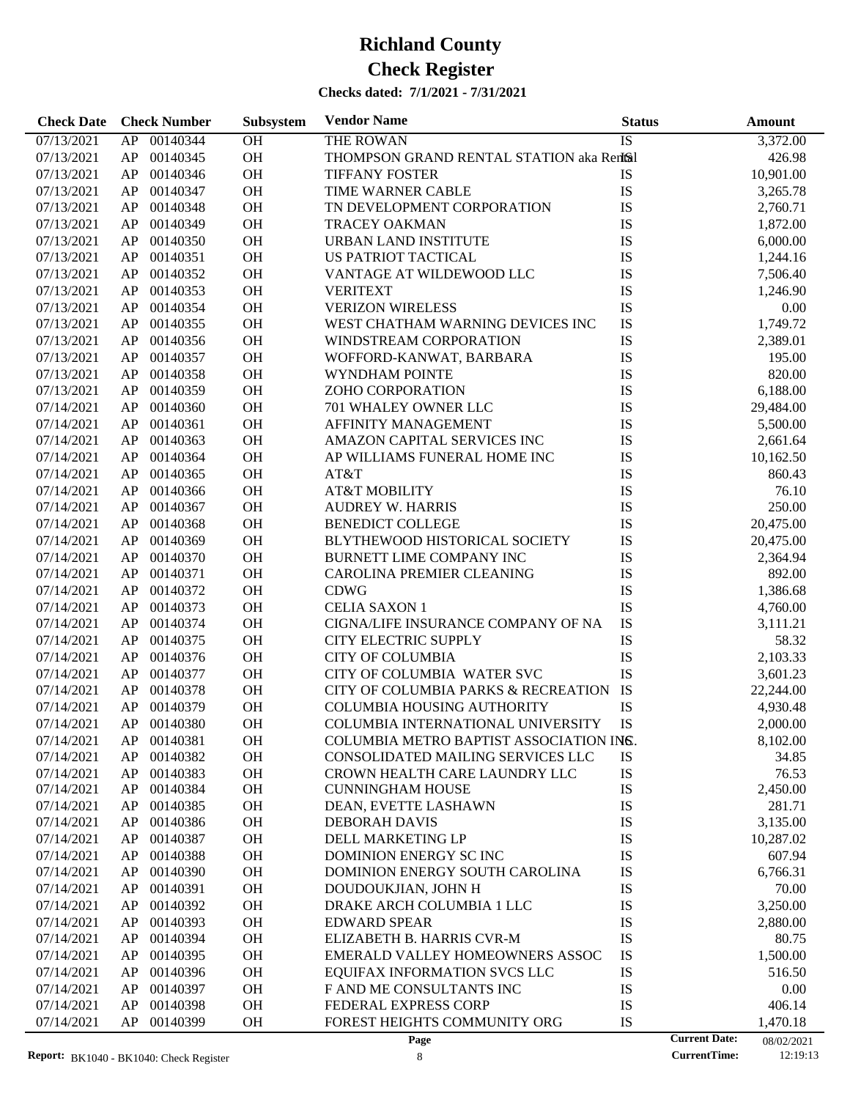| <b>Check Date</b> | <b>Check Number</b> | Subsystem | <b>Vendor Name</b>                       | <b>Status</b> | Amount                             |
|-------------------|---------------------|-----------|------------------------------------------|---------------|------------------------------------|
| 07/13/2021        | 00140344<br>AP      | OH        | <b>THE ROWAN</b>                         | <b>IS</b>     | 3,372.00                           |
| 07/13/2021        | 00140345<br>AP      | OH        | THOMPSON GRAND RENTAL STATION aka Rental |               | 426.98                             |
| 07/13/2021        | 00140346<br>AP      | OH        | <b>TIFFANY FOSTER</b>                    | IS            | 10,901.00                          |
| 07/13/2021        | 00140347<br>AP      | OH        | TIME WARNER CABLE                        | IS            | 3,265.78                           |
| 07/13/2021        | 00140348<br>AP      | OH        | TN DEVELOPMENT CORPORATION               | IS            | 2,760.71                           |
| 07/13/2021        | 00140349<br>AP      | OH        | <b>TRACEY OAKMAN</b>                     | IS            | 1,872.00                           |
| 07/13/2021        | 00140350<br>AP      | OH        | URBAN LAND INSTITUTE                     | IS            | 6,000.00                           |
| 07/13/2021        | 00140351<br>AP      | OH        | US PATRIOT TACTICAL                      | IS            | 1,244.16                           |
| 07/13/2021        | 00140352<br>AP      | OH        | VANTAGE AT WILDEWOOD LLC                 | IS            | 7,506.40                           |
| 07/13/2021        | 00140353<br>AP      | OH        | <b>VERITEXT</b>                          | IS            | 1,246.90                           |
| 07/13/2021        | 00140354<br>AP      | OH        | <b>VERIZON WIRELESS</b>                  | IS            | 0.00                               |
| 07/13/2021        | 00140355<br>AP      | OH        | WEST CHATHAM WARNING DEVICES INC         | IS            | 1,749.72                           |
| 07/13/2021        | 00140356<br>AP      | OH        | WINDSTREAM CORPORATION                   | IS            | 2,389.01                           |
| 07/13/2021        | 00140357<br>AP      | OH        | WOFFORD-KANWAT, BARBARA                  | IS            | 195.00                             |
| 07/13/2021        | 00140358<br>AP      | OH        | WYNDHAM POINTE                           | IS            | 820.00                             |
| 07/13/2021        | 00140359<br>AP      | OH        | ZOHO CORPORATION                         | IS            | 6,188.00                           |
| 07/14/2021        | 00140360<br>AP      | OH        | 701 WHALEY OWNER LLC                     | IS            | 29,484.00                          |
| 07/14/2021        | 00140361<br>AP      | OH        | AFFINITY MANAGEMENT                      | IS            | 5,500.00                           |
| 07/14/2021        | 00140363<br>AP      | OH        | AMAZON CAPITAL SERVICES INC              | IS            | 2,661.64                           |
| 07/14/2021        | 00140364<br>AP      | OH        | AP WILLIAMS FUNERAL HOME INC             | IS            | 10,162.50                          |
| 07/14/2021        | 00140365<br>AP      | OH        | AT&T                                     | IS            | 860.43                             |
| 07/14/2021        | 00140366<br>AP      | OH        | <b>AT&amp;T MOBILITY</b>                 | IS            | 76.10                              |
| 07/14/2021        | 00140367<br>AP      | OH        | <b>AUDREY W. HARRIS</b>                  | IS            | 250.00                             |
| 07/14/2021        | 00140368<br>AP      | OH        | <b>BENEDICT COLLEGE</b>                  | IS            | 20,475.00                          |
| 07/14/2021        | 00140369<br>AP      | OH        | BLYTHEWOOD HISTORICAL SOCIETY            | IS            | 20,475.00                          |
| 07/14/2021        | 00140370<br>AP      | OH        | BURNETT LIME COMPANY INC                 | IS            | 2,364.94                           |
| 07/14/2021        | 00140371<br>AP      | OH        | CAROLINA PREMIER CLEANING                | IS            | 892.00                             |
| 07/14/2021        | 00140372<br>AP      | OH        | <b>CDWG</b>                              | IS            | 1,386.68                           |
| 07/14/2021        | 00140373<br>AP      | OH        | <b>CELIA SAXON 1</b>                     | IS            | 4,760.00                           |
| 07/14/2021        | 00140374<br>AP      | OH        | CIGNA/LIFE INSURANCE COMPANY OF NA       | IS            | 3,111.21                           |
| 07/14/2021        | 00140375<br>AP      | OH        | CITY ELECTRIC SUPPLY                     | IS            | 58.32                              |
| 07/14/2021        | 00140376<br>AP      | OH        | <b>CITY OF COLUMBIA</b>                  | IS            | 2,103.33                           |
| 07/14/2021        | 00140377<br>AP      | OH        | CITY OF COLUMBIA WATER SVC               | IS            | 3,601.23                           |
| 07/14/2021        | 00140378<br>AP      | OH        | CITY OF COLUMBIA PARKS & RECREATION      | IS            | 22,244.00                          |
| 07/14/2021        | 00140379<br>AP      | OH        | <b>COLUMBIA HOUSING AUTHORITY</b>        | IS            | 4,930.48                           |
| 07/14/2021        | AP 00140380         | <b>OH</b> | COLUMBIA INTERNATIONAL UNIVERSITY        | IS            | 2,000.00                           |
| 07/14/2021        | 00140381<br>AP      | OH        | COLUMBIA METRO BAPTIST ASSOCIATION INS.  |               | 8,102.00                           |
| 07/14/2021        | 00140382<br>AP      | OH        | CONSOLIDATED MAILING SERVICES LLC        | IS            | 34.85                              |
| 07/14/2021        | 00140383<br>AP      | OH        | CROWN HEALTH CARE LAUNDRY LLC            | IS            | 76.53                              |
| 07/14/2021        | 00140384<br>AP      | OH        | <b>CUNNINGHAM HOUSE</b>                  | IS            | 2,450.00                           |
| 07/14/2021        | 00140385<br>AP      | OH        | DEAN, EVETTE LASHAWN                     | IS            | 281.71                             |
| 07/14/2021        | 00140386<br>AP      | OH        | <b>DEBORAH DAVIS</b>                     | IS            | 3,135.00                           |
| 07/14/2021        | 00140387<br>AP      | OH        | DELL MARKETING LP                        | IS            | 10,287.02                          |
| 07/14/2021        | 00140388<br>AP      | OH        | DOMINION ENERGY SC INC                   | IS            | 607.94                             |
| 07/14/2021        | 00140390<br>AP      | OH        | DOMINION ENERGY SOUTH CAROLINA           | IS            | 6,766.31                           |
| 07/14/2021        | 00140391<br>AP      | OH        | DOUDOUKJIAN, JOHN H                      | IS            | 70.00                              |
| 07/14/2021        | 00140392<br>AP      | OH        | DRAKE ARCH COLUMBIA 1 LLC                | IS            | 3,250.00                           |
| 07/14/2021        | 00140393<br>AP      | OH        | <b>EDWARD SPEAR</b>                      | IS            | 2,880.00                           |
| 07/14/2021        | 00140394<br>AP      | OH        | ELIZABETH B. HARRIS CVR-M                | IS            | 80.75                              |
| 07/14/2021        | 00140395<br>AP      | OH        | EMERALD VALLEY HOMEOWNERS ASSOC          | IS            | 1,500.00                           |
| 07/14/2021        | 00140396<br>AP      | OH        | EQUIFAX INFORMATION SVCS LLC             | IS            | 516.50                             |
| 07/14/2021        | 00140397<br>AP      | OH        | F AND ME CONSULTANTS INC                 | IS            | 0.00                               |
| 07/14/2021        | 00140398<br>AP      | OH        | FEDERAL EXPRESS CORP                     | IS            | 406.14                             |
| 07/14/2021        | 00140399<br>AP      | OH        | FOREST HEIGHTS COMMUNITY ORG             | IS            | 1,470.18                           |
|                   |                     |           | Page                                     |               | <b>Current Date:</b><br>08/02/2021 |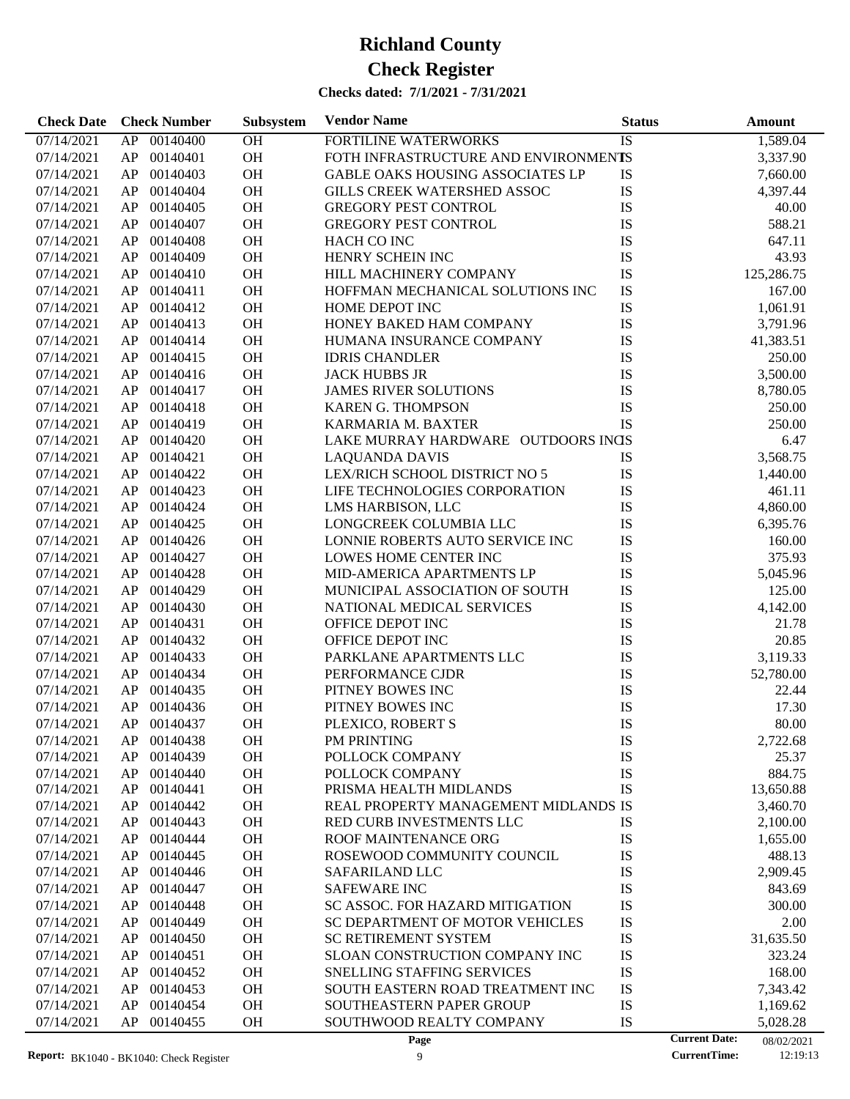| <b>Check Date</b> | <b>Check Number</b> | Subsystem | <b>Vendor Name</b>                     | <b>Status</b> | <b>Amount</b>                      |
|-------------------|---------------------|-----------|----------------------------------------|---------------|------------------------------------|
| 07/14/2021        | 00140400<br>AP      | OH        | FORTILINE WATERWORKS                   | IS            | 1,589.04                           |
| 07/14/2021        | 00140401<br>AP      | OH        | FOTH INFRASTRUCTURE AND ENVIRONMENTS   |               | 3,337.90                           |
| 07/14/2021        | 00140403<br>AP      | OH        | GABLE OAKS HOUSING ASSOCIATES LP       | IS            | 7,660.00                           |
| 07/14/2021        | 00140404<br>AP      | OH        | GILLS CREEK WATERSHED ASSOC            | ${\rm IS}$    | 4,397.44                           |
| 07/14/2021        | 00140405<br>AP      | OH        | <b>GREGORY PEST CONTROL</b>            | IS            | 40.00                              |
| 07/14/2021        | 00140407<br>AP      | OH        | <b>GREGORY PEST CONTROL</b>            | IS            | 588.21                             |
| 07/14/2021        | 00140408<br>AP      | OH        | HACH CO INC                            | IS            | 647.11                             |
| 07/14/2021        | 00140409<br>AP      | OH        | HENRY SCHEIN INC                       | IS            | 43.93                              |
| 07/14/2021        | 00140410<br>AP      | OH        | HILL MACHINERY COMPANY                 | IS            | 125,286.75                         |
| 07/14/2021        | 00140411<br>AP      | OH        | HOFFMAN MECHANICAL SOLUTIONS INC       | IS            | 167.00                             |
| 07/14/2021        | 00140412<br>AP      | OH        | HOME DEPOT INC                         | ${\rm IS}$    | 1,061.91                           |
| 07/14/2021        | 00140413<br>AP      | OH        | HONEY BAKED HAM COMPANY                | IS            | 3,791.96                           |
| 07/14/2021        | 00140414<br>AP      | OH        | HUMANA INSURANCE COMPANY               | IS            | 41,383.51                          |
| 07/14/2021        | 00140415<br>AP      | OH        | <b>IDRIS CHANDLER</b>                  | IS            | 250.00                             |
| 07/14/2021        | 00140416<br>AP      | OH        | <b>JACK HUBBS JR</b>                   | IS            | 3,500.00                           |
| 07/14/2021        | 00140417<br>AP      | OH        | <b>JAMES RIVER SOLUTIONS</b>           | IS            | 8,780.05                           |
| 07/14/2021        | 00140418<br>AP      | OH        | <b>KAREN G. THOMPSON</b>               | IS            | 250.00                             |
| 07/14/2021        | 00140419<br>AP      | OH        | KARMARIA M. BAXTER                     | IS            | 250.00                             |
| 07/14/2021        | 00140420<br>AP      | OH        | LAKE MURRAY HARDWARE OUTDOORS INGS     |               | 6.47                               |
| 07/14/2021        | 00140421<br>AP      | OH        | <b>LAQUANDA DAVIS</b>                  | IS            | 3,568.75                           |
| 07/14/2021        | 00140422<br>AP      | OH        | LEX/RICH SCHOOL DISTRICT NO 5          | IS            | 1,440.00                           |
| 07/14/2021        | 00140423<br>AP      | OH        | LIFE TECHNOLOGIES CORPORATION          | IS            | 461.11                             |
| 07/14/2021        | 00140424<br>AP      | OH        | LMS HARBISON, LLC                      | IS            | 4,860.00                           |
| 07/14/2021        | 00140425<br>AP      | OH        | LONGCREEK COLUMBIA LLC                 | IS            | 6,395.76                           |
| 07/14/2021        | 00140426<br>AP      | OH        | LONNIE ROBERTS AUTO SERVICE INC        | IS            | 160.00                             |
| 07/14/2021        | 00140427<br>AP      | OH        | LOWES HOME CENTER INC                  | IS            | 375.93                             |
| 07/14/2021        | 00140428<br>AP      | OH        | MID-AMERICA APARTMENTS LP              | IS            | 5,045.96                           |
| 07/14/2021        | 00140429<br>AP      | OH        | MUNICIPAL ASSOCIATION OF SOUTH         | IS            | 125.00                             |
| 07/14/2021        | 00140430<br>AP      | OH        | NATIONAL MEDICAL SERVICES              | IS            | 4,142.00                           |
| 07/14/2021        | 00140431<br>AP      | OH        | OFFICE DEPOT INC                       | IS            | 21.78                              |
| 07/14/2021        | 00140432<br>AP      | OH        | OFFICE DEPOT INC                       | IS            | 20.85                              |
| 07/14/2021        | 00140433<br>AP      | OH        | PARKLANE APARTMENTS LLC                | IS            | 3,119.33                           |
| 07/14/2021        | 00140434<br>AP      | OH        | PERFORMANCE CJDR                       | ${\rm IS}$    | 52,780.00                          |
| 07/14/2021        | 00140435<br>AP      | OH        | PITNEY BOWES INC                       | ${\rm IS}$    | 22.44                              |
| 07/14/2021        | AP<br>00140436      | <b>OH</b> | PITNEY BOWES INC                       | IS            | 17.30                              |
| 07/14/2021        | AP 00140437         | <b>OH</b> | PLEXICO, ROBERT S                      | IS            | 80.00                              |
| 07/14/2021        | 00140438<br>AP      | <b>OH</b> | PM PRINTING                            | IS            | 2,722.68                           |
| 07/14/2021        | 00140439<br>AP      | <b>OH</b> | POLLOCK COMPANY                        | IS            | 25.37                              |
| 07/14/2021        | AP<br>00140440      | <b>OH</b> | POLLOCK COMPANY                        | IS            | 884.75                             |
| 07/14/2021        | 00140441<br>AP      | <b>OH</b> | PRISMA HEALTH MIDLANDS                 | IS            | 13,650.88                          |
| 07/14/2021        | 00140442<br>AP      | OH        | REAL PROPERTY MANAGEMENT MIDLANDS IS   |               | 3,460.70                           |
| 07/14/2021        | 00140443<br>AP      | OH        | RED CURB INVESTMENTS LLC               | IS            | 2,100.00                           |
| 07/14/2021        | 00140444<br>AP      | OH        | ROOF MAINTENANCE ORG                   | IS            | 1,655.00                           |
| 07/14/2021        | 00140445<br>AP      | OH        | ROSEWOOD COMMUNITY COUNCIL             | IS            | 488.13                             |
| 07/14/2021        | 00140446<br>AP      | OH        | SAFARILAND LLC                         | IS            | 2,909.45                           |
| 07/14/2021        | 00140447<br>AP      | OH        | <b>SAFEWARE INC</b>                    | IS            | 843.69                             |
| 07/14/2021        | 00140448<br>AP      | OH        | <b>SC ASSOC. FOR HAZARD MITIGATION</b> | IS            | 300.00                             |
| 07/14/2021        | 00140449<br>AP      | OH        | SC DEPARTMENT OF MOTOR VEHICLES        | IS            | 2.00                               |
| 07/14/2021        | 00140450<br>AP      | OH        | SC RETIREMENT SYSTEM                   | IS            | 31,635.50                          |
| 07/14/2021        | 00140451<br>AP      | OH        | SLOAN CONSTRUCTION COMPANY INC         | IS            | 323.24                             |
| 07/14/2021        | 00140452<br>AP      | OH        | SNELLING STAFFING SERVICES             | IS            | 168.00                             |
| 07/14/2021        | 00140453<br>AP      | OH        | SOUTH EASTERN ROAD TREATMENT INC       | IS            | 7,343.42                           |
| 07/14/2021        | 00140454<br>AP      | OH        | SOUTHEASTERN PAPER GROUP               | IS            | 1,169.62                           |
| 07/14/2021        | 00140455<br>AP      | OH        | SOUTHWOOD REALTY COMPANY               | IS            | 5,028.28                           |
|                   |                     |           | Page                                   |               | <b>Current Date:</b><br>08/02/2021 |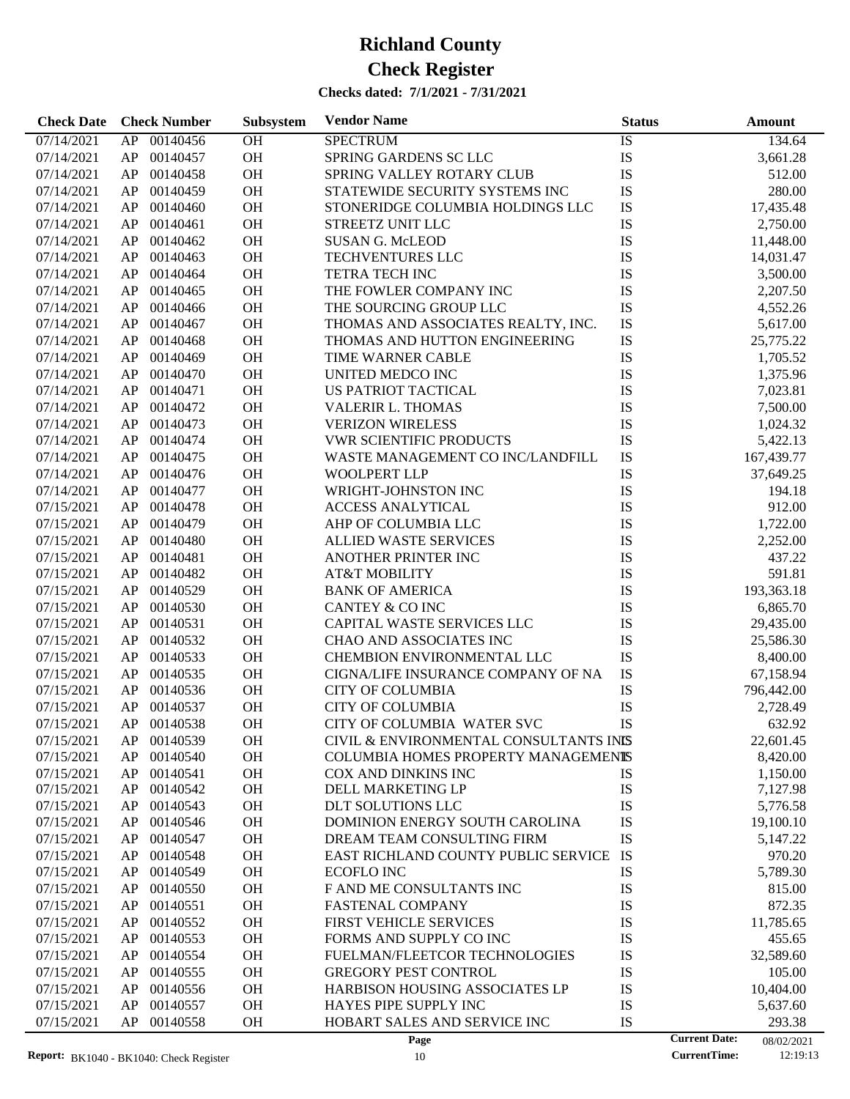| <b>Check Date</b>        | <b>Check Number</b>        | Subsystem | <b>Vendor Name</b>                                            | <b>Status</b> | <b>Amount</b>                      |
|--------------------------|----------------------------|-----------|---------------------------------------------------------------|---------------|------------------------------------|
| 07/14/2021               | 00140456<br>AP             | <b>OH</b> | <b>SPECTRUM</b>                                               | IS            | 134.64                             |
| 07/14/2021               | AP<br>00140457             | OH        | SPRING GARDENS SC LLC                                         | IS            | 3,661.28                           |
| 07/14/2021               | 00140458<br>AP             | OH        | SPRING VALLEY ROTARY CLUB                                     | IS            | 512.00                             |
| 07/14/2021               | 00140459<br>AP             | OH        | STATEWIDE SECURITY SYSTEMS INC                                | IS            | 280.00                             |
| 07/14/2021               | 00140460<br>AP             | OH        | STONERIDGE COLUMBIA HOLDINGS LLC                              | IS            | 17,435.48                          |
| 07/14/2021               | 00140461<br>AP             | OH        | <b>STREETZ UNIT LLC</b>                                       | IS            | 2,750.00                           |
| 07/14/2021               | 00140462<br>AP             | OH        | <b>SUSAN G. McLEOD</b>                                        | IS            | 11,448.00                          |
| 07/14/2021               | 00140463<br>AP             | <b>OH</b> | TECHVENTURES LLC                                              | IS            | 14,031.47                          |
| 07/14/2021               | 00140464<br>AP             | OH        | <b>TETRA TECH INC</b>                                         | IS            | 3,500.00                           |
| 07/14/2021               | 00140465<br>AP             | OH        | THE FOWLER COMPANY INC                                        | IS            | 2,207.50                           |
| 07/14/2021               | 00140466<br>AP             | OH        | THE SOURCING GROUP LLC                                        | IS            | 4,552.26                           |
| 07/14/2021               | 00140467<br>AP             | <b>OH</b> | THOMAS AND ASSOCIATES REALTY, INC.                            | IS            | 5,617.00                           |
| 07/14/2021               | 00140468<br>AP             | OH        | THOMAS AND HUTTON ENGINEERING                                 | IS            | 25,775.22                          |
| 07/14/2021               | 00140469<br>AP             | OH        | TIME WARNER CABLE                                             | IS            | 1,705.52                           |
| 07/14/2021               | 00140470<br>AP             | OH        | UNITED MEDCO INC                                              | IS            | 1,375.96                           |
| 07/14/2021               | 00140471<br>AP             | <b>OH</b> | US PATRIOT TACTICAL                                           | IS            | 7,023.81                           |
| 07/14/2021               | 00140472<br>AP             | OH        | <b>VALERIR L. THOMAS</b>                                      | IS            | 7,500.00                           |
| 07/14/2021               | 00140473<br>AP             | OH        | <b>VERIZON WIRELESS</b>                                       | IS            | 1,024.32                           |
| 07/14/2021               | 00140474<br>AP             | OH        | <b>VWR SCIENTIFIC PRODUCTS</b>                                | IS            | 5,422.13                           |
| 07/14/2021               | 00140475<br>AP             | <b>OH</b> | WASTE MANAGEMENT CO INC/LANDFILL                              | IS            | 167,439.77                         |
| 07/14/2021               | 00140476<br>AP             | OH        | <b>WOOLPERT LLP</b>                                           | IS            | 37,649.25                          |
| 07/14/2021               | 00140477<br>AP             | OH        | WRIGHT-JOHNSTON INC                                           | IS            | 194.18                             |
| 07/15/2021               | 00140478<br>AP             | OH        | <b>ACCESS ANALYTICAL</b>                                      | IS            | 912.00                             |
| 07/15/2021               | 00140479<br>AP             | OH        | AHP OF COLUMBIA LLC                                           | IS            | 1,722.00                           |
| 07/15/2021               | 00140480<br>AP             | OH        | <b>ALLIED WASTE SERVICES</b>                                  | IS            | 2,252.00                           |
| 07/15/2021               | 00140481<br>AP             | OH        | ANOTHER PRINTER INC                                           | IS            | 437.22                             |
| 07/15/2021               | 00140482<br>AP             | OH        | <b>AT&amp;T MOBILITY</b>                                      | IS            | 591.81                             |
| 07/15/2021               | 00140529<br>AP             | <b>OH</b> | <b>BANK OF AMERICA</b>                                        | IS            | 193,363.18                         |
| 07/15/2021               | 00140530<br>AP             | OH        | <b>CANTEY &amp; CO INC</b>                                    | IS            | 6,865.70                           |
| 07/15/2021               | 00140531<br>AP             | OH        | CAPITAL WASTE SERVICES LLC                                    | IS            | 29,435.00                          |
| 07/15/2021               | 00140532<br>AP             | OH        | CHAO AND ASSOCIATES INC                                       | IS            | 25,586.30                          |
| 07/15/2021               | 00140533<br>AP             | <b>OH</b> | CHEMBION ENVIRONMENTAL LLC                                    | IS            | 8,400.00                           |
|                          | 00140535                   | <b>OH</b> |                                                               | IS            |                                    |
| 07/15/2021               | AP                         | OH        | CIGNA/LIFE INSURANCE COMPANY OF NA<br><b>CITY OF COLUMBIA</b> |               | 67,158.94                          |
| 07/15/2021               | 00140536<br>AP             |           | <b>CITY OF COLUMBIA</b>                                       | IS            | 796,442.00                         |
| 07/15/2021               | 00140537<br>AP             | <b>OH</b> | CITY OF COLUMBIA WATER SVC                                    | IS            | 2,728.49                           |
| 07/15/2021               | AP<br>00140538             | <b>OH</b> |                                                               | IS            | 632.92                             |
| 07/15/2021               | AP.<br>00140539            | OН        | CIVIL & ENVIRONMENTAL CONSULTANTS INIS                        |               | 22,601.45                          |
| 07/15/2021               | 00140540<br>AP             | OH        | COLUMBIA HOMES PROPERTY MANAGEMENTS                           |               | 8,420.00                           |
| 07/15/2021               | 00140541<br>AP<br>00140542 | OH<br>OH  | COX AND DINKINS INC<br>DELL MARKETING LP                      | IS<br>IS      | 1,150.00                           |
| 07/15/2021<br>07/15/2021 | AP                         |           |                                                               | IS            | 7,127.98                           |
|                          | 00140543<br>AP             | OH        | DLT SOLUTIONS LLC                                             |               | 5,776.58                           |
| 07/15/2021               | 00140546<br>AP             | OH        | DOMINION ENERGY SOUTH CAROLINA                                | IS            | 19,100.10                          |
| 07/15/2021               | 00140547<br>AP             | OH        | DREAM TEAM CONSULTING FIRM                                    | IS            | 5,147.22                           |
| 07/15/2021               | 00140548<br>AP             | OH        | EAST RICHLAND COUNTY PUBLIC SERVICE                           | IS            | 970.20                             |
| 07/15/2021               | 00140549<br>AP             | OH        | <b>ECOFLO INC</b>                                             | IS            | 5,789.30                           |
| 07/15/2021               | 00140550<br>AP             | OH        | F AND ME CONSULTANTS INC                                      | IS            | 815.00                             |
| 07/15/2021               | 00140551<br>AP             | OH        | <b>FASTENAL COMPANY</b>                                       | IS            | 872.35                             |
| 07/15/2021               | 00140552<br>AP             | OH        | <b>FIRST VEHICLE SERVICES</b>                                 | IS            | 11,785.65                          |
| 07/15/2021               | 00140553<br>AP             | OH        | FORMS AND SUPPLY CO INC                                       | IS            | 455.65                             |
| 07/15/2021               | 00140554<br>AP             | OH        | FUELMAN/FLEETCOR TECHNOLOGIES                                 | IS            | 32,589.60                          |
| 07/15/2021               | 00140555<br>AP             | OH        | <b>GREGORY PEST CONTROL</b>                                   | IS            | 105.00                             |
| 07/15/2021               | 00140556<br>AP             | OH        | <b>HARBISON HOUSING ASSOCIATES LP</b>                         | IS            | 10,404.00                          |
| 07/15/2021               | 00140557<br>AP             | OH        | HAYES PIPE SUPPLY INC                                         | IS            | 5,637.60                           |
| 07/15/2021               | AP<br>00140558             | OH        | HOBART SALES AND SERVICE INC                                  | IS            | 293.38                             |
|                          |                            |           | Page                                                          |               | <b>Current Date:</b><br>08/02/2021 |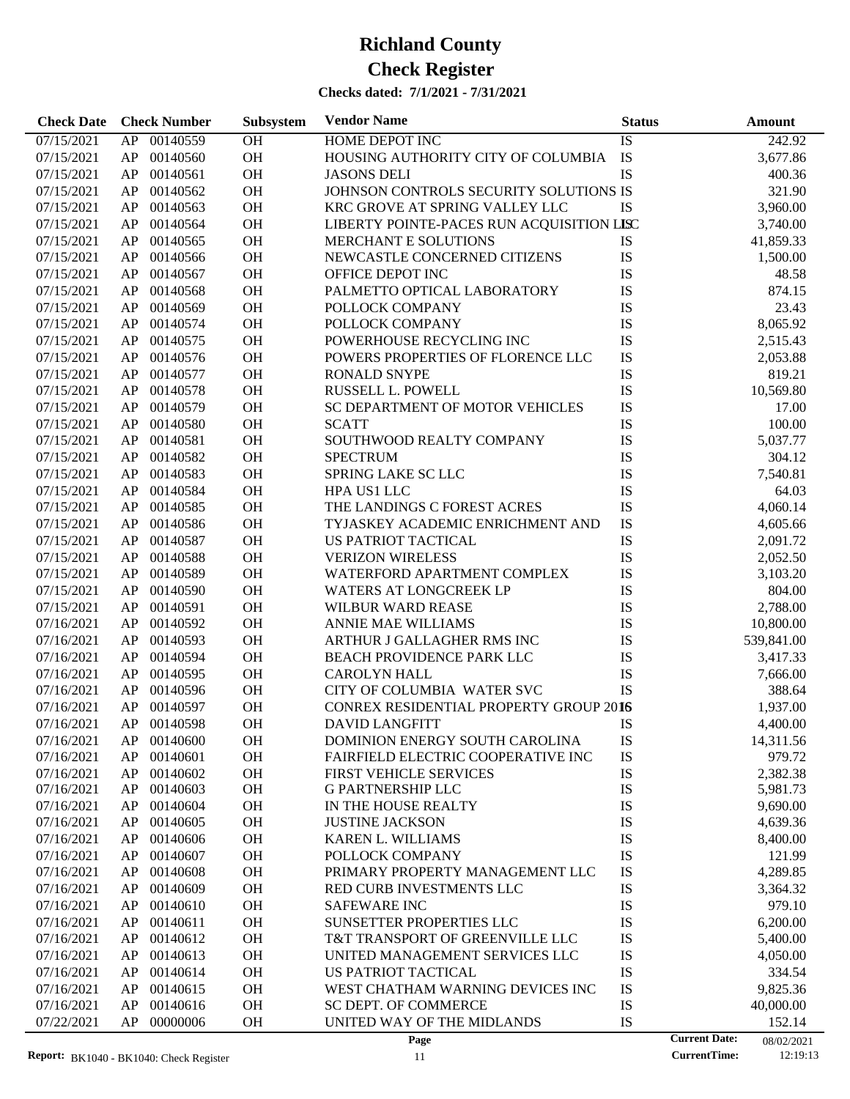| 00140559<br>OH<br><b>HOME DEPOT INC</b><br>07/15/2021<br>AP<br>IS<br>242.92<br>OH<br>IS<br>00140560<br>HOUSING AUTHORITY CITY OF COLUMBIA<br>07/15/2021<br>AP<br>3,677.86<br>OH<br>IS<br>00140561<br>07/15/2021<br>AP<br><b>JASONS DELI</b><br>400.36<br>00140562<br>OH<br>JOHNSON CONTROLS SECURITY SOLUTIONS IS<br>07/15/2021<br>AP<br>321.90<br>OH<br>00140563<br>KRC GROVE AT SPRING VALLEY LLC<br><b>IS</b><br>3,960.00<br>07/15/2021<br>AP<br>OH<br>00140564<br>LIBERTY POINTE-PACES RUN ACQUISITION LISC<br>07/15/2021<br>AP<br>3,740.00<br>OH<br>00140565<br>07/15/2021<br>AP<br>MERCHANT E SOLUTIONS<br>IS<br>41,859.33<br>00140566<br>OH<br>IS<br>07/15/2021<br>AP<br>NEWCASTLE CONCERNED CITIZENS<br>1,500.00<br>00140567<br>OH<br>IS<br>07/15/2021<br>AP<br>OFFICE DEPOT INC<br>48.58<br>00140568<br>OH<br>PALMETTO OPTICAL LABORATORY<br>IS<br>874.15<br>07/15/2021<br>AP<br>00140569<br>OH<br>IS<br>23.43<br>07/15/2021<br>AP<br>POLLOCK COMPANY<br>IS<br>00140574<br>OH<br>8,065.92<br>07/15/2021<br>AP<br>POLLOCK COMPANY<br>00140575<br>OH<br>IS<br>07/15/2021<br>AP<br>POWERHOUSE RECYCLING INC<br>2,515.43<br>00140576<br>OH<br>POWERS PROPERTIES OF FLORENCE LLC<br>IS<br>07/15/2021<br>AP<br>2,053.88<br>00140577<br>OH<br>IS<br>819.21<br>07/15/2021<br>AP<br><b>RONALD SNYPE</b><br>IS<br>00140578<br>OH<br>10,569.80<br>07/15/2021<br>AP<br>RUSSELL L. POWELL<br>IS<br>00140579<br>OH<br>SC DEPARTMENT OF MOTOR VEHICLES<br>07/15/2021<br>AP<br>17.00<br>00140580<br>OH<br>IS<br>100.00<br>07/15/2021<br>AP<br><b>SCATT</b><br>00140581<br>OH<br>SOUTHWOOD REALTY COMPANY<br>IS<br>07/15/2021<br>AP<br>5,037.77<br>00140582<br>OH<br>IS<br>07/15/2021<br>AP<br><b>SPECTRUM</b><br>304.12<br>00140583<br>OH<br>SPRING LAKE SC LLC<br>IS<br>07/15/2021<br>AP<br>7,540.81<br>00140584<br>OH<br>IS<br>64.03<br>07/15/2021<br>AP<br>HPA US1 LLC<br>IS<br>00140585<br>OH<br>THE LANDINGS C FOREST ACRES<br>07/15/2021<br>AP<br>4,060.14<br>00140586<br>OH<br>TYJASKEY ACADEMIC ENRICHMENT AND<br>IS<br>07/15/2021<br>AP<br>4,605.66<br>00140587<br>OH<br>IS<br>07/15/2021<br>AP<br>US PATRIOT TACTICAL<br>2,091.72<br>IS<br>00140588<br>OH<br>07/15/2021<br>AP<br><b>VERIZON WIRELESS</b><br>2,052.50<br>IS<br>00140589<br>OH<br>WATERFORD APARTMENT COMPLEX<br>07/15/2021<br>AP<br>3,103.20<br>00140590<br>OH<br>IS<br>07/15/2021<br>AP<br><b>WATERS AT LONGCREEK LP</b><br>804.00<br>00140591<br>OH<br>IS<br>2,788.00<br>07/15/2021<br>AP<br><b>WILBUR WARD REASE</b><br>00140592<br>OH<br>IS<br>07/16/2021<br>AP<br><b>ANNIE MAE WILLIAMS</b><br>10,800.00<br>00140593<br>OH<br>IS<br>07/16/2021<br>AP<br>ARTHUR J GALLAGHER RMS INC<br>539,841.00<br>00140594<br>OH<br>IS<br>07/16/2021<br>AP<br>BEACH PROVIDENCE PARK LLC<br>3,417.33<br>00140595<br>OH<br>IS<br>07/16/2021<br>AP<br><b>CAROLYN HALL</b><br>7,666.00<br>00140596<br>OH<br>CITY OF COLUMBIA WATER SVC<br>IS<br>07/16/2021<br>AP<br>388.64<br>00140597<br>OH<br>CONREX RESIDENTIAL PROPERTY GROUP 2016<br>07/16/2021<br>AP<br>1,937.00<br>AP 00140598<br><b>OH</b><br>IS<br>07/16/2021<br><b>DAVID LANGFITT</b><br>4,400.00<br>07/16/2021<br>AP<br>00140600<br>OH<br>DOMINION ENERGY SOUTH CAROLINA<br>IS<br>14,311.56<br>00140601<br><b>OH</b><br>FAIRFIELD ELECTRIC COOPERATIVE INC<br>07/16/2021<br>AP<br>IS<br>979.72<br>00140602<br><b>OH</b><br><b>FIRST VEHICLE SERVICES</b><br>IS<br>2,382.38<br>07/16/2021<br>AP<br>OH<br>IS<br>00140603<br><b>G PARTNERSHIP LLC</b><br>5,981.73<br>07/16/2021<br>AP<br>00140604<br>OH<br>IS<br>07/16/2021<br>AP<br>IN THE HOUSE REALTY<br>9,690.00<br>00140605<br>OH<br>IS<br>07/16/2021<br>AP<br><b>JUSTINE JACKSON</b><br>4,639.36<br>IS<br>00140606<br>OH<br>07/16/2021<br>AP<br>KAREN L. WILLIAMS<br>8,400.00<br>IS<br>00140607<br>OH<br>POLLOCK COMPANY<br>121.99<br>07/16/2021<br>AP<br>IS<br>00140608<br>OH<br>PRIMARY PROPERTY MANAGEMENT LLC<br>07/16/2021<br>AP<br>4,289.85<br>00140609<br>OH<br>IS<br>07/16/2021<br>AP<br>RED CURB INVESTMENTS LLC<br>3,364.32<br>00140610<br>OH<br><b>SAFEWARE INC</b><br>IS<br>979.10<br>07/16/2021<br>AP<br>00140611<br>OH<br>SUNSETTER PROPERTIES LLC<br>IS<br>07/16/2021<br>AP<br>6,200.00<br>IS<br>00140612<br>OH<br>T&T TRANSPORT OF GREENVILLE LLC<br>07/16/2021<br>AP<br>5,400.00<br>00140613<br>OH<br>IS<br>07/16/2021<br>AP<br>UNITED MANAGEMENT SERVICES LLC<br>4,050.00<br>00140614<br>OH<br>IS<br>07/16/2021<br>AP<br>US PATRIOT TACTICAL<br>334.54<br>00140615<br>OH<br>IS<br>07/16/2021<br>AP<br>WEST CHATHAM WARNING DEVICES INC<br>9,825.36<br>00140616<br>OH<br>IS<br>07/16/2021<br>AP<br>SC DEPT. OF COMMERCE<br>40,000.00<br>IS<br>07/22/2021<br>AP<br>00000006<br>OH<br>UNITED WAY OF THE MIDLANDS<br>152.14<br><b>Current Date:</b><br>Page<br>08/02/2021 | <b>Check Date</b> | <b>Check Number</b> | Subsystem | <b>Vendor Name</b> | <b>Status</b> | Amount |
|------------------------------------------------------------------------------------------------------------------------------------------------------------------------------------------------------------------------------------------------------------------------------------------------------------------------------------------------------------------------------------------------------------------------------------------------------------------------------------------------------------------------------------------------------------------------------------------------------------------------------------------------------------------------------------------------------------------------------------------------------------------------------------------------------------------------------------------------------------------------------------------------------------------------------------------------------------------------------------------------------------------------------------------------------------------------------------------------------------------------------------------------------------------------------------------------------------------------------------------------------------------------------------------------------------------------------------------------------------------------------------------------------------------------------------------------------------------------------------------------------------------------------------------------------------------------------------------------------------------------------------------------------------------------------------------------------------------------------------------------------------------------------------------------------------------------------------------------------------------------------------------------------------------------------------------------------------------------------------------------------------------------------------------------------------------------------------------------------------------------------------------------------------------------------------------------------------------------------------------------------------------------------------------------------------------------------------------------------------------------------------------------------------------------------------------------------------------------------------------------------------------------------------------------------------------------------------------------------------------------------------------------------------------------------------------------------------------------------------------------------------------------------------------------------------------------------------------------------------------------------------------------------------------------------------------------------------------------------------------------------------------------------------------------------------------------------------------------------------------------------------------------------------------------------------------------------------------------------------------------------------------------------------------------------------------------------------------------------------------------------------------------------------------------------------------------------------------------------------------------------------------------------------------------------------------------------------------------------------------------------------------------------------------------------------------------------------------------------------------------------------------------------------------------------------------------------------------------------------------------------------------------------------------------------------------------------------------------------------------------------------------------------------------------------------------------------------------------------------------------------------------------------------------------------------------------------------------------------------------------------------------------------------------------------------------------------------------------------------------------------------------------------------------------------------------------------------------------------------------------------------------------------------------------------------------------------------------------------------------------------------------------------------------------------------------------------------------------------------------------------------|-------------------|---------------------|-----------|--------------------|---------------|--------|
|                                                                                                                                                                                                                                                                                                                                                                                                                                                                                                                                                                                                                                                                                                                                                                                                                                                                                                                                                                                                                                                                                                                                                                                                                                                                                                                                                                                                                                                                                                                                                                                                                                                                                                                                                                                                                                                                                                                                                                                                                                                                                                                                                                                                                                                                                                                                                                                                                                                                                                                                                                                                                                                                                                                                                                                                                                                                                                                                                                                                                                                                                                                                                                                                                                                                                                                                                                                                                                                                                                                                                                                                                                                                                                                                                                                                                                                                                                                                                                                                                                                                                                                                                                                                                                                                                                                                                                                                                                                                                                                                                                                                                                                                                                                                                            |                   |                     |           |                    |               |        |
|                                                                                                                                                                                                                                                                                                                                                                                                                                                                                                                                                                                                                                                                                                                                                                                                                                                                                                                                                                                                                                                                                                                                                                                                                                                                                                                                                                                                                                                                                                                                                                                                                                                                                                                                                                                                                                                                                                                                                                                                                                                                                                                                                                                                                                                                                                                                                                                                                                                                                                                                                                                                                                                                                                                                                                                                                                                                                                                                                                                                                                                                                                                                                                                                                                                                                                                                                                                                                                                                                                                                                                                                                                                                                                                                                                                                                                                                                                                                                                                                                                                                                                                                                                                                                                                                                                                                                                                                                                                                                                                                                                                                                                                                                                                                                            |                   |                     |           |                    |               |        |
|                                                                                                                                                                                                                                                                                                                                                                                                                                                                                                                                                                                                                                                                                                                                                                                                                                                                                                                                                                                                                                                                                                                                                                                                                                                                                                                                                                                                                                                                                                                                                                                                                                                                                                                                                                                                                                                                                                                                                                                                                                                                                                                                                                                                                                                                                                                                                                                                                                                                                                                                                                                                                                                                                                                                                                                                                                                                                                                                                                                                                                                                                                                                                                                                                                                                                                                                                                                                                                                                                                                                                                                                                                                                                                                                                                                                                                                                                                                                                                                                                                                                                                                                                                                                                                                                                                                                                                                                                                                                                                                                                                                                                                                                                                                                                            |                   |                     |           |                    |               |        |
|                                                                                                                                                                                                                                                                                                                                                                                                                                                                                                                                                                                                                                                                                                                                                                                                                                                                                                                                                                                                                                                                                                                                                                                                                                                                                                                                                                                                                                                                                                                                                                                                                                                                                                                                                                                                                                                                                                                                                                                                                                                                                                                                                                                                                                                                                                                                                                                                                                                                                                                                                                                                                                                                                                                                                                                                                                                                                                                                                                                                                                                                                                                                                                                                                                                                                                                                                                                                                                                                                                                                                                                                                                                                                                                                                                                                                                                                                                                                                                                                                                                                                                                                                                                                                                                                                                                                                                                                                                                                                                                                                                                                                                                                                                                                                            |                   |                     |           |                    |               |        |
|                                                                                                                                                                                                                                                                                                                                                                                                                                                                                                                                                                                                                                                                                                                                                                                                                                                                                                                                                                                                                                                                                                                                                                                                                                                                                                                                                                                                                                                                                                                                                                                                                                                                                                                                                                                                                                                                                                                                                                                                                                                                                                                                                                                                                                                                                                                                                                                                                                                                                                                                                                                                                                                                                                                                                                                                                                                                                                                                                                                                                                                                                                                                                                                                                                                                                                                                                                                                                                                                                                                                                                                                                                                                                                                                                                                                                                                                                                                                                                                                                                                                                                                                                                                                                                                                                                                                                                                                                                                                                                                                                                                                                                                                                                                                                            |                   |                     |           |                    |               |        |
|                                                                                                                                                                                                                                                                                                                                                                                                                                                                                                                                                                                                                                                                                                                                                                                                                                                                                                                                                                                                                                                                                                                                                                                                                                                                                                                                                                                                                                                                                                                                                                                                                                                                                                                                                                                                                                                                                                                                                                                                                                                                                                                                                                                                                                                                                                                                                                                                                                                                                                                                                                                                                                                                                                                                                                                                                                                                                                                                                                                                                                                                                                                                                                                                                                                                                                                                                                                                                                                                                                                                                                                                                                                                                                                                                                                                                                                                                                                                                                                                                                                                                                                                                                                                                                                                                                                                                                                                                                                                                                                                                                                                                                                                                                                                                            |                   |                     |           |                    |               |        |
|                                                                                                                                                                                                                                                                                                                                                                                                                                                                                                                                                                                                                                                                                                                                                                                                                                                                                                                                                                                                                                                                                                                                                                                                                                                                                                                                                                                                                                                                                                                                                                                                                                                                                                                                                                                                                                                                                                                                                                                                                                                                                                                                                                                                                                                                                                                                                                                                                                                                                                                                                                                                                                                                                                                                                                                                                                                                                                                                                                                                                                                                                                                                                                                                                                                                                                                                                                                                                                                                                                                                                                                                                                                                                                                                                                                                                                                                                                                                                                                                                                                                                                                                                                                                                                                                                                                                                                                                                                                                                                                                                                                                                                                                                                                                                            |                   |                     |           |                    |               |        |
|                                                                                                                                                                                                                                                                                                                                                                                                                                                                                                                                                                                                                                                                                                                                                                                                                                                                                                                                                                                                                                                                                                                                                                                                                                                                                                                                                                                                                                                                                                                                                                                                                                                                                                                                                                                                                                                                                                                                                                                                                                                                                                                                                                                                                                                                                                                                                                                                                                                                                                                                                                                                                                                                                                                                                                                                                                                                                                                                                                                                                                                                                                                                                                                                                                                                                                                                                                                                                                                                                                                                                                                                                                                                                                                                                                                                                                                                                                                                                                                                                                                                                                                                                                                                                                                                                                                                                                                                                                                                                                                                                                                                                                                                                                                                                            |                   |                     |           |                    |               |        |
|                                                                                                                                                                                                                                                                                                                                                                                                                                                                                                                                                                                                                                                                                                                                                                                                                                                                                                                                                                                                                                                                                                                                                                                                                                                                                                                                                                                                                                                                                                                                                                                                                                                                                                                                                                                                                                                                                                                                                                                                                                                                                                                                                                                                                                                                                                                                                                                                                                                                                                                                                                                                                                                                                                                                                                                                                                                                                                                                                                                                                                                                                                                                                                                                                                                                                                                                                                                                                                                                                                                                                                                                                                                                                                                                                                                                                                                                                                                                                                                                                                                                                                                                                                                                                                                                                                                                                                                                                                                                                                                                                                                                                                                                                                                                                            |                   |                     |           |                    |               |        |
|                                                                                                                                                                                                                                                                                                                                                                                                                                                                                                                                                                                                                                                                                                                                                                                                                                                                                                                                                                                                                                                                                                                                                                                                                                                                                                                                                                                                                                                                                                                                                                                                                                                                                                                                                                                                                                                                                                                                                                                                                                                                                                                                                                                                                                                                                                                                                                                                                                                                                                                                                                                                                                                                                                                                                                                                                                                                                                                                                                                                                                                                                                                                                                                                                                                                                                                                                                                                                                                                                                                                                                                                                                                                                                                                                                                                                                                                                                                                                                                                                                                                                                                                                                                                                                                                                                                                                                                                                                                                                                                                                                                                                                                                                                                                                            |                   |                     |           |                    |               |        |
|                                                                                                                                                                                                                                                                                                                                                                                                                                                                                                                                                                                                                                                                                                                                                                                                                                                                                                                                                                                                                                                                                                                                                                                                                                                                                                                                                                                                                                                                                                                                                                                                                                                                                                                                                                                                                                                                                                                                                                                                                                                                                                                                                                                                                                                                                                                                                                                                                                                                                                                                                                                                                                                                                                                                                                                                                                                                                                                                                                                                                                                                                                                                                                                                                                                                                                                                                                                                                                                                                                                                                                                                                                                                                                                                                                                                                                                                                                                                                                                                                                                                                                                                                                                                                                                                                                                                                                                                                                                                                                                                                                                                                                                                                                                                                            |                   |                     |           |                    |               |        |
|                                                                                                                                                                                                                                                                                                                                                                                                                                                                                                                                                                                                                                                                                                                                                                                                                                                                                                                                                                                                                                                                                                                                                                                                                                                                                                                                                                                                                                                                                                                                                                                                                                                                                                                                                                                                                                                                                                                                                                                                                                                                                                                                                                                                                                                                                                                                                                                                                                                                                                                                                                                                                                                                                                                                                                                                                                                                                                                                                                                                                                                                                                                                                                                                                                                                                                                                                                                                                                                                                                                                                                                                                                                                                                                                                                                                                                                                                                                                                                                                                                                                                                                                                                                                                                                                                                                                                                                                                                                                                                                                                                                                                                                                                                                                                            |                   |                     |           |                    |               |        |
|                                                                                                                                                                                                                                                                                                                                                                                                                                                                                                                                                                                                                                                                                                                                                                                                                                                                                                                                                                                                                                                                                                                                                                                                                                                                                                                                                                                                                                                                                                                                                                                                                                                                                                                                                                                                                                                                                                                                                                                                                                                                                                                                                                                                                                                                                                                                                                                                                                                                                                                                                                                                                                                                                                                                                                                                                                                                                                                                                                                                                                                                                                                                                                                                                                                                                                                                                                                                                                                                                                                                                                                                                                                                                                                                                                                                                                                                                                                                                                                                                                                                                                                                                                                                                                                                                                                                                                                                                                                                                                                                                                                                                                                                                                                                                            |                   |                     |           |                    |               |        |
|                                                                                                                                                                                                                                                                                                                                                                                                                                                                                                                                                                                                                                                                                                                                                                                                                                                                                                                                                                                                                                                                                                                                                                                                                                                                                                                                                                                                                                                                                                                                                                                                                                                                                                                                                                                                                                                                                                                                                                                                                                                                                                                                                                                                                                                                                                                                                                                                                                                                                                                                                                                                                                                                                                                                                                                                                                                                                                                                                                                                                                                                                                                                                                                                                                                                                                                                                                                                                                                                                                                                                                                                                                                                                                                                                                                                                                                                                                                                                                                                                                                                                                                                                                                                                                                                                                                                                                                                                                                                                                                                                                                                                                                                                                                                                            |                   |                     |           |                    |               |        |
|                                                                                                                                                                                                                                                                                                                                                                                                                                                                                                                                                                                                                                                                                                                                                                                                                                                                                                                                                                                                                                                                                                                                                                                                                                                                                                                                                                                                                                                                                                                                                                                                                                                                                                                                                                                                                                                                                                                                                                                                                                                                                                                                                                                                                                                                                                                                                                                                                                                                                                                                                                                                                                                                                                                                                                                                                                                                                                                                                                                                                                                                                                                                                                                                                                                                                                                                                                                                                                                                                                                                                                                                                                                                                                                                                                                                                                                                                                                                                                                                                                                                                                                                                                                                                                                                                                                                                                                                                                                                                                                                                                                                                                                                                                                                                            |                   |                     |           |                    |               |        |
|                                                                                                                                                                                                                                                                                                                                                                                                                                                                                                                                                                                                                                                                                                                                                                                                                                                                                                                                                                                                                                                                                                                                                                                                                                                                                                                                                                                                                                                                                                                                                                                                                                                                                                                                                                                                                                                                                                                                                                                                                                                                                                                                                                                                                                                                                                                                                                                                                                                                                                                                                                                                                                                                                                                                                                                                                                                                                                                                                                                                                                                                                                                                                                                                                                                                                                                                                                                                                                                                                                                                                                                                                                                                                                                                                                                                                                                                                                                                                                                                                                                                                                                                                                                                                                                                                                                                                                                                                                                                                                                                                                                                                                                                                                                                                            |                   |                     |           |                    |               |        |
|                                                                                                                                                                                                                                                                                                                                                                                                                                                                                                                                                                                                                                                                                                                                                                                                                                                                                                                                                                                                                                                                                                                                                                                                                                                                                                                                                                                                                                                                                                                                                                                                                                                                                                                                                                                                                                                                                                                                                                                                                                                                                                                                                                                                                                                                                                                                                                                                                                                                                                                                                                                                                                                                                                                                                                                                                                                                                                                                                                                                                                                                                                                                                                                                                                                                                                                                                                                                                                                                                                                                                                                                                                                                                                                                                                                                                                                                                                                                                                                                                                                                                                                                                                                                                                                                                                                                                                                                                                                                                                                                                                                                                                                                                                                                                            |                   |                     |           |                    |               |        |
|                                                                                                                                                                                                                                                                                                                                                                                                                                                                                                                                                                                                                                                                                                                                                                                                                                                                                                                                                                                                                                                                                                                                                                                                                                                                                                                                                                                                                                                                                                                                                                                                                                                                                                                                                                                                                                                                                                                                                                                                                                                                                                                                                                                                                                                                                                                                                                                                                                                                                                                                                                                                                                                                                                                                                                                                                                                                                                                                                                                                                                                                                                                                                                                                                                                                                                                                                                                                                                                                                                                                                                                                                                                                                                                                                                                                                                                                                                                                                                                                                                                                                                                                                                                                                                                                                                                                                                                                                                                                                                                                                                                                                                                                                                                                                            |                   |                     |           |                    |               |        |
|                                                                                                                                                                                                                                                                                                                                                                                                                                                                                                                                                                                                                                                                                                                                                                                                                                                                                                                                                                                                                                                                                                                                                                                                                                                                                                                                                                                                                                                                                                                                                                                                                                                                                                                                                                                                                                                                                                                                                                                                                                                                                                                                                                                                                                                                                                                                                                                                                                                                                                                                                                                                                                                                                                                                                                                                                                                                                                                                                                                                                                                                                                                                                                                                                                                                                                                                                                                                                                                                                                                                                                                                                                                                                                                                                                                                                                                                                                                                                                                                                                                                                                                                                                                                                                                                                                                                                                                                                                                                                                                                                                                                                                                                                                                                                            |                   |                     |           |                    |               |        |
|                                                                                                                                                                                                                                                                                                                                                                                                                                                                                                                                                                                                                                                                                                                                                                                                                                                                                                                                                                                                                                                                                                                                                                                                                                                                                                                                                                                                                                                                                                                                                                                                                                                                                                                                                                                                                                                                                                                                                                                                                                                                                                                                                                                                                                                                                                                                                                                                                                                                                                                                                                                                                                                                                                                                                                                                                                                                                                                                                                                                                                                                                                                                                                                                                                                                                                                                                                                                                                                                                                                                                                                                                                                                                                                                                                                                                                                                                                                                                                                                                                                                                                                                                                                                                                                                                                                                                                                                                                                                                                                                                                                                                                                                                                                                                            |                   |                     |           |                    |               |        |
|                                                                                                                                                                                                                                                                                                                                                                                                                                                                                                                                                                                                                                                                                                                                                                                                                                                                                                                                                                                                                                                                                                                                                                                                                                                                                                                                                                                                                                                                                                                                                                                                                                                                                                                                                                                                                                                                                                                                                                                                                                                                                                                                                                                                                                                                                                                                                                                                                                                                                                                                                                                                                                                                                                                                                                                                                                                                                                                                                                                                                                                                                                                                                                                                                                                                                                                                                                                                                                                                                                                                                                                                                                                                                                                                                                                                                                                                                                                                                                                                                                                                                                                                                                                                                                                                                                                                                                                                                                                                                                                                                                                                                                                                                                                                                            |                   |                     |           |                    |               |        |
|                                                                                                                                                                                                                                                                                                                                                                                                                                                                                                                                                                                                                                                                                                                                                                                                                                                                                                                                                                                                                                                                                                                                                                                                                                                                                                                                                                                                                                                                                                                                                                                                                                                                                                                                                                                                                                                                                                                                                                                                                                                                                                                                                                                                                                                                                                                                                                                                                                                                                                                                                                                                                                                                                                                                                                                                                                                                                                                                                                                                                                                                                                                                                                                                                                                                                                                                                                                                                                                                                                                                                                                                                                                                                                                                                                                                                                                                                                                                                                                                                                                                                                                                                                                                                                                                                                                                                                                                                                                                                                                                                                                                                                                                                                                                                            |                   |                     |           |                    |               |        |
|                                                                                                                                                                                                                                                                                                                                                                                                                                                                                                                                                                                                                                                                                                                                                                                                                                                                                                                                                                                                                                                                                                                                                                                                                                                                                                                                                                                                                                                                                                                                                                                                                                                                                                                                                                                                                                                                                                                                                                                                                                                                                                                                                                                                                                                                                                                                                                                                                                                                                                                                                                                                                                                                                                                                                                                                                                                                                                                                                                                                                                                                                                                                                                                                                                                                                                                                                                                                                                                                                                                                                                                                                                                                                                                                                                                                                                                                                                                                                                                                                                                                                                                                                                                                                                                                                                                                                                                                                                                                                                                                                                                                                                                                                                                                                            |                   |                     |           |                    |               |        |
|                                                                                                                                                                                                                                                                                                                                                                                                                                                                                                                                                                                                                                                                                                                                                                                                                                                                                                                                                                                                                                                                                                                                                                                                                                                                                                                                                                                                                                                                                                                                                                                                                                                                                                                                                                                                                                                                                                                                                                                                                                                                                                                                                                                                                                                                                                                                                                                                                                                                                                                                                                                                                                                                                                                                                                                                                                                                                                                                                                                                                                                                                                                                                                                                                                                                                                                                                                                                                                                                                                                                                                                                                                                                                                                                                                                                                                                                                                                                                                                                                                                                                                                                                                                                                                                                                                                                                                                                                                                                                                                                                                                                                                                                                                                                                            |                   |                     |           |                    |               |        |
|                                                                                                                                                                                                                                                                                                                                                                                                                                                                                                                                                                                                                                                                                                                                                                                                                                                                                                                                                                                                                                                                                                                                                                                                                                                                                                                                                                                                                                                                                                                                                                                                                                                                                                                                                                                                                                                                                                                                                                                                                                                                                                                                                                                                                                                                                                                                                                                                                                                                                                                                                                                                                                                                                                                                                                                                                                                                                                                                                                                                                                                                                                                                                                                                                                                                                                                                                                                                                                                                                                                                                                                                                                                                                                                                                                                                                                                                                                                                                                                                                                                                                                                                                                                                                                                                                                                                                                                                                                                                                                                                                                                                                                                                                                                                                            |                   |                     |           |                    |               |        |
|                                                                                                                                                                                                                                                                                                                                                                                                                                                                                                                                                                                                                                                                                                                                                                                                                                                                                                                                                                                                                                                                                                                                                                                                                                                                                                                                                                                                                                                                                                                                                                                                                                                                                                                                                                                                                                                                                                                                                                                                                                                                                                                                                                                                                                                                                                                                                                                                                                                                                                                                                                                                                                                                                                                                                                                                                                                                                                                                                                                                                                                                                                                                                                                                                                                                                                                                                                                                                                                                                                                                                                                                                                                                                                                                                                                                                                                                                                                                                                                                                                                                                                                                                                                                                                                                                                                                                                                                                                                                                                                                                                                                                                                                                                                                                            |                   |                     |           |                    |               |        |
|                                                                                                                                                                                                                                                                                                                                                                                                                                                                                                                                                                                                                                                                                                                                                                                                                                                                                                                                                                                                                                                                                                                                                                                                                                                                                                                                                                                                                                                                                                                                                                                                                                                                                                                                                                                                                                                                                                                                                                                                                                                                                                                                                                                                                                                                                                                                                                                                                                                                                                                                                                                                                                                                                                                                                                                                                                                                                                                                                                                                                                                                                                                                                                                                                                                                                                                                                                                                                                                                                                                                                                                                                                                                                                                                                                                                                                                                                                                                                                                                                                                                                                                                                                                                                                                                                                                                                                                                                                                                                                                                                                                                                                                                                                                                                            |                   |                     |           |                    |               |        |
|                                                                                                                                                                                                                                                                                                                                                                                                                                                                                                                                                                                                                                                                                                                                                                                                                                                                                                                                                                                                                                                                                                                                                                                                                                                                                                                                                                                                                                                                                                                                                                                                                                                                                                                                                                                                                                                                                                                                                                                                                                                                                                                                                                                                                                                                                                                                                                                                                                                                                                                                                                                                                                                                                                                                                                                                                                                                                                                                                                                                                                                                                                                                                                                                                                                                                                                                                                                                                                                                                                                                                                                                                                                                                                                                                                                                                                                                                                                                                                                                                                                                                                                                                                                                                                                                                                                                                                                                                                                                                                                                                                                                                                                                                                                                                            |                   |                     |           |                    |               |        |
|                                                                                                                                                                                                                                                                                                                                                                                                                                                                                                                                                                                                                                                                                                                                                                                                                                                                                                                                                                                                                                                                                                                                                                                                                                                                                                                                                                                                                                                                                                                                                                                                                                                                                                                                                                                                                                                                                                                                                                                                                                                                                                                                                                                                                                                                                                                                                                                                                                                                                                                                                                                                                                                                                                                                                                                                                                                                                                                                                                                                                                                                                                                                                                                                                                                                                                                                                                                                                                                                                                                                                                                                                                                                                                                                                                                                                                                                                                                                                                                                                                                                                                                                                                                                                                                                                                                                                                                                                                                                                                                                                                                                                                                                                                                                                            |                   |                     |           |                    |               |        |
|                                                                                                                                                                                                                                                                                                                                                                                                                                                                                                                                                                                                                                                                                                                                                                                                                                                                                                                                                                                                                                                                                                                                                                                                                                                                                                                                                                                                                                                                                                                                                                                                                                                                                                                                                                                                                                                                                                                                                                                                                                                                                                                                                                                                                                                                                                                                                                                                                                                                                                                                                                                                                                                                                                                                                                                                                                                                                                                                                                                                                                                                                                                                                                                                                                                                                                                                                                                                                                                                                                                                                                                                                                                                                                                                                                                                                                                                                                                                                                                                                                                                                                                                                                                                                                                                                                                                                                                                                                                                                                                                                                                                                                                                                                                                                            |                   |                     |           |                    |               |        |
|                                                                                                                                                                                                                                                                                                                                                                                                                                                                                                                                                                                                                                                                                                                                                                                                                                                                                                                                                                                                                                                                                                                                                                                                                                                                                                                                                                                                                                                                                                                                                                                                                                                                                                                                                                                                                                                                                                                                                                                                                                                                                                                                                                                                                                                                                                                                                                                                                                                                                                                                                                                                                                                                                                                                                                                                                                                                                                                                                                                                                                                                                                                                                                                                                                                                                                                                                                                                                                                                                                                                                                                                                                                                                                                                                                                                                                                                                                                                                                                                                                                                                                                                                                                                                                                                                                                                                                                                                                                                                                                                                                                                                                                                                                                                                            |                   |                     |           |                    |               |        |
|                                                                                                                                                                                                                                                                                                                                                                                                                                                                                                                                                                                                                                                                                                                                                                                                                                                                                                                                                                                                                                                                                                                                                                                                                                                                                                                                                                                                                                                                                                                                                                                                                                                                                                                                                                                                                                                                                                                                                                                                                                                                                                                                                                                                                                                                                                                                                                                                                                                                                                                                                                                                                                                                                                                                                                                                                                                                                                                                                                                                                                                                                                                                                                                                                                                                                                                                                                                                                                                                                                                                                                                                                                                                                                                                                                                                                                                                                                                                                                                                                                                                                                                                                                                                                                                                                                                                                                                                                                                                                                                                                                                                                                                                                                                                                            |                   |                     |           |                    |               |        |
|                                                                                                                                                                                                                                                                                                                                                                                                                                                                                                                                                                                                                                                                                                                                                                                                                                                                                                                                                                                                                                                                                                                                                                                                                                                                                                                                                                                                                                                                                                                                                                                                                                                                                                                                                                                                                                                                                                                                                                                                                                                                                                                                                                                                                                                                                                                                                                                                                                                                                                                                                                                                                                                                                                                                                                                                                                                                                                                                                                                                                                                                                                                                                                                                                                                                                                                                                                                                                                                                                                                                                                                                                                                                                                                                                                                                                                                                                                                                                                                                                                                                                                                                                                                                                                                                                                                                                                                                                                                                                                                                                                                                                                                                                                                                                            |                   |                     |           |                    |               |        |
|                                                                                                                                                                                                                                                                                                                                                                                                                                                                                                                                                                                                                                                                                                                                                                                                                                                                                                                                                                                                                                                                                                                                                                                                                                                                                                                                                                                                                                                                                                                                                                                                                                                                                                                                                                                                                                                                                                                                                                                                                                                                                                                                                                                                                                                                                                                                                                                                                                                                                                                                                                                                                                                                                                                                                                                                                                                                                                                                                                                                                                                                                                                                                                                                                                                                                                                                                                                                                                                                                                                                                                                                                                                                                                                                                                                                                                                                                                                                                                                                                                                                                                                                                                                                                                                                                                                                                                                                                                                                                                                                                                                                                                                                                                                                                            |                   |                     |           |                    |               |        |
|                                                                                                                                                                                                                                                                                                                                                                                                                                                                                                                                                                                                                                                                                                                                                                                                                                                                                                                                                                                                                                                                                                                                                                                                                                                                                                                                                                                                                                                                                                                                                                                                                                                                                                                                                                                                                                                                                                                                                                                                                                                                                                                                                                                                                                                                                                                                                                                                                                                                                                                                                                                                                                                                                                                                                                                                                                                                                                                                                                                                                                                                                                                                                                                                                                                                                                                                                                                                                                                                                                                                                                                                                                                                                                                                                                                                                                                                                                                                                                                                                                                                                                                                                                                                                                                                                                                                                                                                                                                                                                                                                                                                                                                                                                                                                            |                   |                     |           |                    |               |        |
|                                                                                                                                                                                                                                                                                                                                                                                                                                                                                                                                                                                                                                                                                                                                                                                                                                                                                                                                                                                                                                                                                                                                                                                                                                                                                                                                                                                                                                                                                                                                                                                                                                                                                                                                                                                                                                                                                                                                                                                                                                                                                                                                                                                                                                                                                                                                                                                                                                                                                                                                                                                                                                                                                                                                                                                                                                                                                                                                                                                                                                                                                                                                                                                                                                                                                                                                                                                                                                                                                                                                                                                                                                                                                                                                                                                                                                                                                                                                                                                                                                                                                                                                                                                                                                                                                                                                                                                                                                                                                                                                                                                                                                                                                                                                                            |                   |                     |           |                    |               |        |
|                                                                                                                                                                                                                                                                                                                                                                                                                                                                                                                                                                                                                                                                                                                                                                                                                                                                                                                                                                                                                                                                                                                                                                                                                                                                                                                                                                                                                                                                                                                                                                                                                                                                                                                                                                                                                                                                                                                                                                                                                                                                                                                                                                                                                                                                                                                                                                                                                                                                                                                                                                                                                                                                                                                                                                                                                                                                                                                                                                                                                                                                                                                                                                                                                                                                                                                                                                                                                                                                                                                                                                                                                                                                                                                                                                                                                                                                                                                                                                                                                                                                                                                                                                                                                                                                                                                                                                                                                                                                                                                                                                                                                                                                                                                                                            |                   |                     |           |                    |               |        |
|                                                                                                                                                                                                                                                                                                                                                                                                                                                                                                                                                                                                                                                                                                                                                                                                                                                                                                                                                                                                                                                                                                                                                                                                                                                                                                                                                                                                                                                                                                                                                                                                                                                                                                                                                                                                                                                                                                                                                                                                                                                                                                                                                                                                                                                                                                                                                                                                                                                                                                                                                                                                                                                                                                                                                                                                                                                                                                                                                                                                                                                                                                                                                                                                                                                                                                                                                                                                                                                                                                                                                                                                                                                                                                                                                                                                                                                                                                                                                                                                                                                                                                                                                                                                                                                                                                                                                                                                                                                                                                                                                                                                                                                                                                                                                            |                   |                     |           |                    |               |        |
|                                                                                                                                                                                                                                                                                                                                                                                                                                                                                                                                                                                                                                                                                                                                                                                                                                                                                                                                                                                                                                                                                                                                                                                                                                                                                                                                                                                                                                                                                                                                                                                                                                                                                                                                                                                                                                                                                                                                                                                                                                                                                                                                                                                                                                                                                                                                                                                                                                                                                                                                                                                                                                                                                                                                                                                                                                                                                                                                                                                                                                                                                                                                                                                                                                                                                                                                                                                                                                                                                                                                                                                                                                                                                                                                                                                                                                                                                                                                                                                                                                                                                                                                                                                                                                                                                                                                                                                                                                                                                                                                                                                                                                                                                                                                                            |                   |                     |           |                    |               |        |
|                                                                                                                                                                                                                                                                                                                                                                                                                                                                                                                                                                                                                                                                                                                                                                                                                                                                                                                                                                                                                                                                                                                                                                                                                                                                                                                                                                                                                                                                                                                                                                                                                                                                                                                                                                                                                                                                                                                                                                                                                                                                                                                                                                                                                                                                                                                                                                                                                                                                                                                                                                                                                                                                                                                                                                                                                                                                                                                                                                                                                                                                                                                                                                                                                                                                                                                                                                                                                                                                                                                                                                                                                                                                                                                                                                                                                                                                                                                                                                                                                                                                                                                                                                                                                                                                                                                                                                                                                                                                                                                                                                                                                                                                                                                                                            |                   |                     |           |                    |               |        |
|                                                                                                                                                                                                                                                                                                                                                                                                                                                                                                                                                                                                                                                                                                                                                                                                                                                                                                                                                                                                                                                                                                                                                                                                                                                                                                                                                                                                                                                                                                                                                                                                                                                                                                                                                                                                                                                                                                                                                                                                                                                                                                                                                                                                                                                                                                                                                                                                                                                                                                                                                                                                                                                                                                                                                                                                                                                                                                                                                                                                                                                                                                                                                                                                                                                                                                                                                                                                                                                                                                                                                                                                                                                                                                                                                                                                                                                                                                                                                                                                                                                                                                                                                                                                                                                                                                                                                                                                                                                                                                                                                                                                                                                                                                                                                            |                   |                     |           |                    |               |        |
|                                                                                                                                                                                                                                                                                                                                                                                                                                                                                                                                                                                                                                                                                                                                                                                                                                                                                                                                                                                                                                                                                                                                                                                                                                                                                                                                                                                                                                                                                                                                                                                                                                                                                                                                                                                                                                                                                                                                                                                                                                                                                                                                                                                                                                                                                                                                                                                                                                                                                                                                                                                                                                                                                                                                                                                                                                                                                                                                                                                                                                                                                                                                                                                                                                                                                                                                                                                                                                                                                                                                                                                                                                                                                                                                                                                                                                                                                                                                                                                                                                                                                                                                                                                                                                                                                                                                                                                                                                                                                                                                                                                                                                                                                                                                                            |                   |                     |           |                    |               |        |
|                                                                                                                                                                                                                                                                                                                                                                                                                                                                                                                                                                                                                                                                                                                                                                                                                                                                                                                                                                                                                                                                                                                                                                                                                                                                                                                                                                                                                                                                                                                                                                                                                                                                                                                                                                                                                                                                                                                                                                                                                                                                                                                                                                                                                                                                                                                                                                                                                                                                                                                                                                                                                                                                                                                                                                                                                                                                                                                                                                                                                                                                                                                                                                                                                                                                                                                                                                                                                                                                                                                                                                                                                                                                                                                                                                                                                                                                                                                                                                                                                                                                                                                                                                                                                                                                                                                                                                                                                                                                                                                                                                                                                                                                                                                                                            |                   |                     |           |                    |               |        |
|                                                                                                                                                                                                                                                                                                                                                                                                                                                                                                                                                                                                                                                                                                                                                                                                                                                                                                                                                                                                                                                                                                                                                                                                                                                                                                                                                                                                                                                                                                                                                                                                                                                                                                                                                                                                                                                                                                                                                                                                                                                                                                                                                                                                                                                                                                                                                                                                                                                                                                                                                                                                                                                                                                                                                                                                                                                                                                                                                                                                                                                                                                                                                                                                                                                                                                                                                                                                                                                                                                                                                                                                                                                                                                                                                                                                                                                                                                                                                                                                                                                                                                                                                                                                                                                                                                                                                                                                                                                                                                                                                                                                                                                                                                                                                            |                   |                     |           |                    |               |        |
|                                                                                                                                                                                                                                                                                                                                                                                                                                                                                                                                                                                                                                                                                                                                                                                                                                                                                                                                                                                                                                                                                                                                                                                                                                                                                                                                                                                                                                                                                                                                                                                                                                                                                                                                                                                                                                                                                                                                                                                                                                                                                                                                                                                                                                                                                                                                                                                                                                                                                                                                                                                                                                                                                                                                                                                                                                                                                                                                                                                                                                                                                                                                                                                                                                                                                                                                                                                                                                                                                                                                                                                                                                                                                                                                                                                                                                                                                                                                                                                                                                                                                                                                                                                                                                                                                                                                                                                                                                                                                                                                                                                                                                                                                                                                                            |                   |                     |           |                    |               |        |
|                                                                                                                                                                                                                                                                                                                                                                                                                                                                                                                                                                                                                                                                                                                                                                                                                                                                                                                                                                                                                                                                                                                                                                                                                                                                                                                                                                                                                                                                                                                                                                                                                                                                                                                                                                                                                                                                                                                                                                                                                                                                                                                                                                                                                                                                                                                                                                                                                                                                                                                                                                                                                                                                                                                                                                                                                                                                                                                                                                                                                                                                                                                                                                                                                                                                                                                                                                                                                                                                                                                                                                                                                                                                                                                                                                                                                                                                                                                                                                                                                                                                                                                                                                                                                                                                                                                                                                                                                                                                                                                                                                                                                                                                                                                                                            |                   |                     |           |                    |               |        |
|                                                                                                                                                                                                                                                                                                                                                                                                                                                                                                                                                                                                                                                                                                                                                                                                                                                                                                                                                                                                                                                                                                                                                                                                                                                                                                                                                                                                                                                                                                                                                                                                                                                                                                                                                                                                                                                                                                                                                                                                                                                                                                                                                                                                                                                                                                                                                                                                                                                                                                                                                                                                                                                                                                                                                                                                                                                                                                                                                                                                                                                                                                                                                                                                                                                                                                                                                                                                                                                                                                                                                                                                                                                                                                                                                                                                                                                                                                                                                                                                                                                                                                                                                                                                                                                                                                                                                                                                                                                                                                                                                                                                                                                                                                                                                            |                   |                     |           |                    |               |        |
|                                                                                                                                                                                                                                                                                                                                                                                                                                                                                                                                                                                                                                                                                                                                                                                                                                                                                                                                                                                                                                                                                                                                                                                                                                                                                                                                                                                                                                                                                                                                                                                                                                                                                                                                                                                                                                                                                                                                                                                                                                                                                                                                                                                                                                                                                                                                                                                                                                                                                                                                                                                                                                                                                                                                                                                                                                                                                                                                                                                                                                                                                                                                                                                                                                                                                                                                                                                                                                                                                                                                                                                                                                                                                                                                                                                                                                                                                                                                                                                                                                                                                                                                                                                                                                                                                                                                                                                                                                                                                                                                                                                                                                                                                                                                                            |                   |                     |           |                    |               |        |
|                                                                                                                                                                                                                                                                                                                                                                                                                                                                                                                                                                                                                                                                                                                                                                                                                                                                                                                                                                                                                                                                                                                                                                                                                                                                                                                                                                                                                                                                                                                                                                                                                                                                                                                                                                                                                                                                                                                                                                                                                                                                                                                                                                                                                                                                                                                                                                                                                                                                                                                                                                                                                                                                                                                                                                                                                                                                                                                                                                                                                                                                                                                                                                                                                                                                                                                                                                                                                                                                                                                                                                                                                                                                                                                                                                                                                                                                                                                                                                                                                                                                                                                                                                                                                                                                                                                                                                                                                                                                                                                                                                                                                                                                                                                                                            |                   |                     |           |                    |               |        |
|                                                                                                                                                                                                                                                                                                                                                                                                                                                                                                                                                                                                                                                                                                                                                                                                                                                                                                                                                                                                                                                                                                                                                                                                                                                                                                                                                                                                                                                                                                                                                                                                                                                                                                                                                                                                                                                                                                                                                                                                                                                                                                                                                                                                                                                                                                                                                                                                                                                                                                                                                                                                                                                                                                                                                                                                                                                                                                                                                                                                                                                                                                                                                                                                                                                                                                                                                                                                                                                                                                                                                                                                                                                                                                                                                                                                                                                                                                                                                                                                                                                                                                                                                                                                                                                                                                                                                                                                                                                                                                                                                                                                                                                                                                                                                            |                   |                     |           |                    |               |        |
|                                                                                                                                                                                                                                                                                                                                                                                                                                                                                                                                                                                                                                                                                                                                                                                                                                                                                                                                                                                                                                                                                                                                                                                                                                                                                                                                                                                                                                                                                                                                                                                                                                                                                                                                                                                                                                                                                                                                                                                                                                                                                                                                                                                                                                                                                                                                                                                                                                                                                                                                                                                                                                                                                                                                                                                                                                                                                                                                                                                                                                                                                                                                                                                                                                                                                                                                                                                                                                                                                                                                                                                                                                                                                                                                                                                                                                                                                                                                                                                                                                                                                                                                                                                                                                                                                                                                                                                                                                                                                                                                                                                                                                                                                                                                                            |                   |                     |           |                    |               |        |
|                                                                                                                                                                                                                                                                                                                                                                                                                                                                                                                                                                                                                                                                                                                                                                                                                                                                                                                                                                                                                                                                                                                                                                                                                                                                                                                                                                                                                                                                                                                                                                                                                                                                                                                                                                                                                                                                                                                                                                                                                                                                                                                                                                                                                                                                                                                                                                                                                                                                                                                                                                                                                                                                                                                                                                                                                                                                                                                                                                                                                                                                                                                                                                                                                                                                                                                                                                                                                                                                                                                                                                                                                                                                                                                                                                                                                                                                                                                                                                                                                                                                                                                                                                                                                                                                                                                                                                                                                                                                                                                                                                                                                                                                                                                                                            |                   |                     |           |                    |               |        |
|                                                                                                                                                                                                                                                                                                                                                                                                                                                                                                                                                                                                                                                                                                                                                                                                                                                                                                                                                                                                                                                                                                                                                                                                                                                                                                                                                                                                                                                                                                                                                                                                                                                                                                                                                                                                                                                                                                                                                                                                                                                                                                                                                                                                                                                                                                                                                                                                                                                                                                                                                                                                                                                                                                                                                                                                                                                                                                                                                                                                                                                                                                                                                                                                                                                                                                                                                                                                                                                                                                                                                                                                                                                                                                                                                                                                                                                                                                                                                                                                                                                                                                                                                                                                                                                                                                                                                                                                                                                                                                                                                                                                                                                                                                                                                            |                   |                     |           |                    |               |        |
|                                                                                                                                                                                                                                                                                                                                                                                                                                                                                                                                                                                                                                                                                                                                                                                                                                                                                                                                                                                                                                                                                                                                                                                                                                                                                                                                                                                                                                                                                                                                                                                                                                                                                                                                                                                                                                                                                                                                                                                                                                                                                                                                                                                                                                                                                                                                                                                                                                                                                                                                                                                                                                                                                                                                                                                                                                                                                                                                                                                                                                                                                                                                                                                                                                                                                                                                                                                                                                                                                                                                                                                                                                                                                                                                                                                                                                                                                                                                                                                                                                                                                                                                                                                                                                                                                                                                                                                                                                                                                                                                                                                                                                                                                                                                                            |                   |                     |           |                    |               |        |
|                                                                                                                                                                                                                                                                                                                                                                                                                                                                                                                                                                                                                                                                                                                                                                                                                                                                                                                                                                                                                                                                                                                                                                                                                                                                                                                                                                                                                                                                                                                                                                                                                                                                                                                                                                                                                                                                                                                                                                                                                                                                                                                                                                                                                                                                                                                                                                                                                                                                                                                                                                                                                                                                                                                                                                                                                                                                                                                                                                                                                                                                                                                                                                                                                                                                                                                                                                                                                                                                                                                                                                                                                                                                                                                                                                                                                                                                                                                                                                                                                                                                                                                                                                                                                                                                                                                                                                                                                                                                                                                                                                                                                                                                                                                                                            |                   |                     |           |                    |               |        |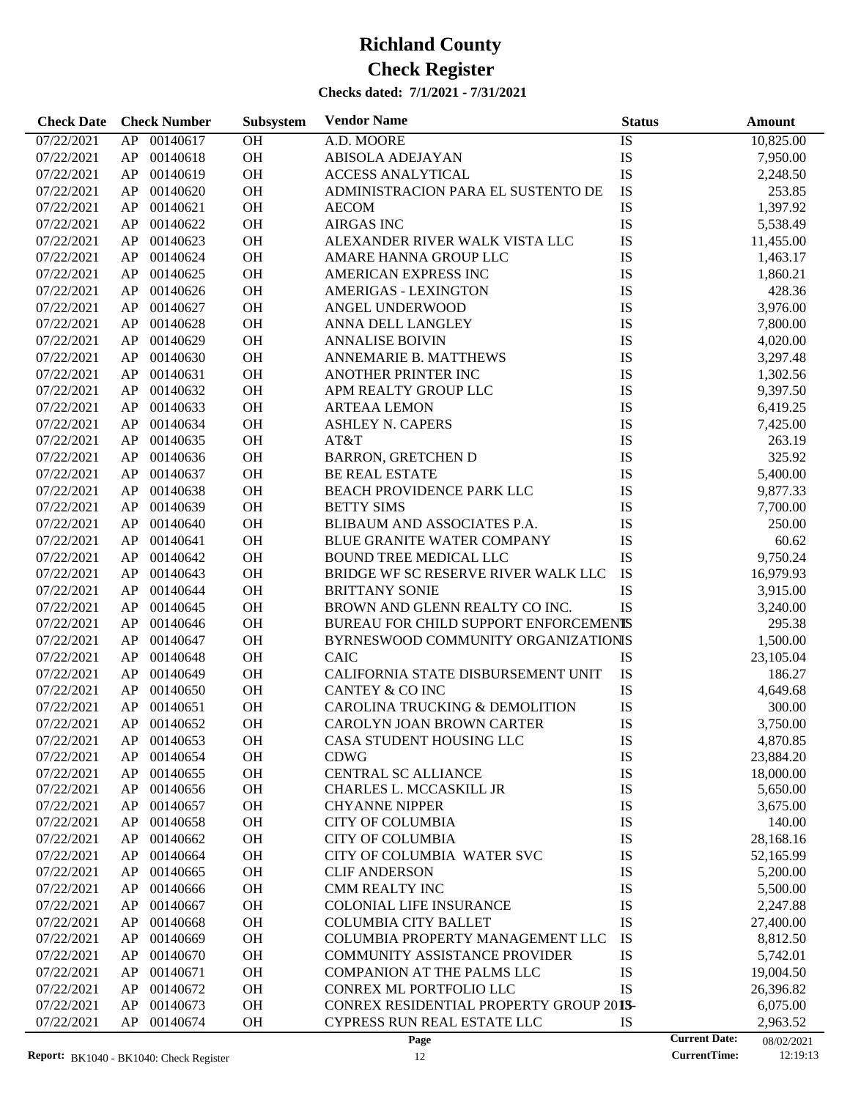| <b>Check Date</b> | <b>Check Number</b> | Subsystem | <b>Vendor Name</b>                             | <b>Status</b> |                      | <b>Amount</b> |
|-------------------|---------------------|-----------|------------------------------------------------|---------------|----------------------|---------------|
| 07/22/2021        | AP<br>00140617      | OH        | A.D. MOORE                                     | IS            |                      | 10,825.00     |
| 07/22/2021        | 00140618<br>AP      | OH        | <b>ABISOLA ADEJAYAN</b>                        | IS            |                      | 7,950.00      |
| 07/22/2021        | 00140619<br>AP      | OH        | <b>ACCESS ANALYTICAL</b>                       | IS            |                      | 2,248.50      |
| 07/22/2021        | 00140620<br>AP      | OH        | ADMINISTRACION PARA EL SUSTENTO DE             | IS            |                      | 253.85        |
| 07/22/2021        | 00140621<br>AP      | OH        | <b>AECOM</b>                                   | IS            |                      | 1,397.92      |
| 07/22/2021        | 00140622<br>AP      | OH        | <b>AIRGAS INC</b>                              | IS            |                      | 5,538.49      |
| 07/22/2021        | 00140623<br>AP      | OH        | ALEXANDER RIVER WALK VISTA LLC                 | IS            |                      | 11,455.00     |
| 07/22/2021        | 00140624<br>AP      | OH        | AMARE HANNA GROUP LLC                          | IS            |                      | 1,463.17      |
| 07/22/2021        | 00140625<br>AP      | OH        | AMERICAN EXPRESS INC                           | IS            |                      | 1,860.21      |
| 07/22/2021        | 00140626<br>AP      | OH        | <b>AMERIGAS - LEXINGTON</b>                    | IS            |                      | 428.36        |
| 07/22/2021        | 00140627<br>AP      | OH        | ANGEL UNDERWOOD                                | IS            |                      | 3,976.00      |
| 07/22/2021        | 00140628<br>AP      | OH        | ANNA DELL LANGLEY                              | IS            |                      | 7,800.00      |
| 07/22/2021        | 00140629<br>AP      | OH        | <b>ANNALISE BOIVIN</b>                         | IS            |                      | 4,020.00      |
| 07/22/2021        | 00140630<br>AP      | OH        | ANNEMARIE B. MATTHEWS                          | IS            |                      | 3,297.48      |
| 07/22/2021        | 00140631<br>AP      | OH        | ANOTHER PRINTER INC                            | IS            |                      | 1,302.56      |
| 07/22/2021        | 00140632<br>AP      | OH        | APM REALTY GROUP LLC                           | IS            |                      | 9,397.50      |
| 07/22/2021        | 00140633<br>AP      | OH        | <b>ARTEAA LEMON</b>                            | IS            |                      | 6,419.25      |
| 07/22/2021        | 00140634<br>AP      | OH        | <b>ASHLEY N. CAPERS</b>                        | IS            |                      | 7,425.00      |
| 07/22/2021        | 00140635<br>AP      | OH        | AT&T                                           | IS            |                      | 263.19        |
| 07/22/2021        | 00140636<br>AP      | OH        | <b>BARRON, GRETCHEN D</b>                      | IS            |                      | 325.92        |
| 07/22/2021        | 00140637<br>AP      | OH        | <b>BE REAL ESTATE</b>                          | IS            |                      | 5,400.00      |
| 07/22/2021        | 00140638<br>AP      | OH        | BEACH PROVIDENCE PARK LLC                      | IS            |                      | 9,877.33      |
| 07/22/2021        | 00140639<br>AP      | OH        | <b>BETTY SIMS</b>                              | IS            |                      | 7,700.00      |
| 07/22/2021        | 00140640<br>AP      | OH        | BLIBAUM AND ASSOCIATES P.A.                    | IS            |                      | 250.00        |
| 07/22/2021        | 00140641<br>AP      | OH        | <b>BLUE GRANITE WATER COMPANY</b>              | IS            |                      | 60.62         |
| 07/22/2021        | 00140642<br>AP      | OH        | <b>BOUND TREE MEDICAL LLC</b>                  | IS            |                      | 9,750.24      |
| 07/22/2021        | 00140643<br>AP      | OH        | BRIDGE WF SC RESERVE RIVER WALK LLC            | IS            |                      | 16,979.93     |
| 07/22/2021        | 00140644<br>AP      | OH        | <b>BRITTANY SONIE</b>                          | IS            |                      | 3,915.00      |
| 07/22/2021        | 00140645<br>AP      | OH        | BROWN AND GLENN REALTY CO INC.                 | IS            |                      | 3,240.00      |
| 07/22/2021        | 00140646<br>AP      | OH        | BUREAU FOR CHILD SUPPORT ENFORCEMENTS          |               |                      | 295.38        |
| 07/22/2021        | 00140647<br>AP      | OH        | BYRNESWOOD COMMUNITY ORGANIZATIONIS            |               |                      | 1,500.00      |
| 07/22/2021        | 00140648<br>AP      | OH        | <b>CAIC</b>                                    | IS            |                      | 23,105.04     |
| 07/22/2021        | 00140649<br>AP      | OH        | CALIFORNIA STATE DISBURSEMENT UNIT             | IS            |                      | 186.27        |
| 07/22/2021        | 00140650<br>AP      | OH        | <b>CANTEY &amp; CO INC</b>                     | IS            |                      | 4,649.68      |
| 07/22/2021        | AP<br>00140651      | OH        | CAROLINA TRUCKING & DEMOLITION                 | IS            |                      | 300.00        |
| 07/22/2021        | AP 00140652         | <b>OH</b> | CAROLYN JOAN BROWN CARTER                      | IS            |                      | 3,750.00      |
| 07/22/2021        | 00140653<br>AP      | OH        | CASA STUDENT HOUSING LLC                       | IS            |                      | 4,870.85      |
| 07/22/2021        | 00140654<br>AP      | OH        | <b>CDWG</b>                                    | IS            |                      | 23,884.20     |
| 07/22/2021        | 00140655<br>AP      | OH        | <b>CENTRAL SC ALLIANCE</b>                     | IS            |                      | 18,000.00     |
| 07/22/2021        | 00140656<br>AP      | <b>OH</b> | CHARLES L. MCCASKILL JR                        | IS            |                      | 5,650.00      |
| 07/22/2021        | 00140657<br>AP      | OH        | <b>CHYANNE NIPPER</b>                          | IS            |                      | 3,675.00      |
| 07/22/2021        | 00140658<br>AP      | OH        | <b>CITY OF COLUMBIA</b>                        | IS            |                      | 140.00        |
| 07/22/2021        | 00140662<br>AP      | OH        | <b>CITY OF COLUMBIA</b>                        | IS            |                      | 28,168.16     |
| 07/22/2021        | 00140664<br>AP      | OH        | CITY OF COLUMBIA WATER SVC                     | IS            |                      | 52,165.99     |
| 07/22/2021        | 00140665<br>AP      | OH        | <b>CLIF ANDERSON</b>                           | IS            |                      | 5,200.00      |
| 07/22/2021        | 00140666<br>AP      | OH        | <b>CMM REALTY INC</b>                          | IS            |                      | 5,500.00      |
| 07/22/2021        | 00140667<br>AP      | OH        | <b>COLONIAL LIFE INSURANCE</b>                 | IS            |                      | 2,247.88      |
| 07/22/2021        | 00140668<br>AP      | OH        | <b>COLUMBIA CITY BALLET</b>                    | IS            |                      | 27,400.00     |
| 07/22/2021        | 00140669<br>AP      | OH        | COLUMBIA PROPERTY MANAGEMENT LLC               | IS            |                      | 8,812.50      |
| 07/22/2021        | 00140670<br>AP      | OH        | <b>COMMUNITY ASSISTANCE PROVIDER</b>           | IS            |                      | 5,742.01      |
| 07/22/2021        | 00140671<br>AP      | OH        | <b>COMPANION AT THE PALMS LLC</b>              | IS            |                      | 19,004.50     |
| 07/22/2021        | 00140672<br>AP      | OH        | CONREX ML PORTFOLIO LLC                        | IS            |                      | 26,396.82     |
| 07/22/2021        | 00140673<br>AP      | OH        | <b>CONREX RESIDENTIAL PROPERTY GROUP 2013-</b> |               |                      | 6,075.00      |
| 07/22/2021        | 00140674<br>AP      | OH        | CYPRESS RUN REAL ESTATE LLC                    | IS            |                      | 2,963.52      |
|                   |                     |           | Page                                           |               | <b>Current Date:</b> | 08/02/2021    |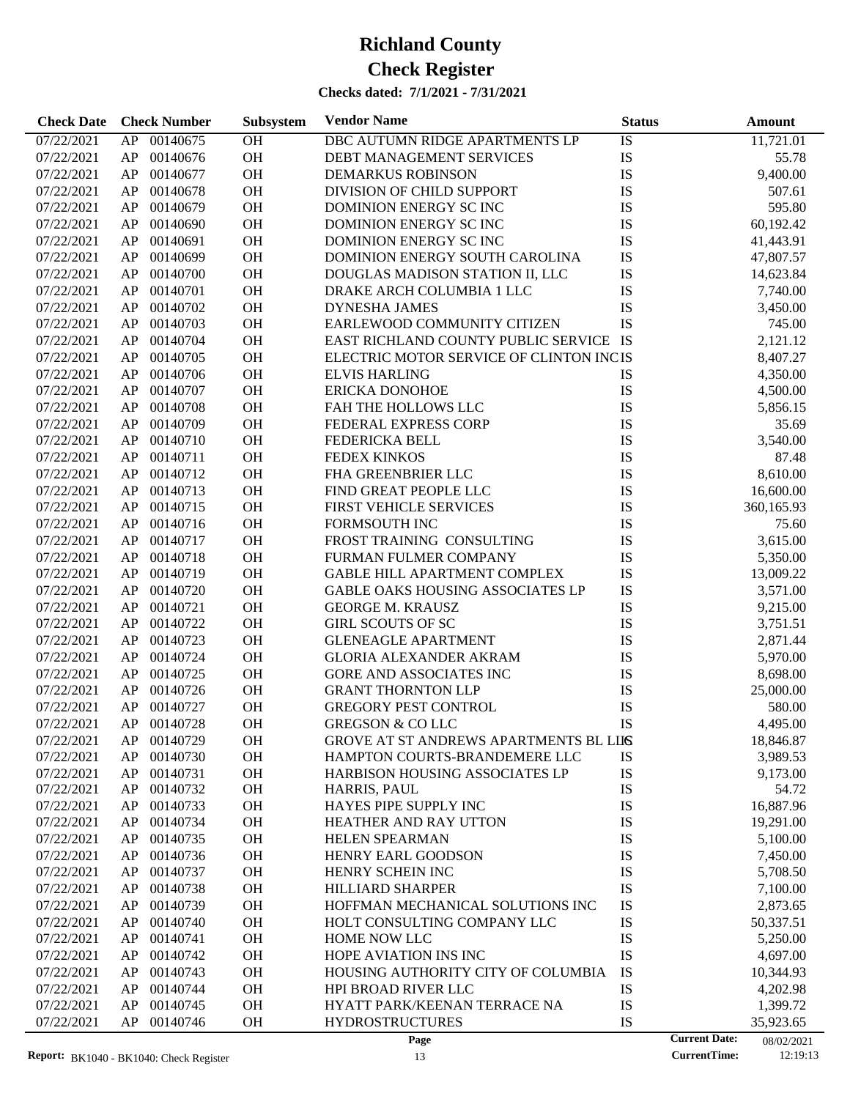| 00140675<br>07/22/2021<br>AP<br><b>OH</b><br>DBC AUTUMN RIDGE APARTMENTS LP<br>IS<br>11,721.01<br>OH<br>IS<br>07/22/2021<br>AP<br>00140676<br>55.78<br>DEBT MANAGEMENT SERVICES<br>OH<br>IS<br>00140677<br>9,400.00<br>07/22/2021<br>AP<br><b>DEMARKUS ROBINSON</b><br>OH<br>IS<br>00140678<br>DIVISION OF CHILD SUPPORT<br>07/22/2021<br>AP<br>507.61<br>OH<br>IS<br>00140679<br>595.80<br>07/22/2021<br>AP<br>DOMINION ENERGY SCINC<br>OH<br>IS<br>00140690<br>60,192.42<br>07/22/2021<br>AP<br>DOMINION ENERGY SCINC<br>OH<br>IS<br>00140691<br>07/22/2021<br>AP<br>DOMINION ENERGY SCINC<br>41,443.91<br>OH<br>IS<br>00140699<br>07/22/2021<br>AP<br>DOMINION ENERGY SOUTH CAROLINA<br>47,807.57<br>OH<br>IS<br>00140700<br>DOUGLAS MADISON STATION II, LLC<br>07/22/2021<br>AP<br>14,623.84<br>OH<br>IS<br>00140701<br>07/22/2021<br>AP<br>DRAKE ARCH COLUMBIA 1 LLC<br>7,740.00<br>OH<br>IS<br>00140702<br>07/22/2021<br>AP<br><b>DYNESHA JAMES</b><br>3,450.00<br>OH<br><b>IS</b><br>00140703<br>EARLEWOOD COMMUNITY CITIZEN<br>07/22/2021<br>AP<br>745.00<br>OH<br>EAST RICHLAND COUNTY PUBLIC SERVICE IS<br>00140704<br>07/22/2021<br>AP<br>2,121.12<br>OH<br>00140705<br>ELECTRIC MOTOR SERVICE OF CLINTON INCIS<br>07/22/2021<br>AP<br>8,407.27<br>OH<br>00140706<br>07/22/2021<br>AP<br><b>ELVIS HARLING</b><br>IS<br>4,350.00<br>OH<br>IS<br>00140707<br><b>ERICKA DONOHOE</b><br>07/22/2021<br>AP<br>4,500.00<br>OH<br>IS<br>00140708<br>07/22/2021<br>AP<br>FAH THE HOLLOWS LLC<br>5,856.15<br>OH<br>IS<br>00140709<br>07/22/2021<br>AP<br>FEDERAL EXPRESS CORP<br>35.69<br>OH<br>IS<br>00140710<br>3,540.00<br>07/22/2021<br>AP<br><b>FEDERICKA BELL</b><br>IS<br>00140711<br><b>OH</b><br><b>FEDEX KINKOS</b><br>07/22/2021<br>AP<br>87.48<br>OH<br>IS<br>00140712<br>FHA GREENBRIER LLC<br>8,610.00<br>07/22/2021<br>AP<br>OH<br>IS<br>00140713<br>FIND GREAT PEOPLE LLC<br>16,600.00<br>07/22/2021<br>AP<br>OH<br>IS<br>00140715<br>360,165.93<br>07/22/2021<br>AP<br><b>FIRST VEHICLE SERVICES</b><br>OH<br>IS<br>00140716<br>07/22/2021<br>AP<br>FORMSOUTH INC<br>75.60<br>OH<br>IS<br>00140717<br>FROST TRAINING CONSULTING<br>3,615.00<br>07/22/2021<br>AP<br>OH<br>IS<br>00140718<br>FURMAN FULMER COMPANY<br>07/22/2021<br>AP<br>5,350.00<br>OH<br>IS<br>00140719<br>07/22/2021<br>AP<br><b>GABLE HILL APARTMENT COMPLEX</b><br>13,009.22<br>OH<br>IS<br>00140720<br>07/22/2021<br>AP<br><b>GABLE OAKS HOUSING ASSOCIATES LP</b><br>3,571.00<br>OH<br>IS<br>00140721<br>07/22/2021<br>AP<br><b>GEORGE M. KRAUSZ</b><br>9,215.00<br>OH<br>IS<br>00140722<br><b>GIRL SCOUTS OF SC</b><br>07/22/2021<br>AP<br>3,751.51<br>OH<br>IS<br>00140723<br>07/22/2021<br>AP<br><b>GLENEAGLE APARTMENT</b><br>2,871.44<br>IS<br>00140724<br><b>OH</b><br>07/22/2021<br>AP<br><b>GLORIA ALEXANDER AKRAM</b><br>5,970.00<br>OH<br>IS<br>00140725<br>07/22/2021<br>AP<br><b>GORE AND ASSOCIATES INC</b><br>8,698.00<br>OH<br>IS<br>00140726<br>07/22/2021<br>AP<br><b>GRANT THORNTON LLP</b><br>25,000.00<br>IS<br>00140727<br><b>OH</b><br><b>GREGORY PEST CONTROL</b><br>07/22/2021<br>AP<br>580.00<br>IS<br>AP<br>00140728<br><b>OH</b><br>07/22/2021<br><b>GREGSON &amp; COLLC</b><br>4,495.00<br>07/22/2021<br>AP.<br>00140729<br>OН<br>GROVE AT ST ANDREWS APARTMENTS BL LIIS<br>18,846.87<br>00140730<br>OH<br>07/22/2021<br>AP<br>HAMPTON COURTS-BRANDEMERE LLC<br>IS<br>3,989.53<br>IS<br>00140731<br>OH<br>9,173.00<br>07/22/2021<br>AP<br><b>HARBISON HOUSING ASSOCIATES LP</b><br>OH<br>IS<br>07/22/2021<br>AP<br>00140732<br>54.72<br>HARRIS, PAUL<br>IS<br>00140733<br>OH<br>16,887.96<br>07/22/2021<br>AP<br>HAYES PIPE SUPPLY INC<br>IS<br>00140734<br>OH<br>07/22/2021<br>AP<br><b>HEATHER AND RAY UTTON</b><br>19,291.00<br>IS<br>00140735<br>OH<br>07/22/2021<br>AP<br>HELEN SPEARMAN<br>5,100.00<br>IS<br>00140736<br>OH<br>07/22/2021<br>AP<br>HENRY EARL GOODSON<br>7,450.00<br>IS<br>00140737<br>OH<br>07/22/2021<br>AP<br>HENRY SCHEIN INC<br>5,708.50<br>IS<br>00140738<br>OH<br>07/22/2021<br>AP<br>HILLIARD SHARPER<br>7,100.00<br>IS<br>00140739<br>OH<br>07/22/2021<br>AP<br>HOFFMAN MECHANICAL SOLUTIONS INC<br>2,873.65<br>IS<br>00140740<br>OH<br>07/22/2021<br>AP<br>HOLT CONSULTING COMPANY LLC<br>50,337.51<br>IS<br>00140741<br>OH<br>07/22/2021<br>AP<br>HOME NOW LLC<br>5,250.00<br>IS<br>00140742<br>OH<br>4,697.00<br>07/22/2021<br>AP<br>HOPE AVIATION INS INC<br>00140743<br>OH<br>IS<br>07/22/2021<br>AP<br>HOUSING AUTHORITY CITY OF COLUMBIA<br>10,344.93<br>IS<br>00140744<br>OH<br>07/22/2021<br>AP<br><b>HPI BROAD RIVER LLC</b><br>4,202.98<br>IS<br>AP<br>00140745<br>OH<br>07/22/2021<br>HYATT PARK/KEENAN TERRACE NA<br>1,399.72<br>AP<br>00140746<br>OH<br><b>HYDROSTRUCTURES</b><br>IS | <b>Check Date</b> | <b>Check Number</b> | Subsystem | <b>Vendor Name</b> | <b>Status</b> | <b>Amount</b> |
|-------------------------------------------------------------------------------------------------------------------------------------------------------------------------------------------------------------------------------------------------------------------------------------------------------------------------------------------------------------------------------------------------------------------------------------------------------------------------------------------------------------------------------------------------------------------------------------------------------------------------------------------------------------------------------------------------------------------------------------------------------------------------------------------------------------------------------------------------------------------------------------------------------------------------------------------------------------------------------------------------------------------------------------------------------------------------------------------------------------------------------------------------------------------------------------------------------------------------------------------------------------------------------------------------------------------------------------------------------------------------------------------------------------------------------------------------------------------------------------------------------------------------------------------------------------------------------------------------------------------------------------------------------------------------------------------------------------------------------------------------------------------------------------------------------------------------------------------------------------------------------------------------------------------------------------------------------------------------------------------------------------------------------------------------------------------------------------------------------------------------------------------------------------------------------------------------------------------------------------------------------------------------------------------------------------------------------------------------------------------------------------------------------------------------------------------------------------------------------------------------------------------------------------------------------------------------------------------------------------------------------------------------------------------------------------------------------------------------------------------------------------------------------------------------------------------------------------------------------------------------------------------------------------------------------------------------------------------------------------------------------------------------------------------------------------------------------------------------------------------------------------------------------------------------------------------------------------------------------------------------------------------------------------------------------------------------------------------------------------------------------------------------------------------------------------------------------------------------------------------------------------------------------------------------------------------------------------------------------------------------------------------------------------------------------------------------------------------------------------------------------------------------------------------------------------------------------------------------------------------------------------------------------------------------------------------------------------------------------------------------------------------------------------------------------------------------------------------------------------------------------------------------------------------------------------------------------------------------------------------------------------------------------------------------------------------------------------------------------------------------------------------------------------------------------------------------------------------------------------------------------------------------------------------------------------------------------------------------------------------------------------------------------------------------------------------------------------------------------------------------------|-------------------|---------------------|-----------|--------------------|---------------|---------------|
|                                                                                                                                                                                                                                                                                                                                                                                                                                                                                                                                                                                                                                                                                                                                                                                                                                                                                                                                                                                                                                                                                                                                                                                                                                                                                                                                                                                                                                                                                                                                                                                                                                                                                                                                                                                                                                                                                                                                                                                                                                                                                                                                                                                                                                                                                                                                                                                                                                                                                                                                                                                                                                                                                                                                                                                                                                                                                                                                                                                                                                                                                                                                                                                                                                                                                                                                                                                                                                                                                                                                                                                                                                                                                                                                                                                                                                                                                                                                                                                                                                                                                                                                                                                                                                                                                                                                                                                                                                                                                                                                                                                                                                                                                                                                                       |                   |                     |           |                    |               |               |
|                                                                                                                                                                                                                                                                                                                                                                                                                                                                                                                                                                                                                                                                                                                                                                                                                                                                                                                                                                                                                                                                                                                                                                                                                                                                                                                                                                                                                                                                                                                                                                                                                                                                                                                                                                                                                                                                                                                                                                                                                                                                                                                                                                                                                                                                                                                                                                                                                                                                                                                                                                                                                                                                                                                                                                                                                                                                                                                                                                                                                                                                                                                                                                                                                                                                                                                                                                                                                                                                                                                                                                                                                                                                                                                                                                                                                                                                                                                                                                                                                                                                                                                                                                                                                                                                                                                                                                                                                                                                                                                                                                                                                                                                                                                                                       |                   |                     |           |                    |               |               |
|                                                                                                                                                                                                                                                                                                                                                                                                                                                                                                                                                                                                                                                                                                                                                                                                                                                                                                                                                                                                                                                                                                                                                                                                                                                                                                                                                                                                                                                                                                                                                                                                                                                                                                                                                                                                                                                                                                                                                                                                                                                                                                                                                                                                                                                                                                                                                                                                                                                                                                                                                                                                                                                                                                                                                                                                                                                                                                                                                                                                                                                                                                                                                                                                                                                                                                                                                                                                                                                                                                                                                                                                                                                                                                                                                                                                                                                                                                                                                                                                                                                                                                                                                                                                                                                                                                                                                                                                                                                                                                                                                                                                                                                                                                                                                       |                   |                     |           |                    |               |               |
|                                                                                                                                                                                                                                                                                                                                                                                                                                                                                                                                                                                                                                                                                                                                                                                                                                                                                                                                                                                                                                                                                                                                                                                                                                                                                                                                                                                                                                                                                                                                                                                                                                                                                                                                                                                                                                                                                                                                                                                                                                                                                                                                                                                                                                                                                                                                                                                                                                                                                                                                                                                                                                                                                                                                                                                                                                                                                                                                                                                                                                                                                                                                                                                                                                                                                                                                                                                                                                                                                                                                                                                                                                                                                                                                                                                                                                                                                                                                                                                                                                                                                                                                                                                                                                                                                                                                                                                                                                                                                                                                                                                                                                                                                                                                                       |                   |                     |           |                    |               |               |
|                                                                                                                                                                                                                                                                                                                                                                                                                                                                                                                                                                                                                                                                                                                                                                                                                                                                                                                                                                                                                                                                                                                                                                                                                                                                                                                                                                                                                                                                                                                                                                                                                                                                                                                                                                                                                                                                                                                                                                                                                                                                                                                                                                                                                                                                                                                                                                                                                                                                                                                                                                                                                                                                                                                                                                                                                                                                                                                                                                                                                                                                                                                                                                                                                                                                                                                                                                                                                                                                                                                                                                                                                                                                                                                                                                                                                                                                                                                                                                                                                                                                                                                                                                                                                                                                                                                                                                                                                                                                                                                                                                                                                                                                                                                                                       |                   |                     |           |                    |               |               |
|                                                                                                                                                                                                                                                                                                                                                                                                                                                                                                                                                                                                                                                                                                                                                                                                                                                                                                                                                                                                                                                                                                                                                                                                                                                                                                                                                                                                                                                                                                                                                                                                                                                                                                                                                                                                                                                                                                                                                                                                                                                                                                                                                                                                                                                                                                                                                                                                                                                                                                                                                                                                                                                                                                                                                                                                                                                                                                                                                                                                                                                                                                                                                                                                                                                                                                                                                                                                                                                                                                                                                                                                                                                                                                                                                                                                                                                                                                                                                                                                                                                                                                                                                                                                                                                                                                                                                                                                                                                                                                                                                                                                                                                                                                                                                       |                   |                     |           |                    |               |               |
|                                                                                                                                                                                                                                                                                                                                                                                                                                                                                                                                                                                                                                                                                                                                                                                                                                                                                                                                                                                                                                                                                                                                                                                                                                                                                                                                                                                                                                                                                                                                                                                                                                                                                                                                                                                                                                                                                                                                                                                                                                                                                                                                                                                                                                                                                                                                                                                                                                                                                                                                                                                                                                                                                                                                                                                                                                                                                                                                                                                                                                                                                                                                                                                                                                                                                                                                                                                                                                                                                                                                                                                                                                                                                                                                                                                                                                                                                                                                                                                                                                                                                                                                                                                                                                                                                                                                                                                                                                                                                                                                                                                                                                                                                                                                                       |                   |                     |           |                    |               |               |
|                                                                                                                                                                                                                                                                                                                                                                                                                                                                                                                                                                                                                                                                                                                                                                                                                                                                                                                                                                                                                                                                                                                                                                                                                                                                                                                                                                                                                                                                                                                                                                                                                                                                                                                                                                                                                                                                                                                                                                                                                                                                                                                                                                                                                                                                                                                                                                                                                                                                                                                                                                                                                                                                                                                                                                                                                                                                                                                                                                                                                                                                                                                                                                                                                                                                                                                                                                                                                                                                                                                                                                                                                                                                                                                                                                                                                                                                                                                                                                                                                                                                                                                                                                                                                                                                                                                                                                                                                                                                                                                                                                                                                                                                                                                                                       |                   |                     |           |                    |               |               |
|                                                                                                                                                                                                                                                                                                                                                                                                                                                                                                                                                                                                                                                                                                                                                                                                                                                                                                                                                                                                                                                                                                                                                                                                                                                                                                                                                                                                                                                                                                                                                                                                                                                                                                                                                                                                                                                                                                                                                                                                                                                                                                                                                                                                                                                                                                                                                                                                                                                                                                                                                                                                                                                                                                                                                                                                                                                                                                                                                                                                                                                                                                                                                                                                                                                                                                                                                                                                                                                                                                                                                                                                                                                                                                                                                                                                                                                                                                                                                                                                                                                                                                                                                                                                                                                                                                                                                                                                                                                                                                                                                                                                                                                                                                                                                       |                   |                     |           |                    |               |               |
|                                                                                                                                                                                                                                                                                                                                                                                                                                                                                                                                                                                                                                                                                                                                                                                                                                                                                                                                                                                                                                                                                                                                                                                                                                                                                                                                                                                                                                                                                                                                                                                                                                                                                                                                                                                                                                                                                                                                                                                                                                                                                                                                                                                                                                                                                                                                                                                                                                                                                                                                                                                                                                                                                                                                                                                                                                                                                                                                                                                                                                                                                                                                                                                                                                                                                                                                                                                                                                                                                                                                                                                                                                                                                                                                                                                                                                                                                                                                                                                                                                                                                                                                                                                                                                                                                                                                                                                                                                                                                                                                                                                                                                                                                                                                                       |                   |                     |           |                    |               |               |
|                                                                                                                                                                                                                                                                                                                                                                                                                                                                                                                                                                                                                                                                                                                                                                                                                                                                                                                                                                                                                                                                                                                                                                                                                                                                                                                                                                                                                                                                                                                                                                                                                                                                                                                                                                                                                                                                                                                                                                                                                                                                                                                                                                                                                                                                                                                                                                                                                                                                                                                                                                                                                                                                                                                                                                                                                                                                                                                                                                                                                                                                                                                                                                                                                                                                                                                                                                                                                                                                                                                                                                                                                                                                                                                                                                                                                                                                                                                                                                                                                                                                                                                                                                                                                                                                                                                                                                                                                                                                                                                                                                                                                                                                                                                                                       |                   |                     |           |                    |               |               |
|                                                                                                                                                                                                                                                                                                                                                                                                                                                                                                                                                                                                                                                                                                                                                                                                                                                                                                                                                                                                                                                                                                                                                                                                                                                                                                                                                                                                                                                                                                                                                                                                                                                                                                                                                                                                                                                                                                                                                                                                                                                                                                                                                                                                                                                                                                                                                                                                                                                                                                                                                                                                                                                                                                                                                                                                                                                                                                                                                                                                                                                                                                                                                                                                                                                                                                                                                                                                                                                                                                                                                                                                                                                                                                                                                                                                                                                                                                                                                                                                                                                                                                                                                                                                                                                                                                                                                                                                                                                                                                                                                                                                                                                                                                                                                       |                   |                     |           |                    |               |               |
|                                                                                                                                                                                                                                                                                                                                                                                                                                                                                                                                                                                                                                                                                                                                                                                                                                                                                                                                                                                                                                                                                                                                                                                                                                                                                                                                                                                                                                                                                                                                                                                                                                                                                                                                                                                                                                                                                                                                                                                                                                                                                                                                                                                                                                                                                                                                                                                                                                                                                                                                                                                                                                                                                                                                                                                                                                                                                                                                                                                                                                                                                                                                                                                                                                                                                                                                                                                                                                                                                                                                                                                                                                                                                                                                                                                                                                                                                                                                                                                                                                                                                                                                                                                                                                                                                                                                                                                                                                                                                                                                                                                                                                                                                                                                                       |                   |                     |           |                    |               |               |
|                                                                                                                                                                                                                                                                                                                                                                                                                                                                                                                                                                                                                                                                                                                                                                                                                                                                                                                                                                                                                                                                                                                                                                                                                                                                                                                                                                                                                                                                                                                                                                                                                                                                                                                                                                                                                                                                                                                                                                                                                                                                                                                                                                                                                                                                                                                                                                                                                                                                                                                                                                                                                                                                                                                                                                                                                                                                                                                                                                                                                                                                                                                                                                                                                                                                                                                                                                                                                                                                                                                                                                                                                                                                                                                                                                                                                                                                                                                                                                                                                                                                                                                                                                                                                                                                                                                                                                                                                                                                                                                                                                                                                                                                                                                                                       |                   |                     |           |                    |               |               |
|                                                                                                                                                                                                                                                                                                                                                                                                                                                                                                                                                                                                                                                                                                                                                                                                                                                                                                                                                                                                                                                                                                                                                                                                                                                                                                                                                                                                                                                                                                                                                                                                                                                                                                                                                                                                                                                                                                                                                                                                                                                                                                                                                                                                                                                                                                                                                                                                                                                                                                                                                                                                                                                                                                                                                                                                                                                                                                                                                                                                                                                                                                                                                                                                                                                                                                                                                                                                                                                                                                                                                                                                                                                                                                                                                                                                                                                                                                                                                                                                                                                                                                                                                                                                                                                                                                                                                                                                                                                                                                                                                                                                                                                                                                                                                       |                   |                     |           |                    |               |               |
|                                                                                                                                                                                                                                                                                                                                                                                                                                                                                                                                                                                                                                                                                                                                                                                                                                                                                                                                                                                                                                                                                                                                                                                                                                                                                                                                                                                                                                                                                                                                                                                                                                                                                                                                                                                                                                                                                                                                                                                                                                                                                                                                                                                                                                                                                                                                                                                                                                                                                                                                                                                                                                                                                                                                                                                                                                                                                                                                                                                                                                                                                                                                                                                                                                                                                                                                                                                                                                                                                                                                                                                                                                                                                                                                                                                                                                                                                                                                                                                                                                                                                                                                                                                                                                                                                                                                                                                                                                                                                                                                                                                                                                                                                                                                                       |                   |                     |           |                    |               |               |
|                                                                                                                                                                                                                                                                                                                                                                                                                                                                                                                                                                                                                                                                                                                                                                                                                                                                                                                                                                                                                                                                                                                                                                                                                                                                                                                                                                                                                                                                                                                                                                                                                                                                                                                                                                                                                                                                                                                                                                                                                                                                                                                                                                                                                                                                                                                                                                                                                                                                                                                                                                                                                                                                                                                                                                                                                                                                                                                                                                                                                                                                                                                                                                                                                                                                                                                                                                                                                                                                                                                                                                                                                                                                                                                                                                                                                                                                                                                                                                                                                                                                                                                                                                                                                                                                                                                                                                                                                                                                                                                                                                                                                                                                                                                                                       |                   |                     |           |                    |               |               |
|                                                                                                                                                                                                                                                                                                                                                                                                                                                                                                                                                                                                                                                                                                                                                                                                                                                                                                                                                                                                                                                                                                                                                                                                                                                                                                                                                                                                                                                                                                                                                                                                                                                                                                                                                                                                                                                                                                                                                                                                                                                                                                                                                                                                                                                                                                                                                                                                                                                                                                                                                                                                                                                                                                                                                                                                                                                                                                                                                                                                                                                                                                                                                                                                                                                                                                                                                                                                                                                                                                                                                                                                                                                                                                                                                                                                                                                                                                                                                                                                                                                                                                                                                                                                                                                                                                                                                                                                                                                                                                                                                                                                                                                                                                                                                       |                   |                     |           |                    |               |               |
|                                                                                                                                                                                                                                                                                                                                                                                                                                                                                                                                                                                                                                                                                                                                                                                                                                                                                                                                                                                                                                                                                                                                                                                                                                                                                                                                                                                                                                                                                                                                                                                                                                                                                                                                                                                                                                                                                                                                                                                                                                                                                                                                                                                                                                                                                                                                                                                                                                                                                                                                                                                                                                                                                                                                                                                                                                                                                                                                                                                                                                                                                                                                                                                                                                                                                                                                                                                                                                                                                                                                                                                                                                                                                                                                                                                                                                                                                                                                                                                                                                                                                                                                                                                                                                                                                                                                                                                                                                                                                                                                                                                                                                                                                                                                                       |                   |                     |           |                    |               |               |
|                                                                                                                                                                                                                                                                                                                                                                                                                                                                                                                                                                                                                                                                                                                                                                                                                                                                                                                                                                                                                                                                                                                                                                                                                                                                                                                                                                                                                                                                                                                                                                                                                                                                                                                                                                                                                                                                                                                                                                                                                                                                                                                                                                                                                                                                                                                                                                                                                                                                                                                                                                                                                                                                                                                                                                                                                                                                                                                                                                                                                                                                                                                                                                                                                                                                                                                                                                                                                                                                                                                                                                                                                                                                                                                                                                                                                                                                                                                                                                                                                                                                                                                                                                                                                                                                                                                                                                                                                                                                                                                                                                                                                                                                                                                                                       |                   |                     |           |                    |               |               |
|                                                                                                                                                                                                                                                                                                                                                                                                                                                                                                                                                                                                                                                                                                                                                                                                                                                                                                                                                                                                                                                                                                                                                                                                                                                                                                                                                                                                                                                                                                                                                                                                                                                                                                                                                                                                                                                                                                                                                                                                                                                                                                                                                                                                                                                                                                                                                                                                                                                                                                                                                                                                                                                                                                                                                                                                                                                                                                                                                                                                                                                                                                                                                                                                                                                                                                                                                                                                                                                                                                                                                                                                                                                                                                                                                                                                                                                                                                                                                                                                                                                                                                                                                                                                                                                                                                                                                                                                                                                                                                                                                                                                                                                                                                                                                       |                   |                     |           |                    |               |               |
|                                                                                                                                                                                                                                                                                                                                                                                                                                                                                                                                                                                                                                                                                                                                                                                                                                                                                                                                                                                                                                                                                                                                                                                                                                                                                                                                                                                                                                                                                                                                                                                                                                                                                                                                                                                                                                                                                                                                                                                                                                                                                                                                                                                                                                                                                                                                                                                                                                                                                                                                                                                                                                                                                                                                                                                                                                                                                                                                                                                                                                                                                                                                                                                                                                                                                                                                                                                                                                                                                                                                                                                                                                                                                                                                                                                                                                                                                                                                                                                                                                                                                                                                                                                                                                                                                                                                                                                                                                                                                                                                                                                                                                                                                                                                                       |                   |                     |           |                    |               |               |
|                                                                                                                                                                                                                                                                                                                                                                                                                                                                                                                                                                                                                                                                                                                                                                                                                                                                                                                                                                                                                                                                                                                                                                                                                                                                                                                                                                                                                                                                                                                                                                                                                                                                                                                                                                                                                                                                                                                                                                                                                                                                                                                                                                                                                                                                                                                                                                                                                                                                                                                                                                                                                                                                                                                                                                                                                                                                                                                                                                                                                                                                                                                                                                                                                                                                                                                                                                                                                                                                                                                                                                                                                                                                                                                                                                                                                                                                                                                                                                                                                                                                                                                                                                                                                                                                                                                                                                                                                                                                                                                                                                                                                                                                                                                                                       |                   |                     |           |                    |               |               |
|                                                                                                                                                                                                                                                                                                                                                                                                                                                                                                                                                                                                                                                                                                                                                                                                                                                                                                                                                                                                                                                                                                                                                                                                                                                                                                                                                                                                                                                                                                                                                                                                                                                                                                                                                                                                                                                                                                                                                                                                                                                                                                                                                                                                                                                                                                                                                                                                                                                                                                                                                                                                                                                                                                                                                                                                                                                                                                                                                                                                                                                                                                                                                                                                                                                                                                                                                                                                                                                                                                                                                                                                                                                                                                                                                                                                                                                                                                                                                                                                                                                                                                                                                                                                                                                                                                                                                                                                                                                                                                                                                                                                                                                                                                                                                       |                   |                     |           |                    |               |               |
|                                                                                                                                                                                                                                                                                                                                                                                                                                                                                                                                                                                                                                                                                                                                                                                                                                                                                                                                                                                                                                                                                                                                                                                                                                                                                                                                                                                                                                                                                                                                                                                                                                                                                                                                                                                                                                                                                                                                                                                                                                                                                                                                                                                                                                                                                                                                                                                                                                                                                                                                                                                                                                                                                                                                                                                                                                                                                                                                                                                                                                                                                                                                                                                                                                                                                                                                                                                                                                                                                                                                                                                                                                                                                                                                                                                                                                                                                                                                                                                                                                                                                                                                                                                                                                                                                                                                                                                                                                                                                                                                                                                                                                                                                                                                                       |                   |                     |           |                    |               |               |
|                                                                                                                                                                                                                                                                                                                                                                                                                                                                                                                                                                                                                                                                                                                                                                                                                                                                                                                                                                                                                                                                                                                                                                                                                                                                                                                                                                                                                                                                                                                                                                                                                                                                                                                                                                                                                                                                                                                                                                                                                                                                                                                                                                                                                                                                                                                                                                                                                                                                                                                                                                                                                                                                                                                                                                                                                                                                                                                                                                                                                                                                                                                                                                                                                                                                                                                                                                                                                                                                                                                                                                                                                                                                                                                                                                                                                                                                                                                                                                                                                                                                                                                                                                                                                                                                                                                                                                                                                                                                                                                                                                                                                                                                                                                                                       |                   |                     |           |                    |               |               |
|                                                                                                                                                                                                                                                                                                                                                                                                                                                                                                                                                                                                                                                                                                                                                                                                                                                                                                                                                                                                                                                                                                                                                                                                                                                                                                                                                                                                                                                                                                                                                                                                                                                                                                                                                                                                                                                                                                                                                                                                                                                                                                                                                                                                                                                                                                                                                                                                                                                                                                                                                                                                                                                                                                                                                                                                                                                                                                                                                                                                                                                                                                                                                                                                                                                                                                                                                                                                                                                                                                                                                                                                                                                                                                                                                                                                                                                                                                                                                                                                                                                                                                                                                                                                                                                                                                                                                                                                                                                                                                                                                                                                                                                                                                                                                       |                   |                     |           |                    |               |               |
|                                                                                                                                                                                                                                                                                                                                                                                                                                                                                                                                                                                                                                                                                                                                                                                                                                                                                                                                                                                                                                                                                                                                                                                                                                                                                                                                                                                                                                                                                                                                                                                                                                                                                                                                                                                                                                                                                                                                                                                                                                                                                                                                                                                                                                                                                                                                                                                                                                                                                                                                                                                                                                                                                                                                                                                                                                                                                                                                                                                                                                                                                                                                                                                                                                                                                                                                                                                                                                                                                                                                                                                                                                                                                                                                                                                                                                                                                                                                                                                                                                                                                                                                                                                                                                                                                                                                                                                                                                                                                                                                                                                                                                                                                                                                                       |                   |                     |           |                    |               |               |
|                                                                                                                                                                                                                                                                                                                                                                                                                                                                                                                                                                                                                                                                                                                                                                                                                                                                                                                                                                                                                                                                                                                                                                                                                                                                                                                                                                                                                                                                                                                                                                                                                                                                                                                                                                                                                                                                                                                                                                                                                                                                                                                                                                                                                                                                                                                                                                                                                                                                                                                                                                                                                                                                                                                                                                                                                                                                                                                                                                                                                                                                                                                                                                                                                                                                                                                                                                                                                                                                                                                                                                                                                                                                                                                                                                                                                                                                                                                                                                                                                                                                                                                                                                                                                                                                                                                                                                                                                                                                                                                                                                                                                                                                                                                                                       |                   |                     |           |                    |               |               |
|                                                                                                                                                                                                                                                                                                                                                                                                                                                                                                                                                                                                                                                                                                                                                                                                                                                                                                                                                                                                                                                                                                                                                                                                                                                                                                                                                                                                                                                                                                                                                                                                                                                                                                                                                                                                                                                                                                                                                                                                                                                                                                                                                                                                                                                                                                                                                                                                                                                                                                                                                                                                                                                                                                                                                                                                                                                                                                                                                                                                                                                                                                                                                                                                                                                                                                                                                                                                                                                                                                                                                                                                                                                                                                                                                                                                                                                                                                                                                                                                                                                                                                                                                                                                                                                                                                                                                                                                                                                                                                                                                                                                                                                                                                                                                       |                   |                     |           |                    |               |               |
|                                                                                                                                                                                                                                                                                                                                                                                                                                                                                                                                                                                                                                                                                                                                                                                                                                                                                                                                                                                                                                                                                                                                                                                                                                                                                                                                                                                                                                                                                                                                                                                                                                                                                                                                                                                                                                                                                                                                                                                                                                                                                                                                                                                                                                                                                                                                                                                                                                                                                                                                                                                                                                                                                                                                                                                                                                                                                                                                                                                                                                                                                                                                                                                                                                                                                                                                                                                                                                                                                                                                                                                                                                                                                                                                                                                                                                                                                                                                                                                                                                                                                                                                                                                                                                                                                                                                                                                                                                                                                                                                                                                                                                                                                                                                                       |                   |                     |           |                    |               |               |
|                                                                                                                                                                                                                                                                                                                                                                                                                                                                                                                                                                                                                                                                                                                                                                                                                                                                                                                                                                                                                                                                                                                                                                                                                                                                                                                                                                                                                                                                                                                                                                                                                                                                                                                                                                                                                                                                                                                                                                                                                                                                                                                                                                                                                                                                                                                                                                                                                                                                                                                                                                                                                                                                                                                                                                                                                                                                                                                                                                                                                                                                                                                                                                                                                                                                                                                                                                                                                                                                                                                                                                                                                                                                                                                                                                                                                                                                                                                                                                                                                                                                                                                                                                                                                                                                                                                                                                                                                                                                                                                                                                                                                                                                                                                                                       |                   |                     |           |                    |               |               |
|                                                                                                                                                                                                                                                                                                                                                                                                                                                                                                                                                                                                                                                                                                                                                                                                                                                                                                                                                                                                                                                                                                                                                                                                                                                                                                                                                                                                                                                                                                                                                                                                                                                                                                                                                                                                                                                                                                                                                                                                                                                                                                                                                                                                                                                                                                                                                                                                                                                                                                                                                                                                                                                                                                                                                                                                                                                                                                                                                                                                                                                                                                                                                                                                                                                                                                                                                                                                                                                                                                                                                                                                                                                                                                                                                                                                                                                                                                                                                                                                                                                                                                                                                                                                                                                                                                                                                                                                                                                                                                                                                                                                                                                                                                                                                       |                   |                     |           |                    |               |               |
|                                                                                                                                                                                                                                                                                                                                                                                                                                                                                                                                                                                                                                                                                                                                                                                                                                                                                                                                                                                                                                                                                                                                                                                                                                                                                                                                                                                                                                                                                                                                                                                                                                                                                                                                                                                                                                                                                                                                                                                                                                                                                                                                                                                                                                                                                                                                                                                                                                                                                                                                                                                                                                                                                                                                                                                                                                                                                                                                                                                                                                                                                                                                                                                                                                                                                                                                                                                                                                                                                                                                                                                                                                                                                                                                                                                                                                                                                                                                                                                                                                                                                                                                                                                                                                                                                                                                                                                                                                                                                                                                                                                                                                                                                                                                                       |                   |                     |           |                    |               |               |
|                                                                                                                                                                                                                                                                                                                                                                                                                                                                                                                                                                                                                                                                                                                                                                                                                                                                                                                                                                                                                                                                                                                                                                                                                                                                                                                                                                                                                                                                                                                                                                                                                                                                                                                                                                                                                                                                                                                                                                                                                                                                                                                                                                                                                                                                                                                                                                                                                                                                                                                                                                                                                                                                                                                                                                                                                                                                                                                                                                                                                                                                                                                                                                                                                                                                                                                                                                                                                                                                                                                                                                                                                                                                                                                                                                                                                                                                                                                                                                                                                                                                                                                                                                                                                                                                                                                                                                                                                                                                                                                                                                                                                                                                                                                                                       |                   |                     |           |                    |               |               |
|                                                                                                                                                                                                                                                                                                                                                                                                                                                                                                                                                                                                                                                                                                                                                                                                                                                                                                                                                                                                                                                                                                                                                                                                                                                                                                                                                                                                                                                                                                                                                                                                                                                                                                                                                                                                                                                                                                                                                                                                                                                                                                                                                                                                                                                                                                                                                                                                                                                                                                                                                                                                                                                                                                                                                                                                                                                                                                                                                                                                                                                                                                                                                                                                                                                                                                                                                                                                                                                                                                                                                                                                                                                                                                                                                                                                                                                                                                                                                                                                                                                                                                                                                                                                                                                                                                                                                                                                                                                                                                                                                                                                                                                                                                                                                       |                   |                     |           |                    |               |               |
|                                                                                                                                                                                                                                                                                                                                                                                                                                                                                                                                                                                                                                                                                                                                                                                                                                                                                                                                                                                                                                                                                                                                                                                                                                                                                                                                                                                                                                                                                                                                                                                                                                                                                                                                                                                                                                                                                                                                                                                                                                                                                                                                                                                                                                                                                                                                                                                                                                                                                                                                                                                                                                                                                                                                                                                                                                                                                                                                                                                                                                                                                                                                                                                                                                                                                                                                                                                                                                                                                                                                                                                                                                                                                                                                                                                                                                                                                                                                                                                                                                                                                                                                                                                                                                                                                                                                                                                                                                                                                                                                                                                                                                                                                                                                                       |                   |                     |           |                    |               |               |
|                                                                                                                                                                                                                                                                                                                                                                                                                                                                                                                                                                                                                                                                                                                                                                                                                                                                                                                                                                                                                                                                                                                                                                                                                                                                                                                                                                                                                                                                                                                                                                                                                                                                                                                                                                                                                                                                                                                                                                                                                                                                                                                                                                                                                                                                                                                                                                                                                                                                                                                                                                                                                                                                                                                                                                                                                                                                                                                                                                                                                                                                                                                                                                                                                                                                                                                                                                                                                                                                                                                                                                                                                                                                                                                                                                                                                                                                                                                                                                                                                                                                                                                                                                                                                                                                                                                                                                                                                                                                                                                                                                                                                                                                                                                                                       |                   |                     |           |                    |               |               |
|                                                                                                                                                                                                                                                                                                                                                                                                                                                                                                                                                                                                                                                                                                                                                                                                                                                                                                                                                                                                                                                                                                                                                                                                                                                                                                                                                                                                                                                                                                                                                                                                                                                                                                                                                                                                                                                                                                                                                                                                                                                                                                                                                                                                                                                                                                                                                                                                                                                                                                                                                                                                                                                                                                                                                                                                                                                                                                                                                                                                                                                                                                                                                                                                                                                                                                                                                                                                                                                                                                                                                                                                                                                                                                                                                                                                                                                                                                                                                                                                                                                                                                                                                                                                                                                                                                                                                                                                                                                                                                                                                                                                                                                                                                                                                       |                   |                     |           |                    |               |               |
|                                                                                                                                                                                                                                                                                                                                                                                                                                                                                                                                                                                                                                                                                                                                                                                                                                                                                                                                                                                                                                                                                                                                                                                                                                                                                                                                                                                                                                                                                                                                                                                                                                                                                                                                                                                                                                                                                                                                                                                                                                                                                                                                                                                                                                                                                                                                                                                                                                                                                                                                                                                                                                                                                                                                                                                                                                                                                                                                                                                                                                                                                                                                                                                                                                                                                                                                                                                                                                                                                                                                                                                                                                                                                                                                                                                                                                                                                                                                                                                                                                                                                                                                                                                                                                                                                                                                                                                                                                                                                                                                                                                                                                                                                                                                                       |                   |                     |           |                    |               |               |
|                                                                                                                                                                                                                                                                                                                                                                                                                                                                                                                                                                                                                                                                                                                                                                                                                                                                                                                                                                                                                                                                                                                                                                                                                                                                                                                                                                                                                                                                                                                                                                                                                                                                                                                                                                                                                                                                                                                                                                                                                                                                                                                                                                                                                                                                                                                                                                                                                                                                                                                                                                                                                                                                                                                                                                                                                                                                                                                                                                                                                                                                                                                                                                                                                                                                                                                                                                                                                                                                                                                                                                                                                                                                                                                                                                                                                                                                                                                                                                                                                                                                                                                                                                                                                                                                                                                                                                                                                                                                                                                                                                                                                                                                                                                                                       |                   |                     |           |                    |               |               |
|                                                                                                                                                                                                                                                                                                                                                                                                                                                                                                                                                                                                                                                                                                                                                                                                                                                                                                                                                                                                                                                                                                                                                                                                                                                                                                                                                                                                                                                                                                                                                                                                                                                                                                                                                                                                                                                                                                                                                                                                                                                                                                                                                                                                                                                                                                                                                                                                                                                                                                                                                                                                                                                                                                                                                                                                                                                                                                                                                                                                                                                                                                                                                                                                                                                                                                                                                                                                                                                                                                                                                                                                                                                                                                                                                                                                                                                                                                                                                                                                                                                                                                                                                                                                                                                                                                                                                                                                                                                                                                                                                                                                                                                                                                                                                       |                   |                     |           |                    |               |               |
|                                                                                                                                                                                                                                                                                                                                                                                                                                                                                                                                                                                                                                                                                                                                                                                                                                                                                                                                                                                                                                                                                                                                                                                                                                                                                                                                                                                                                                                                                                                                                                                                                                                                                                                                                                                                                                                                                                                                                                                                                                                                                                                                                                                                                                                                                                                                                                                                                                                                                                                                                                                                                                                                                                                                                                                                                                                                                                                                                                                                                                                                                                                                                                                                                                                                                                                                                                                                                                                                                                                                                                                                                                                                                                                                                                                                                                                                                                                                                                                                                                                                                                                                                                                                                                                                                                                                                                                                                                                                                                                                                                                                                                                                                                                                                       |                   |                     |           |                    |               |               |
|                                                                                                                                                                                                                                                                                                                                                                                                                                                                                                                                                                                                                                                                                                                                                                                                                                                                                                                                                                                                                                                                                                                                                                                                                                                                                                                                                                                                                                                                                                                                                                                                                                                                                                                                                                                                                                                                                                                                                                                                                                                                                                                                                                                                                                                                                                                                                                                                                                                                                                                                                                                                                                                                                                                                                                                                                                                                                                                                                                                                                                                                                                                                                                                                                                                                                                                                                                                                                                                                                                                                                                                                                                                                                                                                                                                                                                                                                                                                                                                                                                                                                                                                                                                                                                                                                                                                                                                                                                                                                                                                                                                                                                                                                                                                                       |                   |                     |           |                    |               |               |
|                                                                                                                                                                                                                                                                                                                                                                                                                                                                                                                                                                                                                                                                                                                                                                                                                                                                                                                                                                                                                                                                                                                                                                                                                                                                                                                                                                                                                                                                                                                                                                                                                                                                                                                                                                                                                                                                                                                                                                                                                                                                                                                                                                                                                                                                                                                                                                                                                                                                                                                                                                                                                                                                                                                                                                                                                                                                                                                                                                                                                                                                                                                                                                                                                                                                                                                                                                                                                                                                                                                                                                                                                                                                                                                                                                                                                                                                                                                                                                                                                                                                                                                                                                                                                                                                                                                                                                                                                                                                                                                                                                                                                                                                                                                                                       |                   |                     |           |                    |               |               |
|                                                                                                                                                                                                                                                                                                                                                                                                                                                                                                                                                                                                                                                                                                                                                                                                                                                                                                                                                                                                                                                                                                                                                                                                                                                                                                                                                                                                                                                                                                                                                                                                                                                                                                                                                                                                                                                                                                                                                                                                                                                                                                                                                                                                                                                                                                                                                                                                                                                                                                                                                                                                                                                                                                                                                                                                                                                                                                                                                                                                                                                                                                                                                                                                                                                                                                                                                                                                                                                                                                                                                                                                                                                                                                                                                                                                                                                                                                                                                                                                                                                                                                                                                                                                                                                                                                                                                                                                                                                                                                                                                                                                                                                                                                                                                       |                   |                     |           |                    |               |               |
|                                                                                                                                                                                                                                                                                                                                                                                                                                                                                                                                                                                                                                                                                                                                                                                                                                                                                                                                                                                                                                                                                                                                                                                                                                                                                                                                                                                                                                                                                                                                                                                                                                                                                                                                                                                                                                                                                                                                                                                                                                                                                                                                                                                                                                                                                                                                                                                                                                                                                                                                                                                                                                                                                                                                                                                                                                                                                                                                                                                                                                                                                                                                                                                                                                                                                                                                                                                                                                                                                                                                                                                                                                                                                                                                                                                                                                                                                                                                                                                                                                                                                                                                                                                                                                                                                                                                                                                                                                                                                                                                                                                                                                                                                                                                                       |                   |                     |           |                    |               |               |
|                                                                                                                                                                                                                                                                                                                                                                                                                                                                                                                                                                                                                                                                                                                                                                                                                                                                                                                                                                                                                                                                                                                                                                                                                                                                                                                                                                                                                                                                                                                                                                                                                                                                                                                                                                                                                                                                                                                                                                                                                                                                                                                                                                                                                                                                                                                                                                                                                                                                                                                                                                                                                                                                                                                                                                                                                                                                                                                                                                                                                                                                                                                                                                                                                                                                                                                                                                                                                                                                                                                                                                                                                                                                                                                                                                                                                                                                                                                                                                                                                                                                                                                                                                                                                                                                                                                                                                                                                                                                                                                                                                                                                                                                                                                                                       |                   |                     |           |                    |               |               |
|                                                                                                                                                                                                                                                                                                                                                                                                                                                                                                                                                                                                                                                                                                                                                                                                                                                                                                                                                                                                                                                                                                                                                                                                                                                                                                                                                                                                                                                                                                                                                                                                                                                                                                                                                                                                                                                                                                                                                                                                                                                                                                                                                                                                                                                                                                                                                                                                                                                                                                                                                                                                                                                                                                                                                                                                                                                                                                                                                                                                                                                                                                                                                                                                                                                                                                                                                                                                                                                                                                                                                                                                                                                                                                                                                                                                                                                                                                                                                                                                                                                                                                                                                                                                                                                                                                                                                                                                                                                                                                                                                                                                                                                                                                                                                       |                   |                     |           |                    |               |               |
|                                                                                                                                                                                                                                                                                                                                                                                                                                                                                                                                                                                                                                                                                                                                                                                                                                                                                                                                                                                                                                                                                                                                                                                                                                                                                                                                                                                                                                                                                                                                                                                                                                                                                                                                                                                                                                                                                                                                                                                                                                                                                                                                                                                                                                                                                                                                                                                                                                                                                                                                                                                                                                                                                                                                                                                                                                                                                                                                                                                                                                                                                                                                                                                                                                                                                                                                                                                                                                                                                                                                                                                                                                                                                                                                                                                                                                                                                                                                                                                                                                                                                                                                                                                                                                                                                                                                                                                                                                                                                                                                                                                                                                                                                                                                                       |                   |                     |           |                    |               |               |
|                                                                                                                                                                                                                                                                                                                                                                                                                                                                                                                                                                                                                                                                                                                                                                                                                                                                                                                                                                                                                                                                                                                                                                                                                                                                                                                                                                                                                                                                                                                                                                                                                                                                                                                                                                                                                                                                                                                                                                                                                                                                                                                                                                                                                                                                                                                                                                                                                                                                                                                                                                                                                                                                                                                                                                                                                                                                                                                                                                                                                                                                                                                                                                                                                                                                                                                                                                                                                                                                                                                                                                                                                                                                                                                                                                                                                                                                                                                                                                                                                                                                                                                                                                                                                                                                                                                                                                                                                                                                                                                                                                                                                                                                                                                                                       |                   |                     |           |                    |               |               |
|                                                                                                                                                                                                                                                                                                                                                                                                                                                                                                                                                                                                                                                                                                                                                                                                                                                                                                                                                                                                                                                                                                                                                                                                                                                                                                                                                                                                                                                                                                                                                                                                                                                                                                                                                                                                                                                                                                                                                                                                                                                                                                                                                                                                                                                                                                                                                                                                                                                                                                                                                                                                                                                                                                                                                                                                                                                                                                                                                                                                                                                                                                                                                                                                                                                                                                                                                                                                                                                                                                                                                                                                                                                                                                                                                                                                                                                                                                                                                                                                                                                                                                                                                                                                                                                                                                                                                                                                                                                                                                                                                                                                                                                                                                                                                       |                   |                     |           |                    |               |               |
|                                                                                                                                                                                                                                                                                                                                                                                                                                                                                                                                                                                                                                                                                                                                                                                                                                                                                                                                                                                                                                                                                                                                                                                                                                                                                                                                                                                                                                                                                                                                                                                                                                                                                                                                                                                                                                                                                                                                                                                                                                                                                                                                                                                                                                                                                                                                                                                                                                                                                                                                                                                                                                                                                                                                                                                                                                                                                                                                                                                                                                                                                                                                                                                                                                                                                                                                                                                                                                                                                                                                                                                                                                                                                                                                                                                                                                                                                                                                                                                                                                                                                                                                                                                                                                                                                                                                                                                                                                                                                                                                                                                                                                                                                                                                                       |                   |                     |           |                    |               |               |
|                                                                                                                                                                                                                                                                                                                                                                                                                                                                                                                                                                                                                                                                                                                                                                                                                                                                                                                                                                                                                                                                                                                                                                                                                                                                                                                                                                                                                                                                                                                                                                                                                                                                                                                                                                                                                                                                                                                                                                                                                                                                                                                                                                                                                                                                                                                                                                                                                                                                                                                                                                                                                                                                                                                                                                                                                                                                                                                                                                                                                                                                                                                                                                                                                                                                                                                                                                                                                                                                                                                                                                                                                                                                                                                                                                                                                                                                                                                                                                                                                                                                                                                                                                                                                                                                                                                                                                                                                                                                                                                                                                                                                                                                                                                                                       |                   |                     |           |                    |               |               |
|                                                                                                                                                                                                                                                                                                                                                                                                                                                                                                                                                                                                                                                                                                                                                                                                                                                                                                                                                                                                                                                                                                                                                                                                                                                                                                                                                                                                                                                                                                                                                                                                                                                                                                                                                                                                                                                                                                                                                                                                                                                                                                                                                                                                                                                                                                                                                                                                                                                                                                                                                                                                                                                                                                                                                                                                                                                                                                                                                                                                                                                                                                                                                                                                                                                                                                                                                                                                                                                                                                                                                                                                                                                                                                                                                                                                                                                                                                                                                                                                                                                                                                                                                                                                                                                                                                                                                                                                                                                                                                                                                                                                                                                                                                                                                       |                   |                     |           |                    |               |               |
| <b>Current Date:</b><br>Page<br>08/02/2021                                                                                                                                                                                                                                                                                                                                                                                                                                                                                                                                                                                                                                                                                                                                                                                                                                                                                                                                                                                                                                                                                                                                                                                                                                                                                                                                                                                                                                                                                                                                                                                                                                                                                                                                                                                                                                                                                                                                                                                                                                                                                                                                                                                                                                                                                                                                                                                                                                                                                                                                                                                                                                                                                                                                                                                                                                                                                                                                                                                                                                                                                                                                                                                                                                                                                                                                                                                                                                                                                                                                                                                                                                                                                                                                                                                                                                                                                                                                                                                                                                                                                                                                                                                                                                                                                                                                                                                                                                                                                                                                                                                                                                                                                                            | 07/22/2021        |                     |           |                    |               | 35,923.65     |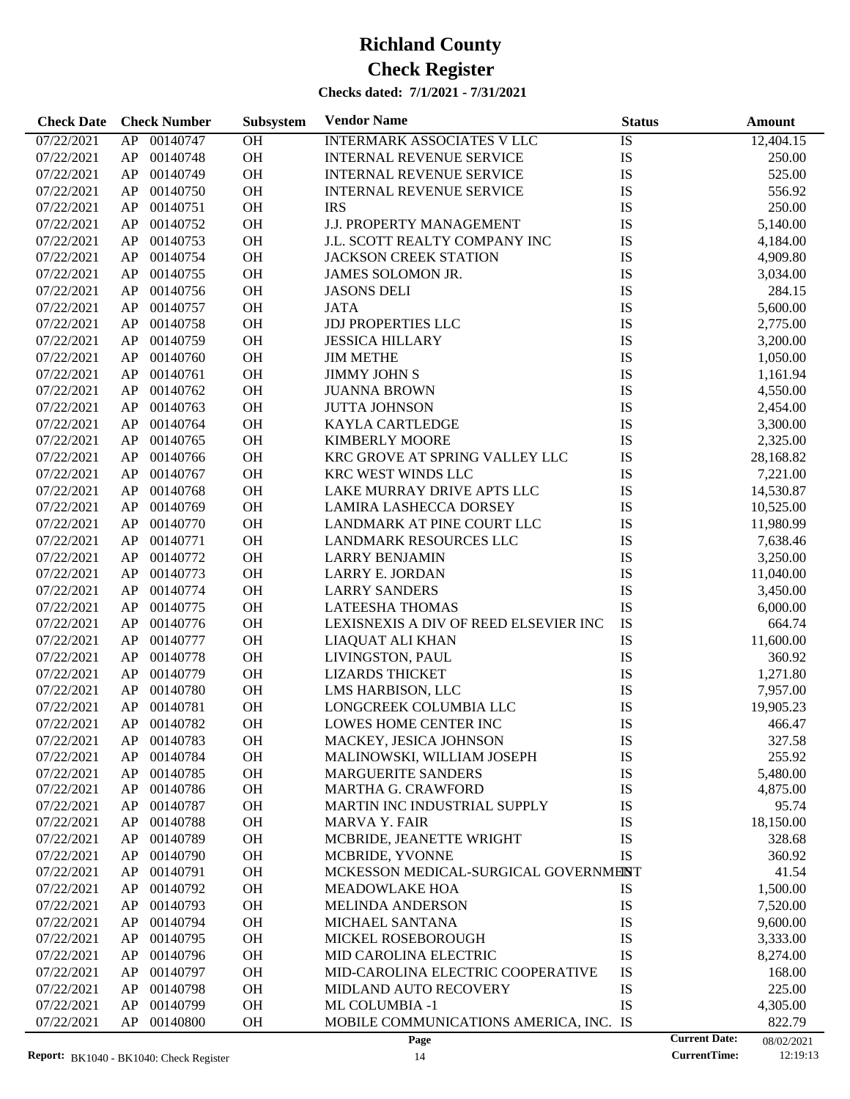| <b>Check Date</b>        | <b>Check Number</b> | Subsystem       | <b>Vendor Name</b>                          | <b>Status</b> |                      | <b>Amount</b> |
|--------------------------|---------------------|-----------------|---------------------------------------------|---------------|----------------------|---------------|
| 07/22/2021               | 00140747<br>AP      | $\overline{OH}$ | <b>INTERMARK ASSOCIATES V LLC</b>           | IS            |                      | 12,404.15     |
| 07/22/2021               | 00140748<br>AP      | OH              | <b>INTERNAL REVENUE SERVICE</b>             | IS            |                      | 250.00        |
| 07/22/2021               | 00140749<br>AP      | OH              | <b>INTERNAL REVENUE SERVICE</b>             | IS            |                      | 525.00        |
| 07/22/2021               | 00140750<br>AP      | OH              | <b>INTERNAL REVENUE SERVICE</b>             | IS            |                      | 556.92        |
| 07/22/2021               | 00140751<br>AP      | OH              | <b>IRS</b>                                  | IS            |                      | 250.00        |
| 07/22/2021               | 00140752<br>AP      | OH              | <b>J.J. PROPERTY MANAGEMENT</b>             | IS            |                      | 5,140.00      |
| 07/22/2021               | 00140753<br>AP      | <b>OH</b>       | J.L. SCOTT REALTY COMPANY INC               | IS            |                      | 4,184.00      |
| 07/22/2021               | 00140754<br>AP      | OH              | <b>JACKSON CREEK STATION</b>                | IS            |                      | 4,909.80      |
| 07/22/2021               | 00140755<br>AP      | OH              | JAMES SOLOMON JR.                           | IS            |                      | 3,034.00      |
| 07/22/2021               | 00140756<br>AP      | OH              | <b>JASONS DELI</b>                          | IS            |                      | 284.15        |
| 07/22/2021               | 00140757<br>AP      | <b>OH</b>       | <b>JATA</b>                                 | IS            |                      | 5,600.00      |
| 07/22/2021               | 00140758<br>AP      | <b>OH</b>       | <b>JDJ PROPERTIES LLC</b>                   | IS            |                      | 2,775.00      |
| 07/22/2021               | 00140759<br>AP      | OH              | <b>JESSICA HILLARY</b>                      | IS            |                      | 3,200.00      |
| 07/22/2021               | 00140760<br>AP      | OH              | <b>JIM METHE</b>                            | IS            |                      | 1,050.00      |
| 07/22/2021               | 00140761<br>AP      | <b>OH</b>       | <b>JIMMY JOHN S</b>                         | IS            |                      | 1,161.94      |
| 07/22/2021               | 00140762<br>AP      | <b>OH</b>       | <b>JUANNA BROWN</b>                         | IS            |                      | 4,550.00      |
| 07/22/2021               | 00140763<br>AP      | OH              | <b>JUTTA JOHNSON</b>                        | IS            |                      | 2,454.00      |
| 07/22/2021               | 00140764<br>AP      | OH              | <b>KAYLA CARTLEDGE</b>                      | IS            |                      | 3,300.00      |
| 07/22/2021               | 00140765<br>AP      | <b>OH</b>       | <b>KIMBERLY MOORE</b>                       | IS            |                      | 2,325.00      |
| 07/22/2021               | 00140766<br>AP      | OH              | KRC GROVE AT SPRING VALLEY LLC              | IS            |                      | 28,168.82     |
| 07/22/2021               | 00140767<br>AP      | OH              | KRC WEST WINDS LLC                          | IS            |                      | 7,221.00      |
| 07/22/2021               | 00140768<br>AP      | OH              | LAKE MURRAY DRIVE APTS LLC                  | IS            |                      | 14,530.87     |
| 07/22/2021               | 00140769<br>AP      | <b>OH</b>       | <b>LAMIRA LASHECCA DORSEY</b>               | IS            |                      | 10,525.00     |
| 07/22/2021               | 00140770<br>AP      | OH              | LANDMARK AT PINE COURT LLC                  | IS            |                      | 11,980.99     |
| 07/22/2021               | 00140771<br>AP      | OH              | LANDMARK RESOURCES LLC                      | IS            |                      | 7,638.46      |
| 07/22/2021               | 00140772<br>AP      | OH              | <b>LARRY BENJAMIN</b>                       | IS            |                      | 3,250.00      |
| 07/22/2021               | 00140773<br>AP      | <b>OH</b>       | LARRY E. JORDAN                             | IS            |                      | 11,040.00     |
| 07/22/2021               | 00140774<br>AP      | OH              | <b>LARRY SANDERS</b>                        | IS            |                      | 3,450.00      |
| 07/22/2021               | 00140775<br>AP      | OH              | <b>LATEESHA THOMAS</b>                      | IS            |                      | 6,000.00      |
| 07/22/2021               | 00140776<br>AP      | OH              | LEXISNEXIS A DIV OF REED ELSEVIER INC       | IS            |                      | 664.74        |
| 07/22/2021               | 00140777<br>AP      | OH              | LIAQUAT ALI KHAN                            | IS            |                      | 11,600.00     |
| 07/22/2021               | 00140778<br>AP      | OH              | LIVINGSTON, PAUL                            | IS            |                      | 360.92        |
|                          | 00140779            | OH              |                                             | IS            |                      |               |
| 07/22/2021<br>07/22/2021 | AP<br>00140780      | OH              | <b>LIZARDS THICKET</b>                      | IS            |                      | 1,271.80      |
|                          | AP                  | <b>OH</b>       | LMS HARBISON, LLC<br>LONGCREEK COLUMBIA LLC |               |                      | 7,957.00      |
| 07/22/2021               | AP<br>00140781      |                 |                                             | IS            |                      | 19,905.23     |
| 07/22/2021               | AP<br>00140782      | <b>OH</b>       | LOWES HOME CENTER INC                       | IS            |                      | 466.47        |
| 07/22/2021               | AP<br>00140783      | <b>OH</b>       | MACKEY, JESICA JOHNSON                      | <b>IS</b>     |                      | 327.58        |
| 07/22/2021               | AP<br>00140784      | OH              | MALINOWSKI, WILLIAM JOSEPH                  | IS            |                      | 255.92        |
| 07/22/2021               | 00140785<br>AP      | OH<br>OH        | <b>MARGUERITE SANDERS</b>                   | IS            |                      | 5,480.00      |
| 07/22/2021               | AP<br>00140786      |                 | MARTHA G. CRAWFORD                          | IS            |                      | 4,875.00      |
| 07/22/2021               | 00140787<br>AP      | OH              | MARTIN INC INDUSTRIAL SUPPLY                | IS            |                      | 95.74         |
| 07/22/2021               | 00140788<br>AP      | OH              | <b>MARVA Y. FAIR</b>                        | IS            |                      | 18,150.00     |
| 07/22/2021               | 00140789<br>AP      | OH              | MCBRIDE, JEANETTE WRIGHT                    | IS            |                      | 328.68        |
| 07/22/2021               | 00140790<br>AP      | OH              | MCBRIDE, YVONNE                             | IS            |                      | 360.92        |
| 07/22/2021               | 00140791<br>AP      | OH              | MCKESSON MEDICAL-SURGICAL GOVERNMENT        |               |                      | 41.54         |
| 07/22/2021               | 00140792<br>AP      | OH              | <b>MEADOWLAKE HOA</b>                       | IS            |                      | 1,500.00      |
| 07/22/2021               | 00140793<br>AP      | OH              | <b>MELINDA ANDERSON</b>                     | IS            |                      | 7,520.00      |
| 07/22/2021               | AP<br>00140794      | OH              | MICHAEL SANTANA                             | IS            |                      | 9,600.00      |
| 07/22/2021               | 00140795<br>AP      | OH              | MICKEL ROSEBOROUGH                          | IS            |                      | 3,333.00      |
| 07/22/2021               | 00140796<br>AP      | OH              | MID CAROLINA ELECTRIC                       | IS            |                      | 8,274.00      |
| 07/22/2021               | 00140797<br>AP      | OH              | MID-CAROLINA ELECTRIC COOPERATIVE           | IS            |                      | 168.00        |
| 07/22/2021               | AP<br>00140798      | OH              | MIDLAND AUTO RECOVERY                       | IS            |                      | 225.00        |
| 07/22/2021               | AP<br>00140799      | OH              | ML COLUMBIA -1                              | IS            |                      | 4,305.00      |
| 07/22/2021               | AP<br>00140800      | OH              | MOBILE COMMUNICATIONS AMERICA, INC. IS      |               |                      | 822.79        |
|                          |                     |                 | Page                                        |               | <b>Current Date:</b> | 08/02/2021    |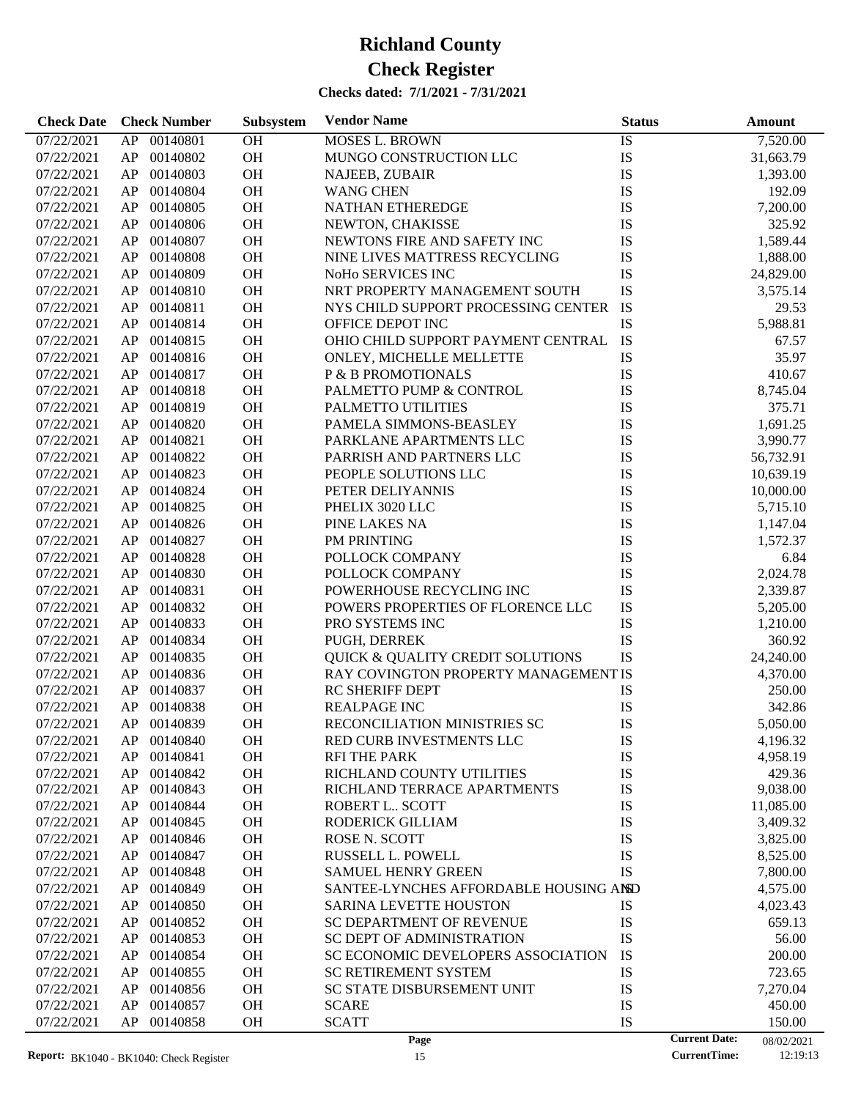| <b>Check Date</b> | <b>Check Number</b> | Subsystem | <b>Vendor Name</b>                          | <b>Status</b>        | Amount     |
|-------------------|---------------------|-----------|---------------------------------------------|----------------------|------------|
| 07/22/2021        | 00140801<br>AP      | <b>OH</b> | <b>MOSES L. BROWN</b>                       | IS                   | 7,520.00   |
| 07/22/2021        | AP<br>00140802      | OH        | MUNGO CONSTRUCTION LLC                      | IS                   | 31,663.79  |
| 07/22/2021        | 00140803<br>AP      | OH        | NAJEEB, ZUBAIR                              | IS                   | 1,393.00   |
| 07/22/2021        | 00140804<br>AP      | OH        | <b>WANG CHEN</b>                            | IS                   | 192.09     |
| 07/22/2021        | 00140805<br>AP      | OH        | NATHAN ETHEREDGE                            | IS                   | 7,200.00   |
| 07/22/2021        | 00140806<br>AP      | OH        | NEWTON, CHAKISSE                            | IS                   | 325.92     |
| 07/22/2021        | 00140807<br>AP      | OH        | NEWTONS FIRE AND SAFETY INC                 | IS                   | 1,589.44   |
| 07/22/2021        | 00140808<br>AP      | OH        | NINE LIVES MATTRESS RECYCLING               | IS                   | 1,888.00   |
| 07/22/2021        | 00140809<br>AP      | OH        | NoHo SERVICES INC                           | IS                   | 24,829.00  |
| 07/22/2021        | 00140810<br>AP      | OH        | NRT PROPERTY MANAGEMENT SOUTH               | IS                   | 3,575.14   |
| 07/22/2021        | 00140811<br>AP      | OH        | NYS CHILD SUPPORT PROCESSING CENTER         | IS                   | 29.53      |
| 07/22/2021        | 00140814<br>AP      | <b>OH</b> | OFFICE DEPOT INC                            | IS                   | 5,988.81   |
| 07/22/2021        | 00140815<br>AP      | OH        | OHIO CHILD SUPPORT PAYMENT CENTRAL          | <b>IS</b>            | 67.57      |
| 07/22/2021        | 00140816<br>AP      | OH        | ONLEY, MICHELLE MELLETTE                    | IS                   | 35.97      |
| 07/22/2021        | 00140817<br>AP      | OH        | P & B PROMOTIONALS                          | IS                   | 410.67     |
|                   | 00140818            | <b>OH</b> | PALMETTO PUMP & CONTROL                     | IS                   | 8,745.04   |
| 07/22/2021        | AP                  | OH        |                                             |                      |            |
| 07/22/2021        | 00140819<br>AP      |           | PALMETTO UTILITIES                          | IS                   | 375.71     |
| 07/22/2021        | 00140820<br>AP      | OH        | PAMELA SIMMONS-BEASLEY                      | IS                   | 1,691.25   |
| 07/22/2021        | 00140821<br>AP      | OH        | PARKLANE APARTMENTS LLC                     | IS                   | 3,990.77   |
| 07/22/2021        | 00140822<br>AP      | <b>OH</b> | PARRISH AND PARTNERS LLC                    | IS                   | 56,732.91  |
| 07/22/2021        | 00140823<br>AP      | OH        | PEOPLE SOLUTIONS LLC                        | IS                   | 10,639.19  |
| 07/22/2021        | 00140824<br>AP      | OH        | PETER DELIYANNIS                            | IS                   | 10,000.00  |
| 07/22/2021        | 00140825<br>AP      | OH        | PHELIX 3020 LLC                             | IS                   | 5,715.10   |
| 07/22/2021        | 00140826<br>AP      | <b>OH</b> | PINE LAKES NA                               | IS                   | 1,147.04   |
| 07/22/2021        | 00140827<br>AP      | OH        | PM PRINTING                                 | IS                   | 1,572.37   |
| 07/22/2021        | 00140828<br>AP      | OH        | POLLOCK COMPANY                             | IS                   | 6.84       |
| 07/22/2021        | 00140830<br>AP      | OH        | POLLOCK COMPANY                             | IS                   | 2,024.78   |
| 07/22/2021        | 00140831<br>AP      | <b>OH</b> | POWERHOUSE RECYCLING INC                    | IS                   | 2,339.87   |
| 07/22/2021        | 00140832<br>AP      | OH        | POWERS PROPERTIES OF FLORENCE LLC           | IS                   | 5,205.00   |
| 07/22/2021        | 00140833<br>AP      | OH        | PRO SYSTEMS INC                             | IS                   | 1,210.00   |
| 07/22/2021        | 00140834<br>AP      | OH        | PUGH, DERREK                                | IS                   | 360.92     |
| 07/22/2021        | 00140835<br>AP      | <b>OH</b> | <b>QUICK &amp; QUALITY CREDIT SOLUTIONS</b> | <b>IS</b>            | 24,240.00  |
| 07/22/2021        | 00140836<br>AP      | OH        | RAY COVINGTON PROPERTY MANAGEMENT IS        |                      | 4,370.00   |
| 07/22/2021        | 00140837<br>AP      | OH        | <b>RC SHERIFF DEPT</b>                      | IS                   | 250.00     |
| 07/22/2021        | 00140838<br>AP      | <b>OH</b> | <b>REALPAGE INC</b>                         | IS                   | 342.86     |
| 07/22/2021        | AP<br>00140839      | <b>OH</b> | RECONCILIATION MINISTRIES SC                | IS                   | 5,050.00   |
| 07/22/2021        | AP.<br>00140840     | <b>OH</b> | RED CURB INVESTMENTS LLC                    | IS                   | 4,196.32   |
| 07/22/2021        | 00140841<br>AP      | <b>OH</b> | <b>RFI THE PARK</b>                         | IS                   | 4,958.19   |
| 07/22/2021        | 00140842<br>AP      | <b>OH</b> | RICHLAND COUNTY UTILITIES                   | IS                   | 429.36     |
| 07/22/2021        | AP<br>00140843      | <b>OH</b> | RICHLAND TERRACE APARTMENTS                 | IS                   | 9,038.00   |
| 07/22/2021        | 00140844<br>AP      | <b>OH</b> | ROBERT L SCOTT                              | IS                   | 11,085.00  |
| 07/22/2021        | 00140845<br>AP      | <b>OH</b> | RODERICK GILLIAM                            | IS                   | 3,409.32   |
| 07/22/2021        | 00140846<br>AP      | <b>OH</b> | ROSE N. SCOTT                               | IS                   | 3,825.00   |
| 07/22/2021        | 00140847<br>AP      | <b>OH</b> | RUSSELL L. POWELL                           | IS                   | 8,525.00   |
| 07/22/2021        | 00140848<br>AP      | <b>OH</b> | <b>SAMUEL HENRY GREEN</b>                   | <b>IS</b>            | 7,800.00   |
| 07/22/2021        | 00140849<br>AP      | <b>OH</b> | SANTEE-LYNCHES AFFORDABLE HOUSING AND       |                      | 4,575.00   |
| 07/22/2021        | 00140850<br>AP      | <b>OH</b> | <b>SARINA LEVETTE HOUSTON</b>               | IS                   | 4,023.43   |
| 07/22/2021        | 00140852<br>AP      | <b>OH</b> | SC DEPARTMENT OF REVENUE                    | IS                   | 659.13     |
| 07/22/2021        | 00140853<br>AP      | <b>OH</b> | SC DEPT OF ADMINISTRATION                   | IS                   | 56.00      |
| 07/22/2021        | 00140854<br>AP      | <b>OH</b> | SC ECONOMIC DEVELOPERS ASSOCIATION          | IS                   | 200.00     |
| 07/22/2021        | 00140855<br>AP      | <b>OH</b> | <b>SC RETIREMENT SYSTEM</b>                 | IS                   | 723.65     |
| 07/22/2021        | 00140856<br>AP      | <b>OH</b> | SC STATE DISBURSEMENT UNIT                  | IS                   | 7,270.04   |
| 07/22/2021        | AP<br>00140857      | <b>OH</b> | <b>SCARE</b>                                | IS                   | 450.00     |
| 07/22/2021        | AP<br>00140858      | <b>OH</b> | <b>SCATT</b>                                | IS                   | 150.00     |
|                   |                     |           | Page                                        | <b>Current Date:</b> | 08/02/2021 |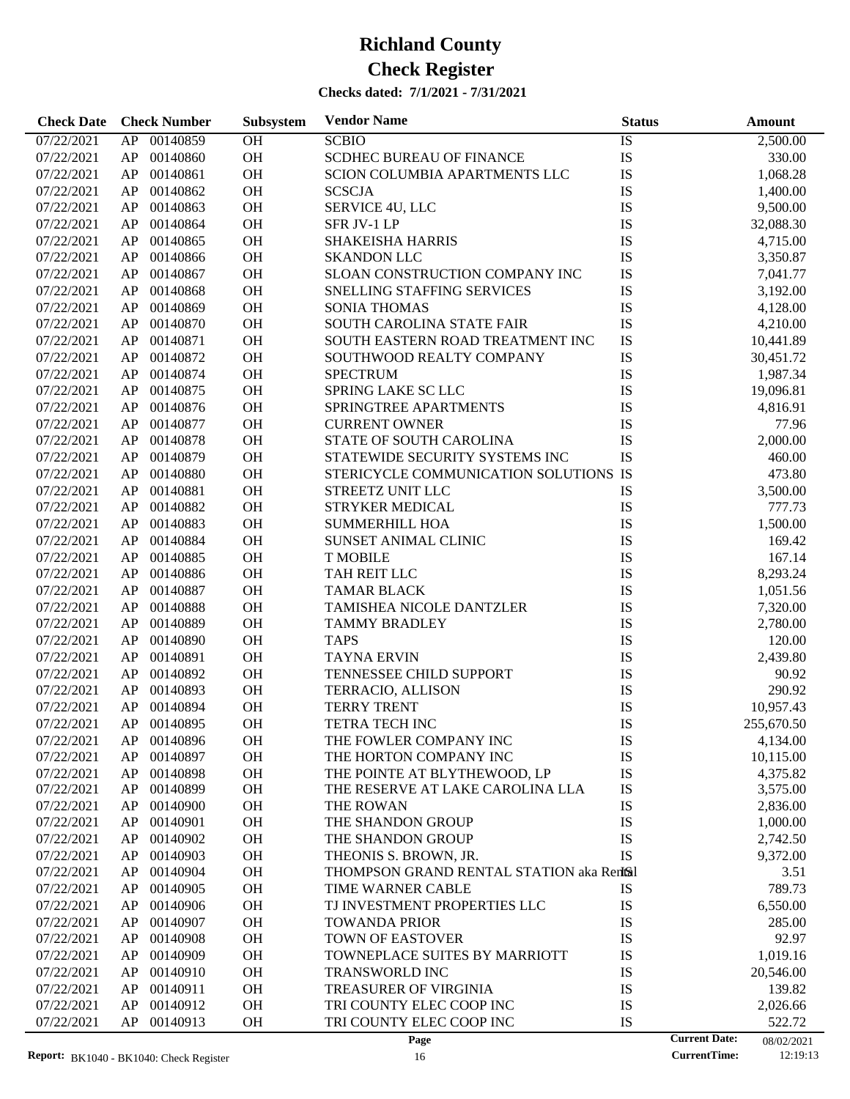| <b>Check Date</b> | <b>Check Number</b> | Subsystem | <b>Vendor Name</b>                        | <b>Status</b> | <b>Amount</b>                      |
|-------------------|---------------------|-----------|-------------------------------------------|---------------|------------------------------------|
| 07/22/2021        | 00140859<br>AP      | OH        | <b>SCBIO</b>                              | IS            | 2,500.00                           |
| 07/22/2021        | 00140860<br>AP      | OH        | <b>SCDHEC BUREAU OF FINANCE</b>           | IS            | 330.00                             |
| 07/22/2021        | 00140861<br>AP      | OH        | SCION COLUMBIA APARTMENTS LLC             | IS            | 1,068.28                           |
| 07/22/2021        | 00140862<br>AP      | OH        | <b>SCSCJA</b>                             | IS            | 1,400.00                           |
| 07/22/2021        | 00140863<br>AP      | OH        | SERVICE 4U, LLC                           | IS            | 9,500.00                           |
| 07/22/2021        | 00140864<br>AP      | OH        | SFR JV-1 LP                               | IS            | 32,088.30                          |
| 07/22/2021        | 00140865<br>AP      | OH        | <b>SHAKEISHA HARRIS</b>                   | IS            | 4,715.00                           |
| 07/22/2021        | 00140866<br>AP      | OH        | <b>SKANDON LLC</b>                        | IS            | 3,350.87                           |
| 07/22/2021        | 00140867<br>AP      | OH        | SLOAN CONSTRUCTION COMPANY INC            | IS            | 7,041.77                           |
| 07/22/2021        | 00140868<br>AP      | OH        | SNELLING STAFFING SERVICES                | IS            | 3,192.00                           |
| 07/22/2021        | 00140869<br>AP      | OH        | <b>SONIA THOMAS</b>                       | IS            | 4,128.00                           |
| 07/22/2021        | 00140870<br>AP      | OH        | SOUTH CAROLINA STATE FAIR                 | IS            | 4,210.00                           |
| 07/22/2021        | 00140871<br>AP      | OH        | SOUTH EASTERN ROAD TREATMENT INC          | IS            | 10,441.89                          |
| 07/22/2021        | 00140872<br>AP      | OH        | SOUTHWOOD REALTY COMPANY                  | IS            | 30,451.72                          |
| 07/22/2021        | 00140874<br>AP      | OH        | <b>SPECTRUM</b>                           | IS            | 1,987.34                           |
| 07/22/2021        | 00140875<br>AP      | OH        | SPRING LAKE SC LLC                        | IS            | 19,096.81                          |
| 07/22/2021        | 00140876<br>AP      | OH        | SPRINGTREE APARTMENTS                     | IS            |                                    |
| 07/22/2021        | 00140877            | <b>OH</b> |                                           |               | 4,816.91                           |
|                   | AP                  |           | <b>CURRENT OWNER</b>                      | IS            | 77.96                              |
| 07/22/2021        | 00140878<br>AP      | OH        | STATE OF SOUTH CAROLINA                   | IS            | 2,000.00                           |
| 07/22/2021        | 00140879<br>AP      | OH        | STATEWIDE SECURITY SYSTEMS INC            | IS            | 460.00                             |
| 07/22/2021        | 00140880<br>AP      | OH        | STERICYCLE COMMUNICATION SOLUTIONS IS     |               | 473.80                             |
| 07/22/2021        | 00140881<br>AP      | OH        | STREETZ UNIT LLC                          | IS            | 3,500.00                           |
| 07/22/2021        | 00140882<br>AP      | <b>OH</b> | <b>STRYKER MEDICAL</b>                    | IS            | 777.73                             |
| 07/22/2021        | 00140883<br>AP      | OH        | <b>SUMMERHILL HOA</b>                     | IS            | 1,500.00                           |
| 07/22/2021        | 00140884<br>AP      | OH        | SUNSET ANIMAL CLINIC                      | IS            | 169.42                             |
| 07/22/2021        | 00140885<br>AP      | <b>OH</b> | <b>T MOBILE</b>                           | IS            | 167.14                             |
| 07/22/2021        | 00140886<br>AP      | <b>OH</b> | TAH REIT LLC                              | IS            | 8,293.24                           |
| 07/22/2021        | 00140887<br>AP      | <b>OH</b> | <b>TAMAR BLACK</b>                        | IS            | 1,051.56                           |
| 07/22/2021        | 00140888<br>AP      | <b>OH</b> | TAMISHEA NICOLE DANTZLER                  | IS            | 7,320.00                           |
| 07/22/2021        | 00140889<br>AP      | <b>OH</b> | <b>TAMMY BRADLEY</b>                      | IS            | 2,780.00                           |
| 07/22/2021        | 00140890<br>AP      | <b>OH</b> | <b>TAPS</b>                               | IS            | 120.00                             |
| 07/22/2021        | 00140891<br>AP      | <b>OH</b> | <b>TAYNA ERVIN</b>                        | IS            | 2,439.80                           |
| 07/22/2021        | 00140892<br>AP      | OH        | TENNESSEE CHILD SUPPORT                   | IS            | 90.92                              |
| 07/22/2021        | 00140893<br>AP      | <b>OH</b> | <b>TERRACIO, ALLISON</b>                  | IS            | 290.92                             |
| 07/22/2021        | 00140894<br>AP      | <b>OH</b> | <b>TERRY TRENT</b>                        | IS            | 10,957.43                          |
| 07/22/2021        | AP 00140895         | <b>OH</b> | <b>TETRA TECH INC</b>                     | IS            | 255,670.50                         |
| 07/22/2021        | AP<br>00140896      | <b>OH</b> | THE FOWLER COMPANY INC                    | IS            | 4,134.00                           |
| 07/22/2021        | AP<br>00140897      | OH        | THE HORTON COMPANY INC                    | IS            | 10,115.00                          |
| 07/22/2021        | 00140898<br>AP      | OH        | THE POINTE AT BLYTHEWOOD, LP              | IS            | 4,375.82                           |
| 07/22/2021        | 00140899<br>AP      | OH        | THE RESERVE AT LAKE CAROLINA LLA          | IS            | 3,575.00                           |
| 07/22/2021        | 00140900<br>AP      | OH        | THE ROWAN                                 | IS            | 2,836.00                           |
| 07/22/2021        | 00140901<br>AP      | OH        | THE SHANDON GROUP                         | IS            | 1,000.00                           |
| 07/22/2021        | 00140902<br>AP      | OH        | THE SHANDON GROUP                         | IS            | 2,742.50                           |
| 07/22/2021        | 00140903<br>AP      | OH        | THEONIS S. BROWN, JR.                     | IS            | 9,372.00                           |
| 07/22/2021        | 00140904<br>AP      | OH        | THOMPSON GRAND RENTAL STATION aka Rentsil |               | 3.51                               |
| 07/22/2021        | 00140905<br>AP      | OH        | TIME WARNER CABLE                         | IS            | 789.73                             |
| 07/22/2021        | 00140906<br>AP      | OH        | TJ INVESTMENT PROPERTIES LLC              | IS            | 6,550.00                           |
| 07/22/2021        | 00140907<br>AP      | OH        | <b>TOWANDA PRIOR</b>                      | IS            | 285.00                             |
| 07/22/2021        | 00140908<br>AP      | OH        | <b>TOWN OF EASTOVER</b>                   | IS            | 92.97                              |
| 07/22/2021        | 00140909<br>AP      | OH        | TOWNEPLACE SUITES BY MARRIOTT             | IS            | 1,019.16                           |
| 07/22/2021        | 00140910<br>AP      | OH        | TRANSWORLD INC                            | IS            | 20,546.00                          |
| 07/22/2021        | 00140911<br>AP      | OH        | TREASURER OF VIRGINIA                     | IS            | 139.82                             |
| 07/22/2021        | 00140912<br>AP      | OH        | TRI COUNTY ELEC COOP INC                  | IS            | 2,026.66                           |
| 07/22/2021        | 00140913<br>AP      | <b>OH</b> | TRI COUNTY ELEC COOP INC                  | IS            | 522.72                             |
|                   |                     |           | Page                                      |               | <b>Current Date:</b><br>08/02/2021 |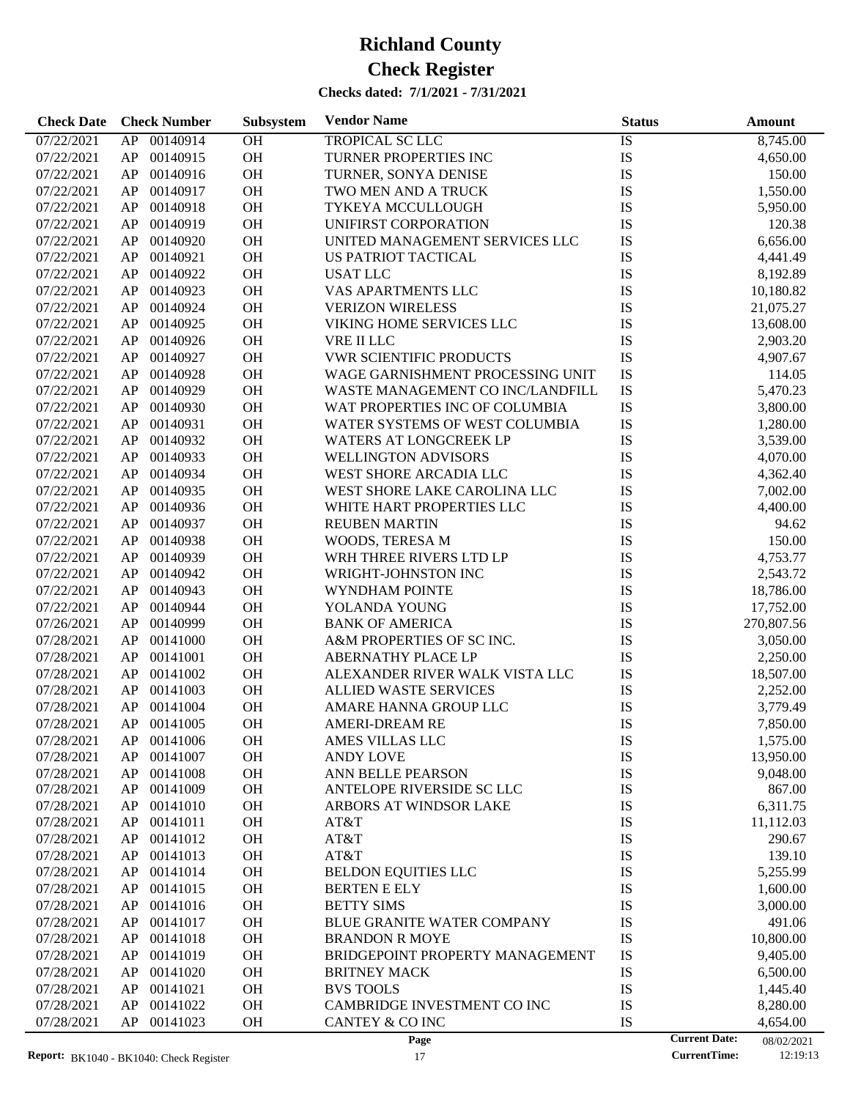| <b>Check Date</b> | <b>Check Number</b>                             | Subsystem | <b>Vendor Name</b>                | <b>Status</b> | <b>Amount</b>                                                         |
|-------------------|-------------------------------------------------|-----------|-----------------------------------|---------------|-----------------------------------------------------------------------|
| 07/22/2021        | 00140914<br>AP                                  | OH        | <b>TROPICAL SC LLC</b>            | IS            | 8,745.00                                                              |
| 07/22/2021        | 00140915<br>AP                                  | OH        | TURNER PROPERTIES INC             | IS            | 4,650.00                                                              |
| 07/22/2021        | 00140916<br>AP                                  | OH        | TURNER, SONYA DENISE              | IS            | 150.00                                                                |
| 07/22/2021        | AP<br>00140917                                  | OH        | TWO MEN AND A TRUCK               | IS            | 1,550.00                                                              |
| 07/22/2021        | 00140918<br>AP                                  | OH        | TYKEYA MCCULLOUGH                 | IS            | 5,950.00                                                              |
| 07/22/2021        | 00140919<br>AP                                  | OH        | UNIFIRST CORPORATION              | IS            | 120.38                                                                |
| 07/22/2021        | AP<br>00140920                                  | OH        | UNITED MANAGEMENT SERVICES LLC    | IS            | 6,656.00                                                              |
| 07/22/2021        | AP<br>00140921                                  | OH        | US PATRIOT TACTICAL               | IS            | 4,441.49                                                              |
| 07/22/2021        | 00140922<br>AP                                  | OH        | <b>USAT LLC</b>                   | IS            | 8,192.89                                                              |
| 07/22/2021        | 00140923<br>AP                                  | OH        | VAS APARTMENTS LLC                | IS            | 10,180.82                                                             |
| 07/22/2021        | AP<br>00140924                                  | OH        | <b>VERIZON WIRELESS</b>           | IS            | 21,075.27                                                             |
| 07/22/2021        | AP<br>00140925                                  | OH        | VIKING HOME SERVICES LLC          | IS            | 13,608.00                                                             |
| 07/22/2021        | 00140926<br>AP                                  | OH        | VRE II LLC                        | IS            | 2,903.20                                                              |
| 07/22/2021        | 00140927<br>AP                                  | OH        | <b>VWR SCIENTIFIC PRODUCTS</b>    | IS            | 4,907.67                                                              |
| 07/22/2021        | AP<br>00140928                                  | OH        | WAGE GARNISHMENT PROCESSING UNIT  | IS            | 114.05                                                                |
| 07/22/2021        | AP<br>00140929                                  | OH        | WASTE MANAGEMENT CO INC/LANDFILL  | IS            | 5,470.23                                                              |
| 07/22/2021        | 00140930<br>AP                                  | OH        | WAT PROPERTIES INC OF COLUMBIA    | IS            | 3,800.00                                                              |
| 07/22/2021        | 00140931<br>AP                                  | OH        | WATER SYSTEMS OF WEST COLUMBIA    | IS            | 1,280.00                                                              |
| 07/22/2021        | AP<br>00140932                                  | OH        | WATERS AT LONGCREEK LP            | IS            | 3,539.00                                                              |
| 07/22/2021        | 00140933<br>AP                                  | OH        | <b>WELLINGTON ADVISORS</b>        | IS            | 4,070.00                                                              |
| 07/22/2021        | 00140934<br>AP                                  | OH        | WEST SHORE ARCADIA LLC            | IS            | 4,362.40                                                              |
| 07/22/2021        | 00140935<br>AP                                  | OH        | WEST SHORE LAKE CAROLINA LLC      | IS            | 7,002.00                                                              |
| 07/22/2021        | AP<br>00140936                                  | OH        | WHITE HART PROPERTIES LLC         | IS            | 4,400.00                                                              |
| 07/22/2021        | 00140937<br>AP                                  | OH        | <b>REUBEN MARTIN</b>              | IS            | 94.62                                                                 |
| 07/22/2021        | 00140938<br>AP                                  | OH        | WOODS, TERESA M                   | IS            | 150.00                                                                |
| 07/22/2021        | 00140939<br>AP                                  | OH        | WRH THREE RIVERS LTD LP           | IS            | 4,753.77                                                              |
| 07/22/2021        | 00140942<br>AP                                  | OH        | WRIGHT-JOHNSTON INC               | IS            | 2,543.72                                                              |
| 07/22/2021        | 00140943<br>AP                                  | OH        | WYNDHAM POINTE                    | IS            | 18,786.00                                                             |
| 07/22/2021        | 00140944<br>AP                                  | OH        | YOLANDA YOUNG                     | IS            | 17,752.00                                                             |
| 07/26/2021        | 00140999<br>AP                                  | OH        | <b>BANK OF AMERICA</b>            | IS            | 270,807.56                                                            |
| 07/28/2021        | AP<br>00141000                                  | OH        | A&M PROPERTIES OF SC INC.         | IS            | 3,050.00                                                              |
| 07/28/2021        | 00141001<br>AP                                  | OH        | <b>ABERNATHY PLACE LP</b>         | IS            | 2,250.00                                                              |
| 07/28/2021        | 00141002<br>AP                                  | OH        | ALEXANDER RIVER WALK VISTA LLC    | IS            | 18,507.00                                                             |
| 07/28/2021        | 00141003<br>AP                                  | OH        | <b>ALLIED WASTE SERVICES</b>      | IS            | 2,252.00                                                              |
| 07/28/2021        | AP<br>00141004                                  | OH        | AMARE HANNA GROUP LLC             | IS            | 3,779.49                                                              |
| 07/28/2021        | AP 00141005                                     | <b>OH</b> | <b>AMERI-DREAM RE</b>             | IS            | 7,850.00                                                              |
| 07/28/2021        | 00141006<br>AP                                  | OH        | AMES VILLAS LLC                   | IS            | 1,575.00                                                              |
| 07/28/2021        | 00141007<br>AP                                  | OH        | <b>ANDY LOVE</b>                  | IS            | 13,950.00                                                             |
| 07/28/2021        | AP<br>00141008                                  | OH        | ANN BELLE PEARSON                 | IS            | 9,048.00                                                              |
| 07/28/2021        | 00141009<br>AP                                  | <b>OH</b> | ANTELOPE RIVERSIDE SC LLC         | IS            | 867.00                                                                |
| 07/28/2021        | 00141010<br>AP                                  | OH        | ARBORS AT WINDSOR LAKE            | IS            | 6,311.75                                                              |
| 07/28/2021        | 00141011<br>AP                                  | OH        | AT&T                              | IS            | 11,112.03                                                             |
| 07/28/2021        | 00141012<br>AP                                  | OH        | AT&T                              | IS            | 290.67                                                                |
| 07/28/2021        | 00141013<br>AP                                  | OH        | AT&T                              | IS            | 139.10                                                                |
| 07/28/2021        | 00141014<br>AP                                  | OH        | <b>BELDON EQUITIES LLC</b>        | IS            | 5,255.99                                                              |
| 07/28/2021        | 00141015<br>AP                                  | OH        | <b>BERTEN E ELY</b>               | IS            | 1,600.00                                                              |
| 07/28/2021        | 00141016<br>AP                                  | OH        | <b>BETTY SIMS</b>                 | IS            | 3,000.00                                                              |
| 07/28/2021        | 00141017<br>AP                                  | OH        | <b>BLUE GRANITE WATER COMPANY</b> | IS            | 491.06                                                                |
| 07/28/2021        | 00141018<br>AP                                  | OH        | <b>BRANDON R MOYE</b>             | IS            | 10,800.00                                                             |
| 07/28/2021        | 00141019<br>AP                                  | OH        | BRIDGEPOINT PROPERTY MANAGEMENT   | IS            | 9,405.00                                                              |
| 07/28/2021        | 00141020<br>AP                                  | OH        | <b>BRITNEY MACK</b>               | IS            | 6,500.00                                                              |
| 07/28/2021        | 00141021<br>AP                                  | OH        | <b>BVS TOOLS</b>                  | IS            | 1,445.40                                                              |
| 07/28/2021        | 00141022<br>AP                                  | OH        | CAMBRIDGE INVESTMENT CO INC       | IS            | 8,280.00                                                              |
| 07/28/2021        | 00141023<br>AP                                  | <b>OH</b> | <b>CANTEY &amp; CO INC</b>        | IS            | 4,654.00                                                              |
|                   | <b>Report:</b> $RK1040 - RK1040$ Check Register |           | Page<br>17                        |               | <b>Current Date:</b><br>08/02/2021<br><b>CurrentTime:</b><br>12:19:13 |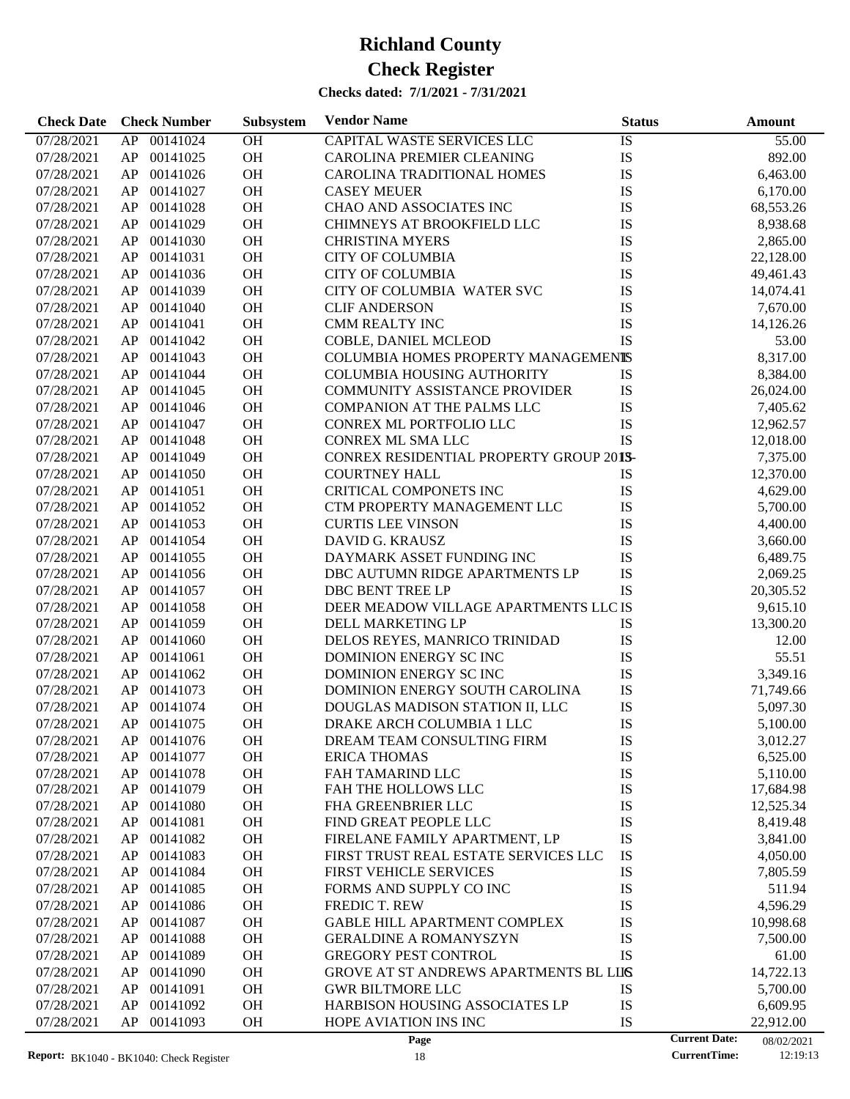| <b>Check Date</b> | <b>Check Number</b> | Subsystem | <b>Vendor Name</b>                      | <b>Status</b> |                      | Amount     |
|-------------------|---------------------|-----------|-----------------------------------------|---------------|----------------------|------------|
| 07/28/2021        | AP<br>00141024      | OH        | CAPITAL WASTE SERVICES LLC              | IS            |                      | 55.00      |
| 07/28/2021        | AP<br>00141025      | OH        | CAROLINA PREMIER CLEANING               | IS            |                      | 892.00     |
| 07/28/2021        | 00141026<br>AP      | OH        | CAROLINA TRADITIONAL HOMES              | IS            |                      | 6,463.00   |
| 07/28/2021        | AP<br>00141027      | OH        | <b>CASEY MEUER</b>                      | IS            |                      | 6,170.00   |
| 07/28/2021        | AP<br>00141028      | OH        | CHAO AND ASSOCIATES INC                 | IS            |                      | 68,553.26  |
| 07/28/2021        | AP<br>00141029      | OH        | CHIMNEYS AT BROOKFIELD LLC              | IS            |                      | 8,938.68   |
| 07/28/2021        | 00141030<br>AP      | OH        | <b>CHRISTINA MYERS</b>                  | IS            |                      | 2,865.00   |
| 07/28/2021        | AP<br>00141031      | OH        | <b>CITY OF COLUMBIA</b>                 | IS            |                      | 22,128.00  |
| 07/28/2021        | AP<br>00141036      | OH        | <b>CITY OF COLUMBIA</b>                 | IS            |                      | 49,461.43  |
| 07/28/2021        | AP<br>00141039      | OH        | CITY OF COLUMBIA WATER SVC              | IS            |                      | 14,074.41  |
| 07/28/2021        | AP<br>00141040      | OH        | <b>CLIF ANDERSON</b>                    | IS            |                      | 7,670.00   |
|                   | 00141041            | OH        | <b>CMM REALTY INC</b>                   | IS            |                      |            |
| 07/28/2021        | AP                  | OH        |                                         | IS            |                      | 14,126.26  |
| 07/28/2021        | AP<br>00141042      |           | COBLE, DANIEL MCLEOD                    |               |                      | 53.00      |
| 07/28/2021        | AP<br>00141043      | OH        | COLUMBIA HOMES PROPERTY MANAGEMENTS     |               |                      | 8,317.00   |
| 07/28/2021        | AP<br>00141044      | OH        | <b>COLUMBIA HOUSING AUTHORITY</b>       | IS            |                      | 8,384.00   |
| 07/28/2021        | AP<br>00141045      | OH        | <b>COMMUNITY ASSISTANCE PROVIDER</b>    | IS            |                      | 26,024.00  |
| 07/28/2021        | 00141046<br>AP      | OH        | <b>COMPANION AT THE PALMS LLC</b>       | IS            |                      | 7,405.62   |
| 07/28/2021        | AP<br>00141047      | OH        | CONREX ML PORTFOLIO LLC                 | IS            |                      | 12,962.57  |
| 07/28/2021        | AP<br>00141048      | OH        | CONREX ML SMA LLC                       | <b>IS</b>     |                      | 12,018.00  |
| 07/28/2021        | AP<br>00141049      | OH        | CONREX RESIDENTIAL PROPERTY GROUP 201S- |               |                      | 7,375.00   |
| 07/28/2021        | AP<br>00141050      | OH        | <b>COURTNEY HALL</b>                    | IS            |                      | 12,370.00  |
| 07/28/2021        | 00141051<br>AP      | OH        | CRITICAL COMPONETS INC                  | IS            |                      | 4,629.00   |
| 07/28/2021        | AP<br>00141052      | OH        | CTM PROPERTY MANAGEMENT LLC             | IS            |                      | 5,700.00   |
| 07/28/2021        | AP<br>00141053      | OH        | <b>CURTIS LEE VINSON</b>                | IS            |                      | 4,400.00   |
| 07/28/2021        | AP<br>00141054      | OH        | DAVID G. KRAUSZ                         | IS            |                      | 3,660.00   |
| 07/28/2021        | AP<br>00141055      | OH        | DAYMARK ASSET FUNDING INC               | IS            |                      | 6,489.75   |
| 07/28/2021        | 00141056<br>AP      | OH        | DBC AUTUMN RIDGE APARTMENTS LP          | IS            |                      | 2,069.25   |
| 07/28/2021        | AP<br>00141057      | OH        | DBC BENT TREE LP                        | IS            |                      | 20,305.52  |
| 07/28/2021        | AP<br>00141058      | OH        | DEER MEADOW VILLAGE APARTMENTS LLC IS   |               |                      | 9,615.10   |
| 07/28/2021        | AP<br>00141059      | OH        | DELL MARKETING LP                       | IS            |                      | 13,300.20  |
| 07/28/2021        | AP<br>00141060      | OH        | DELOS REYES, MANRICO TRINIDAD           | IS            |                      | 12.00      |
| 07/28/2021        | 00141061<br>AP      | OH        | DOMINION ENERGY SCINC                   | IS            |                      | 55.51      |
| 07/28/2021        | 00141062<br>AP      | OH        | DOMINION ENERGY SCINC                   | IS            |                      | 3,349.16   |
| 07/28/2021        | AP<br>00141073      | OH        | DOMINION ENERGY SOUTH CAROLINA          | IS            |                      | 71,749.66  |
| 07/28/2021        | AP<br>00141074      | OH        | DOUGLAS MADISON STATION II, LLC         | IS            |                      | 5,097.30   |
| 07/28/2021        | AP<br>00141075      | OH        | DRAKE ARCH COLUMBIA 1 LLC               | IS            |                      | 5,100.00   |
| 07/28/2021        | AP<br>00141076      | <b>OH</b> | DREAM TEAM CONSULTING FIRM              | IS            |                      | 3,012.27   |
| 07/28/2021        | 00141077<br>AP      | OH        | <b>ERICA THOMAS</b>                     | IS            |                      | 6,525.00   |
| 07/28/2021        | 00141078<br>AP      | OH        | FAH TAMARIND LLC                        | IS            |                      | 5,110.00   |
| 07/28/2021        | 00141079<br>AP      | OH        | FAH THE HOLLOWS LLC                     | IS            |                      | 17,684.98  |
| 07/28/2021        | 00141080<br>AP      | OH        | <b>FHA GREENBRIER LLC</b>               | IS            |                      | 12,525.34  |
| 07/28/2021        | AP<br>00141081      | OH        | FIND GREAT PEOPLE LLC                   | IS            |                      | 8,419.48   |
| 07/28/2021        | AP<br>00141082      | OH        | FIRELANE FAMILY APARTMENT, LP           | IS            |                      | 3,841.00   |
| 07/28/2021        | AP<br>00141083      | OH        | FIRST TRUST REAL ESTATE SERVICES LLC    | IS            |                      | 4,050.00   |
| 07/28/2021        | AP<br>00141084      | OH        | FIRST VEHICLE SERVICES                  | IS            |                      | 7,805.59   |
|                   | AP<br>00141085      | OH        | FORMS AND SUPPLY CO INC                 | IS            |                      | 511.94     |
| 07/28/2021        |                     |           |                                         |               |                      |            |
| 07/28/2021        | AP<br>00141086      | OH        | FREDIC T. REW                           | IS            |                      | 4,596.29   |
| 07/28/2021        | AP<br>00141087      | OH        | GABLE HILL APARTMENT COMPLEX            | IS            |                      | 10,998.68  |
| 07/28/2021        | AP<br>00141088      | OH        | <b>GERALDINE A ROMANYSZYN</b>           | IS            |                      | 7,500.00   |
| 07/28/2021        | AP<br>00141089      | OH        | <b>GREGORY PEST CONTROL</b>             | IS            |                      | 61.00      |
| 07/28/2021        | AP<br>00141090      | OH        | GROVE AT ST ANDREWS APARTMENTS BL LIIS  |               |                      | 14,722.13  |
| 07/28/2021        | AP<br>00141091      | OH        | <b>GWR BILTMORE LLC</b>                 | IS            |                      | 5,700.00   |
| 07/28/2021        | AP<br>00141092      | OH        | HARBISON HOUSING ASSOCIATES LP          | IS            |                      | 6,609.95   |
| 07/28/2021        | AP<br>00141093      | OH        | HOPE AVIATION INS INC                   | IS            |                      | 22,912.00  |
|                   |                     |           | Page                                    |               | <b>Current Date:</b> | 08/02/2021 |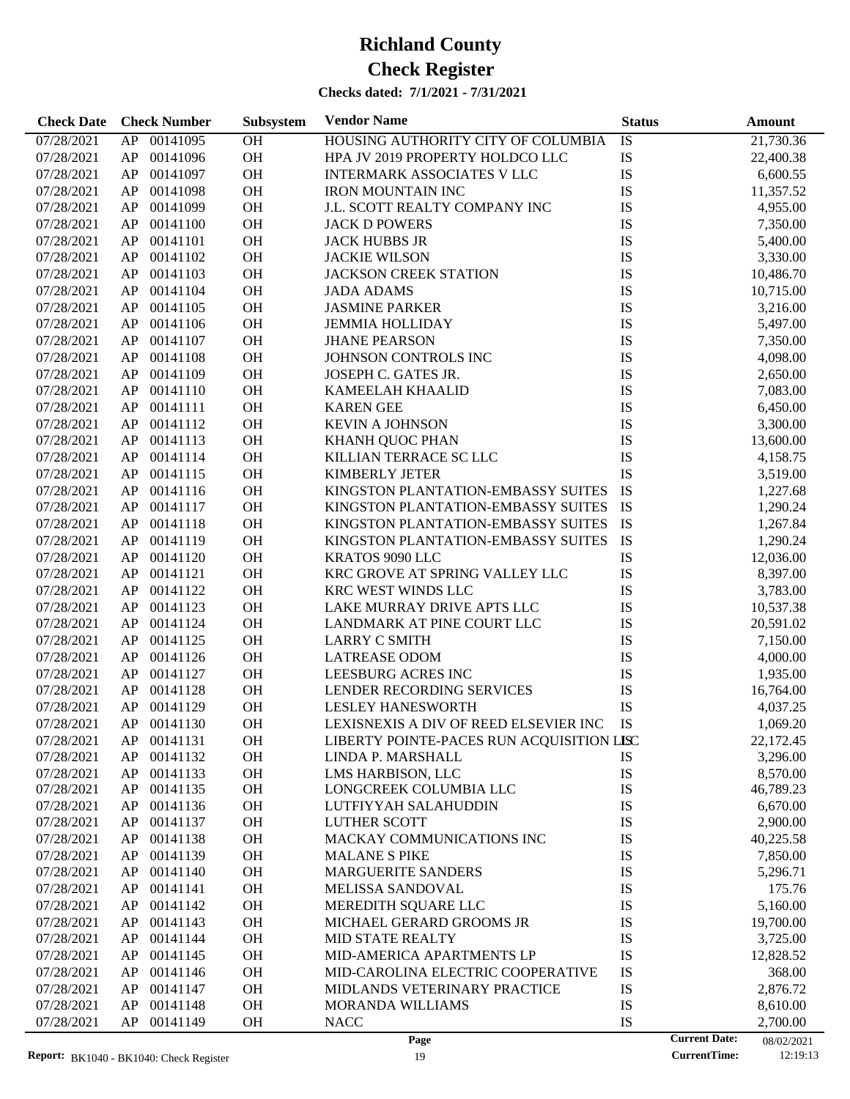| <b>Check Date</b> | <b>Check Number</b> | Subsystem       | <b>Vendor Name</b>                        | <b>Status</b>   | Amount    |
|-------------------|---------------------|-----------------|-------------------------------------------|-----------------|-----------|
| 07/28/2021        | AP 00141095         | $\overline{OH}$ | HOUSING AUTHORITY CITY OF COLUMBIA        | $\overline{1S}$ | 21,730.36 |
| 07/28/2021        | 00141096<br>AP      | $\rm OH$        | HPA JV 2019 PROPERTY HOLDCO LLC           | IS              | 22,400.38 |
| 07/28/2021        | 00141097<br>AP      | OH              | <b>INTERMARK ASSOCIATES V LLC</b>         | IS              | 6,600.55  |
| 07/28/2021        | 00141098<br>AP      | OH              | <b>IRON MOUNTAIN INC</b>                  | IS              | 11,357.52 |
| 07/28/2021        | 00141099<br>AP      | $\rm OH$        | J.L. SCOTT REALTY COMPANY INC             | IS              | 4,955.00  |
| 07/28/2021        | AP<br>00141100      | OH              | <b>JACK D POWERS</b>                      | IS              | 7,350.00  |
| 07/28/2021        | 00141101<br>AP      | OH              | <b>JACK HUBBS JR</b>                      | IS              | 5,400.00  |
| 07/28/2021        | 00141102<br>AP      | $\rm OH$        | <b>JACKIE WILSON</b>                      | IS              | 3,330.00  |
| 07/28/2021        | 00141103<br>AP      | $\rm OH$        | <b>JACKSON CREEK STATION</b>              | IS              | 10,486.70 |
| 07/28/2021        | 00141104<br>AP      | $\rm OH$        | <b>JADA ADAMS</b>                         | IS              | 10,715.00 |
| 07/28/2021        | 00141105<br>AP      | OH              | <b>JASMINE PARKER</b>                     | IS              | 3,216.00  |
| 07/28/2021        | 00141106<br>AP      | OH              | <b>JEMMIA HOLLIDAY</b>                    | IS              | 5,497.00  |
| 07/28/2021        | 00141107<br>AP      | OH              | <b>JHANE PEARSON</b>                      | IS              | 7,350.00  |
| 07/28/2021        | 00141108<br>AP      | OH              | JOHNSON CONTROLS INC                      | IS              | 4,098.00  |
| 07/28/2021        | 00141109<br>AP      | OH              | JOSEPH C. GATES JR.                       | IS              | 2,650.00  |
| 07/28/2021        | AP<br>00141110      | OH              | KAMEELAH KHAALID                          | $\mathbf{IS}$   | 7,083.00  |
| 07/28/2021        | 00141111<br>AP      | OH              | <b>KAREN GEE</b>                          | IS              | 6,450.00  |
| 07/28/2021        | 00141112<br>AP      | OH              | <b>KEVIN A JOHNSON</b>                    | IS              | 3,300.00  |
| 07/28/2021        | 00141113<br>AP      | $\rm OH$        | KHANH QUOC PHAN                           | IS              | 13,600.00 |
| 07/28/2021        | AP<br>00141114      | $\rm OH$        | KILLIAN TERRACE SC LLC                    | IS              | 4,158.75  |
| 07/28/2021        | 00141115<br>AP      | OH              | <b>KIMBERLY JETER</b>                     | $\mathbf{IS}$   | 3,519.00  |
| 07/28/2021        | 00141116<br>AP      | OH              | KINGSTON PLANTATION-EMBASSY SUITES        | IS              | 1,227.68  |
| 07/28/2021        | 00141117<br>AP      | OH              | KINGSTON PLANTATION-EMBASSY SUITES        | IS              | 1,290.24  |
| 07/28/2021        | 00141118<br>AP      | OH              | KINGSTON PLANTATION-EMBASSY SUITES        | IS              | 1,267.84  |
| 07/28/2021        | 00141119<br>AP      | OH              | KINGSTON PLANTATION-EMBASSY SUITES        | IS              | 1,290.24  |
| 07/28/2021        | 00141120<br>AP      | OH              | KRATOS 9090 LLC                           | IS              | 12,036.00 |
| 07/28/2021        | 00141121<br>AP      | OH              | KRC GROVE AT SPRING VALLEY LLC            | IS              | 8,397.00  |
| 07/28/2021        | 00141122<br>AP      | OH              | KRC WEST WINDS LLC                        | IS              |           |
| 07/28/2021        | 00141123<br>AP      | OH              | LAKE MURRAY DRIVE APTS LLC                | IS              | 3,783.00  |
|                   | 00141124<br>AP      | $\rm OH$        |                                           |                 | 10,537.38 |
| 07/28/2021        | 00141125            |                 | LANDMARK AT PINE COURT LLC                | IS              | 20,591.02 |
| 07/28/2021        | AP                  | OH              | <b>LARRY C SMITH</b>                      | IS              | 7,150.00  |
| 07/28/2021        | 00141126<br>AP      | OH              | <b>LATREASE ODOM</b>                      | IS              | 4,000.00  |
| 07/28/2021        | 00141127<br>AP      | OH              | <b>LEESBURG ACRES INC</b>                 | IS              | 1,935.00  |
| 07/28/2021        | 00141128<br>AP      | OH              | LENDER RECORDING SERVICES                 | IS              | 16,764.00 |
| 07/28/2021        | 00141129<br>AP      | OH              | <b>LESLEY HANESWORTH</b>                  | $\mathbf{IS}$   | 4,037.25  |
| 07/28/2021        | AP 00141130         | OH              | LEXISNEXIS A DIV OF REED ELSEVIER INC     | <b>IS</b>       | 1,069.20  |
| 07/28/2021        | AP 00141131         | OH              | LIBERTY POINTE-PACES RUN ACQUISITION LISC |                 | 22,172.45 |
| 07/28/2021        | 00141132<br>AP      | OH              | LINDA P. MARSHALL                         | IS              | 3,296.00  |
| 07/28/2021        | AP<br>00141133      | OH              | LMS HARBISON, LLC                         | IS              | 8,570.00  |
| 07/28/2021        | AP<br>00141135      | OH              | LONGCREEK COLUMBIA LLC                    | IS              | 46,789.23 |
| 07/28/2021        | AP<br>00141136      | OH              | LUTFIYYAH SALAHUDDIN                      | IS              | 6,670.00  |
| 07/28/2021        | 00141137<br>AP      | OH              | LUTHER SCOTT                              | IS              | 2,900.00  |
| 07/28/2021        | 00141138<br>AP      | OH              | MACKAY COMMUNICATIONS INC                 | IS              | 40,225.58 |
| 07/28/2021        | 00141139<br>AP      | OH              | <b>MALANE S PIKE</b>                      | IS              | 7,850.00  |
| 07/28/2021        | 00141140<br>AP      | OH              | <b>MARGUERITE SANDERS</b>                 | IS              | 5,296.71  |
| 07/28/2021        | 00141141<br>AP      | OH              | <b>MELISSA SANDOVAL</b>                   | IS              | 175.76    |
| 07/28/2021        | 00141142<br>AP      | OH              | MEREDITH SQUARE LLC                       | IS              | 5,160.00  |
| 07/28/2021        | 00141143<br>AP      | OH              | MICHAEL GERARD GROOMS JR                  | IS              | 19,700.00 |
| 07/28/2021        | 00141144<br>AP      | OH              | MID STATE REALTY                          | IS              | 3,725.00  |
| 07/28/2021        | 00141145<br>AP      | OH              | MID-AMERICA APARTMENTS LP                 | IS              | 12,828.52 |
| 07/28/2021        | AP<br>00141146      | OH              | MID-CAROLINA ELECTRIC COOPERATIVE         | IS              | 368.00    |
| 07/28/2021        | 00141147<br>AP      | OH              | MIDLANDS VETERINARY PRACTICE              | IS              | 2,876.72  |
| 07/28/2021        | 00141148<br>AP      | OH              | MORANDA WILLIAMS                          | IS              | 8,610.00  |
| 07/28/2021        | 00141149<br>AP      | OH              | <b>NACC</b>                               | IS              | 2,700.00  |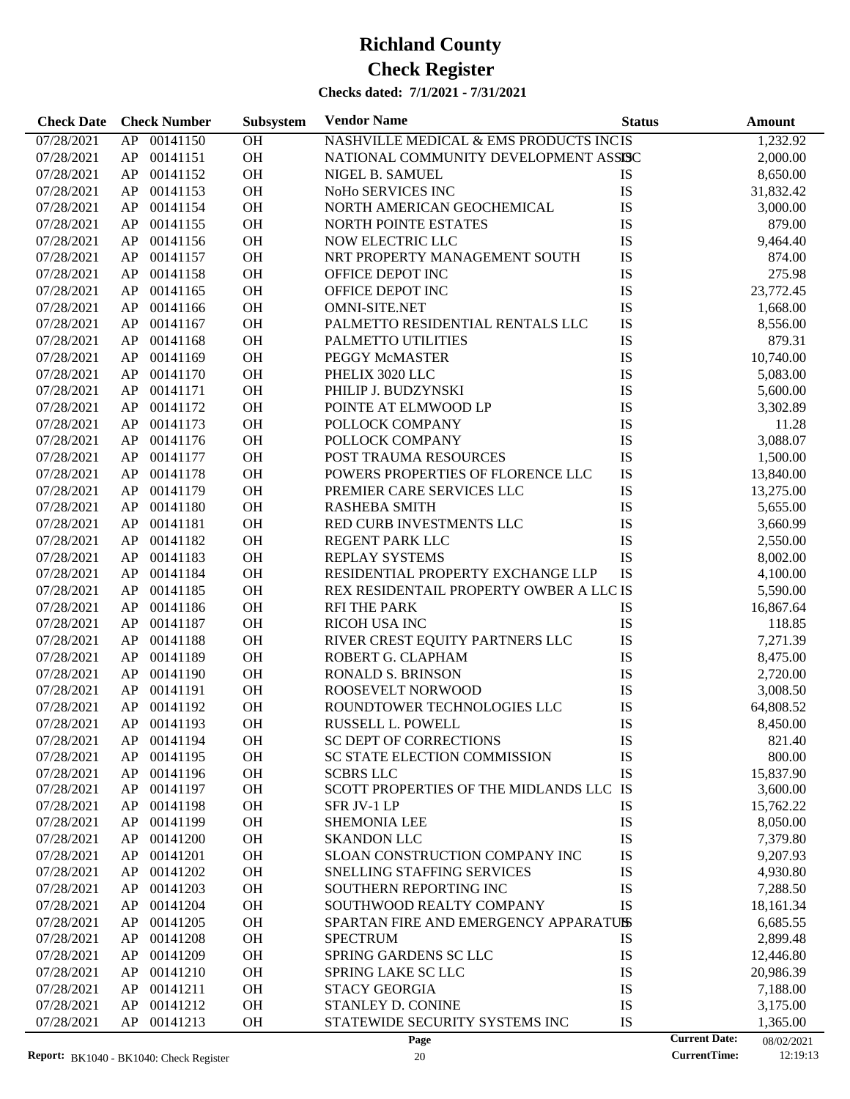| <b>Check Date</b>        |          | <b>Check Number</b>  | Subsystem | <b>Vendor Name</b>                                            | <b>Status</b>        | <b>Amount</b>         |
|--------------------------|----------|----------------------|-----------|---------------------------------------------------------------|----------------------|-----------------------|
| 07/28/2021               |          | AP 00141150          | OH        | NASHVILLE MEDICAL & EMS PRODUCTS INCIS                        |                      | 1,232.92              |
| 07/28/2021               | AP       | 00141151             | OH        | NATIONAL COMMUNITY DEVELOPMENT ASSISC                         |                      | 2,000.00              |
| 07/28/2021               | AP       | 00141152             | OH        | NIGEL B. SAMUEL                                               | IS                   | 8,650.00              |
| 07/28/2021               | AP       | 00141153             | OH        | NoHo SERVICES INC                                             | IS                   | 31,832.42             |
| 07/28/2021               | AP       | 00141154             | OH        | NORTH AMERICAN GEOCHEMICAL                                    | IS                   | 3,000.00              |
| 07/28/2021               | AP       | 00141155             | OH        | <b>NORTH POINTE ESTATES</b>                                   | IS                   | 879.00                |
| 07/28/2021               | AP       | 00141156             | OH        | NOW ELECTRIC LLC                                              | IS                   | 9,464.40              |
| 07/28/2021               | AP       | 00141157             | OH        | NRT PROPERTY MANAGEMENT SOUTH                                 | IS                   | 874.00                |
| 07/28/2021               | AP       | 00141158             | OH        | OFFICE DEPOT INC                                              | IS                   | 275.98                |
| 07/28/2021               | AP       | 00141165             | OH        | OFFICE DEPOT INC                                              | IS                   | 23,772.45             |
| 07/28/2021               | AP       | 00141166             | OH        | <b>OMNI-SITE.NET</b>                                          | IS                   | 1,668.00              |
| 07/28/2021               | AP       | 00141167             | OH        | PALMETTO RESIDENTIAL RENTALS LLC                              | IS                   | 8,556.00              |
| 07/28/2021               | AP       | 00141168             | OH        | PALMETTO UTILITIES                                            | IS                   | 879.31                |
| 07/28/2021               | AP       | 00141169             | OH        | PEGGY McMASTER                                                | IS                   | 10,740.00             |
| 07/28/2021               | AP       | 00141170             | OH        | PHELIX 3020 LLC                                               | IS                   | 5,083.00              |
| 07/28/2021               | AP       | 00141171             | OH        | PHILIP J. BUDZYNSKI                                           | IS                   | 5,600.00              |
| 07/28/2021               | AP       | 00141172             | OH        | POINTE AT ELMWOOD LP                                          | IS                   | 3,302.89              |
| 07/28/2021               | AP       | 00141173             | OH        | POLLOCK COMPANY                                               | IS                   | 11.28                 |
| 07/28/2021               | AP       | 00141176             | OH        | POLLOCK COMPANY                                               | IS                   | 3,088.07              |
| 07/28/2021               | AP       | 00141177             | OH        | POST TRAUMA RESOURCES                                         | IS                   | 1,500.00              |
| 07/28/2021               | AP       | 00141178             | OH        | POWERS PROPERTIES OF FLORENCE LLC                             | IS                   | 13,840.00             |
| 07/28/2021               | AP       | 00141179             | OH        | PREMIER CARE SERVICES LLC                                     | IS                   | 13,275.00             |
| 07/28/2021               | AP       | 00141180             | OH        | <b>RASHEBA SMITH</b>                                          | IS                   | 5,655.00              |
| 07/28/2021               | AP       | 00141181             | OH        | RED CURB INVESTMENTS LLC                                      | IS                   | 3,660.99              |
| 07/28/2021               | AP       | 00141182             | OH        | REGENT PARK LLC                                               | IS                   | 2,550.00              |
| 07/28/2021               | AP       | 00141183             | OH        | REPLAY SYSTEMS                                                | IS                   | 8,002.00              |
| 07/28/2021               | AP       | 00141184             | OH        | RESIDENTIAL PROPERTY EXCHANGE LLP                             | IS                   | 4,100.00              |
| 07/28/2021               | AP       | 00141185             | OH        | REX RESIDENTAIL PROPERTY OWBER A LLC IS                       |                      | 5,590.00              |
| 07/28/2021               | AP       | 00141186             | OH        | <b>RFI THE PARK</b>                                           | IS                   | 16,867.64             |
| 07/28/2021               | AP       | 00141187             | OH        | RICOH USA INC                                                 | IS                   | 118.85                |
| 07/28/2021               | AP       | 00141188             | OH        | RIVER CREST EQUITY PARTNERS LLC                               | IS                   | 7,271.39              |
| 07/28/2021               | AP       | 00141189             | OH        | ROBERT G. CLAPHAM                                             | IS                   | 8,475.00              |
| 07/28/2021               | AP       | 00141190             | OH        | RONALD S. BRINSON                                             | IS                   | 2,720.00              |
| 07/28/2021               | AP       | 00141191             | OH        | ROOSEVELT NORWOOD                                             | IS                   | 3,008.50              |
| 07/28/2021               | AP       | 00141192             | OH        | ROUNDTOWER TECHNOLOGIES LLC                                   | IS                   | 64,808.52             |
| 07/28/2021               |          | AP 00141193          | OH        | RUSSELL L. POWELL                                             | IS                   | 8,450.00              |
|                          |          |                      |           |                                                               |                      |                       |
| 07/28/2021               | AP.      | 00141194<br>00141195 | OН        | SC DEPT OF CORRECTIONS<br><b>SC STATE ELECTION COMMISSION</b> | IS                   | 821.40                |
| 07/28/2021               | AP       |                      | OH        | <b>SCBRS LLC</b>                                              | IS<br>IS             | 800.00                |
| 07/28/2021<br>07/28/2021 | AP<br>AP | 00141196<br>00141197 | OH<br>OH  | SCOTT PROPERTIES OF THE MIDLANDS LLC IS                       |                      | 15,837.90<br>3,600.00 |
| 07/28/2021               | AP       | 00141198             | OH        | SFR JV-1 LP                                                   | IS                   | 15,762.22             |
| 07/28/2021               | AP       | 00141199             | <b>OH</b> | <b>SHEMONIA LEE</b>                                           | IS                   | 8,050.00              |
| 07/28/2021               | AP       | 00141200             | <b>OH</b> | <b>SKANDON LLC</b>                                            | IS                   | 7,379.80              |
|                          |          | 00141201             | <b>OH</b> |                                                               | IS                   | 9,207.93              |
| 07/28/2021               | AP       |                      |           | SLOAN CONSTRUCTION COMPANY INC                                |                      |                       |
| 07/28/2021               | AP       | 00141202             | <b>OH</b> | SNELLING STAFFING SERVICES<br>SOUTHERN REPORTING INC          | IS                   | 4,930.80              |
| 07/28/2021               | AP       | 00141203             | <b>OH</b> |                                                               | IS                   | 7,288.50              |
| 07/28/2021               | AP       | 00141204             | <b>OH</b> | SOUTHWOOD REALTY COMPANY                                      | IS                   | 18,161.34             |
| 07/28/2021               | AP       | 00141205             | <b>OH</b> | SPARTAN FIRE AND EMERGENCY APPARATUSS                         |                      | 6,685.55              |
| 07/28/2021               | AP       | 00141208             | <b>OH</b> | <b>SPECTRUM</b>                                               | IS                   | 2,899.48              |
| 07/28/2021               | AP       | 00141209             | <b>OH</b> | <b>SPRING GARDENS SC LLC</b>                                  | IS                   | 12,446.80             |
| 07/28/2021               | AP       | 00141210             | <b>OH</b> | SPRING LAKE SC LLC                                            | IS                   | 20,986.39             |
| 07/28/2021               | AP       | 00141211             | <b>OH</b> | <b>STACY GEORGIA</b>                                          | IS                   | 7,188.00              |
| 07/28/2021               | AP       | 00141212             | OH        | STANLEY D. CONINE                                             | IS                   | 3,175.00              |
| 07/28/2021               | AP       | 00141213             | <b>OH</b> | STATEWIDE SECURITY SYSTEMS INC                                | IS                   | 1,365.00              |
|                          |          |                      |           | Page                                                          | <b>Current Date:</b> | 08/02/2021            |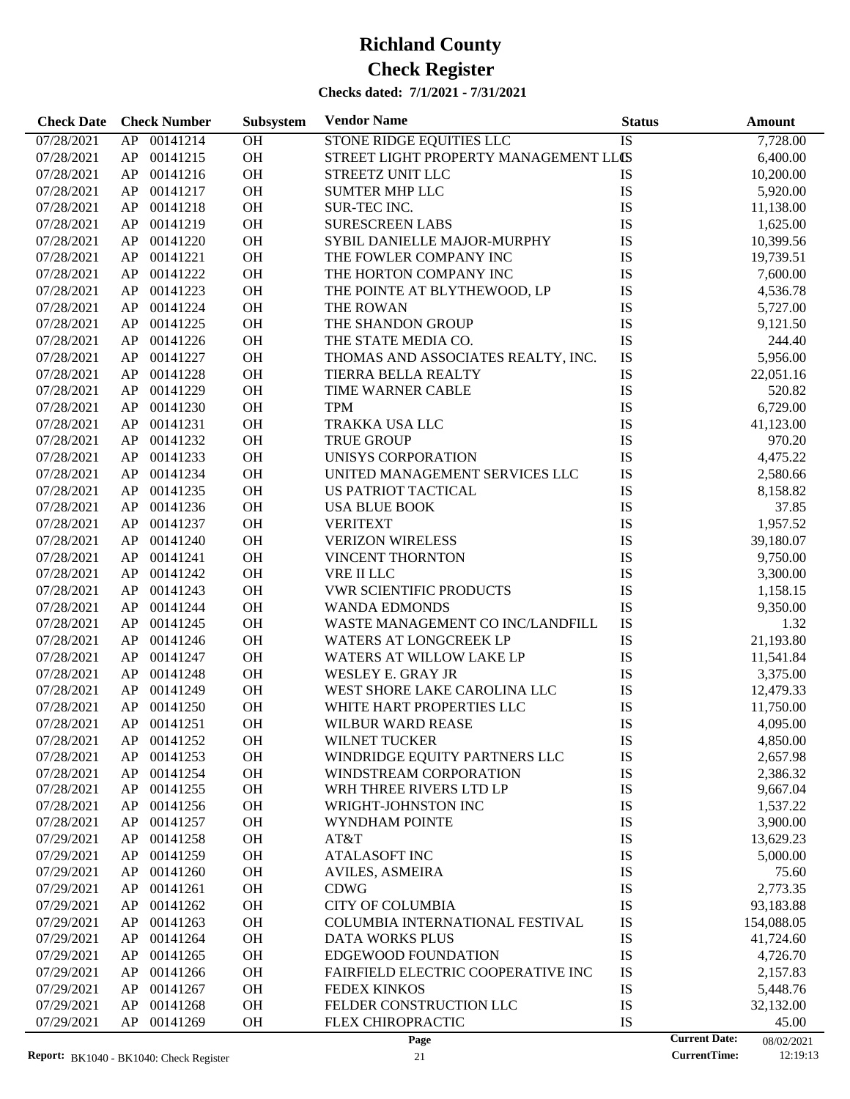| <b>Check Date</b>        | <b>Check Number</b> | Subsystem | <b>Vendor Name</b>                                  | <b>Status</b> | <b>Amount</b>                               |
|--------------------------|---------------------|-----------|-----------------------------------------------------|---------------|---------------------------------------------|
| 07/28/2021               | AP<br>00141214      | OH        | STONE RIDGE EQUITIES LLC                            | <b>IS</b>     | 7,728.00                                    |
| 07/28/2021               | 00141215<br>AP      | OH        | STREET LIGHT PROPERTY MANAGEMENT LLCS               |               | 6,400.00                                    |
| 07/28/2021               | AP<br>00141216      | OH        | STREETZ UNIT LLC                                    | IS            | 10,200.00                                   |
| 07/28/2021               | AP<br>00141217      | OH        | <b>SUMTER MHP LLC</b>                               | IS            | 5,920.00                                    |
| 07/28/2021               | 00141218<br>AP      | OH        | SUR-TEC INC.                                        | IS            | 11,138.00                                   |
| 07/28/2021               | 00141219<br>AP      | OH        | <b>SURESCREEN LABS</b>                              | IS            | 1,625.00                                    |
| 07/28/2021               | AP<br>00141220      | OH        | SYBIL DANIELLE MAJOR-MURPHY                         | IS            | 10,399.56                                   |
| 07/28/2021               | AP<br>00141221      | OH        | THE FOWLER COMPANY INC                              | IS            | 19,739.51                                   |
| 07/28/2021               | 00141222<br>AP      | OH        | THE HORTON COMPANY INC                              | IS            | 7,600.00                                    |
| 07/28/2021               | 00141223<br>AP      | OH        | THE POINTE AT BLYTHEWOOD, LP                        | IS            | 4,536.78                                    |
| 07/28/2021               | AP<br>00141224      | OH        | THE ROWAN                                           | IS            | 5,727.00                                    |
| 07/28/2021               | AP<br>00141225      | OH        | THE SHANDON GROUP                                   | IS            | 9,121.50                                    |
| 07/28/2021               | 00141226<br>AP      | OH        | THE STATE MEDIA CO.                                 | IS            | 244.40                                      |
| 07/28/2021               | 00141227<br>AP      | OH        | THOMAS AND ASSOCIATES REALTY, INC.                  | IS            | 5,956.00                                    |
| 07/28/2021               | AP<br>00141228      | OH        | TIERRA BELLA REALTY                                 | IS            | 22,051.16                                   |
| 07/28/2021               | AP<br>00141229      | OH        | TIME WARNER CABLE                                   | IS            | 520.82                                      |
| 07/28/2021               | 00141230<br>AP      | OH        | <b>TPM</b>                                          | IS            | 6,729.00                                    |
| 07/28/2021               | 00141231<br>AP      | OH        | <b>TRAKKA USA LLC</b>                               | IS            | 41,123.00                                   |
| 07/28/2021               | AP<br>00141232      | OH        | <b>TRUE GROUP</b>                                   | IS            | 970.20                                      |
| 07/28/2021               | AP<br>00141233      | OH        | UNISYS CORPORATION                                  | IS            | 4,475.22                                    |
| 07/28/2021               | 00141234<br>AP      | OH        | UNITED MANAGEMENT SERVICES LLC                      | IS            | 2,580.66                                    |
| 07/28/2021               | 00141235<br>AP      | OH        | US PATRIOT TACTICAL                                 | IS            | 8,158.82                                    |
| 07/28/2021               | AP<br>00141236      | OH        | <b>USA BLUE BOOK</b>                                | IS            | 37.85                                       |
| 07/28/2021               | AP<br>00141237      | OH        | <b>VERITEXT</b>                                     | IS            | 1,957.52                                    |
| 07/28/2021               | 00141240<br>AP      | OH        | <b>VERIZON WIRELESS</b>                             | IS            | 39,180.07                                   |
| 07/28/2021               | 00141241<br>AP      | OH        | VINCENT THORNTON                                    | IS            | 9,750.00                                    |
| 07/28/2021               | AP<br>00141242      | OH        | VRE II LLC                                          | IS            | 3,300.00                                    |
| 07/28/2021               | AP<br>00141243      | OH        | <b>VWR SCIENTIFIC PRODUCTS</b>                      | IS            | 1,158.15                                    |
| 07/28/2021               | 00141244<br>AP      | OH        | <b>WANDA EDMONDS</b>                                | IS            | 9,350.00                                    |
| 07/28/2021               | 00141245<br>AP      | OH        | WASTE MANAGEMENT CO INC/LANDFILL                    | IS            | 1.32                                        |
| 07/28/2021               | AP<br>00141246      | OH        | <b>WATERS AT LONGCREEK LP</b>                       | IS            | 21,193.80                                   |
| 07/28/2021               | 00141247<br>AP      | OH        | WATERS AT WILLOW LAKE LP                            | IS            | 11,541.84                                   |
| 07/28/2021               | 00141248<br>AP      | OH        | WESLEY E. GRAY JR                                   | IS            | 3,375.00                                    |
| 07/28/2021               | 00141249<br>AP      | OH        | WEST SHORE LAKE CAROLINA LLC                        | IS            | 12,479.33                                   |
| 07/28/2021               | AP<br>00141250      | OH        | WHITE HART PROPERTIES LLC                           | IS            | 11,750.00                                   |
| 07/28/2021               | AP 00141251         | <b>OH</b> | <b>WILBUR WARD REASE</b>                            | IS            | 4,095.00                                    |
| 07/28/2021               | 00141252<br>AP      | <b>OH</b> | WILNET TUCKER                                       | IS            | 4,850.00                                    |
| 07/28/2021               | 00141253<br>AP      | OH        | WINDRIDGE EQUITY PARTNERS LLC                       | IS            | 2,657.98                                    |
| 07/28/2021               | AP<br>00141254      | OH        | WINDSTREAM CORPORATION                              | IS            | 2,386.32                                    |
| 07/28/2021               | 00141255<br>AP      | <b>OH</b> | WRH THREE RIVERS LTD LP                             | IS            | 9,667.04                                    |
| 07/28/2021               | 00141256<br>AP      | OH        | WRIGHT-JOHNSTON INC                                 | IS            | 1,537.22                                    |
| 07/28/2021               | 00141257<br>AP      | OH        | WYNDHAM POINTE                                      | IS            | 3,900.00                                    |
| 07/29/2021               | 00141258<br>AP      | OH        | AT&T                                                | IS            | 13,629.23                                   |
| 07/29/2021               | 00141259<br>AP      | OH        | <b>ATALASOFT INC</b>                                | IS            | 5,000.00                                    |
| 07/29/2021               | 00141260<br>AP      | OH        | <b>AVILES, ASMEIRA</b>                              | IS            | 75.60                                       |
| 07/29/2021               | 00141261<br>AP      | OH        | <b>CDWG</b>                                         | IS            | 2,773.35                                    |
| 07/29/2021               | 00141262<br>AP      | OH        | <b>CITY OF COLUMBIA</b>                             | IS            | 93,183.88                                   |
| 07/29/2021               | 00141263<br>AP      | OH        | COLUMBIA INTERNATIONAL FESTIVAL                     | IS            |                                             |
| 07/29/2021               | 00141264<br>AP      | OH        | <b>DATA WORKS PLUS</b>                              | IS            | 154,088.05                                  |
| 07/29/2021               | 00141265<br>AP      | OH        | <b>EDGEWOOD FOUNDATION</b>                          | IS            | 41,724.60                                   |
|                          | 00141266            | OH        |                                                     | IS            | 4,726.70                                    |
| 07/29/2021               | AP                  |           | FAIRFIELD ELECTRIC COOPERATIVE INC                  |               | 2,157.83                                    |
| 07/29/2021               | 00141267<br>AP      | OH        | FEDEX KINKOS                                        | IS            | 5,448.76                                    |
| 07/29/2021<br>07/29/2021 | 00141268<br>AP      | OH        | FELDER CONSTRUCTION LLC<br><b>FLEX CHIROPRACTIC</b> | IS<br>IS      | 32,132.00                                   |
|                          | 00141269<br>AP      | OH        | Page                                                |               | 45.00<br><b>Current Date:</b><br>08/02/2021 |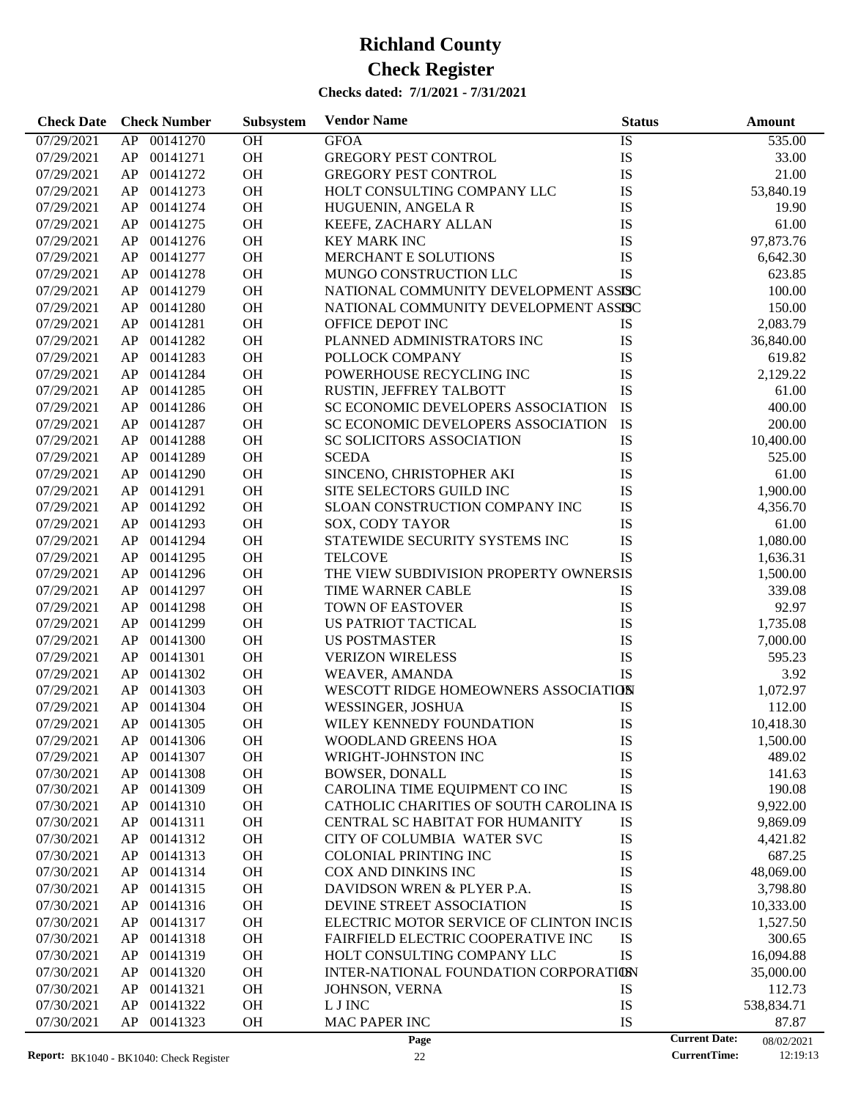**Check Date Check Number Subsystem Vendor Name Status Status Amount** 

07/29/2021 AP 00141270 OH GFOA IS IS 535.00 07/29/2021 AP 00141271 OH GREGORY PEST CONTROL IS IS 33.00

**Subsystem**

#### 07/29/2021 AP 00141272 OH GREGORY PEST CONTROL IS 1.00 07/29/2021 AP 00141273 OH HOLT CONSULTING COMPANY LLC IS 53,840.19 07/29/2021 AP 00141274 OH HUGUENIN, ANGELA R IS 19.90 07/29/2021 AP 00141275 OH KEEFE, ZACHARY ALLAN IS 61.00 07/29/2021 AP 00141276 OH KEY MARK INC IS IS 97.873.76 07/29/2021 AP 00141277 OH MERCHANT E SOLUTIONS IS 5.642.30 07/29/2021 AP 00141278 OH MUNGO CONSTRUCTION LLC IS 623.85 07/29/2021 AP 00141279 OH NATIONAL COMMUNITY DEVELOPMENT ASSISC 100.00 07/29/2021 AP 00141280 OH NATIONAL COMMUNITY DEVELOPMENT ASSISC 150.00 07/29/2021 AP 00141281 OH OFFICE DEPOT INC IS 1S 2.083.79 07/29/2021 AP 00141282 OH PLANNED ADMINISTRATORS INC IS 36,840.00 07/29/2021 AP 00141283 OH POLLOCK COMPANY IS IS 619.82 07/29/2021 AP 00141284 OH POWERHOUSE RECYCLING INC IS 2.129.22 07/29/2021 AP 00141285 OH RUSTIN, JEFFREY TALBOTT IS 1.00 07/29/2021 AP 00141286 OH SC ECONOMIC DEVELOPERS ASSOCIATION IS 400.00 07/29/2021 AP 00141287 OH SC ECONOMIC DEVELOPERS ASSOCIATION IS 200.00 07/29/2021 AP 00141288 OH SC SOLICITORS ASSOCIATION IS 10,400.00 07/29/2021 AP 00141289 OH SCEDA IS 525.00 07/29/2021 AP 00141290 OH SINCENO, CHRISTOPHER AKI IS 61.00 07/29/2021 AP 00141291 OH SITE SELECTORS GUILD INC IS 1,900.00 07/29/2021 AP 00141292 OH SLOAN CONSTRUCTION COMPANY INC IS 4,356.70 07/29/2021 AP 00141293 OH SOX, CODY TAYOR IS IS 61.00 07/29/2021 AP 00141294 OH STATEWIDE SECURITY SYSTEMS INC IS 1,080.00 07/29/2021 AP 00141295 OH TELCOVE IS IS 1,636.31 07/29/2021 AP 00141296 OH THE VIEW SUBDIVISION PROPERTY OWNERSIS 1,500.00 07/29/2021 AP 00141297 OH TIME WARNER CABLE TIS IS 339.08 07/29/2021 AP 00141298 OH TOWN OF EASTOVER IS 15 92.97 07/29/2021 AP 00141299 OH US PATRIOT TACTICAL IS IS 1,735.08 07/29/2021 AP 00141300 OH US POSTMASTER IS 15 7,000.00 07/29/2021 AP 00141301 OH VERIZON WIRELESS IS 595.23 07/29/2021 AP 00141302 OH WEAVER, AMANDA IS IS 3.92 07/29/2021 AP 00141303 OH WESCOTT RIDGE HOMEOWNERS ASSOCIATION 1,072.97 07/29/2021 AP 00141304 OH WESSINGER, JOSHUA IS IS 112.00 07/29/2021 AP 00141305 OH WILEY KENNEDY FOUNDATION IS 10,418.30 07/29/2021 AP 00141306 OH WOODLAND GREENS HOA IS 1,500.00 07/29/2021 AP 00141307 OH WRIGHT-JOHNSTON INC IS 1899.02 07/30/2021 AP 00141308 OH BOWSER, DONALL IS IS 141.63 07/30/2021 AP 00141309 OH CAROLINA TIME EQUIPMENT CO INC IS 190.08 07/30/2021 AP 00141310 OH CATHOLIC CHARITIES OF SOUTH CAROLINA IS 9.922.00 07/30/2021 AP 00141311 OH CENTRAL SC HABITAT FOR HUMANITY IS 9,869.09 07/30/2021 AP 00141312 OH CITY OF COLUMBIA WATER SVC IS 4.421.82 07/30/2021 AP 00141313 OH COLONIAL PRINTING INC IS 587.25 07/30/2021 AP 00141314 OH COX AND DINKINS INC IS 15 48,069.00 07/30/2021 AP 00141315 OH DAVIDSON WREN & PLYER P.A. IS IS 3,798.80 07/30/2021 AP 00141316 OH DEVINE STREET ASSOCIATION IS 10,333.00 07/30/2021 AP 00141317 OH ELECTRIC MOTOR SERVICE OF CLINTON INCIS 1,527.50 07/30/2021 AP 00141318 OH FAIRFIELD ELECTRIC COOPERATIVE INC IS 300.65

07/30/2021 AP 00141319 OH HOLT CONSULTING COMPANY LLC IS 16,094.88 07/30/2021 AP 00141320 OH INTER-NATIONAL FOUNDATION CORPORATION S5,000.00 07/30/2021 AP 00141321 OH JOHNSON, VERNA IS IS 112.73 07/30/2021 AP 00141322 OH L J INC IS IS 538,834.71 07/30/2021 AP 00141323 OH MAC PAPER INC IS IS 87.87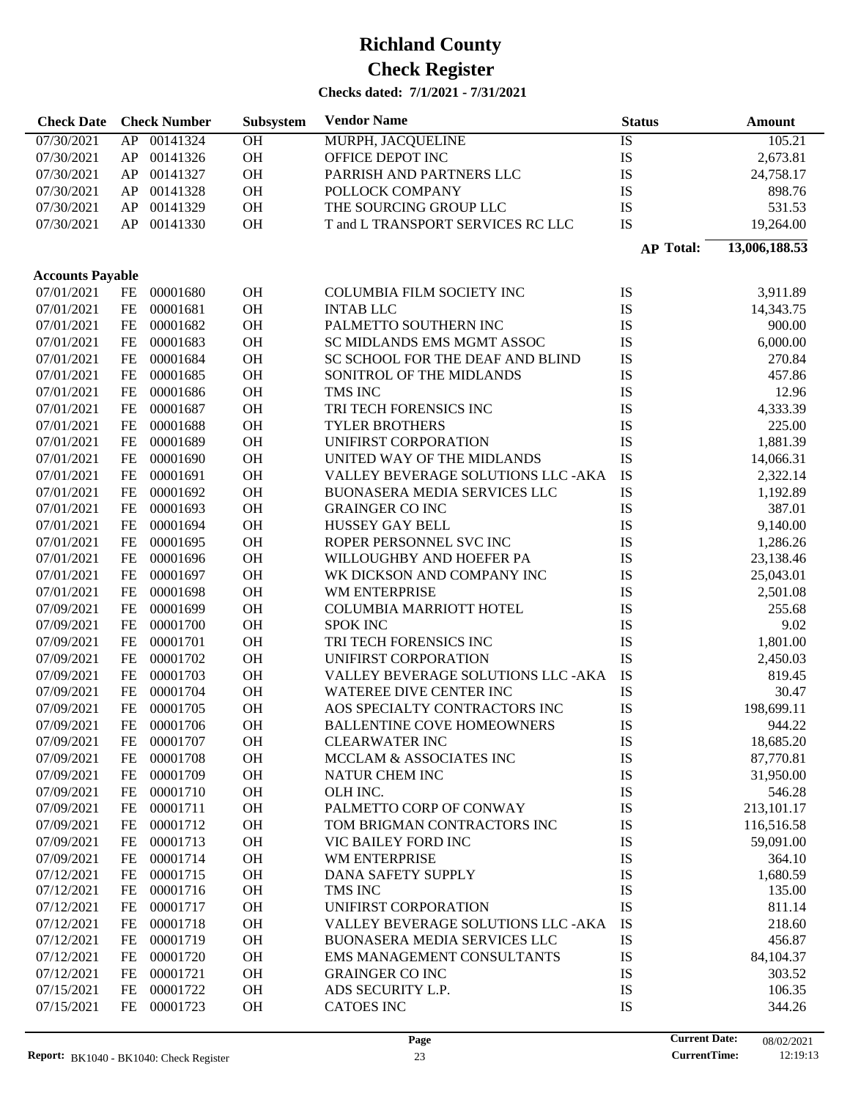| <b>Check Date</b>       |           | <b>Check Number</b> | Subsystem | <b>Vendor Name</b>                  | <b>Status</b>    | Amount        |
|-------------------------|-----------|---------------------|-----------|-------------------------------------|------------------|---------------|
| 07/30/2021              | AP        | 00141324            | OH        | <b>MURPH, JACQUELINE</b>            | <b>IS</b>        | 105.21        |
| 07/30/2021              | AP        | 00141326            | OH        | OFFICE DEPOT INC                    | IS               | 2,673.81      |
| 07/30/2021              | AP        | 00141327            | OH        | PARRISH AND PARTNERS LLC            | IS               | 24,758.17     |
| 07/30/2021              | AP        | 00141328            | OH        | POLLOCK COMPANY                     | IS               | 898.76        |
| 07/30/2021              | AP        | 00141329            | OH        | THE SOURCING GROUP LLC              | IS               | 531.53        |
| 07/30/2021              | AP        | 00141330            | OH        | T and L TRANSPORT SERVICES RC LLC   | IS               | 19,264.00     |
|                         |           |                     |           |                                     | <b>AP Total:</b> | 13,006,188.53 |
|                         |           |                     |           |                                     |                  |               |
| <b>Accounts Payable</b> |           |                     |           |                                     |                  |               |
| 07/01/2021              | FE        | 00001680            | <b>OH</b> | COLUMBIA FILM SOCIETY INC           | IS               | 3,911.89      |
| 07/01/2021              | $FE$      | 00001681            | OH        | <b>INTAB LLC</b>                    | IS               | 14,343.75     |
| 07/01/2021              | FE        | 00001682            | OH        | PALMETTO SOUTHERN INC               | IS               | 900.00        |
| 07/01/2021              | FE        | 00001683            | OH        | SC MIDLANDS EMS MGMT ASSOC          | IS               | 6,000.00      |
| 07/01/2021              | $\rm FE$  | 00001684            | OH        | SC SCHOOL FOR THE DEAF AND BLIND    | IS               | 270.84        |
| 07/01/2021              | $\rm FE$  | 00001685            | OH        | SONITROL OF THE MIDLANDS            | IS               | 457.86        |
| 07/01/2021              | $\rm FE$  | 00001686            | OH        | TMS INC                             | IS               | 12.96         |
| 07/01/2021              | $\rm FE$  | 00001687            | OH        | TRI TECH FORENSICS INC              | IS               | 4,333.39      |
| 07/01/2021              | $FE$      | 00001688            | OH        | <b>TYLER BROTHERS</b>               | IS               | 225.00        |
| 07/01/2021              | $FE$      | 00001689            | OH        | UNIFIRST CORPORATION                | IS               | 1,881.39      |
| 07/01/2021              | FE        | 00001690            | OH        | UNITED WAY OF THE MIDLANDS          | IS               | 14,066.31     |
| 07/01/2021              | FE        | 00001691            | OH        | VALLEY BEVERAGE SOLUTIONS LLC -AKA  | IS               | 2,322.14      |
| 07/01/2021              | FE        | 00001692            | OH        | BUONASERA MEDIA SERVICES LLC        | IS               | 1,192.89      |
| 07/01/2021              | FE        | 00001693            | OH        | <b>GRAINGER CO INC</b>              | IS               | 387.01        |
| 07/01/2021              | FE        | 00001694            | OH        | HUSSEY GAY BELL                     | IS               | 9,140.00      |
| 07/01/2021              | $\rm FE$  | 00001695            | OH        | ROPER PERSONNEL SVC INC             | IS               | 1,286.26      |
| 07/01/2021              | $\rm FE$  | 00001696            | OH        | WILLOUGHBY AND HOEFER PA            | IS               | 23,138.46     |
| 07/01/2021              | $\rm FE$  | 00001697            | OH        | WK DICKSON AND COMPANY INC          | IS               | 25,043.01     |
| 07/01/2021              | $\rm FE$  | 00001698            | OH        | WM ENTERPRISE                       | IS               | 2,501.08      |
| 07/09/2021              | $\rm FE$  | 00001699            | OH        | COLUMBIA MARRIOTT HOTEL             | IS               | 255.68        |
| 07/09/2021              | $\rm FE$  | 00001700            | OH        | <b>SPOK INC</b>                     | IS               | 9.02          |
| 07/09/2021              | $\rm FE$  | 00001701            | OH        | TRI TECH FORENSICS INC              | IS               | 1,801.00      |
| 07/09/2021              | $\rm FE$  | 00001702            | OH        | UNIFIRST CORPORATION                | IS               | 2,450.03      |
| 07/09/2021              | $FE$      | 00001703            | OH        | VALLEY BEVERAGE SOLUTIONS LLC - AKA | IS               | 819.45        |
| 07/09/2021              | $FE$      | 00001704            | OH        | WATEREE DIVE CENTER INC             | IS               | 30.47         |
| 07/09/2021              | $\rm FE$  | 00001705            | OH        | AOS SPECIALTY CONTRACTORS INC       | IS               | 198,699.11    |
| 07/09/2021              | <b>FE</b> | 00001706            | OH        | <b>BALLENTINE COVE HOMEOWNERS</b>   | IS               | 944.22        |
| 07/09/2021              | FE        | 00001707            | OH        | <b>CLEARWATER INC</b>               | IS               | 18,685.20     |
| 07/09/2021              | FE        | 00001708            | OH        | MCCLAM & ASSOCIATES INC             | IS               | 87,770.81     |
| 07/09/2021              | $FE$      | 00001709            | OH        | <b>NATUR CHEM INC</b>               | IS               | 31,950.00     |
| 07/09/2021              | FE        | 00001710            | OH        | OLH INC.                            | IS               | 546.28        |
| 07/09/2021              | FE        | 00001711            | OH        | PALMETTO CORP OF CONWAY             | IS               | 213,101.17    |
| 07/09/2021              | FE        | 00001712            | OH        | TOM BRIGMAN CONTRACTORS INC         | IS               | 116,516.58    |
| 07/09/2021              | FE        | 00001713            | OH        | VIC BAILEY FORD INC                 | IS               | 59,091.00     |
| 07/09/2021              | FE        | 00001714            | OH        | WM ENTERPRISE                       | IS               | 364.10        |
| 07/12/2021              | FE        | 00001715            | OH        | DANA SAFETY SUPPLY                  | IS               | 1,680.59      |
| 07/12/2021              | FE        | 00001716            | OH        | TMS INC                             | IS               | 135.00        |
| 07/12/2021              | FE        | 00001717            | OH        | UNIFIRST CORPORATION                | IS               | 811.14        |
| 07/12/2021              | FE        | 00001718            | OH        | VALLEY BEVERAGE SOLUTIONS LLC -AKA  | IS               | 218.60        |
| 07/12/2021              | FE        | 00001719            | OH        | BUONASERA MEDIA SERVICES LLC        | IS               | 456.87        |
| 07/12/2021              | FE        | 00001720            | OH        | EMS MANAGEMENT CONSULTANTS          | IS               | 84,104.37     |
| 07/12/2021              | FE        | 00001721            | OH        | <b>GRAINGER CO INC</b>              | IS               | 303.52        |
| 07/15/2021              | FE        | 00001722            | OH        | ADS SECURITY L.P.                   | IS               | 106.35        |
| 07/15/2021              | FE        | 00001723            | OH        | <b>CATOES INC</b>                   | IS               | 344.26        |
|                         |           |                     |           |                                     |                  |               |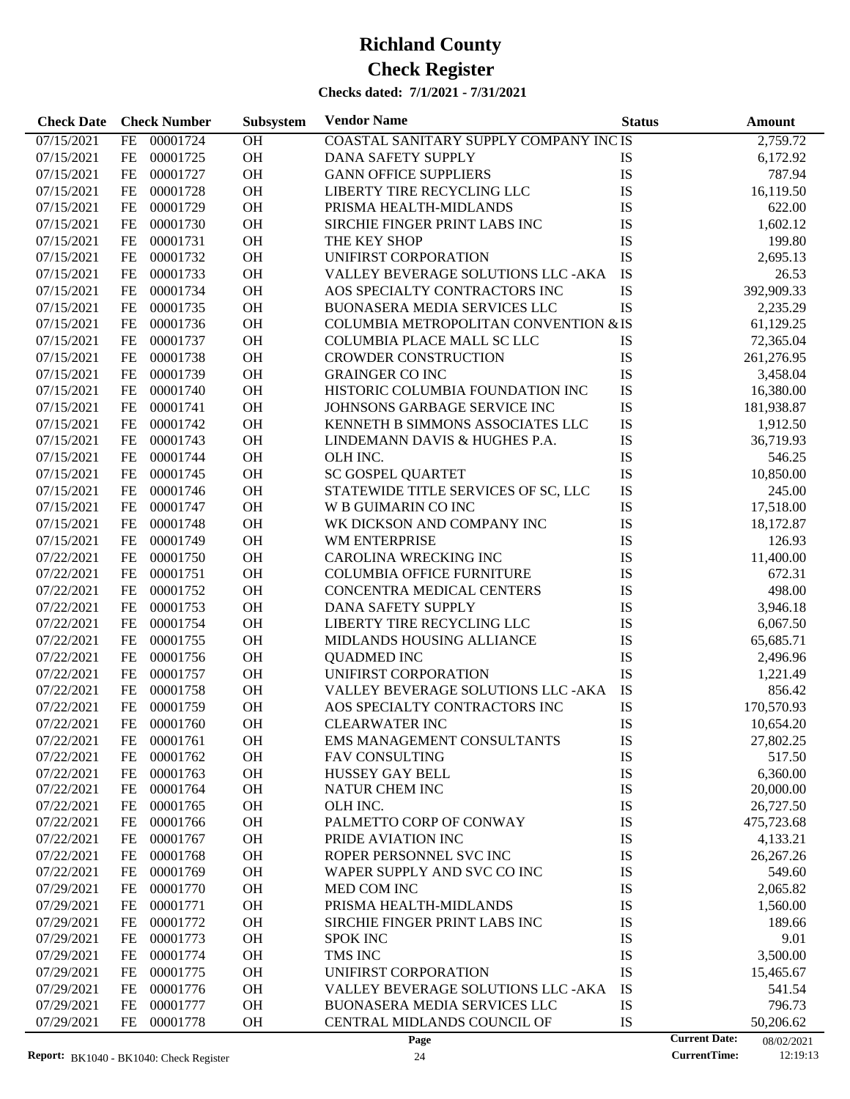| <b>Check Date</b> | <b>Check Number</b> | Subsystem | <b>Vendor Name</b>                     | <b>Status</b> | <b>Amount</b>                      |
|-------------------|---------------------|-----------|----------------------------------------|---------------|------------------------------------|
| 07/15/2021        | FE<br>00001724      | OH        | COASTAL SANITARY SUPPLY COMPANY INC IS |               | 2,759.72                           |
| 07/15/2021        | 00001725<br>FE      | OH        | DANA SAFETY SUPPLY                     | <b>IS</b>     | 6,172.92                           |
| 07/15/2021        | 00001727<br>FE      | OH        | <b>GANN OFFICE SUPPLIERS</b>           | IS            | 787.94                             |
| 07/15/2021        | 00001728<br>FE      | OH        | LIBERTY TIRE RECYCLING LLC             | IS            | 16,119.50                          |
| 07/15/2021        | FE<br>00001729      | OH        | PRISMA HEALTH-MIDLANDS                 | IS            | 622.00                             |
| 07/15/2021        | 00001730<br>FE      | <b>OH</b> | SIRCHIE FINGER PRINT LABS INC          | IS            | 1,602.12                           |
| 07/15/2021        | 00001731<br>FE      | <b>OH</b> | THE KEY SHOP                           | IS            | 199.80                             |
| 07/15/2021        | FE<br>00001732      | <b>OH</b> | UNIFIRST CORPORATION                   | IS            | 2,695.13                           |
| 07/15/2021        | FE<br>00001733      | <b>OH</b> | VALLEY BEVERAGE SOLUTIONS LLC -AKA     | IS            | 26.53                              |
| 07/15/2021        | 00001734<br>FE      | <b>OH</b> | AOS SPECIALTY CONTRACTORS INC          | IS            | 392,909.33                         |
| 07/15/2021        | 00001735<br>FE      | <b>OH</b> | <b>BUONASERA MEDIA SERVICES LLC</b>    | IS            | 2,235.29                           |
| 07/15/2021        | FE<br>00001736      | <b>OH</b> | COLUMBIA METROPOLITAN CONVENTION & IS  |               | 61,129.25                          |
| 07/15/2021        | FE<br>00001737      | <b>OH</b> | COLUMBIA PLACE MALL SC LLC             | IS            | 72,365.04                          |
| 07/15/2021        | 00001738<br>FE      | <b>OH</b> | <b>CROWDER CONSTRUCTION</b>            | IS            | 261,276.95                         |
| 07/15/2021        | 00001739<br>FE      | <b>OH</b> | <b>GRAINGER CO INC</b>                 | IS            | 3,458.04                           |
| 07/15/2021        | FE<br>00001740      | OH        | HISTORIC COLUMBIA FOUNDATION INC       | IS            | 16,380.00                          |
| 07/15/2021        | FE<br>00001741      | <b>OH</b> | JOHNSONS GARBAGE SERVICE INC           | IS            | 181,938.87                         |
| 07/15/2021        | 00001742<br>FE      | <b>OH</b> | KENNETH B SIMMONS ASSOCIATES LLC       | IS            | 1,912.50                           |
| 07/15/2021        | 00001743<br>FE      | <b>OH</b> | LINDEMANN DAVIS & HUGHES P.A.          | IS            | 36,719.93                          |
| 07/15/2021        | FE<br>00001744      | OH        | OLH INC.                               | IS            | 546.25                             |
| 07/15/2021        | FE<br>00001745      | <b>OH</b> | SC GOSPEL QUARTET                      | IS            | 10,850.00                          |
| 07/15/2021        | 00001746<br>FE      | <b>OH</b> | STATEWIDE TITLE SERVICES OF SC, LLC    | IS            | 245.00                             |
| 07/15/2021        | 00001747<br>FE      | <b>OH</b> | W B GUIMARIN CO INC                    | IS            | 17,518.00                          |
| 07/15/2021        | FE<br>00001748      | OH        | WK DICKSON AND COMPANY INC             | IS            | 18,172.87                          |
| 07/15/2021        | 00001749<br>FE      | <b>OH</b> | WM ENTERPRISE                          | IS            | 126.93                             |
| 07/22/2021        | 00001750<br>FE      | <b>OH</b> | CAROLINA WRECKING INC                  | IS            | 11,400.00                          |
| 07/22/2021        | 00001751<br>FE      | <b>OH</b> | <b>COLUMBIA OFFICE FURNITURE</b>       | IS            | 672.31                             |
| 07/22/2021        | FE<br>00001752      | <b>OH</b> | CONCENTRA MEDICAL CENTERS              | IS            | 498.00                             |
| 07/22/2021        | 00001753<br>FE      | <b>OH</b> | DANA SAFETY SUPPLY                     | IS            | 3,946.18                           |
| 07/22/2021        | 00001754<br>FE      | <b>OH</b> | LIBERTY TIRE RECYCLING LLC             | IS            | 6,067.50                           |
| 07/22/2021        | 00001755<br>FE      | <b>OH</b> | MIDLANDS HOUSING ALLIANCE              | IS            | 65,685.71                          |
| 07/22/2021        | 00001756<br>FE      | <b>OH</b> | <b>QUADMED INC</b>                     | IS            | 2,496.96                           |
| 07/22/2021        | 00001757<br>FE      | <b>OH</b> | UNIFIRST CORPORATION                   | IS            | 1,221.49                           |
| 07/22/2021        | FE<br>00001758      | <b>OH</b> | VALLEY BEVERAGE SOLUTIONS LLC -AKA     | IS            | 856.42                             |
| 07/22/2021        | 00001759<br>FE      | OH        | AOS SPECIALTY CONTRACTORS INC          | IS            | 170,570.93                         |
| 07/22/2021        | $FE$<br>00001760    | <b>OH</b> | <b>CLEARWATER INC</b>                  | IS            | 10,654.20                          |
| 07/22/2021        | 00001761<br>FE      | <b>OH</b> | EMS MANAGEMENT CONSULTANTS             | IS            | 27,802.25                          |
| 07/22/2021        | 00001762<br>FE      | <b>OH</b> | <b>FAV CONSULTING</b>                  | IS            | 517.50                             |
| 07/22/2021        | 00001763<br>FE      | <b>OH</b> | <b>HUSSEY GAY BELL</b>                 | IS            | 6,360.00                           |
| 07/22/2021        | FE<br>00001764      | OH        | NATUR CHEM INC                         | IS            | 20,000.00                          |
| 07/22/2021        | 00001765<br>FE      | OH        | OLH INC.                               | IS            | 26,727.50                          |
| 07/22/2021        | 00001766<br>FE      | OH        | PALMETTO CORP OF CONWAY                | IS            | 475,723.68                         |
| 07/22/2021        | 00001767<br>FE      | OH        | PRIDE AVIATION INC                     | IS            | 4,133.21                           |
| 07/22/2021        | 00001768<br>FE      | OH        | ROPER PERSONNEL SVC INC                | IS            | 26,267.26                          |
| 07/22/2021        | 00001769<br>FE      | OH        | WAPER SUPPLY AND SVC CO INC            | IS            | 549.60                             |
| 07/29/2021        | 00001770<br>FE      | OH        | MED COM INC                            | IS            | 2,065.82                           |
| 07/29/2021        | 00001771<br>FE      | OH        | PRISMA HEALTH-MIDLANDS                 | IS            | 1,560.00                           |
| 07/29/2021        | 00001772<br>FE      | OH        | SIRCHIE FINGER PRINT LABS INC          | IS            | 189.66                             |
| 07/29/2021        | 00001773<br>FE      | OH        | <b>SPOK INC</b>                        | IS            | 9.01                               |
| 07/29/2021        | 00001774<br>FE      | OH        | TMS INC                                | IS            | 3,500.00                           |
| 07/29/2021        | 00001775<br>FE      | OH        | UNIFIRST CORPORATION                   | IS            | 15,465.67                          |
| 07/29/2021        | 00001776<br>FE      | OH        | VALLEY BEVERAGE SOLUTIONS LLC -AKA     | IS            | 541.54                             |
| 07/29/2021        | 00001777<br>FE      | OH        | <b>BUONASERA MEDIA SERVICES LLC</b>    | IS            | 796.73                             |
| 07/29/2021        | 00001778<br>FE      | OH        | CENTRAL MIDLANDS COUNCIL OF            | IS            | 50,206.62                          |
|                   |                     |           | Page                                   |               | <b>Current Date:</b><br>08/02/2021 |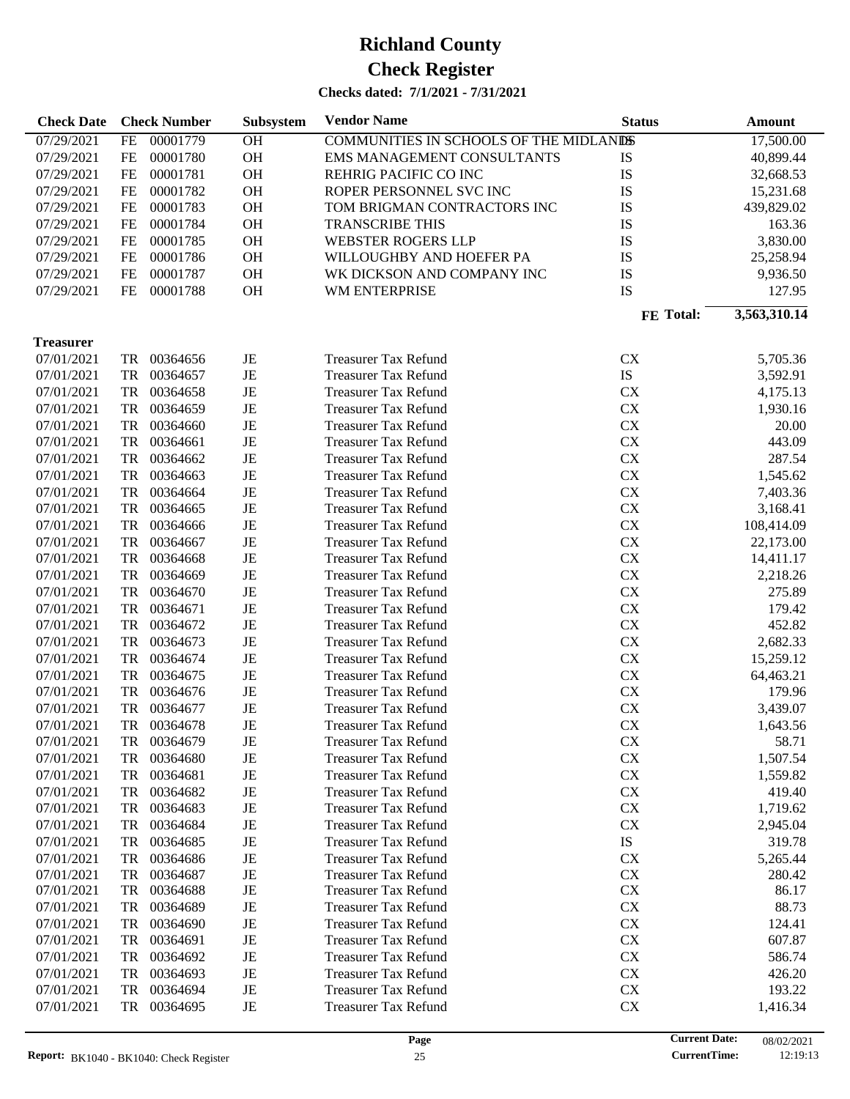| <b>Check Date</b> |           | <b>Check Number</b> | Subsystem | <b>Vendor Name</b>                      | <b>Status</b> | <b>Amount</b> |
|-------------------|-----------|---------------------|-----------|-----------------------------------------|---------------|---------------|
| 07/29/2021        | FE        | 00001779            | OH        | COMMUNITIES IN SCHOOLS OF THE MIDLANISS |               | 17,500.00     |
| 07/29/2021        | FE        | 00001780            | <b>OH</b> | <b>EMS MANAGEMENT CONSULTANTS</b>       | IS            | 40,899.44     |
| 07/29/2021        | FE        | 00001781            | <b>OH</b> | REHRIG PACIFIC CO INC                   | IS            | 32,668.53     |
| 07/29/2021        | FE        | 00001782            | <b>OH</b> | ROPER PERSONNEL SVC INC                 | IS            | 15,231.68     |
| 07/29/2021        | FE        | 00001783            | <b>OH</b> | TOM BRIGMAN CONTRACTORS INC             | IS            | 439,829.02    |
| 07/29/2021        | FE        | 00001784            | <b>OH</b> | <b>TRANSCRIBE THIS</b>                  | IS            | 163.36        |
| 07/29/2021        | FE        | 00001785            | <b>OH</b> | <b>WEBSTER ROGERS LLP</b>               | IS            | 3,830.00      |
| 07/29/2021        | FE        | 00001786            | <b>OH</b> | WILLOUGHBY AND HOEFER PA                | IS            | 25,258.94     |
| 07/29/2021        | FE        | 00001787            | <b>OH</b> | WK DICKSON AND COMPANY INC              | IS            | 9,936.50      |
| 07/29/2021        | FE        | 00001788            | <b>OH</b> | WM ENTERPRISE                           | IS            | 127.95        |
|                   |           |                     |           |                                         | FE Total:     | 3,563,310.14  |
|                   |           |                     |           |                                         |               |               |
| <b>Treasurer</b>  |           |                     |           |                                         |               |               |
| 07/01/2021        | TR        | 00364656            | $\rm{JE}$ | <b>Treasurer Tax Refund</b>             | <b>CX</b>     | 5,705.36      |
| 07/01/2021        | <b>TR</b> | 00364657            | $\rm{JE}$ | <b>Treasurer Tax Refund</b>             | IS            | 3,592.91      |
| 07/01/2021        | TR        | 00364658            | JE        | <b>Treasurer Tax Refund</b>             | <b>CX</b>     | 4,175.13      |
| 07/01/2021        | TR        | 00364659            | JE        | <b>Treasurer Tax Refund</b>             | <b>CX</b>     | 1,930.16      |
| 07/01/2021        | TR        | 00364660            | JE        | <b>Treasurer Tax Refund</b>             | <b>CX</b>     | 20.00         |
| 07/01/2021        | TR        | 00364661            | JE        | <b>Treasurer Tax Refund</b>             | <b>CX</b>     | 443.09        |
| 07/01/2021        | <b>TR</b> | 00364662            | JE        | <b>Treasurer Tax Refund</b>             | <b>CX</b>     | 287.54        |
| 07/01/2021        | <b>TR</b> | 00364663            | JE        | <b>Treasurer Tax Refund</b>             | <b>CX</b>     | 1,545.62      |
| 07/01/2021        | <b>TR</b> | 00364664            | JE        | <b>Treasurer Tax Refund</b>             | <b>CX</b>     | 7,403.36      |
| 07/01/2021        | <b>TR</b> | 00364665            | JE        | <b>Treasurer Tax Refund</b>             | <b>CX</b>     | 3,168.41      |
| 07/01/2021        | <b>TR</b> | 00364666            | JE        | <b>Treasurer Tax Refund</b>             | <b>CX</b>     | 108,414.09    |
| 07/01/2021        | <b>TR</b> | 00364667            | JE        | <b>Treasurer Tax Refund</b>             | <b>CX</b>     | 22,173.00     |
| 07/01/2021        | <b>TR</b> | 00364668            | JE        | <b>Treasurer Tax Refund</b>             | <b>CX</b>     | 14,411.17     |
| 07/01/2021        | <b>TR</b> | 00364669            | JE        | <b>Treasurer Tax Refund</b>             | <b>CX</b>     | 2,218.26      |
| 07/01/2021        | <b>TR</b> | 00364670            | JE        | <b>Treasurer Tax Refund</b>             | <b>CX</b>     | 275.89        |
| 07/01/2021        | <b>TR</b> | 00364671            | JE        | <b>Treasurer Tax Refund</b>             | <b>CX</b>     | 179.42        |
| 07/01/2021        | <b>TR</b> | 00364672            | JE        | <b>Treasurer Tax Refund</b>             | <b>CX</b>     | 452.82        |
| 07/01/2021        | <b>TR</b> | 00364673            | $\rm{JE}$ | <b>Treasurer Tax Refund</b>             | CX            | 2,682.33      |
| 07/01/2021        | <b>TR</b> | 00364674            | $\rm{JE}$ | <b>Treasurer Tax Refund</b>             | <b>CX</b>     | 15,259.12     |
| 07/01/2021        | <b>TR</b> | 00364675            | $\rm{JE}$ | <b>Treasurer Tax Refund</b>             | <b>CX</b>     | 64,463.21     |
| 07/01/2021        | <b>TR</b> | 00364676            | $\rm{JE}$ | <b>Treasurer Tax Refund</b>             | CX            | 179.96        |
| 07/01/2021        | <b>TR</b> | 00364677            | $\rm{JE}$ | <b>Treasurer Tax Refund</b>             | <b>CX</b>     | 3,439.07      |
| 07/01/2021        | TR        | 00364678            | JE        | <b>Treasurer Tax Refund</b>             | <b>CX</b>     | 1,643.56      |
| 07/01/2021        | TR        | 00364679            | JE        | <b>Treasurer Tax Refund</b>             | <b>CX</b>     | 58.71         |
| 07/01/2021        | TR        | 00364680            | JE        | <b>Treasurer Tax Refund</b>             | CX            | 1,507.54      |
| 07/01/2021        | TR        | 00364681            | JE        | <b>Treasurer Tax Refund</b>             | <b>CX</b>     | 1,559.82      |
| 07/01/2021        | TR        | 00364682            | JE        | <b>Treasurer Tax Refund</b>             | CX            | 419.40        |
| 07/01/2021        | TR        | 00364683            | JE        | <b>Treasurer Tax Refund</b>             | <b>CX</b>     | 1,719.62      |
| 07/01/2021        | TR        | 00364684            | JE        | <b>Treasurer Tax Refund</b>             | <b>CX</b>     | 2,945.04      |
| 07/01/2021        | TR        | 00364685            | JE        | <b>Treasurer Tax Refund</b>             | IS            | 319.78        |
| 07/01/2021        | TR        | 00364686            | JE        | <b>Treasurer Tax Refund</b>             | <b>CX</b>     | 5,265.44      |
| 07/01/2021        | TR        | 00364687            | JE        | <b>Treasurer Tax Refund</b>             | CX            | 280.42        |
| 07/01/2021        | TR        | 00364688            | JE        | <b>Treasurer Tax Refund</b>             | <b>CX</b>     | 86.17         |
| 07/01/2021        | TR        | 00364689            | JE        | <b>Treasurer Tax Refund</b>             | CX            | 88.73         |
| 07/01/2021        | TR        | 00364690            | JE        | <b>Treasurer Tax Refund</b>             | CX            | 124.41        |
| 07/01/2021        | TR        | 00364691            | JE        | <b>Treasurer Tax Refund</b>             | CX            | 607.87        |
| 07/01/2021        | TR        | 00364692            | JE        | <b>Treasurer Tax Refund</b>             | CX            | 586.74        |
| 07/01/2021        | TR        | 00364693            | JE        | <b>Treasurer Tax Refund</b>             | CX            | 426.20        |
| 07/01/2021        | TR        | 00364694            | JE        | <b>Treasurer Tax Refund</b>             | CX            | 193.22        |
| 07/01/2021        | TR        | 00364695            | JE        | <b>Treasurer Tax Refund</b>             | CX            | 1,416.34      |
|                   |           |                     |           |                                         |               |               |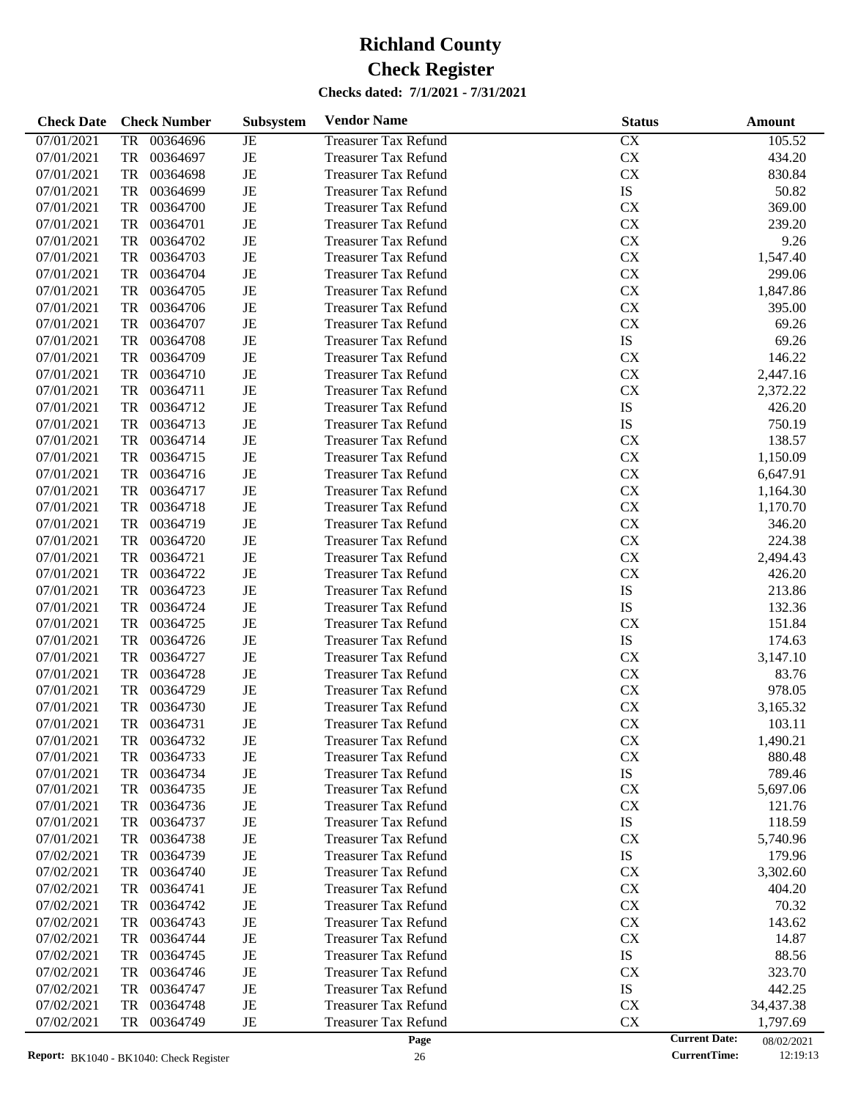| <b>Check Date</b> | <b>Check Number</b>   | Subsystem   | <b>Vendor Name</b>          | <b>Status</b>        | <b>Amount</b> |
|-------------------|-----------------------|-------------|-----------------------------|----------------------|---------------|
| 07/01/2021        | 00364696<br>TR        | JE          | <b>Treasurer Tax Refund</b> | CX                   | 105.52        |
| 07/01/2021        | 00364697<br>TR        | $_{\rm JE}$ | <b>Treasurer Tax Refund</b> | ${\rm CX}$           | 434.20        |
| 07/01/2021        | TR<br>00364698        | $_{\rm JE}$ | <b>Treasurer Tax Refund</b> | ${\rm CX}$           | 830.84        |
| 07/01/2021        | TR<br>00364699        | $_{\rm JE}$ | <b>Treasurer Tax Refund</b> | IS                   | 50.82         |
| 07/01/2021        | 00364700<br>TR        | $_{\rm JE}$ | <b>Treasurer Tax Refund</b> | CX                   | 369.00        |
| 07/01/2021        | <b>TR</b><br>00364701 | $_{\rm JE}$ | <b>Treasurer Tax Refund</b> | ${\rm CX}$           | 239.20        |
| 07/01/2021        | TR<br>00364702        | $_{\rm JE}$ | <b>Treasurer Tax Refund</b> | ${\rm CX}$           | 9.26          |
| 07/01/2021        | 00364703<br>TR        | $_{\rm JE}$ | <b>Treasurer Tax Refund</b> | ${\rm CX}$           | 1,547.40      |
| 07/01/2021        | <b>TR</b><br>00364704 | JE          | <b>Treasurer Tax Refund</b> | ${\rm CX}$           | 299.06        |
| 07/01/2021        | TR<br>00364705        | $_{\rm JE}$ | <b>Treasurer Tax Refund</b> | ${\rm CX}$           | 1,847.86      |
| 07/01/2021        | 00364706<br>TR        | $_{\rm JE}$ | <b>Treasurer Tax Refund</b> | CX                   | 395.00        |
| 07/01/2021        | <b>TR</b><br>00364707 | $_{\rm JE}$ | <b>Treasurer Tax Refund</b> | ${\rm CX}$           | 69.26         |
| 07/01/2021        | <b>TR</b><br>00364708 | $_{\rm JE}$ | <b>Treasurer Tax Refund</b> | IS                   | 69.26         |
| 07/01/2021        | 00364709<br>TR        | $_{\rm JE}$ | <b>Treasurer Tax Refund</b> | CX                   | 146.22        |
| 07/01/2021        | 00364710<br>TR        | $_{\rm JE}$ | <b>Treasurer Tax Refund</b> | ${\rm CX}$           | 2,447.16      |
| 07/01/2021        | TR<br>00364711        | $_{\rm JE}$ | <b>Treasurer Tax Refund</b> | ${\rm CX}$           | 2,372.22      |
| 07/01/2021        | TR<br>00364712        | $_{\rm JE}$ | <b>Treasurer Tax Refund</b> | ${\rm IS}$           | 426.20        |
| 07/01/2021        | 00364713<br>TR        | $_{\rm JE}$ | <b>Treasurer Tax Refund</b> | IS                   | 750.19        |
| 07/01/2021        | <b>TR</b><br>00364714 | $_{\rm JE}$ | <b>Treasurer Tax Refund</b> | CX                   | 138.57        |
| 07/01/2021        | TR<br>00364715        | $_{\rm JE}$ | <b>Treasurer Tax Refund</b> | ${\rm CX}$           | 1,150.09      |
| 07/01/2021        | 00364716<br>TR        | $_{\rm JE}$ | <b>Treasurer Tax Refund</b> | ${\rm CX}$           | 6,647.91      |
| 07/01/2021        | <b>TR</b><br>00364717 | $_{\rm JE}$ | <b>Treasurer Tax Refund</b> | ${\rm CX}$           | 1,164.30      |
| 07/01/2021        | TR<br>00364718        | $_{\rm JE}$ | <b>Treasurer Tax Refund</b> | ${\rm CX}$           | 1,170.70      |
| 07/01/2021        | 00364719<br>TR        | $_{\rm JE}$ | <b>Treasurer Tax Refund</b> | ${\rm CX}$           | 346.20        |
| 07/01/2021        | <b>TR</b><br>00364720 | $_{\rm JE}$ | <b>Treasurer Tax Refund</b> | ${\rm CX}$           | 224.38        |
| 07/01/2021        | TR<br>00364721        | $_{\rm JE}$ | <b>Treasurer Tax Refund</b> | ${\rm CX}$           | 2,494.43      |
| 07/01/2021        | <b>TR</b><br>00364722 | $_{\rm JE}$ | <b>Treasurer Tax Refund</b> | CX                   | 426.20        |
| 07/01/2021        | 00364723<br>TR        | $_{\rm JE}$ | <b>Treasurer Tax Refund</b> | IS                   | 213.86        |
| 07/01/2021        | <b>TR</b><br>00364724 | $_{\rm JE}$ | <b>Treasurer Tax Refund</b> | IS                   | 132.36        |
| 07/01/2021        | <b>TR</b><br>00364725 | $_{\rm JE}$ | <b>Treasurer Tax Refund</b> | CX                   | 151.84        |
| 07/01/2021        | 00364726<br>TR        | $_{\rm JE}$ | <b>Treasurer Tax Refund</b> | ${\rm IS}$           | 174.63        |
| 07/01/2021        | <b>TR</b><br>00364727 | $_{\rm JE}$ | <b>Treasurer Tax Refund</b> | ${\rm CX}$           | 3,147.10      |
| 07/01/2021        | <b>TR</b><br>00364728 | $_{\rm JE}$ | <b>Treasurer Tax Refund</b> | CX                   | 83.76         |
| 07/01/2021        | 00364729<br>TR        | $_{\rm JE}$ | <b>Treasurer Tax Refund</b> | CX                   | 978.05        |
| 07/01/2021        | 00364730<br>TR        | JE          | <b>Treasurer Tax Refund</b> | ${\rm CX}$           | 3,165.32      |
| 07/01/2021        | TR<br>00364731        | JE          | <b>Treasurer Tax Refund</b> | ${\rm CX}$           | 103.11        |
| 07/01/2021        | 00364732<br>TR        | JE          | <b>Treasurer Tax Refund</b> | CX                   | 1,490.21      |
| 07/01/2021        | 00364733<br>TR        | JE          | <b>Treasurer Tax Refund</b> | ${\rm CX}$           | 880.48        |
| 07/01/2021        | 00364734<br>TR        | JE          | <b>Treasurer Tax Refund</b> | ${\rm IS}$           | 789.46        |
| 07/01/2021        | 00364735<br>TR        | JE          | <b>Treasurer Tax Refund</b> | CX                   | 5,697.06      |
| 07/01/2021        | TR<br>00364736        | JE          | <b>Treasurer Tax Refund</b> | CX                   | 121.76        |
| 07/01/2021        | 00364737<br>TR        | JE          | <b>Treasurer Tax Refund</b> | IS                   | 118.59        |
| 07/01/2021        | 00364738<br>TR        | JE          | <b>Treasurer Tax Refund</b> | CX                   | 5,740.96      |
| 07/02/2021        | 00364739<br>TR        | JE          | <b>Treasurer Tax Refund</b> | IS                   | 179.96        |
| 07/02/2021        | 00364740<br>TR        | JE          | <b>Treasurer Tax Refund</b> | CX                   | 3,302.60      |
| 07/02/2021        | 00364741<br>TR        | JE          | <b>Treasurer Tax Refund</b> | CX                   | 404.20        |
| 07/02/2021        | 00364742<br>TR        | JE          | <b>Treasurer Tax Refund</b> | CX                   | 70.32         |
| 07/02/2021        | 00364743<br>TR        | JE          | <b>Treasurer Tax Refund</b> | CX                   | 143.62        |
| 07/02/2021        | 00364744<br>TR        | JE          | <b>Treasurer Tax Refund</b> | CX                   | 14.87         |
| 07/02/2021        | 00364745<br>TR        | JE          | <b>Treasurer Tax Refund</b> | IS                   | 88.56         |
| 07/02/2021        | 00364746<br>TR        | JE          | <b>Treasurer Tax Refund</b> | CX                   | 323.70        |
| 07/02/2021        | 00364747<br>TR        | JE          | <b>Treasurer Tax Refund</b> | IS                   | 442.25        |
| 07/02/2021        | 00364748<br>TR        | $\rm{JE}$   | <b>Treasurer Tax Refund</b> | CX                   | 34,437.38     |
| 07/02/2021        | 00364749<br>TR        | $_{\rm JE}$ | <b>Treasurer Tax Refund</b> | ${\rm CX}$           | 1,797.69      |
|                   |                       |             | Page                        | <b>Current Date:</b> | 08/02/2021    |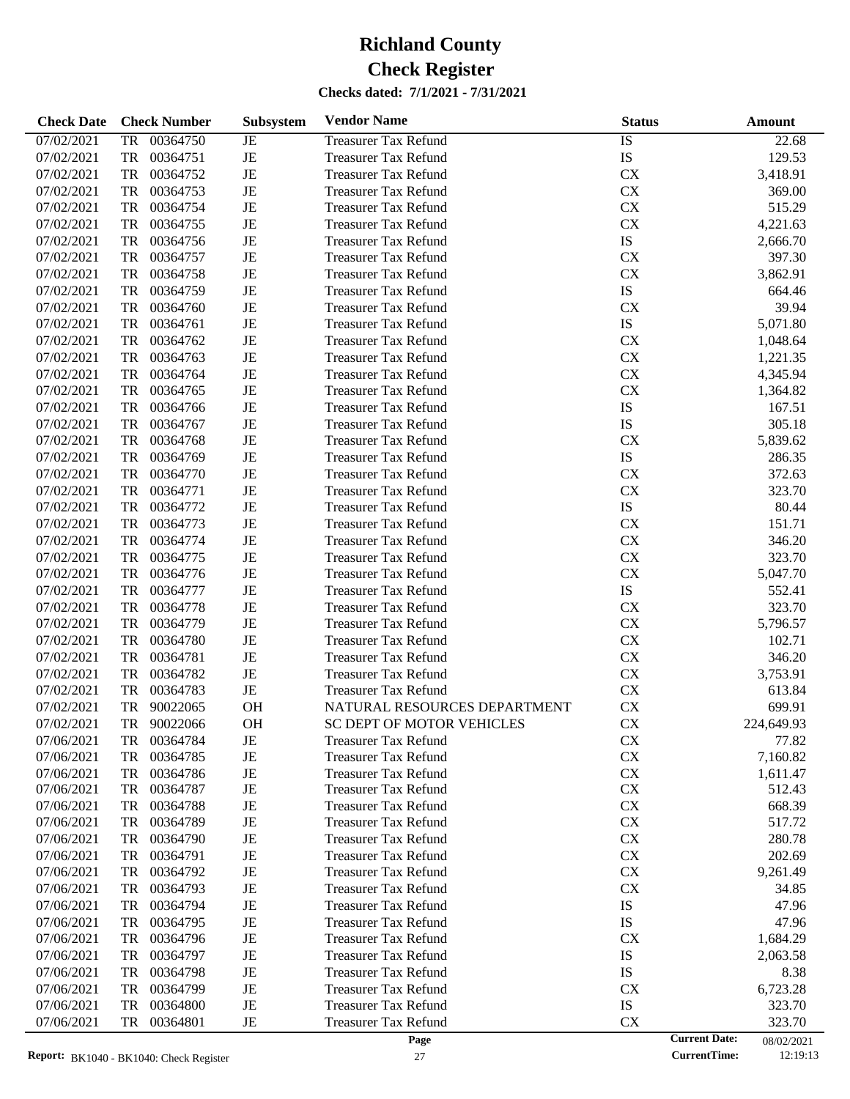| <b>Check Date</b> | <b>Check Number</b>   | Subsystem   | <b>Vendor Name</b>           | <b>Status</b> | Amount                             |
|-------------------|-----------------------|-------------|------------------------------|---------------|------------------------------------|
| 07/02/2021        | 00364750<br>TR        | JE          | <b>Treasurer Tax Refund</b>  | IS            | 22.68                              |
| 07/02/2021        | <b>TR</b><br>00364751 | $\rm{JE}$   | <b>Treasurer Tax Refund</b>  | IS            | 129.53                             |
| 07/02/2021        | <b>TR</b><br>00364752 | $\rm{JE}$   | <b>Treasurer Tax Refund</b>  | CX            | 3,418.91                           |
| 07/02/2021        | <b>TR</b><br>00364753 | $_{\rm JE}$ | <b>Treasurer Tax Refund</b>  | CX            | 369.00                             |
| 07/02/2021        | <b>TR</b><br>00364754 | JE          | <b>Treasurer Tax Refund</b>  | CX            | 515.29                             |
| 07/02/2021        | <b>TR</b><br>00364755 | JE          | <b>Treasurer Tax Refund</b>  | CX            | 4,221.63                           |
| 07/02/2021        | <b>TR</b><br>00364756 | $\rm{JE}$   | <b>Treasurer Tax Refund</b>  | IS            | 2,666.70                           |
| 07/02/2021        | <b>TR</b><br>00364757 | $\rm{JE}$   | <b>Treasurer Tax Refund</b>  | CX            | 397.30                             |
| 07/02/2021        | <b>TR</b><br>00364758 | JE          | <b>Treasurer Tax Refund</b>  | CX            | 3,862.91                           |
| 07/02/2021        | <b>TR</b><br>00364759 | $\rm{JE}$   | <b>Treasurer Tax Refund</b>  | IS            | 664.46                             |
| 07/02/2021        | <b>TR</b><br>00364760 | $\rm{JE}$   | <b>Treasurer Tax Refund</b>  | CX            | 39.94                              |
| 07/02/2021        | <b>TR</b><br>00364761 | JE          | <b>Treasurer Tax Refund</b>  | IS            | 5,071.80                           |
| 07/02/2021        | <b>TR</b><br>00364762 | JE          | <b>Treasurer Tax Refund</b>  | CX            | 1,048.64                           |
| 07/02/2021        | <b>TR</b><br>00364763 | $\rm{JE}$   | <b>Treasurer Tax Refund</b>  | CX            | 1,221.35                           |
| 07/02/2021        | <b>TR</b><br>00364764 | $\rm{JE}$   | <b>Treasurer Tax Refund</b>  | CX            | 4,345.94                           |
| 07/02/2021        | <b>TR</b><br>00364765 | JE          | <b>Treasurer Tax Refund</b>  | CX            | 1,364.82                           |
| 07/02/2021        | <b>TR</b><br>00364766 | $\rm{JE}$   | <b>Treasurer Tax Refund</b>  | IS            | 167.51                             |
| 07/02/2021        | <b>TR</b><br>00364767 | $\rm{JE}$   | <b>Treasurer Tax Refund</b>  | IS            | 305.18                             |
| 07/02/2021        | <b>TR</b><br>00364768 | JE          | <b>Treasurer Tax Refund</b>  | <b>CX</b>     | 5,839.62                           |
| 07/02/2021        | <b>TR</b><br>00364769 | JE          | <b>Treasurer Tax Refund</b>  | IS            | 286.35                             |
| 07/02/2021        | <b>TR</b><br>00364770 | $\rm{JE}$   | <b>Treasurer Tax Refund</b>  | <b>CX</b>     | 372.63                             |
| 07/02/2021        | <b>TR</b><br>00364771 | $\rm{JE}$   | <b>Treasurer Tax Refund</b>  | CX            | 323.70                             |
| 07/02/2021        | <b>TR</b><br>00364772 | JE          | <b>Treasurer Tax Refund</b>  | IS            | 80.44                              |
| 07/02/2021        | <b>TR</b><br>00364773 | $\rm{JE}$   | <b>Treasurer Tax Refund</b>  | CX            | 151.71                             |
| 07/02/2021        | <b>TR</b><br>00364774 | $\rm{JE}$   | <b>Treasurer Tax Refund</b>  | CX            | 346.20                             |
| 07/02/2021        | <b>TR</b><br>00364775 | $\rm{JE}$   | <b>Treasurer Tax Refund</b>  | CX            | 323.70                             |
| 07/02/2021        | <b>TR</b><br>00364776 | JE          | <b>Treasurer Tax Refund</b>  | CX            | 5,047.70                           |
| 07/02/2021        | <b>TR</b><br>00364777 | $\rm{JE}$   | <b>Treasurer Tax Refund</b>  | IS            | 552.41                             |
| 07/02/2021        | <b>TR</b><br>00364778 | $\rm{JE}$   | <b>Treasurer Tax Refund</b>  | <b>CX</b>     | 323.70                             |
| 07/02/2021        | <b>TR</b><br>00364779 | JE          | <b>Treasurer Tax Refund</b>  | CX            | 5,796.57                           |
| 07/02/2021        | <b>TR</b><br>00364780 | $\rm{JE}$   | <b>Treasurer Tax Refund</b>  | CX            | 102.71                             |
| 07/02/2021        | <b>TR</b><br>00364781 | $\rm{JE}$   | <b>Treasurer Tax Refund</b>  | CX            | 346.20                             |
| 07/02/2021        | <b>TR</b><br>00364782 | $\rm{JE}$   | <b>Treasurer Tax Refund</b>  | CX            | 3,753.91                           |
| 07/02/2021        | <b>TR</b><br>00364783 | $\rm{JE}$   | <b>Treasurer Tax Refund</b>  | CX            | 613.84                             |
| 07/02/2021        | <b>TR</b><br>90022065 | OH          | NATURAL RESOURCES DEPARTMENT | CX            | 699.91                             |
| 07/02/2021        | <b>TR</b><br>90022066 | <b>OH</b>   | SC DEPT OF MOTOR VEHICLES    | CX            | 224,649.93                         |
| 07/06/2021        | 00364784<br>TR        | JE          | <b>Treasurer Tax Refund</b>  | <b>CX</b>     | 77.82                              |
| 07/06/2021        | 00364785<br>TR        | JE          | <b>Treasurer Tax Refund</b>  | CX            | 7,160.82                           |
| 07/06/2021        | 00364786<br>TR        | JE          | <b>Treasurer Tax Refund</b>  | CX            | 1,611.47                           |
| 07/06/2021        | 00364787<br>TR        | JE          | <b>Treasurer Tax Refund</b>  | <b>CX</b>     | 512.43                             |
| 07/06/2021        | 00364788<br>TR        | JE          | <b>Treasurer Tax Refund</b>  | <b>CX</b>     | 668.39                             |
| 07/06/2021        | 00364789<br>TR        | JE          | <b>Treasurer Tax Refund</b>  | <b>CX</b>     | 517.72                             |
| 07/06/2021        | 00364790<br>TR        | JE          | <b>Treasurer Tax Refund</b>  | <b>CX</b>     | 280.78                             |
| 07/06/2021        | 00364791<br>TR        | JE          | <b>Treasurer Tax Refund</b>  | <b>CX</b>     | 202.69                             |
| 07/06/2021        | 00364792<br>TR        | JE          | <b>Treasurer Tax Refund</b>  | <b>CX</b>     | 9,261.49                           |
| 07/06/2021        | 00364793<br>TR        | JE          | <b>Treasurer Tax Refund</b>  | <b>CX</b>     | 34.85                              |
| 07/06/2021        | 00364794<br>TR        | JE          | <b>Treasurer Tax Refund</b>  | IS            | 47.96                              |
| 07/06/2021        | 00364795<br>TR        | JE          | <b>Treasurer Tax Refund</b>  | IS            | 47.96                              |
| 07/06/2021        | 00364796<br>TR        | JE          | <b>Treasurer Tax Refund</b>  | <b>CX</b>     | 1,684.29                           |
| 07/06/2021        | 00364797<br>TR        | JE          | <b>Treasurer Tax Refund</b>  | IS            | 2,063.58                           |
| 07/06/2021        | 00364798<br>TR        | JE          | <b>Treasurer Tax Refund</b>  | IS            | 8.38                               |
| 07/06/2021        | 00364799<br>TR        | JE          | <b>Treasurer Tax Refund</b>  | <b>CX</b>     | 6,723.28                           |
| 07/06/2021        | 00364800<br>TR        | JE          | <b>Treasurer Tax Refund</b>  | IS            | 323.70                             |
| 07/06/2021        | 00364801<br>TR        | JE          | <b>Treasurer Tax Refund</b>  | <b>CX</b>     | 323.70                             |
|                   |                       |             | Page                         |               | <b>Current Date:</b><br>08/02/2021 |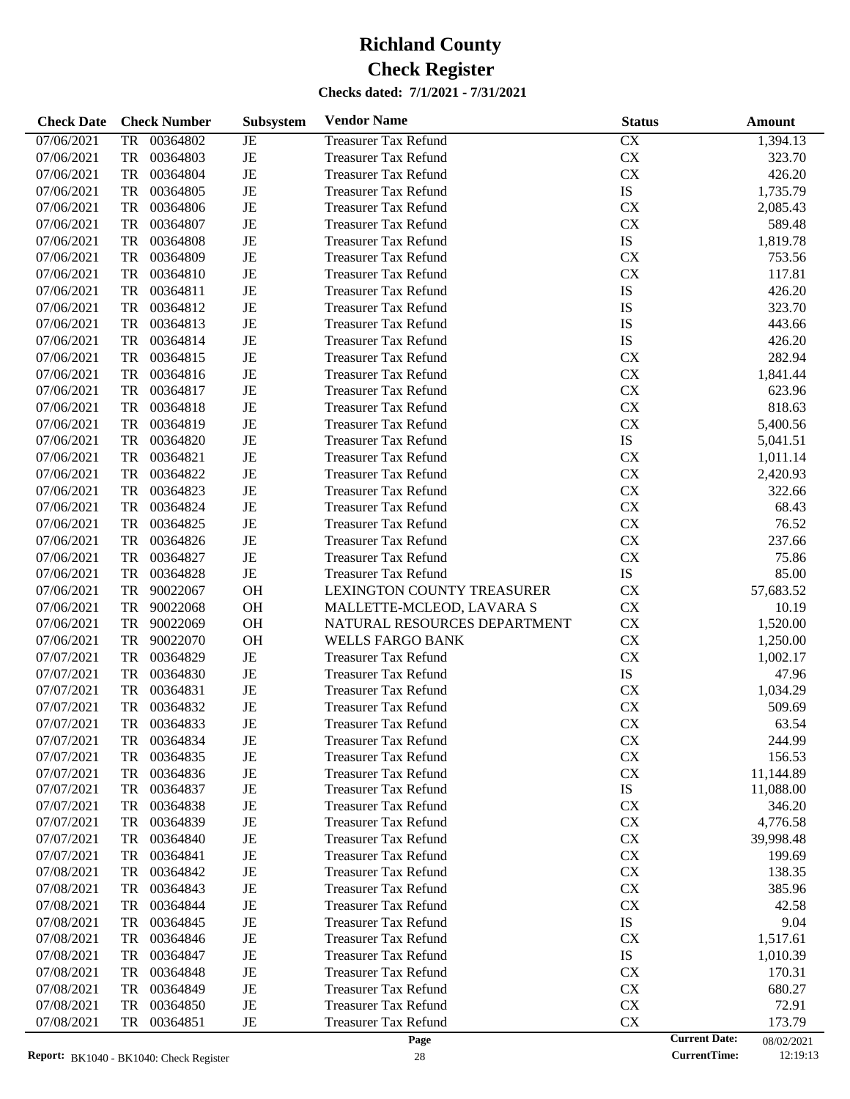| <b>Check Date</b> |           | <b>Check Number</b> | Subsystem | <b>Vendor Name</b>           | <b>Status</b> |                      | <b>Amount</b> |
|-------------------|-----------|---------------------|-----------|------------------------------|---------------|----------------------|---------------|
| 07/06/2021        | TR        | 00364802            | JE        | <b>Treasurer Tax Refund</b>  | CX            |                      | 1,394.13      |
| 07/06/2021        | TR        | 00364803            | JE        | <b>Treasurer Tax Refund</b>  | ${\rm CX}$    |                      | 323.70        |
| 07/06/2021        | TR        | 00364804            | JE        | <b>Treasurer Tax Refund</b>  | ${\rm CX}$    |                      | 426.20        |
| 07/06/2021        | TR        | 00364805            | JE        | <b>Treasurer Tax Refund</b>  | IS            |                      | 1,735.79      |
| 07/06/2021        | TR        | 00364806            | JE        | <b>Treasurer Tax Refund</b>  | <b>CX</b>     |                      | 2,085.43      |
| 07/06/2021        | TR        | 00364807            | JE        | <b>Treasurer Tax Refund</b>  | <b>CX</b>     |                      | 589.48        |
| 07/06/2021        | TR        | 00364808            | JE        | <b>Treasurer Tax Refund</b>  | <b>IS</b>     |                      | 1,819.78      |
| 07/06/2021        | TR        | 00364809            | JE        | <b>Treasurer Tax Refund</b>  | <b>CX</b>     |                      | 753.56        |
| 07/06/2021        | TR        | 00364810            | JE        | <b>Treasurer Tax Refund</b>  | <b>CX</b>     |                      | 117.81        |
| 07/06/2021        | TR        | 00364811            | JE        | <b>Treasurer Tax Refund</b>  | IS            |                      | 426.20        |
| 07/06/2021        | TR        | 00364812            | JE        | <b>Treasurer Tax Refund</b>  | IS            |                      | 323.70        |
| 07/06/2021        | TR        | 00364813            | JE        | <b>Treasurer Tax Refund</b>  | IS            |                      | 443.66        |
| 07/06/2021        | TR        | 00364814            | JE        | <b>Treasurer Tax Refund</b>  | <b>IS</b>     |                      | 426.20        |
| 07/06/2021        | TR        | 00364815            | JE        | <b>Treasurer Tax Refund</b>  | <b>CX</b>     |                      | 282.94        |
| 07/06/2021        | TR        | 00364816            | JE        | <b>Treasurer Tax Refund</b>  | ${\rm CX}$    |                      | 1,841.44      |
| 07/06/2021        | TR        | 00364817            | JE        | <b>Treasurer Tax Refund</b>  | CX            |                      | 623.96        |
| 07/06/2021        | TR        | 00364818            | JE        |                              | ${\rm CX}$    |                      | 818.63        |
|                   |           |                     |           | <b>Treasurer Tax Refund</b>  |               |                      |               |
| 07/06/2021        | TR        | 00364819            | JE        | <b>Treasurer Tax Refund</b>  | <b>CX</b>     |                      | 5,400.56      |
| 07/06/2021        | TR        | 00364820            | JE        | <b>Treasurer Tax Refund</b>  | IS            |                      | 5,041.51      |
| 07/06/2021        | TR        | 00364821            | JE        | <b>Treasurer Tax Refund</b>  | <b>CX</b>     |                      | 1,011.14      |
| 07/06/2021        | TR        | 00364822            | JE        | <b>Treasurer Tax Refund</b>  | ${\rm CX}$    |                      | 2,420.93      |
| 07/06/2021        | TR        | 00364823            | JE        | <b>Treasurer Tax Refund</b>  | CX            |                      | 322.66        |
| 07/06/2021        | TR        | 00364824            | JE        | <b>Treasurer Tax Refund</b>  | CX            |                      | 68.43         |
| 07/06/2021        | TR        | 00364825            | JE        | <b>Treasurer Tax Refund</b>  | ${\rm CX}$    |                      | 76.52         |
| 07/06/2021        | TR        | 00364826            | JE        | <b>Treasurer Tax Refund</b>  | ${\rm CX}$    |                      | 237.66        |
| 07/06/2021        | TR        | 00364827            | JE        | <b>Treasurer Tax Refund</b>  | <b>CX</b>     |                      | 75.86         |
| 07/06/2021        | TR        | 00364828            | JE        | <b>Treasurer Tax Refund</b>  | IS            |                      | 85.00         |
| 07/06/2021        | TR        | 90022067            | <b>OH</b> | LEXINGTON COUNTY TREASURER   | <b>CX</b>     |                      | 57,683.52     |
| 07/06/2021        | TR        | 90022068            | OH        | MALLETTE-MCLEOD, LAVARA S    | ${\rm CX}$    |                      | 10.19         |
| 07/06/2021        | TR        | 90022069            | <b>OH</b> | NATURAL RESOURCES DEPARTMENT | ${\rm CX}$    |                      | 1,520.00      |
| 07/06/2021        | TR        | 90022070            | <b>OH</b> | <b>WELLS FARGO BANK</b>      | ${\rm CX}$    |                      | 1,250.00      |
| 07/07/2021        | TR        | 00364829            | JE        | <b>Treasurer Tax Refund</b>  | <b>CX</b>     |                      | 1,002.17      |
| 07/07/2021        | TR        | 00364830            | JE        | <b>Treasurer Tax Refund</b>  | IS            |                      | 47.96         |
| 07/07/2021        | TR        | 00364831            | JE        | <b>Treasurer Tax Refund</b>  | ${\rm CX}$    |                      | 1,034.29      |
| 07/07/2021        | <b>TR</b> | 00364832            | JE        | <b>Treasurer Tax Refund</b>  | <b>CX</b>     |                      | 509.69        |
| 07/07/2021        | TR        | 00364833            | JE        | <b>Treasurer Tax Refund</b>  | <b>CX</b>     |                      | 63.54         |
| 07/07/2021        | TR        | 00364834            | JE        | <b>Treasurer Tax Refund</b>  | <b>CX</b>     |                      | 244.99        |
| 07/07/2021        | TR        | 00364835            | JE        | <b>Treasurer Tax Refund</b>  | ${\rm CX}$    |                      | 156.53        |
| 07/07/2021        | TR        | 00364836            | JE        | <b>Treasurer Tax Refund</b>  | ${\rm CX}$    |                      | 11,144.89     |
| 07/07/2021        | TR        | 00364837            | JE        | <b>Treasurer Tax Refund</b>  | IS            |                      | 11,088.00     |
| 07/07/2021        | TR        | 00364838            | JE        | <b>Treasurer Tax Refund</b>  | <b>CX</b>     |                      | 346.20        |
| 07/07/2021        | TR        | 00364839            | JE        | <b>Treasurer Tax Refund</b>  | <b>CX</b>     |                      | 4,776.58      |
| 07/07/2021        | TR        | 00364840            | JE        | <b>Treasurer Tax Refund</b>  | <b>CX</b>     |                      | 39,998.48     |
| 07/07/2021        | TR        | 00364841            | JE        | <b>Treasurer Tax Refund</b>  | <b>CX</b>     |                      | 199.69        |
| 07/08/2021        | TR        | 00364842            | JE        | <b>Treasurer Tax Refund</b>  | <b>CX</b>     |                      | 138.35        |
| 07/08/2021        | TR        | 00364843            | JE        | <b>Treasurer Tax Refund</b>  | <b>CX</b>     |                      | 385.96        |
| 07/08/2021        | TR        | 00364844            | JE        | <b>Treasurer Tax Refund</b>  | <b>CX</b>     |                      | 42.58         |
| 07/08/2021        | TR        | 00364845            | JE        | <b>Treasurer Tax Refund</b>  | IS            |                      | 9.04          |
|                   |           |                     |           |                              |               |                      |               |
| 07/08/2021        | TR        | 00364846            | JE        | <b>Treasurer Tax Refund</b>  | <b>CX</b>     |                      | 1,517.61      |
| 07/08/2021        | TR        | 00364847            | JE        | <b>Treasurer Tax Refund</b>  | IS            |                      | 1,010.39      |
| 07/08/2021        | TR        | 00364848            | JE        | <b>Treasurer Tax Refund</b>  | <b>CX</b>     |                      | 170.31        |
| 07/08/2021        | TR        | 00364849            | JE        | <b>Treasurer Tax Refund</b>  | <b>CX</b>     |                      | 680.27        |
| 07/08/2021        | TR        | 00364850            | JE        | <b>Treasurer Tax Refund</b>  | <b>CX</b>     |                      | 72.91         |
| 07/08/2021        | TR        | 00364851            | JE        | <b>Treasurer Tax Refund</b>  | <b>CX</b>     |                      | 173.79        |
|                   |           |                     |           | Page                         |               | <b>Current Date:</b> | 08/02/2021    |

08/02/2021<br>12:19:13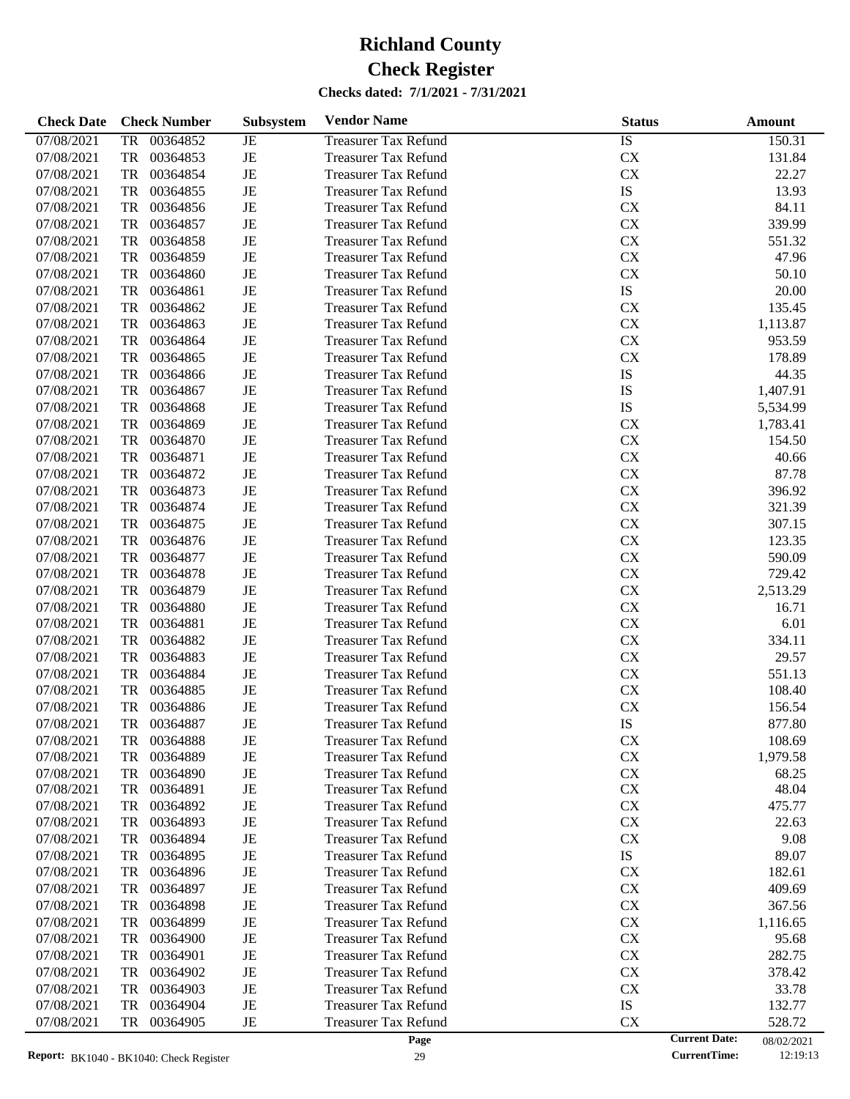| <b>Check Date</b> | <b>Check Number</b>   | Subsystem   | <b>Vendor Name</b>          | <b>Status</b> | <b>Amount</b>                      |
|-------------------|-----------------------|-------------|-----------------------------|---------------|------------------------------------|
| 07/08/2021        | <b>TR</b><br>00364852 | JE          | <b>Treasurer Tax Refund</b> | <b>IS</b>     | 150.31                             |
| 07/08/2021        | 00364853<br>TR        | $_{\rm JE}$ | <b>Treasurer Tax Refund</b> | CX            | 131.84                             |
| 07/08/2021        | TR<br>00364854        | $_{\rm JE}$ | <b>Treasurer Tax Refund</b> | ${\rm CX}$    | 22.27                              |
| 07/08/2021        | 00364855<br>TR        | $_{\rm JE}$ | <b>Treasurer Tax Refund</b> | IS            | 13.93                              |
| 07/08/2021        | 00364856<br>TR        | $_{\rm JE}$ | <b>Treasurer Tax Refund</b> | CX            | 84.11                              |
| 07/08/2021        | TR<br>00364857        | $_{\rm JE}$ | <b>Treasurer Tax Refund</b> | ${\rm CX}$    | 339.99                             |
| 07/08/2021        | <b>TR</b><br>00364858 | $_{\rm JE}$ | <b>Treasurer Tax Refund</b> | ${\rm CX}$    | 551.32                             |
| 07/08/2021        | 00364859<br>TR        | $_{\rm JE}$ | <b>Treasurer Tax Refund</b> | CX            | 47.96                              |
| 07/08/2021        | <b>TR</b><br>00364860 | JE          | <b>Treasurer Tax Refund</b> | ${\rm CX}$    | 50.10                              |
| 07/08/2021        | <b>TR</b><br>00364861 | $_{\rm JE}$ | <b>Treasurer Tax Refund</b> | IS            | 20.00                              |
| 07/08/2021        | 00364862<br>TR        | $_{\rm JE}$ | <b>Treasurer Tax Refund</b> | CX            | 135.45                             |
| 07/08/2021        | 00364863<br>TR        | JE          | <b>Treasurer Tax Refund</b> | ${\rm CX}$    | 1,113.87                           |
| 07/08/2021        | <b>TR</b><br>00364864 | $_{\rm JE}$ | <b>Treasurer Tax Refund</b> | ${\rm CX}$    | 953.59                             |
| 07/08/2021        | 00364865<br>TR        | $_{\rm JE}$ | <b>Treasurer Tax Refund</b> | CX            | 178.89                             |
| 07/08/2021        | 00364866<br>TR        | $_{\rm JE}$ | <b>Treasurer Tax Refund</b> | IS            | 44.35                              |
| 07/08/2021        | <b>TR</b><br>00364867 | $_{\rm JE}$ | <b>Treasurer Tax Refund</b> | IS            | 1,407.91                           |
| 07/08/2021        | 00364868<br>TR        | $_{\rm JE}$ | <b>Treasurer Tax Refund</b> | IS            | 5,534.99                           |
| 07/08/2021        | 00364869<br>TR        | $_{\rm JE}$ | <b>Treasurer Tax Refund</b> | CX            | 1,783.41                           |
| 07/08/2021        | <b>TR</b><br>00364870 | $_{\rm JE}$ | <b>Treasurer Tax Refund</b> | ${\rm CX}$    | 154.50                             |
| 07/08/2021        | <b>TR</b><br>00364871 | $_{\rm JE}$ | <b>Treasurer Tax Refund</b> | ${\rm CX}$    | 40.66                              |
| 07/08/2021        | 00364872<br>TR        | $_{\rm JE}$ | <b>Treasurer Tax Refund</b> | ${\rm CX}$    | 87.78                              |
| 07/08/2021        | <b>TR</b><br>00364873 | $_{\rm JE}$ | <b>Treasurer Tax Refund</b> | ${\rm CX}$    | 396.92                             |
| 07/08/2021        | <b>TR</b><br>00364874 | $_{\rm JE}$ | <b>Treasurer Tax Refund</b> | ${\rm CX}$    | 321.39                             |
| 07/08/2021        | 00364875<br>TR        | $_{\rm JE}$ | <b>Treasurer Tax Refund</b> | CX            | 307.15                             |
| 07/08/2021        | 00364876<br>TR        | $_{\rm JE}$ | <b>Treasurer Tax Refund</b> | ${\rm CX}$    | 123.35                             |
| 07/08/2021        | <b>TR</b><br>00364877 | $_{\rm JE}$ | <b>Treasurer Tax Refund</b> | ${\rm CX}$    | 590.09                             |
| 07/08/2021        | 00364878<br>TR        | $_{\rm JE}$ | <b>Treasurer Tax Refund</b> | CX            | 729.42                             |
| 07/08/2021        | 00364879<br>TR        | $_{\rm JE}$ | <b>Treasurer Tax Refund</b> | ${\rm CX}$    | 2,513.29                           |
| 07/08/2021        | <b>TR</b><br>00364880 | $_{\rm JE}$ | <b>Treasurer Tax Refund</b> | ${\rm CX}$    | 16.71                              |
| 07/08/2021        | <b>TR</b><br>00364881 | $_{\rm JE}$ | <b>Treasurer Tax Refund</b> | CX            | 6.01                               |
| 07/08/2021        | 00364882<br>TR        | $_{\rm JE}$ | <b>Treasurer Tax Refund</b> | CX            | 334.11                             |
| 07/08/2021        | <b>TR</b><br>00364883 | $_{\rm JE}$ | <b>Treasurer Tax Refund</b> | ${\rm CX}$    | 29.57                              |
| 07/08/2021        | 00364884<br>TR        | $_{\rm JE}$ | <b>Treasurer Tax Refund</b> | ${\rm CX}$    | 551.13                             |
| 07/08/2021        | 00364885<br>TR        | $_{\rm JE}$ | <b>Treasurer Tax Refund</b> | CX            | 108.40                             |
| 07/08/2021        | 00364886<br>TR        | JE          | <b>Treasurer Tax Refund</b> | ${\rm CX}$    | 156.54                             |
| 07/08/2021        | TR<br>00364887        | JE          | <b>Treasurer Tax Refund</b> | IS            | 877.80                             |
| 07/08/2021        | 00364888<br>TR        | JE          | <b>Treasurer Tax Refund</b> | CX            | 108.69                             |
| 07/08/2021        | 00364889<br>TR        | JE          | <b>Treasurer Tax Refund</b> | ${\rm CX}$    | 1,979.58                           |
| 07/08/2021        | 00364890<br>TR        | JE          | <b>Treasurer Tax Refund</b> | CX            | 68.25                              |
| 07/08/2021        | TR<br>00364891        | JE          | <b>Treasurer Tax Refund</b> | CX            | 48.04                              |
| 07/08/2021        | TR<br>00364892        | JE          | <b>Treasurer Tax Refund</b> | CX            | 475.77                             |
| 07/08/2021        | 00364893<br>TR        | JE          | <b>Treasurer Tax Refund</b> | CX            | 22.63                              |
| 07/08/2021        | 00364894<br>TR        | JE          | <b>Treasurer Tax Refund</b> | CX            | 9.08                               |
| 07/08/2021        | 00364895<br>TR        | JE          | <b>Treasurer Tax Refund</b> | IS            | 89.07                              |
| 07/08/2021        | 00364896<br>TR        | JE          | <b>Treasurer Tax Refund</b> | CX            | 182.61                             |
| 07/08/2021        | 00364897<br>TR        | JE          | <b>Treasurer Tax Refund</b> | CX            | 409.69                             |
| 07/08/2021        | 00364898<br>TR        | JE          | <b>Treasurer Tax Refund</b> | CX            | 367.56                             |
| 07/08/2021        | 00364899<br>TR        | JE          | <b>Treasurer Tax Refund</b> | CX            | 1,116.65                           |
| 07/08/2021        | 00364900<br>TR        | JE          | Treasurer Tax Refund        | CX            | 95.68                              |
| 07/08/2021        | 00364901<br>TR        | JE          | <b>Treasurer Tax Refund</b> | CX            | 282.75                             |
| 07/08/2021        | 00364902<br>TR        | JE          | <b>Treasurer Tax Refund</b> | CX            | 378.42                             |
| 07/08/2021        | 00364903<br>TR        | JE          | <b>Treasurer Tax Refund</b> | CX            | 33.78                              |
| 07/08/2021        | 00364904<br>TR        | JE          | <b>Treasurer Tax Refund</b> | IS            | 132.77                             |
| 07/08/2021        | 00364905<br>TR        | $_{\rm JE}$ | <b>Treasurer Tax Refund</b> | CX            | 528.72                             |
|                   |                       |             | Page                        |               | <b>Current Date:</b><br>08/02/2021 |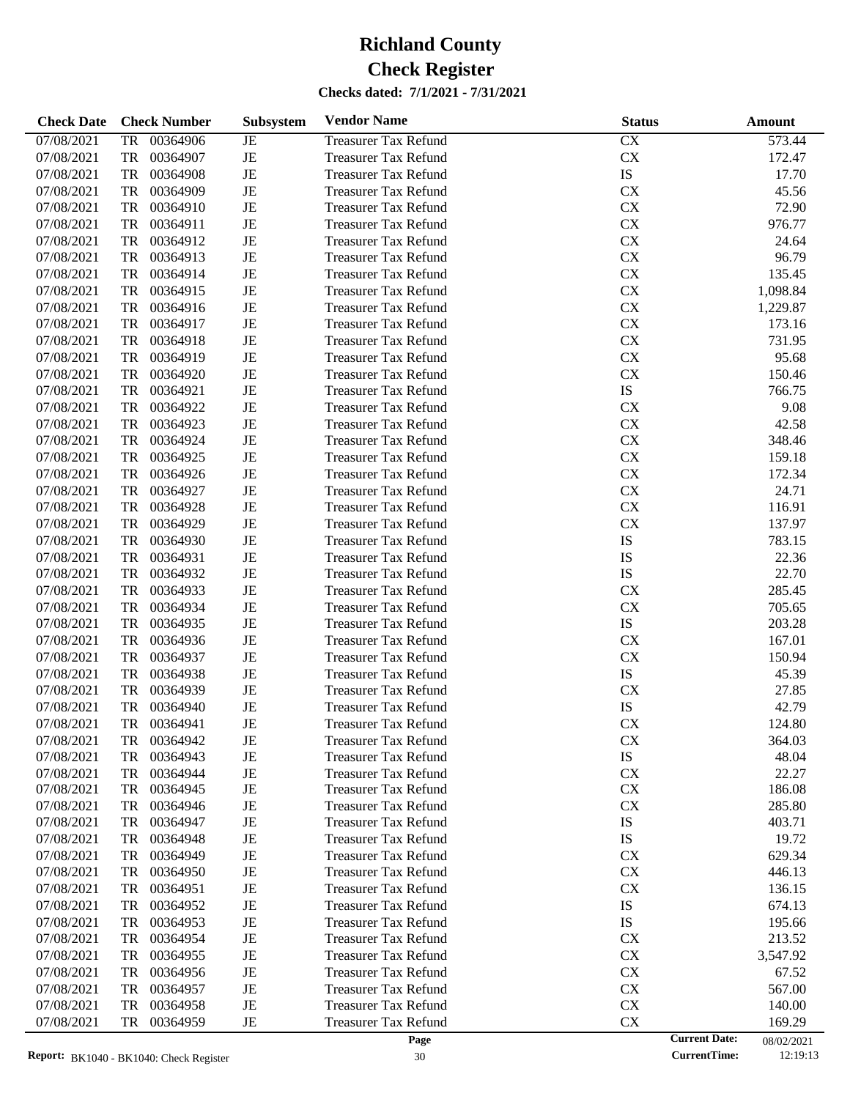| <b>Check Date</b> | <b>Check Number</b>   | Subsystem   | <b>Vendor Name</b>          | <b>Status</b> | <b>Amount</b>                      |
|-------------------|-----------------------|-------------|-----------------------------|---------------|------------------------------------|
| 07/08/2021        | 00364906<br><b>TR</b> | $_{\rm JE}$ | <b>Treasurer Tax Refund</b> | CX            | 573.44                             |
| 07/08/2021        | <b>TR</b><br>00364907 | $\rm{JE}$   | <b>Treasurer Tax Refund</b> | ${\rm CX}$    | 172.47                             |
| 07/08/2021        | <b>TR</b><br>00364908 | $_{\rm JE}$ | <b>Treasurer Tax Refund</b> | ${\rm IS}$    | 17.70                              |
| 07/08/2021        | <b>TR</b><br>00364909 | $_{\rm JE}$ | <b>Treasurer Tax Refund</b> | CX            | 45.56                              |
| 07/08/2021        | <b>TR</b><br>00364910 | $\rm{JE}$   | <b>Treasurer Tax Refund</b> | ${\rm CX}$    | 72.90                              |
| 07/08/2021        | <b>TR</b><br>00364911 | $\rm{JE}$   | <b>Treasurer Tax Refund</b> | ${\rm CX}$    | 976.77                             |
| 07/08/2021        | <b>TR</b><br>00364912 | $_{\rm JE}$ | <b>Treasurer Tax Refund</b> | ${\rm CX}$    | 24.64                              |
| 07/08/2021        | <b>TR</b><br>00364913 | $\rm{JE}$   | <b>Treasurer Tax Refund</b> | ${\rm CX}$    | 96.79                              |
| 07/08/2021        | <b>TR</b><br>00364914 | $\rm{JE}$   | <b>Treasurer Tax Refund</b> | ${\rm CX}$    | 135.45                             |
| 07/08/2021        | <b>TR</b><br>00364915 | $_{\rm JE}$ | <b>Treasurer Tax Refund</b> | ${\rm CX}$    | 1,098.84                           |
| 07/08/2021        | <b>TR</b><br>00364916 | $\rm{JE}$   | <b>Treasurer Tax Refund</b> | ${\rm CX}$    | 1,229.87                           |
| 07/08/2021        | <b>TR</b><br>00364917 | $\rm{JE}$   | <b>Treasurer Tax Refund</b> | ${\rm CX}$    | 173.16                             |
| 07/08/2021        | <b>TR</b><br>00364918 | $\rm{JE}$   | <b>Treasurer Tax Refund</b> | ${\rm CX}$    | 731.95                             |
| 07/08/2021        | <b>TR</b><br>00364919 | $\rm{JE}$   | <b>Treasurer Tax Refund</b> | ${\rm CX}$    | 95.68                              |
| 07/08/2021        | <b>TR</b><br>00364920 | $\rm{JE}$   | <b>Treasurer Tax Refund</b> | ${\rm CX}$    | 150.46                             |
| 07/08/2021        | <b>TR</b><br>00364921 | $\rm{JE}$   | <b>Treasurer Tax Refund</b> | ${\rm IS}$    | 766.75                             |
| 07/08/2021        | <b>TR</b><br>00364922 | $\rm{JE}$   | <b>Treasurer Tax Refund</b> | CX            | 9.08                               |
| 07/08/2021        | <b>TR</b><br>00364923 | $\rm{JE}$   | <b>Treasurer Tax Refund</b> | ${\rm CX}$    | 42.58                              |
| 07/08/2021        | <b>TR</b><br>00364924 | $\rm{JE}$   | <b>Treasurer Tax Refund</b> | ${\rm CX}$    | 348.46                             |
| 07/08/2021        | <b>TR</b><br>00364925 | $_{\rm JE}$ | <b>Treasurer Tax Refund</b> | ${\rm CX}$    | 159.18                             |
| 07/08/2021        | <b>TR</b><br>00364926 | $\rm{JE}$   | <b>Treasurer Tax Refund</b> | ${\rm CX}$    | 172.34                             |
| 07/08/2021        | <b>TR</b><br>00364927 | $\rm{JE}$   | <b>Treasurer Tax Refund</b> | ${\rm CX}$    | 24.71                              |
| 07/08/2021        | <b>TR</b><br>00364928 | $\rm{JE}$   | <b>Treasurer Tax Refund</b> | ${\rm CX}$    | 116.91                             |
| 07/08/2021        | <b>TR</b><br>00364929 | $\rm{JE}$   | <b>Treasurer Tax Refund</b> | ${\rm CX}$    | 137.97                             |
| 07/08/2021        | <b>TR</b><br>00364930 | $\rm{JE}$   | <b>Treasurer Tax Refund</b> | IS            | 783.15                             |
| 07/08/2021        | <b>TR</b><br>00364931 | $\rm{JE}$   | <b>Treasurer Tax Refund</b> | IS            | 22.36                              |
| 07/08/2021        | <b>TR</b><br>00364932 | $\rm{JE}$   | <b>Treasurer Tax Refund</b> | ${\rm IS}$    | 22.70                              |
| 07/08/2021        | <b>TR</b><br>00364933 | $\rm{JE}$   | <b>Treasurer Tax Refund</b> | CX            | 285.45                             |
| 07/08/2021        | <b>TR</b><br>00364934 | $\rm{JE}$   | <b>Treasurer Tax Refund</b> | ${\rm CX}$    | 705.65                             |
| 07/08/2021        | <b>TR</b><br>00364935 | $\rm{JE}$   | <b>Treasurer Tax Refund</b> | ${\rm IS}$    | 203.28                             |
| 07/08/2021        | <b>TR</b><br>00364936 | $\rm{JE}$   | <b>Treasurer Tax Refund</b> | CX            | 167.01                             |
| 07/08/2021        | <b>TR</b><br>00364937 | $\rm{JE}$   | <b>Treasurer Tax Refund</b> | ${\rm CX}$    | 150.94                             |
| 07/08/2021        | <b>TR</b><br>00364938 | $\rm{JE}$   | <b>Treasurer Tax Refund</b> | ${\rm IS}$    | 45.39                              |
| 07/08/2021        | <b>TR</b><br>00364939 | $\rm{JE}$   | <b>Treasurer Tax Refund</b> | CX            | 27.85                              |
| 07/08/2021        | <b>TR</b><br>00364940 | $\rm{JE}$   | <b>Treasurer Tax Refund</b> | ${\rm IS}$    | 42.79                              |
| 07/08/2021        | <b>TR</b><br>00364941 | $_{\rm JE}$ | <b>Treasurer Tax Refund</b> | CX            | 124.80                             |
| 07/08/2021        | 00364942<br>TR        | JE          | <b>Treasurer Tax Refund</b> | <b>CX</b>     | 364.03                             |
| 07/08/2021        | 00364943<br>TR        | JE          | <b>Treasurer Tax Refund</b> | IS            | 48.04                              |
| 07/08/2021        | 00364944<br>TR        | $\rm{JE}$   | <b>Treasurer Tax Refund</b> | CX            | 22.27                              |
| 07/08/2021        | 00364945<br>TR        | JE          | <b>Treasurer Tax Refund</b> | CX            | 186.08                             |
| 07/08/2021        | 00364946<br>TR        | JE          | <b>Treasurer Tax Refund</b> | CX            | 285.80                             |
| 07/08/2021        | 00364947<br>TR        | JE          | <b>Treasurer Tax Refund</b> | IS            | 403.71                             |
| 07/08/2021        | 00364948<br>TR        | JE          | <b>Treasurer Tax Refund</b> | IS            | 19.72                              |
| 07/08/2021        | 00364949<br>TR        | JE          | <b>Treasurer Tax Refund</b> | CX            | 629.34                             |
| 07/08/2021        | 00364950<br>TR        | JE          | <b>Treasurer Tax Refund</b> | CX            | 446.13                             |
| 07/08/2021        | 00364951<br>TR        | JE          | <b>Treasurer Tax Refund</b> | CX            | 136.15                             |
| 07/08/2021        | 00364952<br>TR        | JE          | <b>Treasurer Tax Refund</b> | IS            | 674.13                             |
| 07/08/2021        | 00364953<br>TR        | JE          | <b>Treasurer Tax Refund</b> | IS            | 195.66                             |
| 07/08/2021        | 00364954<br>TR        | JE          | <b>Treasurer Tax Refund</b> | CX            | 213.52                             |
| 07/08/2021        | 00364955<br>TR        | JE          | <b>Treasurer Tax Refund</b> | CX            | 3,547.92                           |
| 07/08/2021        | 00364956<br>TR        | JE          | <b>Treasurer Tax Refund</b> | CX            | 67.52                              |
| 07/08/2021        | 00364957<br>TR        | JE          | <b>Treasurer Tax Refund</b> | CX            | 567.00                             |
| 07/08/2021        | 00364958<br>TR        | JE          | <b>Treasurer Tax Refund</b> | CX            | 140.00                             |
| 07/08/2021        | 00364959<br>TR        | JE          | <b>Treasurer Tax Refund</b> | CX            | 169.29                             |
|                   |                       |             | Page                        |               | <b>Current Date:</b><br>08/02/2021 |

30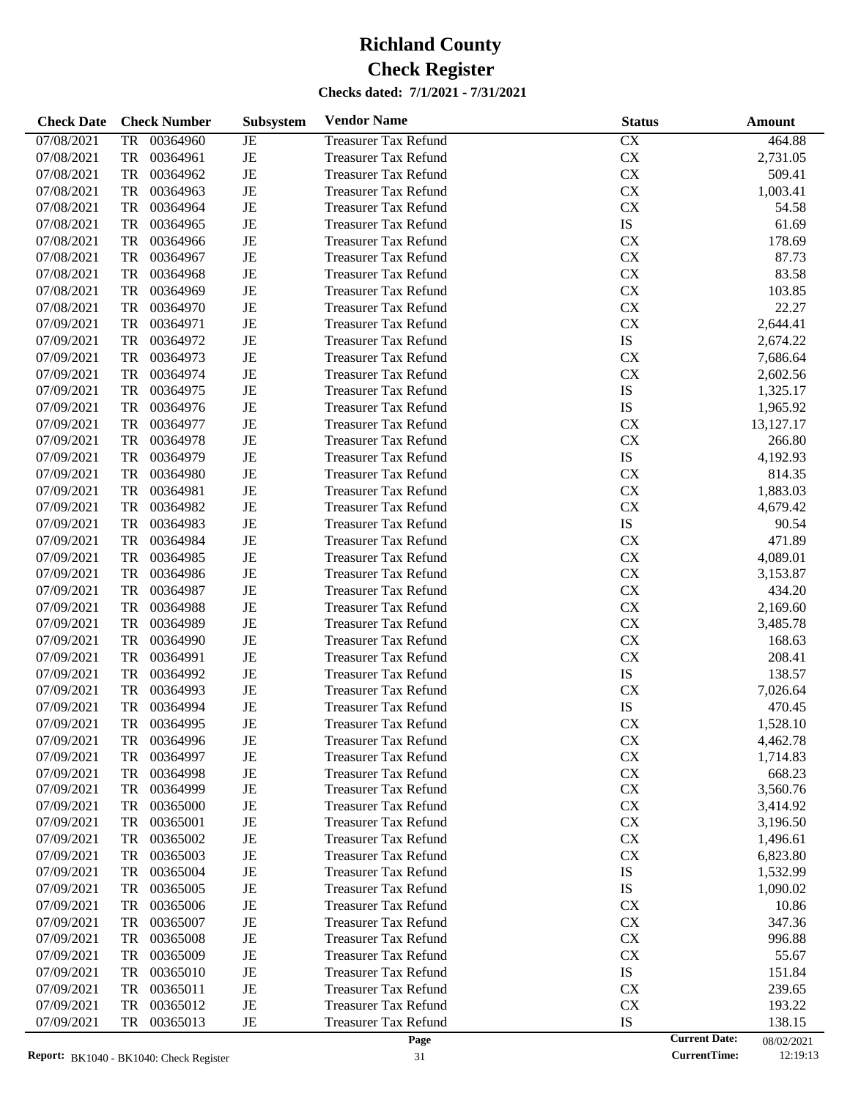| <b>Check Date</b> | <b>Check Number</b>   | Subsystem | <b>Vendor Name</b>          | <b>Status</b> | Amount               |            |
|-------------------|-----------------------|-----------|-----------------------------|---------------|----------------------|------------|
| 07/08/2021        | 00364960<br><b>TR</b> | JE        | <b>Treasurer Tax Refund</b> | CX            |                      | 464.88     |
| 07/08/2021        | <b>TR</b><br>00364961 | $\rm{JE}$ | <b>Treasurer Tax Refund</b> | CX            | 2,731.05             |            |
| 07/08/2021        | <b>TR</b><br>00364962 | $\rm{JE}$ | <b>Treasurer Tax Refund</b> | CX            |                      | 509.41     |
| 07/08/2021        | <b>TR</b><br>00364963 | $\rm{JE}$ | <b>Treasurer Tax Refund</b> | CX            | 1,003.41             |            |
| 07/08/2021        | <b>TR</b><br>00364964 | JE        | <b>Treasurer Tax Refund</b> | CX            |                      | 54.58      |
| 07/08/2021        | <b>TR</b><br>00364965 | JE        | <b>Treasurer Tax Refund</b> | ${\rm IS}$    |                      | 61.69      |
| 07/08/2021        | <b>TR</b><br>00364966 | $\rm{JE}$ | <b>Treasurer Tax Refund</b> | CX            |                      | 178.69     |
| 07/08/2021        | <b>TR</b><br>00364967 | $\rm{JE}$ | <b>Treasurer Tax Refund</b> | CX            |                      | 87.73      |
| 07/08/2021        | <b>TR</b><br>00364968 | JE        | <b>Treasurer Tax Refund</b> | CX            |                      | 83.58      |
| 07/08/2021        | <b>TR</b><br>00364969 | $\rm{JE}$ | <b>Treasurer Tax Refund</b> | CX            |                      | 103.85     |
| 07/08/2021        | <b>TR</b><br>00364970 | $\rm{JE}$ | <b>Treasurer Tax Refund</b> | CX            |                      | 22.27      |
| 07/09/2021        | <b>TR</b><br>00364971 | $\rm{JE}$ | <b>Treasurer Tax Refund</b> | CX            | 2,644.41             |            |
| 07/09/2021        | <b>TR</b><br>00364972 | $\rm{JE}$ | <b>Treasurer Tax Refund</b> | ${\rm IS}$    | 2,674.22             |            |
| 07/09/2021        | <b>TR</b><br>00364973 | $\rm{JE}$ | <b>Treasurer Tax Refund</b> | CX            | 7,686.64             |            |
| 07/09/2021        | <b>TR</b><br>00364974 | $\rm{JE}$ | <b>Treasurer Tax Refund</b> | CX            | 2,602.56             |            |
| 07/09/2021        | <b>TR</b><br>00364975 | JE        | <b>Treasurer Tax Refund</b> | IS            | 1,325.17             |            |
| 07/09/2021        | <b>TR</b><br>00364976 | $\rm{JE}$ | <b>Treasurer Tax Refund</b> | IS            | 1,965.92             |            |
| 07/09/2021        | <b>TR</b><br>00364977 | $\rm{JE}$ | <b>Treasurer Tax Refund</b> | <b>CX</b>     | 13,127.17            |            |
| 07/09/2021        | <b>TR</b><br>00364978 | JE        | <b>Treasurer Tax Refund</b> | CX            |                      | 266.80     |
|                   | <b>TR</b>             | $\rm{JE}$ |                             | IS            |                      |            |
| 07/09/2021        | 00364979              |           | <b>Treasurer Tax Refund</b> |               | 4,192.93             |            |
| 07/09/2021        | <b>TR</b><br>00364980 | $\rm{JE}$ | <b>Treasurer Tax Refund</b> | CX            |                      | 814.35     |
| 07/09/2021        | <b>TR</b><br>00364981 | $\rm{JE}$ | <b>Treasurer Tax Refund</b> | CX            | 1,883.03             |            |
| 07/09/2021        | <b>TR</b><br>00364982 | JE        | <b>Treasurer Tax Refund</b> | CX            | 4,679.42             |            |
| 07/09/2021        | <b>TR</b><br>00364983 | $\rm{JE}$ | <b>Treasurer Tax Refund</b> | ${\rm IS}$    |                      | 90.54      |
| 07/09/2021        | <b>TR</b><br>00364984 | $\rm{JE}$ | <b>Treasurer Tax Refund</b> | <b>CX</b>     |                      | 471.89     |
| 07/09/2021        | <b>TR</b><br>00364985 | $\rm{JE}$ | <b>Treasurer Tax Refund</b> | CX            | 4,089.01             |            |
| 07/09/2021        | <b>TR</b><br>00364986 | $\rm{JE}$ | <b>Treasurer Tax Refund</b> | CX            | 3,153.87             |            |
| 07/09/2021        | <b>TR</b><br>00364987 | $\rm{JE}$ | <b>Treasurer Tax Refund</b> | CX            |                      | 434.20     |
| 07/09/2021        | <b>TR</b><br>00364988 | $\rm{JE}$ | <b>Treasurer Tax Refund</b> | CX            | 2,169.60             |            |
| 07/09/2021        | <b>TR</b><br>00364989 | JE        | <b>Treasurer Tax Refund</b> | CX            | 3,485.78             |            |
| 07/09/2021        | <b>TR</b><br>00364990 | $\rm{JE}$ | <b>Treasurer Tax Refund</b> | CX            |                      | 168.63     |
| 07/09/2021        | <b>TR</b><br>00364991 | $\rm{JE}$ | <b>Treasurer Tax Refund</b> | CX            |                      | 208.41     |
| 07/09/2021        | <b>TR</b><br>00364992 | $\rm{JE}$ | <b>Treasurer Tax Refund</b> | IS            |                      | 138.57     |
| 07/09/2021        | <b>TR</b><br>00364993 | $\rm{JE}$ | <b>Treasurer Tax Refund</b> | CX            | 7,026.64             |            |
| 07/09/2021        | <b>TR</b><br>00364994 | $\rm{JE}$ | <b>Treasurer Tax Refund</b> | IS            |                      | 470.45     |
| 07/09/2021        | <b>TR</b><br>00364995 | $\rm{JE}$ | <b>Treasurer Tax Refund</b> | CX            | 1,528.10             |            |
| 07/09/2021        | 00364996<br>TR        | JE        | <b>Treasurer Tax Refund</b> | <b>CX</b>     | 4,462.78             |            |
| 07/09/2021        | 00364997<br>TR        | JE        | <b>Treasurer Tax Refund</b> | CX            | 1,714.83             |            |
| 07/09/2021        | 00364998<br>TR        | JE        | <b>Treasurer Tax Refund</b> | CX            |                      | 668.23     |
| 07/09/2021        | 00364999<br>TR        | JE        | <b>Treasurer Tax Refund</b> | <b>CX</b>     | 3,560.76             |            |
| 07/09/2021        | 00365000<br>TR        | JE        | <b>Treasurer Tax Refund</b> | <b>CX</b>     | 3,414.92             |            |
| 07/09/2021        | 00365001<br>TR        | JE        | <b>Treasurer Tax Refund</b> | <b>CX</b>     | 3,196.50             |            |
| 07/09/2021        | 00365002<br>TR        | JE        | <b>Treasurer Tax Refund</b> | <b>CX</b>     | 1,496.61             |            |
| 07/09/2021        | 00365003<br>TR        | JE        | <b>Treasurer Tax Refund</b> | <b>CX</b>     | 6,823.80             |            |
| 07/09/2021        | 00365004<br>TR        | JE        | <b>Treasurer Tax Refund</b> | IS            | 1,532.99             |            |
| 07/09/2021        | 00365005<br>TR        | JE        | <b>Treasurer Tax Refund</b> | IS            | 1,090.02             |            |
| 07/09/2021        | 00365006<br>TR        | JE        | <b>Treasurer Tax Refund</b> | <b>CX</b>     |                      | 10.86      |
| 07/09/2021        | 00365007<br>TR        | JE        | <b>Treasurer Tax Refund</b> | <b>CX</b>     |                      | 347.36     |
| 07/09/2021        | 00365008<br>TR        | JE        | <b>Treasurer Tax Refund</b> | <b>CX</b>     |                      | 996.88     |
| 07/09/2021        | 00365009<br>TR        | JE        | <b>Treasurer Tax Refund</b> | <b>CX</b>     |                      | 55.67      |
| 07/09/2021        | 00365010<br>TR        | JE        | <b>Treasurer Tax Refund</b> | IS            |                      | 151.84     |
| 07/09/2021        | 00365011<br>TR        | JE        | <b>Treasurer Tax Refund</b> | <b>CX</b>     |                      | 239.65     |
| 07/09/2021        | 00365012<br>TR        | JE        | <b>Treasurer Tax Refund</b> | <b>CX</b>     |                      | 193.22     |
| 07/09/2021        | 00365013<br>TR        | JE        | <b>Treasurer Tax Refund</b> | IS            |                      | 138.15     |
|                   |                       |           | Page                        |               | <b>Current Date:</b> | 08/02/2021 |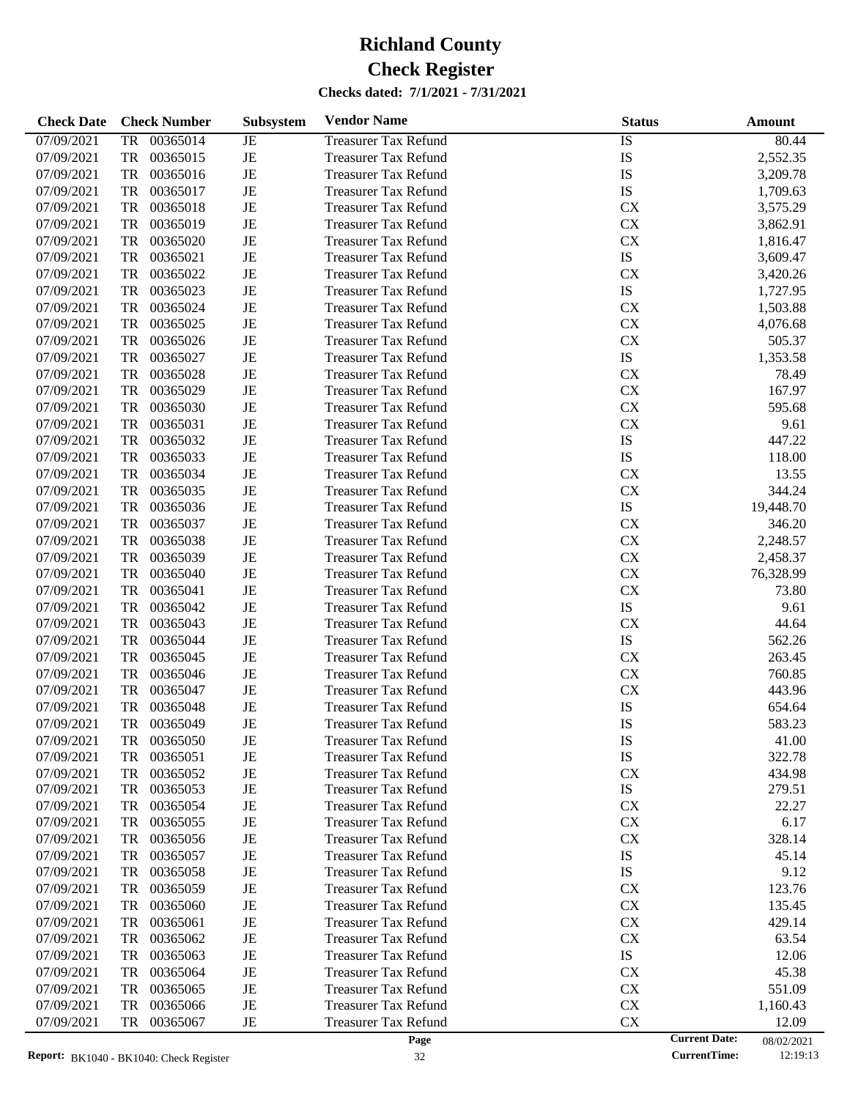| <b>Check Date</b> | <b>Check Number</b>   | Subsystem | <b>Vendor Name</b>          | <b>Status</b> | Amount                             |
|-------------------|-----------------------|-----------|-----------------------------|---------------|------------------------------------|
| 07/09/2021        | 00365014<br>TR        | JE        | <b>Treasurer Tax Refund</b> | IS            | 80.44                              |
| 07/09/2021        | TR<br>00365015        | $\rm{JE}$ | <b>Treasurer Tax Refund</b> | IS            | 2,552.35                           |
| 07/09/2021        | TR<br>00365016        | $\rm{JE}$ | <b>Treasurer Tax Refund</b> | IS            | 3,209.78                           |
| 07/09/2021        | TR<br>00365017        | JE        | <b>Treasurer Tax Refund</b> | IS            | 1,709.63                           |
| 07/09/2021        | TR<br>00365018        | $\rm{JE}$ | <b>Treasurer Tax Refund</b> | <b>CX</b>     | 3,575.29                           |
| 07/09/2021        | TR<br>00365019        | $\rm{JE}$ | <b>Treasurer Tax Refund</b> | CX            | 3,862.91                           |
| 07/09/2021        | TR<br>00365020        | $\rm{JE}$ | <b>Treasurer Tax Refund</b> | CX            | 1,816.47                           |
| 07/09/2021        | TR<br>00365021        | $\rm{JE}$ | <b>Treasurer Tax Refund</b> | ${\rm IS}$    | 3,609.47                           |
| 07/09/2021        | TR<br>00365022        | $\rm{JE}$ | <b>Treasurer Tax Refund</b> | CX            | 3,420.26                           |
| 07/09/2021        | TR<br>00365023        | $\rm{JE}$ | <b>Treasurer Tax Refund</b> | ${\rm IS}$    | 1,727.95                           |
| 07/09/2021        | TR<br>00365024        | $\rm{JE}$ | <b>Treasurer Tax Refund</b> | CX            | 1,503.88                           |
| 07/09/2021        | TR<br>00365025        | JE        | <b>Treasurer Tax Refund</b> | CX            | 4,076.68                           |
| 07/09/2021        | TR<br>00365026        | $\rm{JE}$ | <b>Treasurer Tax Refund</b> | CX            | 505.37                             |
| 07/09/2021        | TR<br>00365027        | $\rm{JE}$ | <b>Treasurer Tax Refund</b> | ${\rm IS}$    | 1,353.58                           |
| 07/09/2021        | TR<br>00365028        | $\rm{JE}$ | <b>Treasurer Tax Refund</b> | CX            | 78.49                              |
| 07/09/2021        | TR<br>00365029        | JE        | <b>Treasurer Tax Refund</b> | <b>CX</b>     | 167.97                             |
| 07/09/2021        | TR<br>00365030        | $\rm{JE}$ | <b>Treasurer Tax Refund</b> | CX            | 595.68                             |
| 07/09/2021        | TR<br>00365031        | $\rm{JE}$ | <b>Treasurer Tax Refund</b> | CX            | 9.61                               |
| 07/09/2021        | TR<br>00365032        | $\rm{JE}$ | <b>Treasurer Tax Refund</b> | IS            | 447.22                             |
| 07/09/2021        | TR<br>00365033        | JE        | <b>Treasurer Tax Refund</b> | ${\rm IS}$    | 118.00                             |
| 07/09/2021        | TR<br>00365034        | $\rm{JE}$ | <b>Treasurer Tax Refund</b> | <b>CX</b>     | 13.55                              |
| 07/09/2021        | TR<br>00365035        | $\rm{JE}$ | <b>Treasurer Tax Refund</b> | CX            | 344.24                             |
| 07/09/2021        | TR<br>00365036        | $\rm{JE}$ | <b>Treasurer Tax Refund</b> | ${\rm IS}$    | 19,448.70                          |
| 07/09/2021        | TR<br>00365037        | JE        | <b>Treasurer Tax Refund</b> | <b>CX</b>     | 346.20                             |
| 07/09/2021        | TR<br>00365038        | $\rm{JE}$ | <b>Treasurer Tax Refund</b> | CX            | 2,248.57                           |
| 07/09/2021        | TR<br>00365039        | $\rm{JE}$ | <b>Treasurer Tax Refund</b> | CX            | 2,458.37                           |
| 07/09/2021        | TR<br>00365040        | $\rm{JE}$ | <b>Treasurer Tax Refund</b> | CX            | 76,328.99                          |
| 07/09/2021        | TR<br>00365041        | JE        | <b>Treasurer Tax Refund</b> | CX            | 73.80                              |
| 07/09/2021        | TR<br>00365042        | $\rm{JE}$ | <b>Treasurer Tax Refund</b> | ${\rm IS}$    | 9.61                               |
| 07/09/2021        | TR<br>00365043        | $\rm{JE}$ | <b>Treasurer Tax Refund</b> | CX            | 44.64                              |
| 07/09/2021        | TR<br>00365044        | $\rm{JE}$ | <b>Treasurer Tax Refund</b> | ${\rm IS}$    | 562.26                             |
| 07/09/2021        | TR<br>00365045        | JE        | <b>Treasurer Tax Refund</b> | <b>CX</b>     | 263.45                             |
| 07/09/2021        | TR<br>00365046        | $\rm{JE}$ | <b>Treasurer Tax Refund</b> | CX            | 760.85                             |
| 07/09/2021        | TR<br>00365047        | $\rm{JE}$ | <b>Treasurer Tax Refund</b> | CX            | 443.96                             |
| 07/09/2021        | <b>TR</b><br>00365048 | $\rm{JE}$ | <b>Treasurer Tax Refund</b> | IS            | 654.64                             |
| 07/09/2021        | TR<br>00365049        | JE        | <b>Treasurer Tax Refund</b> | IS            | 583.23                             |
| 07/09/2021        | 00365050<br>TR        | JE        | <b>Treasurer Tax Refund</b> | IS            | 41.00                              |
| 07/09/2021        | 00365051<br>TR        | JE        | <b>Treasurer Tax Refund</b> | IS            | 322.78                             |
| 07/09/2021        | 00365052<br>TR        | JE        | <b>Treasurer Tax Refund</b> | <b>CX</b>     | 434.98                             |
| 07/09/2021        | 00365053<br>TR        | JE        | Treasurer Tax Refund        | IS            | 279.51                             |
| 07/09/2021        | 00365054<br>TR        | JE        | <b>Treasurer Tax Refund</b> | <b>CX</b>     | 22.27                              |
| 07/09/2021        | 00365055<br>TR        | JE        | <b>Treasurer Tax Refund</b> | <b>CX</b>     | 6.17                               |
| 07/09/2021        | 00365056<br>TR        | JE        | <b>Treasurer Tax Refund</b> | <b>CX</b>     | 328.14                             |
| 07/09/2021        | 00365057<br>TR        | JE        | <b>Treasurer Tax Refund</b> | IS            | 45.14                              |
| 07/09/2021        | 00365058<br>TR        | JE        | <b>Treasurer Tax Refund</b> | IS            | 9.12                               |
| 07/09/2021        | 00365059<br>TR        | JE        | <b>Treasurer Tax Refund</b> | <b>CX</b>     | 123.76                             |
| 07/09/2021        | 00365060<br>TR        | JE        | <b>Treasurer Tax Refund</b> | <b>CX</b>     | 135.45                             |
| 07/09/2021        | 00365061<br>TR        | JE        | <b>Treasurer Tax Refund</b> | <b>CX</b>     | 429.14                             |
| 07/09/2021        | 00365062<br>TR        | JE        | <b>Treasurer Tax Refund</b> | CX            | 63.54                              |
| 07/09/2021        | 00365063<br>TR        | JE        | <b>Treasurer Tax Refund</b> | IS            | 12.06                              |
| 07/09/2021        | 00365064<br>TR        | JE        | <b>Treasurer Tax Refund</b> | <b>CX</b>     | 45.38                              |
| 07/09/2021        | 00365065<br>TR        | JE        | <b>Treasurer Tax Refund</b> | CX            | 551.09                             |
| 07/09/2021        | 00365066<br>TR        | JE        | <b>Treasurer Tax Refund</b> | CX            | 1,160.43                           |
| 07/09/2021        | 00365067<br>TR        | JE        | <b>Treasurer Tax Refund</b> | CX            | 12.09                              |
|                   |                       |           | Page                        |               | <b>Current Date:</b><br>08/02/2021 |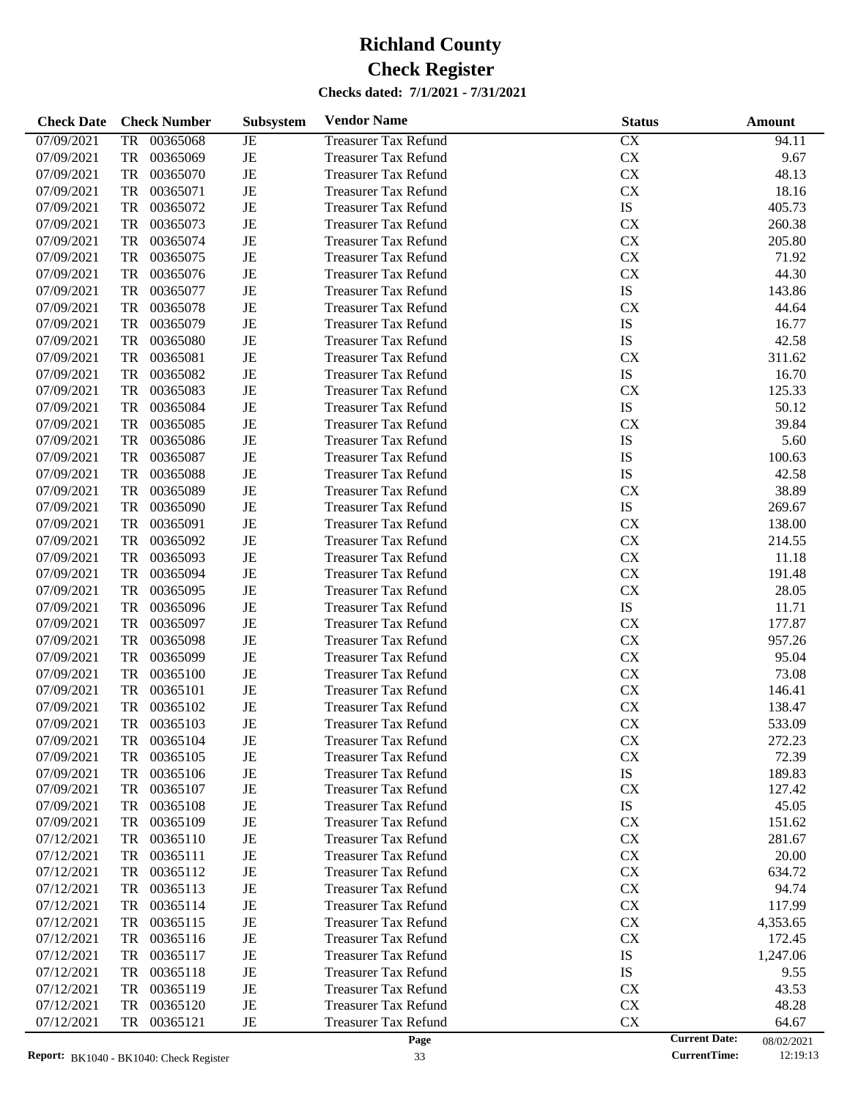| <b>Check Date</b> | <b>Check Number</b> | Subsystem | <b>Vendor Name</b>          | <b>Status</b> | <b>Amount</b>                      |
|-------------------|---------------------|-----------|-----------------------------|---------------|------------------------------------|
| 07/09/2021        | 00365068<br>TR      | JE        | <b>Treasurer Tax Refund</b> | CX            | 94.11                              |
| 07/09/2021        | TR<br>00365069      | JE        | <b>Treasurer Tax Refund</b> | <b>CX</b>     | 9.67                               |
| 07/09/2021        | TR<br>00365070      | JE        | <b>Treasurer Tax Refund</b> | <b>CX</b>     | 48.13                              |
| 07/09/2021        | 00365071<br>TR      | JE        | <b>Treasurer Tax Refund</b> | <b>CX</b>     | 18.16                              |
| 07/09/2021        | TR<br>00365072      | JE        | <b>Treasurer Tax Refund</b> | ${\rm IS}$    | 405.73                             |
| 07/09/2021        | TR<br>00365073      | JE        | <b>Treasurer Tax Refund</b> | <b>CX</b>     | 260.38                             |
| 07/09/2021        | TR<br>00365074      | JE        | <b>Treasurer Tax Refund</b> | <b>CX</b>     | 205.80                             |
| 07/09/2021        | 00365075<br>TR      | JE        | <b>Treasurer Tax Refund</b> | <b>CX</b>     | 71.92                              |
| 07/09/2021        | TR<br>00365076      | JE        | <b>Treasurer Tax Refund</b> | <b>CX</b>     | 44.30                              |
| 07/09/2021        | TR<br>00365077      | JE        | <b>Treasurer Tax Refund</b> | ${\rm IS}$    | 143.86                             |
| 07/09/2021        | TR<br>00365078      | JE        | <b>Treasurer Tax Refund</b> | <b>CX</b>     | 44.64                              |
| 07/09/2021        | 00365079<br>TR      | JE        | <b>Treasurer Tax Refund</b> | IS            | 16.77                              |
| 07/09/2021        | TR<br>00365080      | JE        | <b>Treasurer Tax Refund</b> | IS            | 42.58                              |
| 07/09/2021        | TR<br>00365081      | JE        | <b>Treasurer Tax Refund</b> | <b>CX</b>     | 311.62                             |
| 07/09/2021        | TR<br>00365082      | JE        | <b>Treasurer Tax Refund</b> | ${\rm IS}$    | 16.70                              |
| 07/09/2021        | 00365083<br>TR      | JE        | <b>Treasurer Tax Refund</b> | <b>CX</b>     | 125.33                             |
| 07/09/2021        | TR<br>00365084      | JE        | <b>Treasurer Tax Refund</b> | ${\rm IS}$    | 50.12                              |
| 07/09/2021        | TR<br>00365085      | JE        | <b>Treasurer Tax Refund</b> | <b>CX</b>     | 39.84                              |
|                   | TR                  | JE        | <b>Treasurer Tax Refund</b> | IS            | 5.60                               |
| 07/09/2021        | 00365086            |           |                             |               |                                    |
| 07/09/2021        | 00365087<br>TR      | JE        | <b>Treasurer Tax Refund</b> | IS            | 100.63                             |
| 07/09/2021        | TR<br>00365088      | JE        | <b>Treasurer Tax Refund</b> | IS            | 42.58                              |
| 07/09/2021        | TR<br>00365089      | JE        | <b>Treasurer Tax Refund</b> | <b>CX</b>     | 38.89                              |
| 07/09/2021        | TR<br>00365090      | JE        | <b>Treasurer Tax Refund</b> | ${\rm IS}$    | 269.67                             |
| 07/09/2021        | 00365091<br>TR      | JE        | <b>Treasurer Tax Refund</b> | <b>CX</b>     | 138.00                             |
| 07/09/2021        | TR<br>00365092      | JE        | <b>Treasurer Tax Refund</b> | <b>CX</b>     | 214.55                             |
| 07/09/2021        | TR<br>00365093      | JE        | <b>Treasurer Tax Refund</b> | <b>CX</b>     | 11.18                              |
| 07/09/2021        | TR<br>00365094      | JE        | <b>Treasurer Tax Refund</b> | <b>CX</b>     | 191.48                             |
| 07/09/2021        | 00365095<br>TR      | JE        | <b>Treasurer Tax Refund</b> | <b>CX</b>     | 28.05                              |
| 07/09/2021        | TR<br>00365096      | JE        | <b>Treasurer Tax Refund</b> | ${\rm IS}$    | 11.71                              |
| 07/09/2021        | TR<br>00365097      | JE        | <b>Treasurer Tax Refund</b> | <b>CX</b>     | 177.87                             |
| 07/09/2021        | TR<br>00365098      | JE        | <b>Treasurer Tax Refund</b> | <b>CX</b>     | 957.26                             |
| 07/09/2021        | 00365099<br>TR      | JE        | <b>Treasurer Tax Refund</b> | <b>CX</b>     | 95.04                              |
| 07/09/2021        | TR<br>00365100      | JE        | <b>Treasurer Tax Refund</b> | <b>CX</b>     | 73.08                              |
| 07/09/2021        | TR<br>00365101      | JE        | <b>Treasurer Tax Refund</b> | <b>CX</b>     | 146.41                             |
| 07/09/2021        | 00365102<br>TR      | JE        | <b>Treasurer Tax Refund</b> | <b>CX</b>     | 138.47                             |
| 07/09/2021        | TR<br>00365103      | JE        | <b>Treasurer Tax Refund</b> | <b>CX</b>     | 533.09                             |
| 07/09/2021        | 00365104<br>TR      | JE        | <b>Treasurer Tax Refund</b> | <b>CX</b>     | 272.23                             |
| 07/09/2021        | TR<br>00365105      | JE        | <b>Treasurer Tax Refund</b> | <b>CX</b>     | 72.39                              |
| 07/09/2021        | TR<br>00365106      | JE        | <b>Treasurer Tax Refund</b> | IS            | 189.83                             |
| 07/09/2021        | 00365107<br>TR      | JE        | <b>Treasurer Tax Refund</b> | <b>CX</b>     | 127.42                             |
| 07/09/2021        | TR<br>00365108      | JE        | <b>Treasurer Tax Refund</b> | IS            | 45.05                              |
| 07/09/2021        | 00365109<br>TR      | JE        | <b>Treasurer Tax Refund</b> | <b>CX</b>     | 151.62                             |
| 07/12/2021        | TR<br>00365110      | JE        | <b>Treasurer Tax Refund</b> | <b>CX</b>     | 281.67                             |
| 07/12/2021        | TR<br>00365111      | JE        | <b>Treasurer Tax Refund</b> | <b>CX</b>     | 20.00                              |
| 07/12/2021        | TR<br>00365112      | JE        | <b>Treasurer Tax Refund</b> | <b>CX</b>     | 634.72                             |
| 07/12/2021        | TR<br>00365113      | JE        | <b>Treasurer Tax Refund</b> | <b>CX</b>     | 94.74                              |
| 07/12/2021        | TR<br>00365114      | JE        | <b>Treasurer Tax Refund</b> | <b>CX</b>     | 117.99                             |
| 07/12/2021        | TR<br>00365115      | JE        | <b>Treasurer Tax Refund</b> | <b>CX</b>     | 4,353.65                           |
| 07/12/2021        | TR<br>00365116      | JE        | <b>Treasurer Tax Refund</b> | <b>CX</b>     | 172.45                             |
| 07/12/2021        | TR<br>00365117      | JE        | <b>Treasurer Tax Refund</b> | IS            | 1,247.06                           |
| 07/12/2021        | TR<br>00365118      | JE        | <b>Treasurer Tax Refund</b> | <b>IS</b>     | 9.55                               |
| 07/12/2021        | TR<br>00365119      | JE        | <b>Treasurer Tax Refund</b> | <b>CX</b>     | 43.53                              |
| 07/12/2021        | TR<br>00365120      | JE        | <b>Treasurer Tax Refund</b> | <b>CX</b>     | 48.28                              |
| 07/12/2021        | 00365121<br>TR      | JE        | <b>Treasurer Tax Refund</b> | CX            | 64.67                              |
|                   |                     |           | Page                        |               | <b>Current Date:</b><br>08/02/2021 |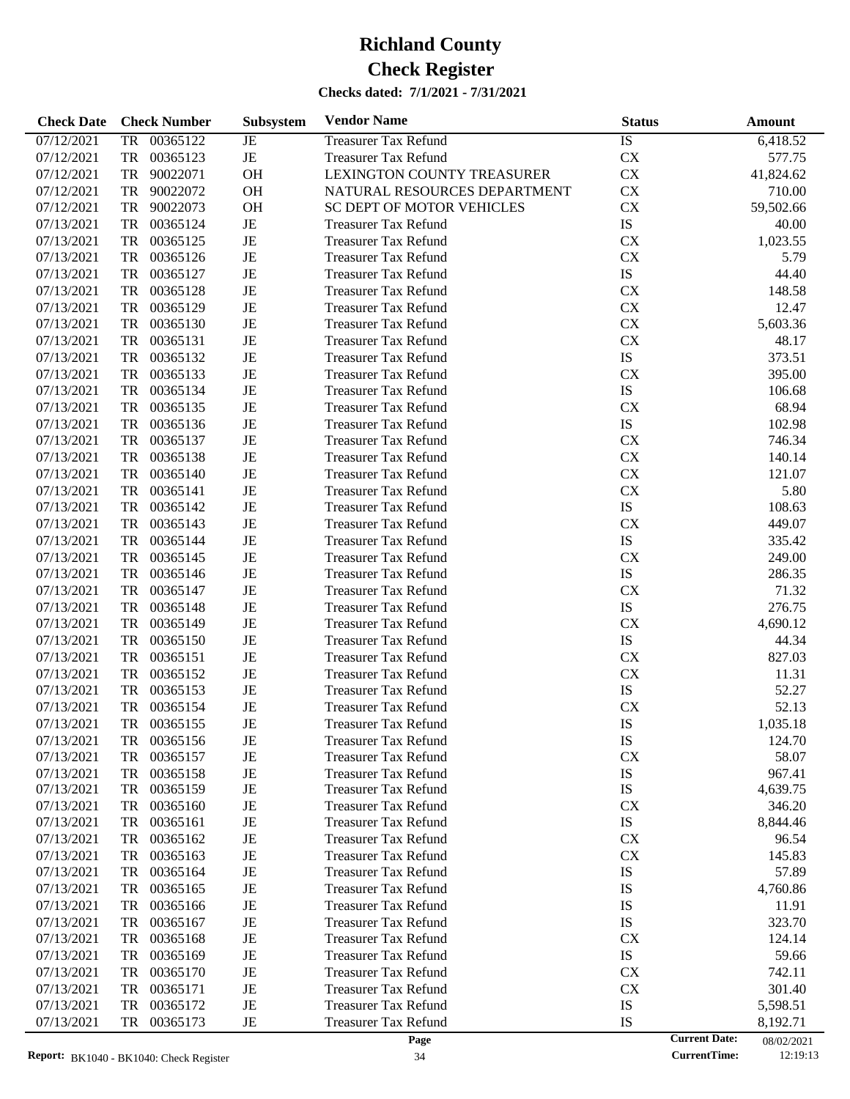| <b>Check Date</b> | <b>Check Number</b>   | Subsystem | <b>Vendor Name</b>           | <b>Status</b>   | <b>Amount</b>                      |
|-------------------|-----------------------|-----------|------------------------------|-----------------|------------------------------------|
| 07/12/2021        | TR 00365122           | JE        | <b>Treasurer Tax Refund</b>  | $\overline{1S}$ | 6,418.52                           |
| 07/12/2021        | TR<br>00365123        | JE        | <b>Treasurer Tax Refund</b>  | CX              | 577.75                             |
| 07/12/2021        | TR<br>90022071        | <b>OH</b> | LEXINGTON COUNTY TREASURER   | CX              | 41,824.62                          |
| 07/12/2021        | TR<br>90022072        | <b>OH</b> | NATURAL RESOURCES DEPARTMENT | <b>CX</b>       | 710.00                             |
| 07/12/2021        | TR<br>90022073        | <b>OH</b> | SC DEPT OF MOTOR VEHICLES    | <b>CX</b>       | 59,502.66                          |
| 07/13/2021        | TR<br>00365124        | JE        | <b>Treasurer Tax Refund</b>  | ${\rm IS}$      | 40.00                              |
| 07/13/2021        | TR<br>00365125        | JE        | <b>Treasurer Tax Refund</b>  | <b>CX</b>       | 1,023.55                           |
| 07/13/2021        | TR<br>00365126        | JE        | <b>Treasurer Tax Refund</b>  | <b>CX</b>       | 5.79                               |
| 07/13/2021        | TR<br>00365127        | JE        | <b>Treasurer Tax Refund</b>  | ${\rm IS}$      | 44.40                              |
| 07/13/2021        | TR<br>00365128        | JE        | <b>Treasurer Tax Refund</b>  | <b>CX</b>       | 148.58                             |
| 07/13/2021        | TR<br>00365129        | JE        | <b>Treasurer Tax Refund</b>  | CX              | 12.47                              |
| 07/13/2021        | TR<br>00365130        | JE        | <b>Treasurer Tax Refund</b>  | CX              | 5,603.36                           |
| 07/13/2021        | TR<br>00365131        | JE        | <b>Treasurer Tax Refund</b>  | <b>CX</b>       | 48.17                              |
| 07/13/2021        | TR<br>00365132        | JE        | <b>Treasurer Tax Refund</b>  | ${\rm IS}$      | 373.51                             |
| 07/13/2021        | TR<br>00365133        | JE        | <b>Treasurer Tax Refund</b>  | <b>CX</b>       | 395.00                             |
| 07/13/2021        | TR<br>00365134        | JE        | <b>Treasurer Tax Refund</b>  | IS              | 106.68                             |
| 07/13/2021        | TR<br>00365135        | JE        | <b>Treasurer Tax Refund</b>  | <b>CX</b>       | 68.94                              |
| 07/13/2021        | TR<br>00365136        | JE        | <b>Treasurer Tax Refund</b>  | ${\rm IS}$      | 102.98                             |
| 07/13/2021        | TR<br>00365137        | JE        | <b>Treasurer Tax Refund</b>  | <b>CX</b>       | 746.34                             |
| 07/13/2021        | TR<br>00365138        | JE        | <b>Treasurer Tax Refund</b>  | <b>CX</b>       | 140.14                             |
| 07/13/2021        | TR<br>00365140        | JE        | <b>Treasurer Tax Refund</b>  | <b>CX</b>       | 121.07                             |
| 07/13/2021        | TR<br>00365141        | JE        | <b>Treasurer Tax Refund</b>  | CX              | 5.80                               |
| 07/13/2021        | TR<br>00365142        | JE        | <b>Treasurer Tax Refund</b>  | ${\rm IS}$      | 108.63                             |
| 07/13/2021        | TR<br>00365143        | JE        | <b>Treasurer Tax Refund</b>  | <b>CX</b>       | 449.07                             |
| 07/13/2021        | TR<br>00365144        | JE        | <b>Treasurer Tax Refund</b>  | IS              | 335.42                             |
| 07/13/2021        | TR<br>00365145        | JE        | <b>Treasurer Tax Refund</b>  | <b>CX</b>       | 249.00                             |
| 07/13/2021        | TR<br>00365146        | JE        | <b>Treasurer Tax Refund</b>  | IS              | 286.35                             |
| 07/13/2021        | TR<br>00365147        | JE        | <b>Treasurer Tax Refund</b>  | <b>CX</b>       | 71.32                              |
| 07/13/2021        | TR<br>00365148        | JE        | <b>Treasurer Tax Refund</b>  | IS              | 276.75                             |
| 07/13/2021        | TR<br>00365149        | JE        | <b>Treasurer Tax Refund</b>  | <b>CX</b>       | 4,690.12                           |
| 07/13/2021        | TR<br>00365150        | JE        | <b>Treasurer Tax Refund</b>  | IS              | 44.34                              |
| 07/13/2021        | TR<br>00365151        | JE        | <b>Treasurer Tax Refund</b>  | <b>CX</b>       | 827.03                             |
| 07/13/2021        | TR<br>00365152        | JE        | <b>Treasurer Tax Refund</b>  | CX              | 11.31                              |
| 07/13/2021        | TR<br>00365153        | JE        | <b>Treasurer Tax Refund</b>  | ${\rm IS}$      | 52.27                              |
| 07/13/2021        | 00365154<br><b>TR</b> | JE        | <b>Treasurer Tax Refund</b>  | CX              | 52.13                              |
| 07/13/2021        | TR<br>00365155        | JE        | <b>Treasurer Tax Refund</b>  | IS              | 1,035.18                           |
| 07/13/2021        | TR 00365156           | JE        | <b>Treasurer Tax Refund</b>  | IS              | 124.70                             |
| 07/13/2021        | 00365157<br>TR        | JE        | <b>Treasurer Tax Refund</b>  | CX              | 58.07                              |
| 07/13/2021        | <b>TR</b><br>00365158 | JE        | <b>Treasurer Tax Refund</b>  | IS              | 967.41                             |
| 07/13/2021        | TR<br>00365159        | JE        | <b>Treasurer Tax Refund</b>  | IS              | 4,639.75                           |
| 07/13/2021        | TR<br>00365160        | JE        | <b>Treasurer Tax Refund</b>  | CX              | 346.20                             |
| 07/13/2021        | 00365161<br>TR        | JE        | <b>Treasurer Tax Refund</b>  | IS              | 8,844.46                           |
| 07/13/2021        | 00365162<br>TR        | JE        | <b>Treasurer Tax Refund</b>  | CX              | 96.54                              |
| 07/13/2021        | 00365163<br>TR        | JE        | <b>Treasurer Tax Refund</b>  | CX              | 145.83                             |
| 07/13/2021        | 00365164<br>TR        | JE        | <b>Treasurer Tax Refund</b>  | IS              | 57.89                              |
| 07/13/2021        | 00365165<br>TR        | JE        | <b>Treasurer Tax Refund</b>  | IS              | 4,760.86                           |
| 07/13/2021        | 00365166<br>TR        | JE        | <b>Treasurer Tax Refund</b>  | IS              | 11.91                              |
| 07/13/2021        | 00365167<br>TR        | JE        | <b>Treasurer Tax Refund</b>  | IS              | 323.70                             |
| 07/13/2021        | 00365168<br>TR        | JE        | <b>Treasurer Tax Refund</b>  | CX              | 124.14                             |
| 07/13/2021        | 00365169<br>TR        | JE        | <b>Treasurer Tax Refund</b>  | IS              | 59.66                              |
| 07/13/2021        | TR<br>00365170        | JE        | <b>Treasurer Tax Refund</b>  | CX              | 742.11                             |
| 07/13/2021        | 00365171<br>TR        | JE        | <b>Treasurer Tax Refund</b>  | CX              | 301.40                             |
| 07/13/2021        | 00365172<br>TR        | JE        | <b>Treasurer Tax Refund</b>  | IS              | 5,598.51                           |
| 07/13/2021        | 00365173<br>TR        | JE        | <b>Treasurer Tax Refund</b>  | IS              | 8,192.71                           |
|                   |                       |           | Page                         |                 | <b>Current Date:</b><br>08/02/2021 |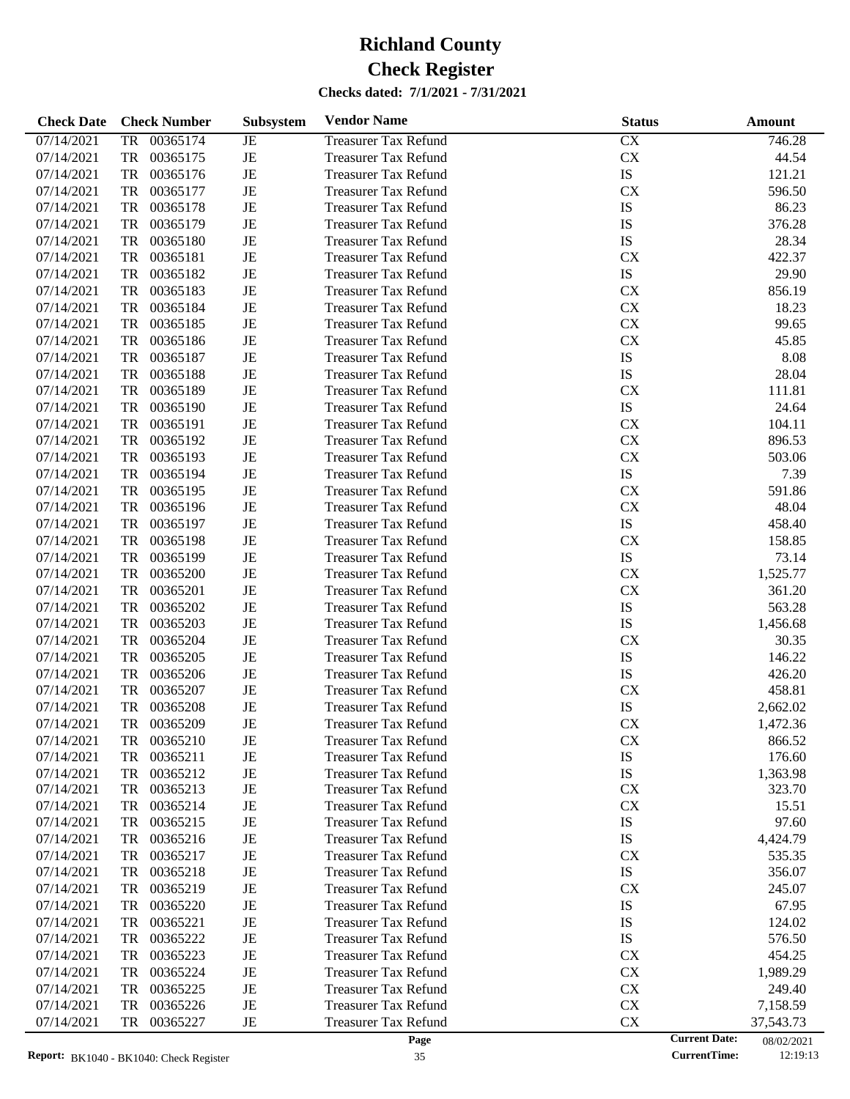| <b>Check Date</b> | <b>Check Number</b>        | Subsystem | <b>Vendor Name</b>          | <b>Status</b> | <b>Amount</b>                      |
|-------------------|----------------------------|-----------|-----------------------------|---------------|------------------------------------|
| 07/14/2021        | 00365174<br>TR             | JE        | <b>Treasurer Tax Refund</b> | CX            | 746.28                             |
| 07/14/2021        | 00365175<br>TR             | JE        | <b>Treasurer Tax Refund</b> | <b>CX</b>     | 44.54                              |
| 07/14/2021        | TR<br>00365176             | JE        | <b>Treasurer Tax Refund</b> | IS            | 121.21                             |
| 07/14/2021        | TR<br>00365177             | JE        | <b>Treasurer Tax Refund</b> | <b>CX</b>     | 596.50                             |
| 07/14/2021        | TR<br>00365178             | JE        | <b>Treasurer Tax Refund</b> | IS            | 86.23                              |
| 07/14/2021        | TR<br>00365179             | JE        | <b>Treasurer Tax Refund</b> | IS            | 376.28                             |
| 07/14/2021        | TR<br>00365180             | JE        | <b>Treasurer Tax Refund</b> | IS            | 28.34                              |
| 07/14/2021        | TR<br>00365181             | JE        | <b>Treasurer Tax Refund</b> | <b>CX</b>     | 422.37                             |
| 07/14/2021        | TR<br>00365182             | JE        | <b>Treasurer Tax Refund</b> | ${\rm IS}$    | 29.90                              |
| 07/14/2021        | TR<br>00365183             | JE        | <b>Treasurer Tax Refund</b> | <b>CX</b>     | 856.19                             |
| 07/14/2021        | TR<br>00365184             | JE        | <b>Treasurer Tax Refund</b> | CX            | 18.23                              |
| 07/14/2021        | TR<br>00365185             | JE        | <b>Treasurer Tax Refund</b> | <b>CX</b>     | 99.65                              |
| 07/14/2021        | TR<br>00365186             | JE        | <b>Treasurer Tax Refund</b> | CX            | 45.85                              |
| 07/14/2021        | TR<br>00365187             | JE        | <b>Treasurer Tax Refund</b> | IS            | 8.08                               |
| 07/14/2021        | TR<br>00365188             | JE        | <b>Treasurer Tax Refund</b> | IS            | 28.04                              |
| 07/14/2021        | TR<br>00365189             | JE        | <b>Treasurer Tax Refund</b> | <b>CX</b>     | 111.81                             |
| 07/14/2021        | TR<br>00365190             | JE        | <b>Treasurer Tax Refund</b> | ${\rm IS}$    | 24.64                              |
| 07/14/2021        | TR<br>00365191             | JE        | <b>Treasurer Tax Refund</b> | <b>CX</b>     | 104.11                             |
| 07/14/2021        | TR<br>00365192             | JE        | <b>Treasurer Tax Refund</b> | <b>CX</b>     | 896.53                             |
| 07/14/2021        | TR<br>00365193             | JE        | <b>Treasurer Tax Refund</b> | CX            | 503.06                             |
| 07/14/2021        | TR<br>00365194             | JE        | <b>Treasurer Tax Refund</b> | ${\rm IS}$    | 7.39                               |
| 07/14/2021        | TR<br>00365195             | JE        | <b>Treasurer Tax Refund</b> | <b>CX</b>     | 591.86                             |
| 07/14/2021        | TR<br>00365196             | JE        | <b>Treasurer Tax Refund</b> | CX            | 48.04                              |
| 07/14/2021        | TR<br>00365197             | JE        | <b>Treasurer Tax Refund</b> | ${\rm IS}$    | 458.40                             |
| 07/14/2021        | TR<br>00365198             | JE        | <b>Treasurer Tax Refund</b> | <b>CX</b>     | 158.85                             |
| 07/14/2021        | TR<br>00365199             | JE        | <b>Treasurer Tax Refund</b> | ${\rm IS}$    | 73.14                              |
| 07/14/2021        | TR<br>00365200             | JE        | <b>Treasurer Tax Refund</b> | <b>CX</b>     | 1,525.77                           |
| 07/14/2021        | TR<br>00365201             | JE        | <b>Treasurer Tax Refund</b> | CX            | 361.20                             |
| 07/14/2021        | TR<br>00365202             | JE        | <b>Treasurer Tax Refund</b> | ${\rm IS}$    | 563.28                             |
| 07/14/2021        | TR<br>00365203             | JE        | <b>Treasurer Tax Refund</b> | IS            | 1,456.68                           |
| 07/14/2021        | TR<br>00365204             | JE        | <b>Treasurer Tax Refund</b> | <b>CX</b>     | 30.35                              |
| 07/14/2021        | TR<br>00365205             | JE        | <b>Treasurer Tax Refund</b> | IS            | 146.22                             |
| 07/14/2021        | 00365206<br>TR             | JE        | <b>Treasurer Tax Refund</b> | IS            | 426.20                             |
| 07/14/2021        | 00365207<br>TR             | JE        | <b>Treasurer Tax Refund</b> | <b>CX</b>     | 458.81                             |
| 07/14/2021        | 00365208<br>TR             | JE        | <b>Treasurer Tax Refund</b> | ${\rm IS}$    | 2,662.02                           |
| 07/14/2021        | TR<br>00365209             | JE        | <b>Treasurer Tax Refund</b> | <b>CX</b>     | 1,472.36                           |
| 07/14/2021        | TR<br>00365210             | JE        | <b>Treasurer Tax Refund</b> | <b>CX</b>     | 866.52                             |
| 07/14/2021        | 00365211<br>TR             | JE        | <b>Treasurer Tax Refund</b> | IS            | 176.60                             |
| 07/14/2021        | 00365212                   |           | <b>Treasurer Tax Refund</b> | IS            |                                    |
| 07/14/2021        | TR<br>00365213<br>TR       | JE<br>JE  | <b>Treasurer Tax Refund</b> | <b>CX</b>     | 1,363.98<br>323.70                 |
| 07/14/2021        | 00365214<br>TR             | JE        | <b>Treasurer Tax Refund</b> | <b>CX</b>     | 15.51                              |
| 07/14/2021        | 00365215<br>TR             | JE        | <b>Treasurer Tax Refund</b> | IS            | 97.60                              |
| 07/14/2021        | 00365216<br>TR             | JE        | <b>Treasurer Tax Refund</b> | IS            | 4,424.79                           |
| 07/14/2021        | 00365217<br>TR             | JE        | <b>Treasurer Tax Refund</b> | <b>CX</b>     | 535.35                             |
|                   | 00365218                   |           | <b>Treasurer Tax Refund</b> |               |                                    |
| 07/14/2021        | TR                         | JE        |                             | IS            | 356.07                             |
| 07/14/2021        | 00365219<br>TR<br>00365220 | JE        | <b>Treasurer Tax Refund</b> | <b>CX</b>     | 245.07                             |
| 07/14/2021        | TR                         | JE        | <b>Treasurer Tax Refund</b> | IS            | 67.95                              |
| 07/14/2021        | 00365221<br>TR             | JE        | <b>Treasurer Tax Refund</b> | IS            | 124.02                             |
| 07/14/2021        | 00365222<br>TR             | JE        | <b>Treasurer Tax Refund</b> | IS            | 576.50                             |
| 07/14/2021        | 00365223<br>TR             | JE        | <b>Treasurer Tax Refund</b> | <b>CX</b>     | 454.25                             |
| 07/14/2021        | 00365224<br>TR             | JE        | <b>Treasurer Tax Refund</b> | <b>CX</b>     | 1,989.29                           |
| 07/14/2021        | 00365225<br>TR             | JE        | <b>Treasurer Tax Refund</b> | CX            | 249.40                             |
| 07/14/2021        | 00365226<br>TR             | JE        | <b>Treasurer Tax Refund</b> | CX            | 7,158.59                           |
| 07/14/2021        | 00365227<br>TR             | JE        | <b>Treasurer Tax Refund</b> | CX            | 37,543.73                          |
|                   |                            |           | Page                        |               | <b>Current Date:</b><br>08/02/2021 |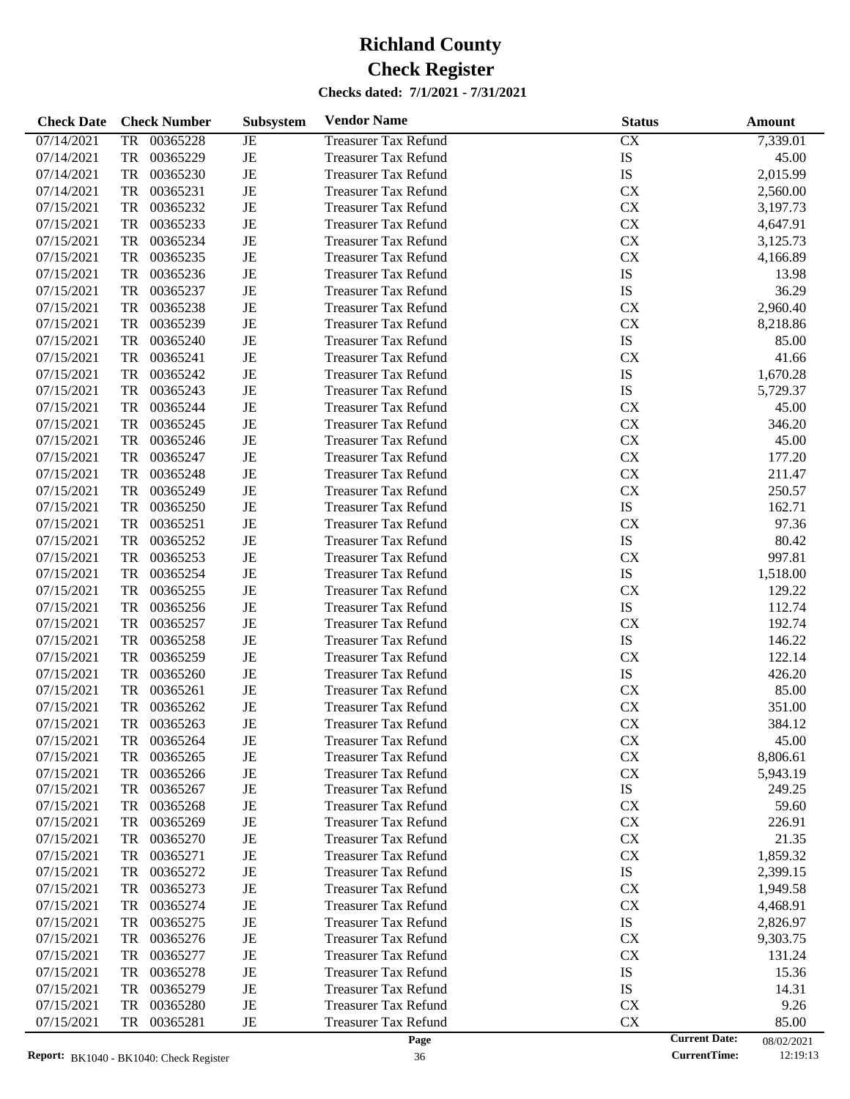| <b>Check Date</b> |           | <b>Check Number</b>                             | Subsystem | <b>Vendor Name</b>          | <b>Status</b>        | Amount     |
|-------------------|-----------|-------------------------------------------------|-----------|-----------------------------|----------------------|------------|
| 07/14/2021        | TR        | 00365228                                        | JE        | <b>Treasurer Tax Refund</b> | CX                   | 7,339.01   |
| 07/14/2021        | TR        | 00365229                                        | JE        | <b>Treasurer Tax Refund</b> | IS                   | 45.00      |
| 07/14/2021        | TR        | 00365230                                        | JE        | <b>Treasurer Tax Refund</b> | IS                   | 2,015.99   |
| 07/14/2021        | TR        | 00365231                                        | JE        | <b>Treasurer Tax Refund</b> | CX                   | 2,560.00   |
| 07/15/2021        | TR        | 00365232                                        | JE        | <b>Treasurer Tax Refund</b> | CX                   | 3,197.73   |
| 07/15/2021        | TR        | 00365233                                        | JE        | <b>Treasurer Tax Refund</b> | CX                   | 4,647.91   |
| 07/15/2021        | TR        | 00365234                                        | JE        | <b>Treasurer Tax Refund</b> | CX                   | 3,125.73   |
| 07/15/2021        | TR        | 00365235                                        | JE        | <b>Treasurer Tax Refund</b> | <b>CX</b>            | 4,166.89   |
| 07/15/2021        | TR        | 00365236                                        | JE        | <b>Treasurer Tax Refund</b> | IS                   | 13.98      |
| 07/15/2021        | TR        | 00365237                                        | JE        | <b>Treasurer Tax Refund</b> | IS                   | 36.29      |
| 07/15/2021        | TR        | 00365238                                        | JE        | <b>Treasurer Tax Refund</b> | CX                   | 2,960.40   |
| 07/15/2021        | TR        | 00365239                                        | JE        | <b>Treasurer Tax Refund</b> | <b>CX</b>            | 8,218.86   |
| 07/15/2021        | TR        | 00365240                                        | JE        | <b>Treasurer Tax Refund</b> | ${\rm IS}$           | 85.00      |
| 07/15/2021        | TR        | 00365241                                        | JE        | <b>Treasurer Tax Refund</b> | <b>CX</b>            | 41.66      |
| 07/15/2021        | TR        | 00365242                                        | JE        | <b>Treasurer Tax Refund</b> | IS                   | 1,670.28   |
| 07/15/2021        | TR        | 00365243                                        | JE        | <b>Treasurer Tax Refund</b> | IS                   | 5,729.37   |
| 07/15/2021        | TR        | 00365244                                        | JE        | <b>Treasurer Tax Refund</b> | <b>CX</b>            | 45.00      |
| 07/15/2021        | TR        | 00365245                                        | JE        |                             | CX                   | 346.20     |
|                   |           |                                                 |           | <b>Treasurer Tax Refund</b> |                      |            |
| 07/15/2021        | TR        | 00365246                                        | JE        | <b>Treasurer Tax Refund</b> | CX                   | 45.00      |
| 07/15/2021        | TR        | 00365247                                        | JE        | <b>Treasurer Tax Refund</b> | CX                   | 177.20     |
| 07/15/2021        | TR        | 00365248                                        | JE        | <b>Treasurer Tax Refund</b> | CX                   | 211.47     |
| 07/15/2021        | TR        | 00365249                                        | JE        | <b>Treasurer Tax Refund</b> | <b>CX</b>            | 250.57     |
| 07/15/2021        | TR        | 00365250                                        | JE        | <b>Treasurer Tax Refund</b> | ${\rm IS}$           | 162.71     |
| 07/15/2021        | TR        | 00365251                                        | JE        | <b>Treasurer Tax Refund</b> | <b>CX</b>            | 97.36      |
| 07/15/2021        | TR        | 00365252                                        | JE        | <b>Treasurer Tax Refund</b> | ${\rm IS}$           | 80.42      |
| 07/15/2021        | TR        | 00365253                                        | JE        | <b>Treasurer Tax Refund</b> | CX                   | 997.81     |
| 07/15/2021        | TR        | 00365254                                        | JE        | <b>Treasurer Tax Refund</b> | ${\rm IS}$           | 1,518.00   |
| 07/15/2021        | TR        | 00365255                                        | JE        | <b>Treasurer Tax Refund</b> | <b>CX</b>            | 129.22     |
| 07/15/2021        | TR        | 00365256                                        | JE        | <b>Treasurer Tax Refund</b> | ${\rm IS}$           | 112.74     |
| 07/15/2021        | TR        | 00365257                                        | JE        | <b>Treasurer Tax Refund</b> | <b>CX</b>            | 192.74     |
| 07/15/2021        | TR        | 00365258                                        | JE        | <b>Treasurer Tax Refund</b> | ${\rm IS}$           | 146.22     |
| 07/15/2021        | TR        | 00365259                                        | JE        | <b>Treasurer Tax Refund</b> | <b>CX</b>            | 122.14     |
| 07/15/2021        | TR        | 00365260                                        | JE        | <b>Treasurer Tax Refund</b> | ${\rm IS}$           | 426.20     |
| 07/15/2021        | TR        | 00365261                                        | JE        | <b>Treasurer Tax Refund</b> | CX                   | 85.00      |
| 07/15/2021        | <b>TR</b> | 00365262                                        | JE        | <b>Treasurer Tax Refund</b> | CX                   | 351.00     |
| 07/15/2021        | TR        | 00365263                                        | JE        | <b>Treasurer Tax Refund</b> | CX                   | 384.12     |
| 07/15/2021        | TR        | 00365264                                        | JE        | <b>Treasurer Tax Refund</b> | <b>CX</b>            | 45.00      |
| 07/15/2021        | TR        | 00365265                                        | JE        | <b>Treasurer Tax Refund</b> | CX                   | 8,806.61   |
| 07/15/2021        | TR        | 00365266                                        | JE        | <b>Treasurer Tax Refund</b> | CX                   | 5,943.19   |
| 07/15/2021        | TR        | 00365267                                        | JE        | <b>Treasurer Tax Refund</b> | IS                   | 249.25     |
| 07/15/2021        | TR        | 00365268                                        | JE        | <b>Treasurer Tax Refund</b> | <b>CX</b>            | 59.60      |
| 07/15/2021        | TR        | 00365269                                        | JE        | <b>Treasurer Tax Refund</b> | CX                   | 226.91     |
| 07/15/2021        | TR        | 00365270                                        | JE        | <b>Treasurer Tax Refund</b> | CX                   | 21.35      |
| 07/15/2021        | TR        | 00365271                                        | JE        | <b>Treasurer Tax Refund</b> | CX                   | 1,859.32   |
| 07/15/2021        | TR        | 00365272                                        | JE        | <b>Treasurer Tax Refund</b> | IS                   | 2,399.15   |
| 07/15/2021        | TR        | 00365273                                        | JE        | <b>Treasurer Tax Refund</b> | <b>CX</b>            | 1,949.58   |
| 07/15/2021        | TR        | 00365274                                        | JE        | <b>Treasurer Tax Refund</b> | CX                   | 4,468.91   |
| 07/15/2021        | TR        | 00365275                                        | JE        | <b>Treasurer Tax Refund</b> | IS                   | 2,826.97   |
| 07/15/2021        | TR        | 00365276                                        | JE        | <b>Treasurer Tax Refund</b> | <b>CX</b>            | 9,303.75   |
| 07/15/2021        | TR        | 00365277                                        | JE        | <b>Treasurer Tax Refund</b> | <b>CX</b>            | 131.24     |
| 07/15/2021        | TR        | 00365278                                        | JE        | <b>Treasurer Tax Refund</b> | IS                   | 15.36      |
| 07/15/2021        | TR        | 00365279                                        | JE        | <b>Treasurer Tax Refund</b> | IS                   | 14.31      |
| 07/15/2021        | TR        | 00365280                                        | JE        | <b>Treasurer Tax Refund</b> | <b>CX</b>            | 9.26       |
| 07/15/2021        | TR        | 00365281                                        | JE        | <b>Treasurer Tax Refund</b> | CX                   | 85.00      |
|                   |           |                                                 |           | Page                        | <b>Current Date:</b> | 08/02/2021 |
|                   |           | <b>Report:</b> $RK1040 - RK1040$ Check Register |           | 36                          | <b>CurrentTime:</b>  | 12:19:13   |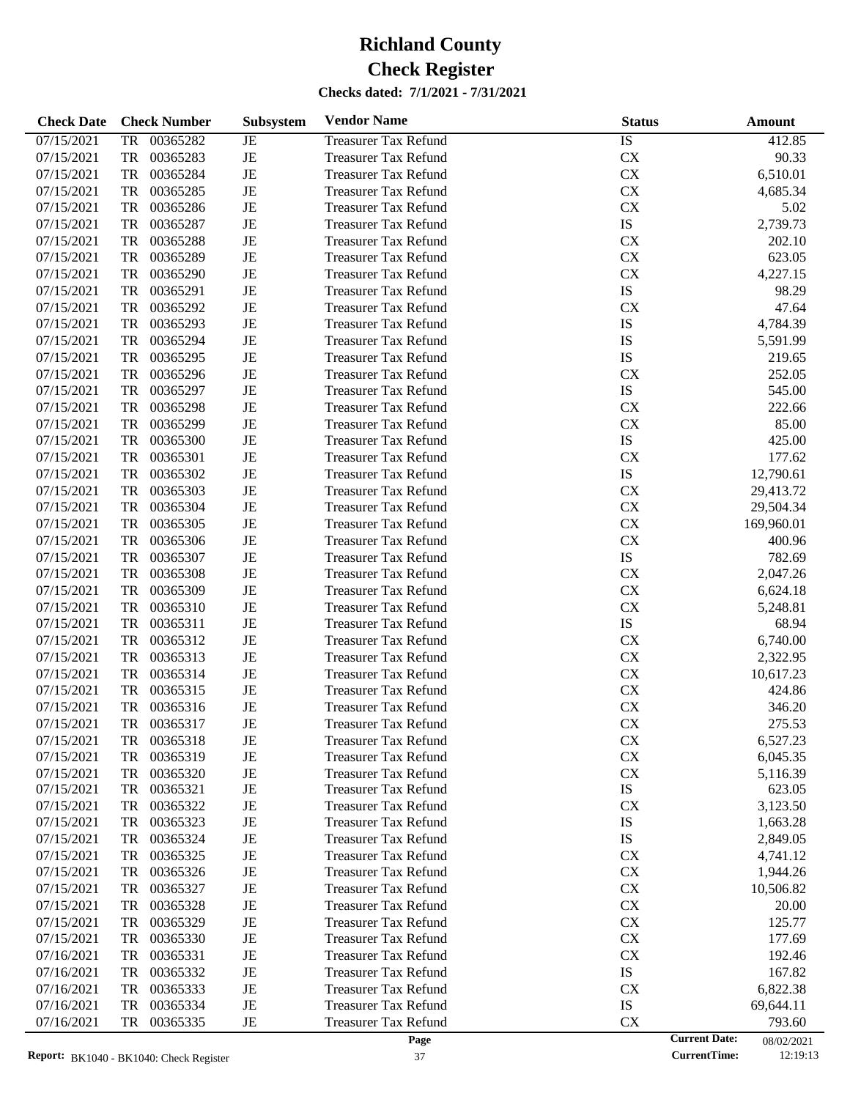| <b>Check Date</b> | <b>Check Number</b>   | Subsystem   | <b>Vendor Name</b>          | <b>Status</b>        | Amount     |
|-------------------|-----------------------|-------------|-----------------------------|----------------------|------------|
| 07/15/2021        | 00365282<br><b>TR</b> | JE          | <b>Treasurer Tax Refund</b> | IS                   | 412.85     |
| 07/15/2021        | <b>TR</b><br>00365283 | $\rm{JE}$   | <b>Treasurer Tax Refund</b> | CX                   | 90.33      |
| 07/15/2021        | <b>TR</b><br>00365284 | $\rm{JE}$   | <b>Treasurer Tax Refund</b> | CX                   | 6,510.01   |
| 07/15/2021        | <b>TR</b><br>00365285 | $_{\rm JE}$ | <b>Treasurer Tax Refund</b> | CX                   | 4,685.34   |
| 07/15/2021        | <b>TR</b><br>00365286 | JE          | <b>Treasurer Tax Refund</b> | CX                   | 5.02       |
| 07/15/2021        | <b>TR</b><br>00365287 | JE          | <b>Treasurer Tax Refund</b> | IS                   | 2,739.73   |
| 07/15/2021        | <b>TR</b><br>00365288 | $\rm{JE}$   | <b>Treasurer Tax Refund</b> | CX                   | 202.10     |
| 07/15/2021        | <b>TR</b><br>00365289 | JE          | <b>Treasurer Tax Refund</b> | CX                   | 623.05     |
| 07/15/2021        | <b>TR</b><br>00365290 | JE          | <b>Treasurer Tax Refund</b> | CX                   | 4,227.15   |
| 07/15/2021        | <b>TR</b><br>00365291 | $\rm{JE}$   | <b>Treasurer Tax Refund</b> | IS                   | 98.29      |
| 07/15/2021        | <b>TR</b><br>00365292 | $\rm{JE}$   | <b>Treasurer Tax Refund</b> | CX                   | 47.64      |
| 07/15/2021        | <b>TR</b><br>00365293 | JE          | <b>Treasurer Tax Refund</b> | IS                   | 4,784.39   |
| 07/15/2021        | <b>TR</b><br>00365294 | JE          | <b>Treasurer Tax Refund</b> | IS                   | 5,591.99   |
| 07/15/2021        | <b>TR</b><br>00365295 | $\rm{JE}$   | <b>Treasurer Tax Refund</b> | IS                   | 219.65     |
| 07/15/2021        | <b>TR</b><br>00365296 | $\rm{JE}$   | <b>Treasurer Tax Refund</b> | <b>CX</b>            | 252.05     |
| 07/15/2021        | <b>TR</b><br>00365297 | JE          | <b>Treasurer Tax Refund</b> | IS                   | 545.00     |
| 07/15/2021        | <b>TR</b><br>00365298 | $\rm{JE}$   | <b>Treasurer Tax Refund</b> | CX                   | 222.66     |
| 07/15/2021        | <b>TR</b><br>00365299 | $\rm{JE}$   | <b>Treasurer Tax Refund</b> | CX                   | 85.00      |
| 07/15/2021        | <b>TR</b><br>00365300 | JE          | <b>Treasurer Tax Refund</b> | IS                   | 425.00     |
| 07/15/2021        | <b>TR</b><br>00365301 | JE          | <b>Treasurer Tax Refund</b> | CX                   | 177.62     |
| 07/15/2021        | <b>TR</b><br>00365302 | $\rm{JE}$   | <b>Treasurer Tax Refund</b> | IS                   | 12,790.61  |
| 07/15/2021        | <b>TR</b><br>00365303 | $\rm{JE}$   | <b>Treasurer Tax Refund</b> | CX                   | 29,413.72  |
| 07/15/2021        | <b>TR</b><br>00365304 | JE          | <b>Treasurer Tax Refund</b> | CX                   | 29,504.34  |
| 07/15/2021        | <b>TR</b><br>00365305 | JE          | <b>Treasurer Tax Refund</b> | CX                   | 169,960.01 |
| 07/15/2021        | <b>TR</b><br>00365306 | $\rm{JE}$   | <b>Treasurer Tax Refund</b> | CX                   | 400.96     |
| 07/15/2021        | <b>TR</b><br>00365307 | JE          | <b>Treasurer Tax Refund</b> | ${\rm IS}$           | 782.69     |
| 07/15/2021        | <b>TR</b><br>00365308 | JE          | <b>Treasurer Tax Refund</b> | CX                   | 2,047.26   |
| 07/15/2021        | <b>TR</b><br>00365309 | $\rm{JE}$   | <b>Treasurer Tax Refund</b> | CX                   | 6,624.18   |
| 07/15/2021        | <b>TR</b><br>00365310 | $\rm{JE}$   | <b>Treasurer Tax Refund</b> | CX                   | 5,248.81   |
| 07/15/2021        | <b>TR</b><br>00365311 | JE          | <b>Treasurer Tax Refund</b> | ${\rm IS}$           | 68.94      |
| 07/15/2021        | <b>TR</b><br>00365312 | $\rm{JE}$   | <b>Treasurer Tax Refund</b> | CX                   | 6,740.00   |
| 07/15/2021        | <b>TR</b><br>00365313 | $\rm{JE}$   | <b>Treasurer Tax Refund</b> | CX                   | 2,322.95   |
| 07/15/2021        | <b>TR</b><br>00365314 | $\rm{JE}$   | <b>Treasurer Tax Refund</b> | CX                   | 10,617.23  |
| 07/15/2021        | <b>TR</b><br>00365315 | $\rm{JE}$   | <b>Treasurer Tax Refund</b> | CX                   | 424.86     |
| 07/15/2021        | <b>TR</b><br>00365316 | $\rm{JE}$   | <b>Treasurer Tax Refund</b> | CX                   | 346.20     |
| 07/15/2021        | <b>TR</b><br>00365317 | $\rm{JE}$   | <b>Treasurer Tax Refund</b> | CX                   | 275.53     |
| 07/15/2021        | 00365318<br>TR        | JE          | <b>Treasurer Tax Refund</b> | <b>CX</b>            | 6,527.23   |
| 07/15/2021        | 00365319<br>TR        | JE          | <b>Treasurer Tax Refund</b> | CX                   | 6,045.35   |
| 07/15/2021        | 00365320<br>TR        | JE          | <b>Treasurer Tax Refund</b> | CX                   | 5,116.39   |
| 07/15/2021        | 00365321<br>TR        | JE          | <b>Treasurer Tax Refund</b> | IS                   | 623.05     |
| 07/15/2021        | 00365322<br>TR        | JE          | <b>Treasurer Tax Refund</b> | <b>CX</b>            | 3,123.50   |
| 07/15/2021        | 00365323<br>TR        | JE          | <b>Treasurer Tax Refund</b> | IS                   | 1,663.28   |
| 07/15/2021        | 00365324<br>TR        | JE          | <b>Treasurer Tax Refund</b> | IS                   | 2,849.05   |
| 07/15/2021        | 00365325<br>TR        | JE          | <b>Treasurer Tax Refund</b> | <b>CX</b>            | 4,741.12   |
| 07/15/2021        | 00365326<br>TR        | JE          | <b>Treasurer Tax Refund</b> | <b>CX</b>            | 1,944.26   |
| 07/15/2021        | 00365327<br>TR        | JE          | <b>Treasurer Tax Refund</b> | <b>CX</b>            | 10,506.82  |
| 07/15/2021        | 00365328<br>TR        | JE          | <b>Treasurer Tax Refund</b> | <b>CX</b>            | 20.00      |
| 07/15/2021        | 00365329<br>TR        | JE          | <b>Treasurer Tax Refund</b> | <b>CX</b>            | 125.77     |
| 07/15/2021        | 00365330<br>TR        | JE          | <b>Treasurer Tax Refund</b> | <b>CX</b>            | 177.69     |
| 07/16/2021        | 00365331<br>TR        | JE          | <b>Treasurer Tax Refund</b> | <b>CX</b>            | 192.46     |
| 07/16/2021        | 00365332<br>TR        | JE          | <b>Treasurer Tax Refund</b> | IS                   | 167.82     |
| 07/16/2021        | 00365333<br>TR        | JE          | <b>Treasurer Tax Refund</b> | <b>CX</b>            | 6,822.38   |
| 07/16/2021        | 00365334<br>TR        | JE          | <b>Treasurer Tax Refund</b> | IS                   | 69,644.11  |
| 07/16/2021        | 00365335<br>TR        | JE          | <b>Treasurer Tax Refund</b> | <b>CX</b>            | 793.60     |
|                   |                       |             | Page                        | <b>Current Date:</b> | 08/02/2021 |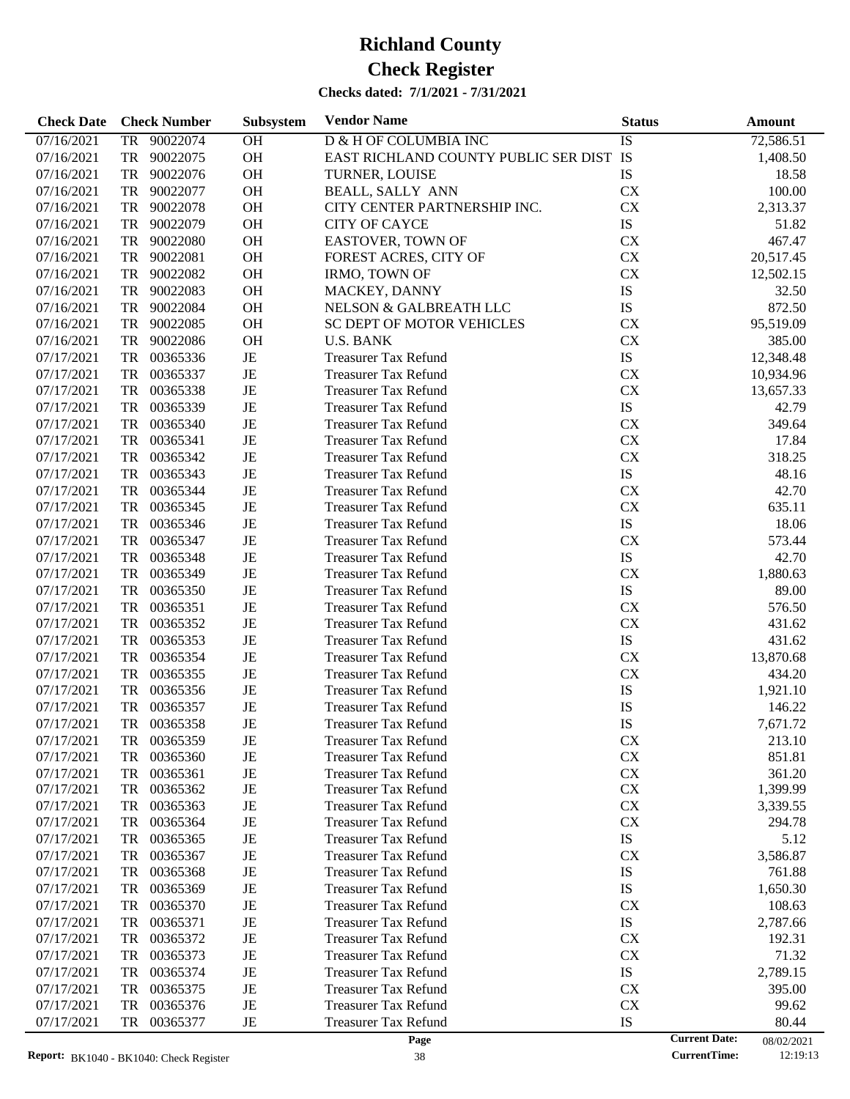| <b>Check Date</b> | <b>Check Number</b>                             | Subsystem | <b>Vendor Name</b>                      | <b>Status</b>                               | <b>Amount</b>          |
|-------------------|-------------------------------------------------|-----------|-----------------------------------------|---------------------------------------------|------------------------|
| 07/16/2021        | 90022074<br>TR                                  | OH        | D & H OF COLUMBIA INC                   | IS                                          | 72,586.51              |
| 07/16/2021        | TR<br>90022075                                  | OH        | EAST RICHLAND COUNTY PUBLIC SER DIST IS |                                             | 1,408.50               |
| 07/16/2021        | TR<br>90022076                                  | $\rm OH$  | TURNER, LOUISE                          | IS                                          | 18.58                  |
| 07/16/2021        | TR<br>90022077                                  | $\rm OH$  | <b>BEALL, SALLY ANN</b>                 | <b>CX</b>                                   | 100.00                 |
| 07/16/2021        | TR<br>90022078                                  | $\rm OH$  | CITY CENTER PARTNERSHIP INC.            | CX                                          | 2,313.37               |
| 07/16/2021        | TR<br>90022079                                  | $\rm OH$  | <b>CITY OF CAYCE</b>                    | ${\rm IS}$                                  | 51.82                  |
| 07/16/2021        | TR<br>90022080                                  | $\rm OH$  | <b>EASTOVER, TOWN OF</b>                | ${\rm CX}$                                  | 467.47                 |
| 07/16/2021        | TR<br>90022081                                  | $\rm OH$  | FOREST ACRES, CITY OF                   | <b>CX</b>                                   | 20,517.45              |
| 07/16/2021        | TR<br>90022082                                  | $\rm OH$  | IRMO, TOWN OF                           | CX                                          | 12,502.15              |
| 07/16/2021        | TR<br>90022083                                  | $\rm OH$  | MACKEY, DANNY                           | ${\rm IS}$                                  | 32.50                  |
| 07/16/2021        | TR<br>90022084                                  | $\rm OH$  | NELSON & GALBREATH LLC                  | ${\rm IS}$                                  | 872.50                 |
| 07/16/2021        | TR<br>90022085                                  | $\rm OH$  | SC DEPT OF MOTOR VEHICLES               | <b>CX</b>                                   | 95,519.09              |
| 07/16/2021        | TR<br>90022086                                  | OH        | <b>U.S. BANK</b>                        | CX                                          | 385.00                 |
| 07/17/2021        | TR<br>00365336                                  | $\rm{JE}$ | <b>Treasurer Tax Refund</b>             | ${\rm IS}$                                  | 12,348.48              |
| 07/17/2021        | TR<br>00365337                                  | $\rm{JE}$ | <b>Treasurer Tax Refund</b>             | CX                                          | 10,934.96              |
| 07/17/2021        | TR<br>00365338                                  | JE        | <b>Treasurer Tax Refund</b>             | CX                                          | 13,657.33              |
| 07/17/2021        | TR<br>00365339                                  | JE        | <b>Treasurer Tax Refund</b>             | ${\rm IS}$                                  | 42.79                  |
| 07/17/2021        | TR<br>00365340                                  | $\rm{JE}$ | <b>Treasurer Tax Refund</b>             | CX                                          | 349.64                 |
| 07/17/2021        | TR<br>00365341                                  | JE        | <b>Treasurer Tax Refund</b>             | ${\rm CX}$                                  | 17.84                  |
| 07/17/2021        | TR<br>00365342                                  | JE        | <b>Treasurer Tax Refund</b>             | CX                                          | 318.25                 |
| 07/17/2021        | TR<br>00365343                                  | JE        | <b>Treasurer Tax Refund</b>             | ${\rm IS}$                                  | 48.16                  |
| 07/17/2021        | TR<br>00365344                                  | $\rm{JE}$ | <b>Treasurer Tax Refund</b>             | CX                                          | 42.70                  |
| 07/17/2021        | TR<br>00365345                                  | JE        | <b>Treasurer Tax Refund</b>             | CX                                          | 635.11                 |
| 07/17/2021        | TR<br>00365346                                  | JE        | <b>Treasurer Tax Refund</b>             | ${\rm IS}$                                  | 18.06                  |
| 07/17/2021        | TR<br>00365347                                  | JE        | <b>Treasurer Tax Refund</b>             | CX                                          | 573.44                 |
| 07/17/2021        | TR<br>00365348                                  | $\rm{JE}$ | <b>Treasurer Tax Refund</b>             | ${\rm IS}$                                  | 42.70                  |
| 07/17/2021        | TR<br>00365349                                  | JE        | <b>Treasurer Tax Refund</b>             | CX                                          | 1,880.63               |
| 07/17/2021        | TR<br>00365350                                  | JE        | <b>Treasurer Tax Refund</b>             | ${\rm IS}$                                  | 89.00                  |
| 07/17/2021        | TR<br>00365351                                  | $\rm{JE}$ | <b>Treasurer Tax Refund</b>             | CX                                          | 576.50                 |
| 07/17/2021        | TR<br>00365352                                  | $\rm{JE}$ | <b>Treasurer Tax Refund</b>             | CX                                          | 431.62                 |
| 07/17/2021        | TR<br>00365353                                  | $\rm{JE}$ | <b>Treasurer Tax Refund</b>             | ${\rm IS}$                                  | 431.62                 |
| 07/17/2021        | TR<br>00365354                                  | JE        | <b>Treasurer Tax Refund</b>             | CX                                          | 13,870.68              |
| 07/17/2021        | TR<br>00365355                                  | $\rm{JE}$ | <b>Treasurer Tax Refund</b>             | CX                                          | 434.20                 |
| 07/17/2021        | TR<br>00365356                                  | JE        | <b>Treasurer Tax Refund</b>             | IS                                          | 1,921.10               |
| 07/17/2021        | TR<br>00365357                                  | JE        | <b>Treasurer Tax Refund</b>             | IS                                          | 146.22                 |
| 07/17/2021        | TR<br>00365358                                  | JE        | <b>Treasurer Tax Refund</b>             | IS                                          | 7,671.72               |
| 07/17/2021        | 00365359<br>TR                                  | JE        | <b>Treasurer Tax Refund</b>             | <b>CX</b>                                   | 213.10                 |
| 07/17/2021        | TR<br>00365360                                  | JE        | <b>Treasurer Tax Refund</b>             | <b>CX</b>                                   | 851.81                 |
| 07/17/2021        | TR<br>00365361                                  | JE        | <b>Treasurer Tax Refund</b>             | CX                                          | 361.20                 |
| 07/17/2021        | TR<br>00365362                                  | JE        | Treasurer Tax Refund                    | <b>CX</b>                                   | 1,399.99               |
| 07/17/2021        | 00365363<br>TR                                  | JE        | <b>Treasurer Tax Refund</b>             | CX                                          | 3,339.55               |
| 07/17/2021        | 00365364<br>TR                                  | JE        | <b>Treasurer Tax Refund</b>             | <b>CX</b>                                   | 294.78                 |
| 07/17/2021        | 00365365<br>TR                                  | JE        | <b>Treasurer Tax Refund</b>             | IS                                          | 5.12                   |
| 07/17/2021        | 00365367<br>TR                                  | JE        | <b>Treasurer Tax Refund</b>             | <b>CX</b>                                   | 3,586.87               |
| 07/17/2021        | 00365368<br>TR                                  | JE        | <b>Treasurer Tax Refund</b>             | IS                                          | 761.88                 |
| 07/17/2021        | 00365369<br>TR                                  | JE        | <b>Treasurer Tax Refund</b>             | IS                                          | 1,650.30               |
| 07/17/2021        | 00365370<br>TR                                  | JE        | <b>Treasurer Tax Refund</b>             | <b>CX</b>                                   | 108.63                 |
| 07/17/2021        | 00365371<br>TR                                  | JE        | <b>Treasurer Tax Refund</b>             | IS                                          | 2,787.66               |
| 07/17/2021        | TR<br>00365372                                  | JE        | <b>Treasurer Tax Refund</b>             | <b>CX</b>                                   | 192.31                 |
| 07/17/2021        | 00365373<br>TR                                  | JE        | <b>Treasurer Tax Refund</b>             | <b>CX</b>                                   | 71.32                  |
| 07/17/2021        | 00365374<br>TR                                  | JE        | <b>Treasurer Tax Refund</b>             | IS                                          | 2,789.15               |
| 07/17/2021        | 00365375<br>TR                                  | JE        | <b>Treasurer Tax Refund</b>             | <b>CX</b>                                   | 395.00                 |
| 07/17/2021        | 00365376<br>TR                                  | JE        | <b>Treasurer Tax Refund</b>             | <b>CX</b>                                   | 99.62                  |
| 07/17/2021        | 00365377<br>TR                                  | JE        | <b>Treasurer Tax Refund</b>             | IS                                          | 80.44                  |
|                   | <b>Report:</b> $RK1040 - RK1040$ Check Register |           | Page<br>38                              | <b>Current Date:</b><br><b>CurrentTime:</b> | 08/02/2021<br>12:19:13 |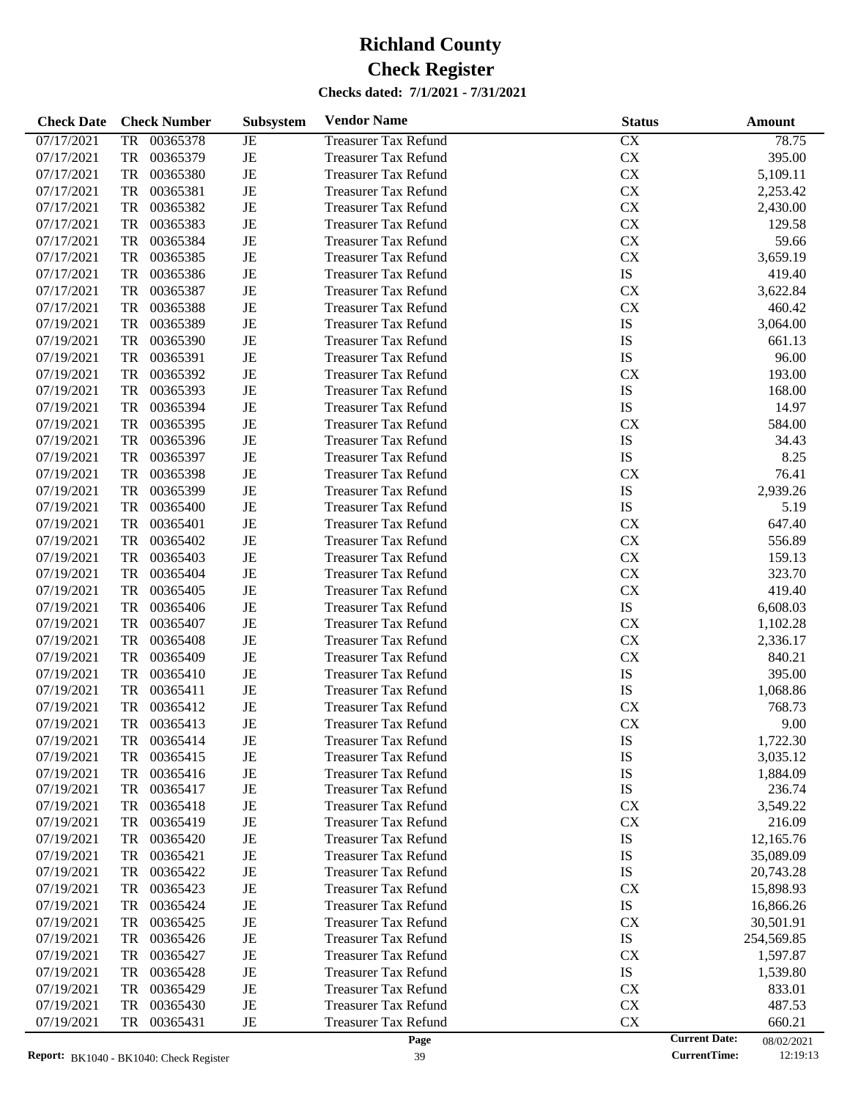| <b>Check Date</b> | <b>Check Number</b>   | Subsystem   | <b>Vendor Name</b>          | <b>Status</b>        | Amount     |
|-------------------|-----------------------|-------------|-----------------------------|----------------------|------------|
| 07/17/2021        | 00365378<br>TR        | JE          | <b>Treasurer Tax Refund</b> | CX                   | 78.75      |
| 07/17/2021        | 00365379<br>TR        | $_{\rm JE}$ | <b>Treasurer Tax Refund</b> | CX                   | 395.00     |
| 07/17/2021        | TR<br>00365380        | JE          | <b>Treasurer Tax Refund</b> | CX                   | 5,109.11   |
| 07/17/2021        | TR<br>00365381        | JE          | <b>Treasurer Tax Refund</b> | <b>CX</b>            | 2,253.42   |
| 07/17/2021        | TR<br>00365382        | JE          | <b>Treasurer Tax Refund</b> | <b>CX</b>            | 2,430.00   |
| 07/17/2021        | TR<br>00365383        | JE          | <b>Treasurer Tax Refund</b> | <b>CX</b>            | 129.58     |
| 07/17/2021        | TR<br>00365384        | JE          | <b>Treasurer Tax Refund</b> | <b>CX</b>            | 59.66      |
| 07/17/2021        | TR<br>00365385        | JE          | <b>Treasurer Tax Refund</b> | <b>CX</b>            | 3,659.19   |
| 07/17/2021        | 00365386<br>TR        | JE          | <b>Treasurer Tax Refund</b> | IS                   | 419.40     |
| 07/17/2021        | TR<br>00365387        | JE          | <b>Treasurer Tax Refund</b> | <b>CX</b>            | 3,622.84   |
| 07/17/2021        | TR<br>00365388        | JE          | <b>Treasurer Tax Refund</b> | CX                   | 460.42     |
| 07/19/2021        | 00365389<br>TR        | JE          | <b>Treasurer Tax Refund</b> | IS                   | 3,064.00   |
| 07/19/2021        | TR<br>00365390        | JE          | <b>Treasurer Tax Refund</b> | IS                   | 661.13     |
| 07/19/2021        | TR<br>00365391        | JE          | <b>Treasurer Tax Refund</b> | IS                   | 96.00      |
| 07/19/2021        | TR<br>00365392        | JE          | <b>Treasurer Tax Refund</b> | <b>CX</b>            | 193.00     |
| 07/19/2021        | 00365393<br>TR        | JE          | <b>Treasurer Tax Refund</b> | IS                   | 168.00     |
| 07/19/2021        | TR<br>00365394        | JE          | <b>Treasurer Tax Refund</b> | IS                   | 14.97      |
| 07/19/2021        | TR<br>00365395        | JE          | <b>Treasurer Tax Refund</b> | <b>CX</b>            | 584.00     |
| 07/19/2021        | <b>TR</b><br>00365396 | JE          | <b>Treasurer Tax Refund</b> | IS                   | 34.43      |
| 07/19/2021        | TR<br>00365397        | JE          | <b>Treasurer Tax Refund</b> | IS                   | 8.25       |
| 07/19/2021        | TR<br>00365398        | JE          | <b>Treasurer Tax Refund</b> | <b>CX</b>            | 76.41      |
| 07/19/2021        | TR<br>00365399        | JE          | <b>Treasurer Tax Refund</b> | IS                   | 2,939.26   |
| 07/19/2021        | 00365400<br>TR        | JE          | <b>Treasurer Tax Refund</b> | IS                   | 5.19       |
| 07/19/2021        | TR<br>00365401        | JE          | <b>Treasurer Tax Refund</b> | <b>CX</b>            | 647.40     |
| 07/19/2021        | TR<br>00365402        | JE          | <b>Treasurer Tax Refund</b> | <b>CX</b>            | 556.89     |
| 07/19/2021        | TR<br>00365403        | JE          | <b>Treasurer Tax Refund</b> | <b>CX</b>            | 159.13     |
| 07/19/2021        | 00365404<br>TR        | JE          | <b>Treasurer Tax Refund</b> | <b>CX</b>            | 323.70     |
| 07/19/2021        | TR<br>00365405        | JE          | <b>Treasurer Tax Refund</b> | CX                   | 419.40     |
| 07/19/2021        | TR<br>00365406        | JE          | <b>Treasurer Tax Refund</b> | IS                   | 6,608.03   |
| 07/19/2021        | 00365407<br>TR        | JE          | <b>Treasurer Tax Refund</b> | <b>CX</b>            | 1,102.28   |
| 07/19/2021        | <b>TR</b><br>00365408 | JE          | <b>Treasurer Tax Refund</b> | CX                   | 2,336.17   |
| 07/19/2021        | TR<br>00365409        | JE          | <b>Treasurer Tax Refund</b> | CX                   | 840.21     |
| 07/19/2021        | 00365410<br>TR        | JE          | <b>Treasurer Tax Refund</b> | IS                   | 395.00     |
| 07/19/2021        | 00365411<br>TR        | JE          | <b>Treasurer Tax Refund</b> | IS                   | 1,068.86   |
| 07/19/2021        | 00365412<br>TR        | JE          | <b>Treasurer Tax Refund</b> | <b>CX</b>            | 768.73     |
| 07/19/2021        | TR<br>00365413        | JE          | <b>Treasurer Tax Refund</b> | CX                   | 9.00       |
| 07/19/2021        | 00365414<br>TR        | JE          | <b>Treasurer Tax Refund</b> | IS                   | 1,722.30   |
| 07/19/2021        | 00365415<br>TR        | JE          | <b>Treasurer Tax Refund</b> | IS                   | 3,035.12   |
| 07/19/2021        | 00365416<br>TR        | JE          | <b>Treasurer Tax Refund</b> | IS                   | 1,884.09   |
| 07/19/2021        | 00365417<br>TR        | JE          | Treasurer Tax Refund        | IS                   | 236.74     |
| 07/19/2021        | TR<br>00365418        | JE          | <b>Treasurer Tax Refund</b> | <b>CX</b>            | 3,549.22   |
| 07/19/2021        | 00365419<br>TR        | JE          | <b>Treasurer Tax Refund</b> | <b>CX</b>            | 216.09     |
| 07/19/2021        | 00365420<br>TR        | JE          | <b>Treasurer Tax Refund</b> | IS                   | 12,165.76  |
| 07/19/2021        | 00365421<br>TR        | JE          | <b>Treasurer Tax Refund</b> | IS                   | 35,089.09  |
| 07/19/2021        | 00365422<br>TR        | JE          | <b>Treasurer Tax Refund</b> | IS                   | 20,743.28  |
| 07/19/2021        | 00365423<br>TR        | JE          | <b>Treasurer Tax Refund</b> | <b>CX</b>            | 15,898.93  |
| 07/19/2021        | 00365424<br>TR        | JE          | <b>Treasurer Tax Refund</b> | IS                   | 16,866.26  |
| 07/19/2021        | 00365425<br>TR        | JE          | <b>Treasurer Tax Refund</b> | <b>CX</b>            | 30,501.91  |
| 07/19/2021        | 00365426<br>TR        | JE          | <b>Treasurer Tax Refund</b> | IS                   | 254,569.85 |
| 07/19/2021        | 00365427<br>TR        | JE          | <b>Treasurer Tax Refund</b> | <b>CX</b>            | 1,597.87   |
| 07/19/2021        | 00365428<br>TR        | JE          | <b>Treasurer Tax Refund</b> | IS                   | 1,539.80   |
| 07/19/2021        | 00365429<br>TR        | JE          | <b>Treasurer Tax Refund</b> | <b>CX</b>            | 833.01     |
| 07/19/2021        | 00365430<br>TR        | $\rm{JE}$   | <b>Treasurer Tax Refund</b> | <b>CX</b>            | 487.53     |
| 07/19/2021        | TR<br>00365431        | JE          | <b>Treasurer Tax Refund</b> | CX                   | 660.21     |
|                   |                       |             | Page                        | <b>Current Date:</b> | 08/02/2021 |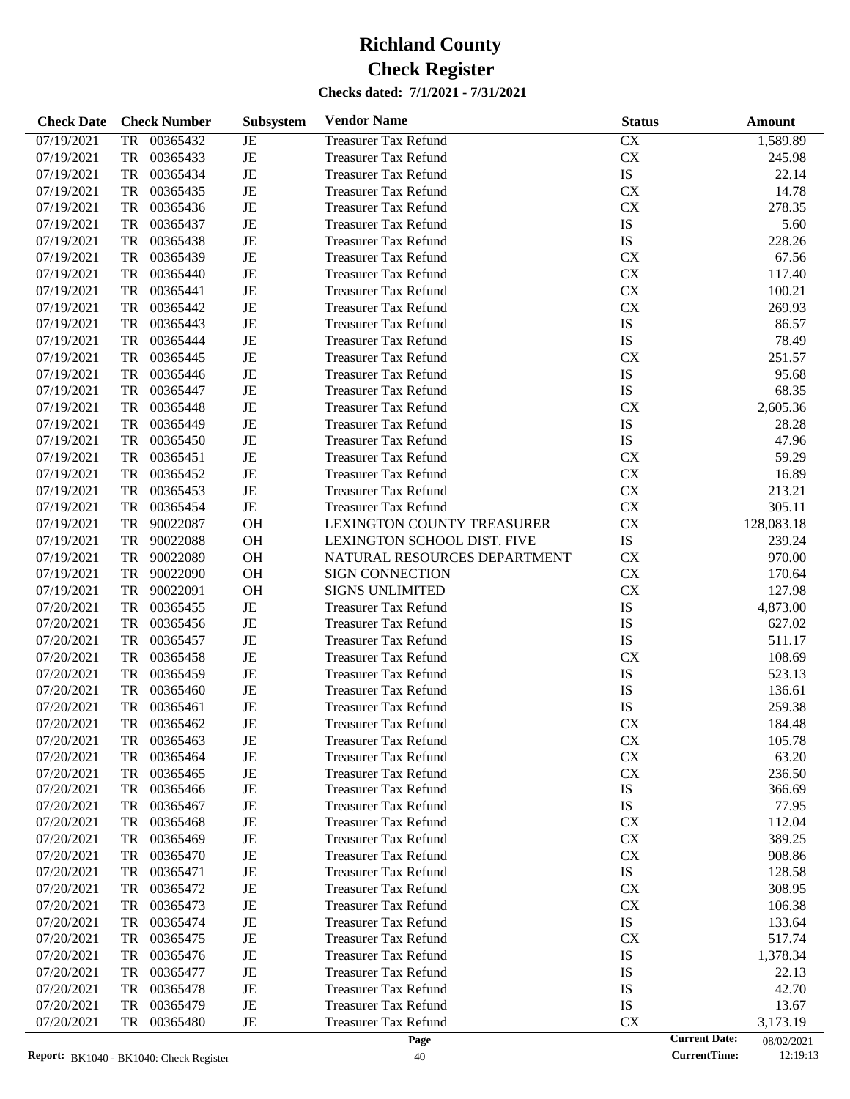| <b>Check Date</b> | <b>Check Number</b>              | Subsystem | <b>Vendor Name</b>                                         | <b>Status</b> |                      | <b>Amount</b> |
|-------------------|----------------------------------|-----------|------------------------------------------------------------|---------------|----------------------|---------------|
| 07/19/2021        | 00365432<br>TR                   | JE        | <b>Treasurer Tax Refund</b>                                | CX            |                      | 1,589.89      |
| 07/19/2021        | TR<br>00365433                   | JE        | <b>Treasurer Tax Refund</b>                                | ${\rm CX}$    |                      | 245.98        |
| 07/19/2021        | TR<br>00365434                   | JE        | <b>Treasurer Tax Refund</b>                                | IS            |                      | 22.14         |
| 07/19/2021        | TR<br>00365435                   | JE        | <b>Treasurer Tax Refund</b>                                | <b>CX</b>     |                      | 14.78         |
| 07/19/2021        | TR<br>00365436                   | JE        | <b>Treasurer Tax Refund</b>                                | <b>CX</b>     |                      | 278.35        |
| 07/19/2021        | TR<br>00365437                   | JE        | <b>Treasurer Tax Refund</b>                                | ${\rm IS}$    |                      | 5.60          |
| 07/19/2021        | TR<br>00365438                   | JE        | <b>Treasurer Tax Refund</b>                                | IS            |                      | 228.26        |
| 07/19/2021        | TR<br>00365439                   | JE        | <b>Treasurer Tax Refund</b>                                | <b>CX</b>     |                      | 67.56         |
| 07/19/2021        | TR<br>00365440                   | JE        | <b>Treasurer Tax Refund</b>                                | ${\rm CX}$    |                      | 117.40        |
| 07/19/2021        | TR<br>00365441                   | JE        | <b>Treasurer Tax Refund</b>                                | ${\rm CX}$    |                      | 100.21        |
| 07/19/2021        | TR<br>00365442                   | JE        | <b>Treasurer Tax Refund</b>                                | <b>CX</b>     |                      | 269.93        |
| 07/19/2021        | TR<br>00365443                   | JE        | <b>Treasurer Tax Refund</b>                                | IS            |                      | 86.57         |
| 07/19/2021        | TR<br>00365444                   | JE        | <b>Treasurer Tax Refund</b>                                | <b>IS</b>     |                      | 78.49         |
| 07/19/2021        | TR<br>00365445                   | JE        | <b>Treasurer Tax Refund</b>                                | <b>CX</b>     |                      | 251.57        |
| 07/19/2021        | TR<br>00365446                   | JE        | <b>Treasurer Tax Refund</b>                                | IS            |                      | 95.68         |
| 07/19/2021        | TR<br>00365447                   | JE        | <b>Treasurer Tax Refund</b>                                | <b>IS</b>     |                      | 68.35         |
| 07/19/2021        | TR<br>00365448                   | JE        | <b>Treasurer Tax Refund</b>                                | <b>CX</b>     |                      | 2,605.36      |
| 07/19/2021        | TR<br>00365449                   | JE        | <b>Treasurer Tax Refund</b>                                | IS            |                      | 28.28         |
| 07/19/2021        | TR<br>00365450                   | JE        | <b>Treasurer Tax Refund</b>                                | <b>IS</b>     |                      | 47.96         |
| 07/19/2021        | TR<br>00365451                   | JE        | <b>Treasurer Tax Refund</b>                                | <b>CX</b>     |                      | 59.29         |
| 07/19/2021        | TR<br>00365452                   | JE        | <b>Treasurer Tax Refund</b>                                | <b>CX</b>     |                      | 16.89         |
| 07/19/2021        | TR<br>00365453                   | JE        | <b>Treasurer Tax Refund</b>                                | ${\rm CX}$    |                      | 213.21        |
| 07/19/2021        | TR<br>00365454                   | JE        | <b>Treasurer Tax Refund</b>                                | <b>CX</b>     |                      | 305.11        |
| 07/19/2021        | TR<br>90022087                   | <b>OH</b> | LEXINGTON COUNTY TREASURER                                 | <b>CX</b>     |                      | 128,083.18    |
| 07/19/2021        | TR<br>90022088                   | OH        | LEXINGTON SCHOOL DIST. FIVE                                | IS            |                      | 239.24        |
| 07/19/2021        | TR<br>90022089                   | OH        | NATURAL RESOURCES DEPARTMENT                               | <b>CX</b>     |                      | 970.00        |
| 07/19/2021        | TR<br>90022090                   | OH        | <b>SIGN CONNECTION</b>                                     | <b>CX</b>     |                      | 170.64        |
| 07/19/2021        | TR<br>90022091                   | <b>OH</b> | <b>SIGNS UNLIMITED</b>                                     | <b>CX</b>     |                      | 127.98        |
| 07/20/2021        | TR<br>00365455                   | JE        | <b>Treasurer Tax Refund</b>                                | IS            |                      | 4,873.00      |
| 07/20/2021        | TR<br>00365456                   | JE        | <b>Treasurer Tax Refund</b>                                | IS            |                      | 627.02        |
| 07/20/2021        | TR<br>00365457                   | JE        | <b>Treasurer Tax Refund</b>                                | <b>IS</b>     |                      | 511.17        |
| 07/20/2021        | TR<br>00365458                   | JE        | <b>Treasurer Tax Refund</b>                                | <b>CX</b>     |                      | 108.69        |
| 07/20/2021        | TR<br>00365459                   | JE        | <b>Treasurer Tax Refund</b>                                | IS            |                      | 523.13        |
| 07/20/2021        | TR<br>00365460                   | JE        | <b>Treasurer Tax Refund</b>                                | IS            |                      | 136.61        |
| 07/20/2021        | <b>TR</b><br>00365461            | JE        |                                                            | IS            |                      | 259.38        |
|                   | TR<br>00365462                   | JE        | <b>Treasurer Tax Refund</b>                                | <b>CX</b>     |                      | 184.48        |
| 07/20/2021        |                                  |           | <b>Treasurer Tax Refund</b>                                |               |                      |               |
| 07/20/2021        | 00365463<br>TR                   | JE        | <b>Treasurer Tax Refund</b>                                | <b>CX</b>     |                      | 105.78        |
| 07/20/2021        | 00365464<br>TR                   | JE        | <b>Treasurer Tax Refund</b>                                | ${\rm CX}$    |                      | 63.20         |
| 07/20/2021        | 00365465<br>TR<br>00365466<br>TR | JE        | <b>Treasurer Tax Refund</b><br><b>Treasurer Tax Refund</b> | CX<br>IS      |                      | 236.50        |
| 07/20/2021        | 00365467                         | JE        |                                                            | IS            |                      | 366.69        |
| 07/20/2021        | TR<br>00365468                   | JE        | <b>Treasurer Tax Refund</b>                                |               |                      | 77.95         |
| 07/20/2021        | TR                               | JE        | <b>Treasurer Tax Refund</b>                                | <b>CX</b>     |                      | 112.04        |
| 07/20/2021        | 00365469<br>TR                   | JE        | <b>Treasurer Tax Refund</b>                                | <b>CX</b>     |                      | 389.25        |
| 07/20/2021        | 00365470<br>TR                   | JE        | <b>Treasurer Tax Refund</b>                                | <b>CX</b>     |                      | 908.86        |
| 07/20/2021        | 00365471<br>TR                   | JE        | <b>Treasurer Tax Refund</b>                                | IS            |                      | 128.58        |
| 07/20/2021        | 00365472<br>TR                   | JE        | <b>Treasurer Tax Refund</b>                                | <b>CX</b>     |                      | 308.95        |
| 07/20/2021        | 00365473<br>TR                   | JE        | <b>Treasurer Tax Refund</b>                                | <b>CX</b>     |                      | 106.38        |
| 07/20/2021        | 00365474<br>TR                   | JE        | <b>Treasurer Tax Refund</b>                                | IS            |                      | 133.64        |
| 07/20/2021        | 00365475<br>TR                   | JE        | <b>Treasurer Tax Refund</b>                                | <b>CX</b>     |                      | 517.74        |
| 07/20/2021        | 00365476<br>TR                   | JE        | <b>Treasurer Tax Refund</b>                                | IS            |                      | 1,378.34      |
| 07/20/2021        | 00365477<br>TR                   | JE        | <b>Treasurer Tax Refund</b>                                | IS            |                      | 22.13         |
| 07/20/2021        | 00365478<br>TR                   | JE        | <b>Treasurer Tax Refund</b>                                | IS            |                      | 42.70         |
| 07/20/2021        | 00365479<br>TR                   | JE        | <b>Treasurer Tax Refund</b>                                | IS            |                      | 13.67         |
| 07/20/2021        | 00365480<br>TR                   | JE        | <b>Treasurer Tax Refund</b>                                | <b>CX</b>     |                      | 3,173.19      |
|                   |                                  |           | Page                                                       |               | <b>Current Date:</b> | 08/02/2021    |

<sup>08/02/2021&</sup>lt;br>12:19:13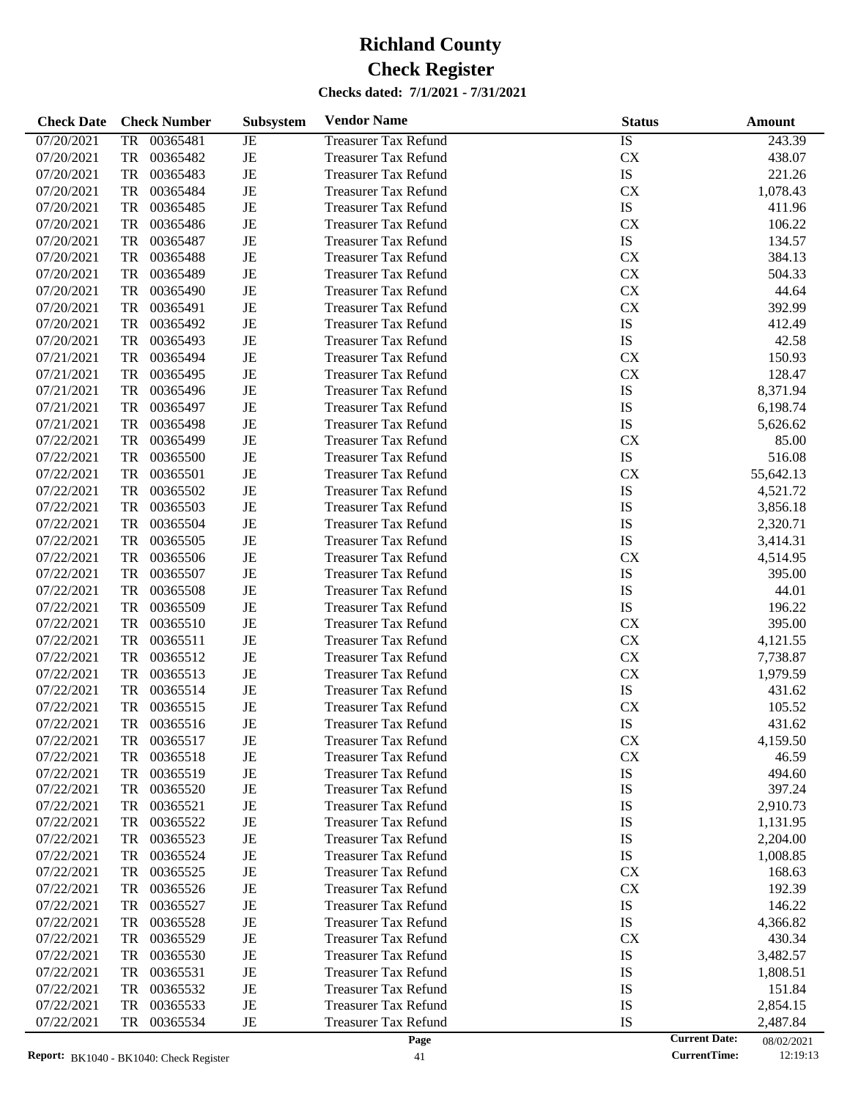| <b>Check Date</b> | <b>Check Number</b>   | Subsystem   | <b>Vendor Name</b>          | <b>Status</b>        | Amount     |
|-------------------|-----------------------|-------------|-----------------------------|----------------------|------------|
| 07/20/2021        | 00365481<br><b>TR</b> | JE          | <b>Treasurer Tax Refund</b> | IS                   | 243.39     |
| 07/20/2021        | <b>TR</b><br>00365482 | $\rm{JE}$   | <b>Treasurer Tax Refund</b> | CX                   | 438.07     |
| 07/20/2021        | <b>TR</b><br>00365483 | $\rm{JE}$   | <b>Treasurer Tax Refund</b> | IS                   | 221.26     |
| 07/20/2021        | <b>TR</b><br>00365484 | $_{\rm JE}$ | <b>Treasurer Tax Refund</b> | CX                   | 1,078.43   |
| 07/20/2021        | <b>TR</b><br>00365485 | JE          | <b>Treasurer Tax Refund</b> | IS                   | 411.96     |
| 07/20/2021        | <b>TR</b><br>00365486 | JE          | <b>Treasurer Tax Refund</b> | CX                   | 106.22     |
| 07/20/2021        | <b>TR</b><br>00365487 | $\rm{JE}$   | <b>Treasurer Tax Refund</b> | IS                   | 134.57     |
| 07/20/2021        | <b>TR</b><br>00365488 | $\rm{JE}$   | <b>Treasurer Tax Refund</b> | CX                   | 384.13     |
| 07/20/2021        | <b>TR</b><br>00365489 | JE          | <b>Treasurer Tax Refund</b> | CX                   | 504.33     |
| 07/20/2021        | <b>TR</b><br>00365490 | $\rm{JE}$   | <b>Treasurer Tax Refund</b> | CX                   | 44.64      |
| 07/20/2021        | <b>TR</b><br>00365491 | $\rm{JE}$   | <b>Treasurer Tax Refund</b> | CX                   | 392.99     |
| 07/20/2021        | <b>TR</b><br>00365492 | JE          | <b>Treasurer Tax Refund</b> | IS                   | 412.49     |
| 07/20/2021        | <b>TR</b><br>00365493 | $\rm{JE}$   | <b>Treasurer Tax Refund</b> | IS                   | 42.58      |
| 07/21/2021        | <b>TR</b><br>00365494 | $\rm{JE}$   | <b>Treasurer Tax Refund</b> | <b>CX</b>            | 150.93     |
| 07/21/2021        | <b>TR</b><br>00365495 | $\rm{JE}$   | <b>Treasurer Tax Refund</b> | CX                   | 128.47     |
| 07/21/2021        | <b>TR</b><br>00365496 | JE          | <b>Treasurer Tax Refund</b> | IS                   | 8,371.94   |
| 07/21/2021        | <b>TR</b><br>00365497 | $\rm{JE}$   | <b>Treasurer Tax Refund</b> | IS                   | 6,198.74   |
| 07/21/2021        | <b>TR</b><br>00365498 | $\rm{JE}$   | <b>Treasurer Tax Refund</b> | IS                   | 5,626.62   |
| 07/22/2021        | <b>TR</b><br>00365499 | $\rm{JE}$   | <b>Treasurer Tax Refund</b> | <b>CX</b>            | 85.00      |
| 07/22/2021        | <b>TR</b><br>00365500 | JE          | <b>Treasurer Tax Refund</b> | IS                   | 516.08     |
| 07/22/2021        | <b>TR</b><br>00365501 | $\rm{JE}$   | <b>Treasurer Tax Refund</b> | CX                   | 55,642.13  |
| 07/22/2021        | <b>TR</b><br>00365502 | $\rm{JE}$   | <b>Treasurer Tax Refund</b> | IS                   | 4,521.72   |
| 07/22/2021        | <b>TR</b><br>00365503 | JE          | <b>Treasurer Tax Refund</b> | IS                   | 3,856.18   |
| 07/22/2021        | <b>TR</b><br>00365504 | JE          | <b>Treasurer Tax Refund</b> | IS                   | 2,320.71   |
| 07/22/2021        | <b>TR</b><br>00365505 | $\rm{JE}$   | <b>Treasurer Tax Refund</b> | IS                   | 3,414.31   |
| 07/22/2021        | <b>TR</b><br>00365506 | JE          | <b>Treasurer Tax Refund</b> | <b>CX</b>            | 4,514.95   |
| 07/22/2021        | <b>TR</b><br>00365507 | JE          | <b>Treasurer Tax Refund</b> | IS                   | 395.00     |
| 07/22/2021        | <b>TR</b><br>00365508 | $\rm{JE}$   | <b>Treasurer Tax Refund</b> | IS                   | 44.01      |
| 07/22/2021        | <b>TR</b><br>00365509 | $\rm{JE}$   | <b>Treasurer Tax Refund</b> | IS                   | 196.22     |
| 07/22/2021        | <b>TR</b><br>00365510 | JE          | <b>Treasurer Tax Refund</b> | <b>CX</b>            | 395.00     |
| 07/22/2021        | <b>TR</b><br>00365511 | $\rm{JE}$   | <b>Treasurer Tax Refund</b> | CX                   | 4,121.55   |
| 07/22/2021        | <b>TR</b><br>00365512 | $\rm{JE}$   | <b>Treasurer Tax Refund</b> | CX                   | 7,738.87   |
| 07/22/2021        | <b>TR</b><br>00365513 | $\rm{JE}$   | <b>Treasurer Tax Refund</b> | CX                   | 1,979.59   |
| 07/22/2021        | <b>TR</b><br>00365514 | $\rm{JE}$   | <b>Treasurer Tax Refund</b> | IS                   | 431.62     |
| 07/22/2021        | <b>TR</b><br>00365515 | $\rm{JE}$   | <b>Treasurer Tax Refund</b> | CX                   | 105.52     |
| 07/22/2021        | <b>TR</b><br>00365516 | JE          | <b>Treasurer Tax Refund</b> | IS                   | 431.62     |
| 07/22/2021        | 00365517<br>TR        | JE          | <b>Treasurer Tax Refund</b> | <b>CX</b>            | 4,159.50   |
| 07/22/2021        | 00365518<br>TR        | JE          | <b>Treasurer Tax Refund</b> | CX                   | 46.59      |
| 07/22/2021        | 00365519<br>TR        | JE          | <b>Treasurer Tax Refund</b> | IS                   | 494.60     |
| 07/22/2021        | 00365520<br>TR        | JE          | <b>Treasurer Tax Refund</b> | IS                   | 397.24     |
| 07/22/2021        | 00365521<br>TR        | JE          | <b>Treasurer Tax Refund</b> | IS                   | 2,910.73   |
| 07/22/2021        | 00365522<br>TR        | JE          | <b>Treasurer Tax Refund</b> | IS                   | 1,131.95   |
| 07/22/2021        | 00365523<br>TR        | JE          | <b>Treasurer Tax Refund</b> | IS                   | 2,204.00   |
| 07/22/2021        | 00365524<br>TR        | JE          | <b>Treasurer Tax Refund</b> | IS                   | 1,008.85   |
| 07/22/2021        | 00365525<br>TR        | JE          | <b>Treasurer Tax Refund</b> | <b>CX</b>            | 168.63     |
| 07/22/2021        | 00365526<br>TR        | JE          | <b>Treasurer Tax Refund</b> | <b>CX</b>            | 192.39     |
| 07/22/2021        | 00365527<br>TR        | JE          | <b>Treasurer Tax Refund</b> | IS                   | 146.22     |
| 07/22/2021        | 00365528<br>TR        | JE          | <b>Treasurer Tax Refund</b> | IS                   | 4,366.82   |
| 07/22/2021        | 00365529<br>TR        | JE          | <b>Treasurer Tax Refund</b> | <b>CX</b>            | 430.34     |
| 07/22/2021        | 00365530<br>TR        | JE          | <b>Treasurer Tax Refund</b> | IS                   | 3,482.57   |
| 07/22/2021        | 00365531<br>TR        | JE          | <b>Treasurer Tax Refund</b> | IS                   | 1,808.51   |
| 07/22/2021        | 00365532<br>TR        | JE          | <b>Treasurer Tax Refund</b> | IS                   | 151.84     |
| 07/22/2021        | 00365533<br>TR        | JE          | <b>Treasurer Tax Refund</b> | IS                   | 2,854.15   |
| 07/22/2021        | 00365534<br>TR        | JE          | <b>Treasurer Tax Refund</b> | IS                   | 2,487.84   |
|                   |                       |             | Page                        | <b>Current Date:</b> | 08/02/2021 |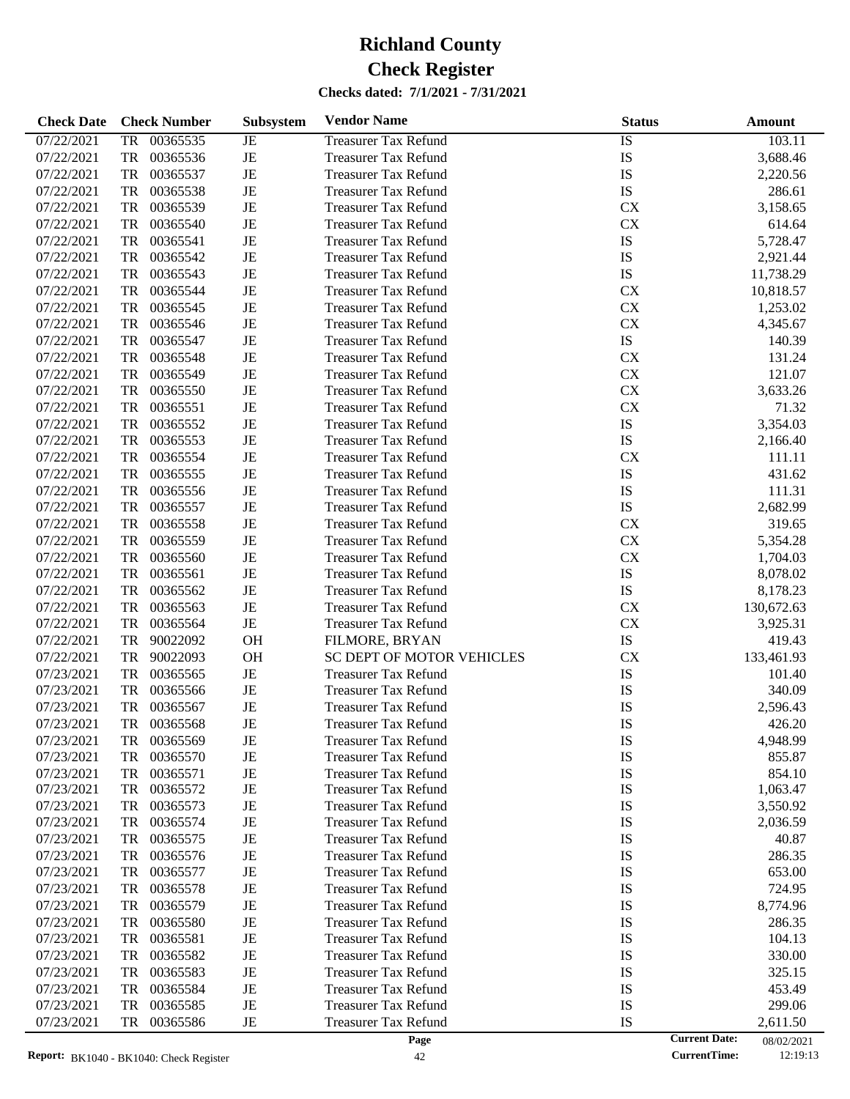| <b>Check Date</b> | <b>Check Number</b>   | Subsystem   | <b>Vendor Name</b>               | <b>Status</b> | Amount                             |
|-------------------|-----------------------|-------------|----------------------------------|---------------|------------------------------------|
| 07/22/2021        | 00365535<br>TR        | JE          | <b>Treasurer Tax Refund</b>      | IS            | 103.11                             |
| 07/22/2021        | 00365536<br>TR        | $_{\rm JE}$ | <b>Treasurer Tax Refund</b>      | IS            | 3,688.46                           |
| 07/22/2021        | TR<br>00365537        | JE          | <b>Treasurer Tax Refund</b>      | IS            | 2,220.56                           |
| 07/22/2021        | TR<br>00365538        | JE          | <b>Treasurer Tax Refund</b>      | IS            | 286.61                             |
| 07/22/2021        | TR<br>00365539        | JE          | <b>Treasurer Tax Refund</b>      | <b>CX</b>     | 3,158.65                           |
| 07/22/2021        | TR<br>00365540        | JE          | <b>Treasurer Tax Refund</b>      | <b>CX</b>     | 614.64                             |
| 07/22/2021        | TR<br>00365541        | JE          | <b>Treasurer Tax Refund</b>      | IS            | 5,728.47                           |
| 07/22/2021        | TR<br>00365542        | JE          | <b>Treasurer Tax Refund</b>      | IS            | 2,921.44                           |
| 07/22/2021        | 00365543<br>TR        | JE          | <b>Treasurer Tax Refund</b>      | IS            | 11,738.29                          |
| 07/22/2021        | TR<br>00365544        | JE          | <b>Treasurer Tax Refund</b>      | <b>CX</b>     | 10,818.57                          |
| 07/22/2021        | TR<br>00365545        | JE          | <b>Treasurer Tax Refund</b>      | <b>CX</b>     | 1,253.02                           |
| 07/22/2021        | TR<br>00365546        | JE          | <b>Treasurer Tax Refund</b>      | <b>CX</b>     | 4,345.67                           |
| 07/22/2021        | TR<br>00365547        | JE          | <b>Treasurer Tax Refund</b>      | IS            | 140.39                             |
| 07/22/2021        | TR<br>00365548        | JE          | <b>Treasurer Tax Refund</b>      | <b>CX</b>     | 131.24                             |
| 07/22/2021        | TR<br>00365549        | JE          | <b>Treasurer Tax Refund</b>      | CX            | 121.07                             |
| 07/22/2021        | <b>TR</b><br>00365550 | JE          | <b>Treasurer Tax Refund</b>      | <b>CX</b>     | 3,633.26                           |
| 07/22/2021        | TR<br>00365551        | JE          | <b>Treasurer Tax Refund</b>      | CX            | 71.32                              |
| 07/22/2021        | TR<br>00365552        | JE          | <b>Treasurer Tax Refund</b>      | IS            | 3,354.03                           |
| 07/22/2021        | TR<br>00365553        | JE          | <b>Treasurer Tax Refund</b>      | IS            | 2,166.40                           |
| 07/22/2021        | TR<br>00365554        | JE          | <b>Treasurer Tax Refund</b>      | <b>CX</b>     | 111.11                             |
| 07/22/2021        | TR<br>00365555        | JE          | <b>Treasurer Tax Refund</b>      | IS            | 431.62                             |
| 07/22/2021        | TR<br>00365556        | JE          | <b>Treasurer Tax Refund</b>      | IS            | 111.31                             |
| 07/22/2021        | TR<br>00365557        | JE          | <b>Treasurer Tax Refund</b>      | IS            | 2,682.99                           |
| 07/22/2021        | TR<br>00365558        | JE          | <b>Treasurer Tax Refund</b>      | <b>CX</b>     | 319.65                             |
| 07/22/2021        | TR<br>00365559        | JE          | <b>Treasurer Tax Refund</b>      | <b>CX</b>     | 5,354.28                           |
| 07/22/2021        | TR<br>00365560        | JE          | <b>Treasurer Tax Refund</b>      | CX            | 1,704.03                           |
| 07/22/2021        | <b>TR</b><br>00365561 | JE          | <b>Treasurer Tax Refund</b>      | IS            | 8,078.02                           |
| 07/22/2021        | TR<br>00365562        | JE          | <b>Treasurer Tax Refund</b>      | IS            | 8,178.23                           |
| 07/22/2021        | TR<br>00365563        | $_{\rm JE}$ | <b>Treasurer Tax Refund</b>      | <b>CX</b>     | 130,672.63                         |
| 07/22/2021        | 00365564<br>TR        | $_{\rm JE}$ | <b>Treasurer Tax Refund</b>      | CX            | 3,925.31                           |
| 07/22/2021        | <b>TR</b><br>90022092 | <b>OH</b>   | FILMORE, BRYAN                   | IS            | 419.43                             |
| 07/22/2021        | <b>TR</b><br>90022093 | <b>OH</b>   | <b>SC DEPT OF MOTOR VEHICLES</b> | CX            | 133,461.93                         |
| 07/23/2021        | <b>TR</b><br>00365565 | $_{\rm JE}$ | <b>Treasurer Tax Refund</b>      | IS            | 101.40                             |
| 07/23/2021        | 00365566<br>TR        | $_{\rm JE}$ | <b>Treasurer Tax Refund</b>      | IS            | 340.09                             |
| 07/23/2021        | 00365567<br>TR        | JE          | <b>Treasurer Tax Refund</b>      | IS            | 2,596.43                           |
| 07/23/2021        | TR<br>00365568        | JE          | <b>Treasurer Tax Refund</b>      | IS            | 426.20                             |
| 07/23/2021        | 00365569<br>TR        | JE          | <b>Treasurer Tax Refund</b>      | IS            | 4,948.99                           |
| 07/23/2021        | TR<br>00365570        | JE          | <b>Treasurer Tax Refund</b>      | IS            | 855.87                             |
| 07/23/2021        | 00365571<br>TR        | JE          | <b>Treasurer Tax Refund</b>      | IS            | 854.10                             |
| 07/23/2021        | TR<br>00365572        | JE          | Treasurer Tax Refund             | IS            | 1,063.47                           |
| 07/23/2021        | TR<br>00365573        | JE          | <b>Treasurer Tax Refund</b>      | IS            | 3,550.92                           |
| 07/23/2021        | 00365574<br>TR        | JE          | <b>Treasurer Tax Refund</b>      | IS            | 2,036.59                           |
| 07/23/2021        | TR<br>00365575        | JE          | <b>Treasurer Tax Refund</b>      | IS            | 40.87                              |
| 07/23/2021        | TR<br>00365576        | JE          | <b>Treasurer Tax Refund</b>      | IS            | 286.35                             |
| 07/23/2021        | 00365577<br>TR        | JE          | <b>Treasurer Tax Refund</b>      | IS            | 653.00                             |
| 07/23/2021        | 00365578<br>TR        | JE          | <b>Treasurer Tax Refund</b>      | IS            | 724.95                             |
| 07/23/2021        | TR<br>00365579        | JE          | <b>Treasurer Tax Refund</b>      | IS            | 8,774.96                           |
| 07/23/2021        | 00365580<br>TR        | JE          | <b>Treasurer Tax Refund</b>      | IS            | 286.35                             |
| 07/23/2021        | TR<br>00365581        | JE          | <b>Treasurer Tax Refund</b>      | IS            | 104.13                             |
| 07/23/2021        | TR<br>00365582        | JE          | <b>Treasurer Tax Refund</b>      | IS            | 330.00                             |
| 07/23/2021        | TR<br>00365583        | JE          | <b>Treasurer Tax Refund</b>      | IS            | 325.15                             |
| 07/23/2021        | TR<br>00365584        | JE          | <b>Treasurer Tax Refund</b>      | IS            | 453.49                             |
| 07/23/2021        | 00365585<br>TR        | $\rm{JE}$   | <b>Treasurer Tax Refund</b>      | IS            | 299.06                             |
| 07/23/2021        | 00365586<br>TR        | $_{\rm JE}$ | <b>Treasurer Tax Refund</b>      | IS            | 2,611.50                           |
|                   |                       |             | Page                             |               | <b>Current Date:</b><br>08/02/2021 |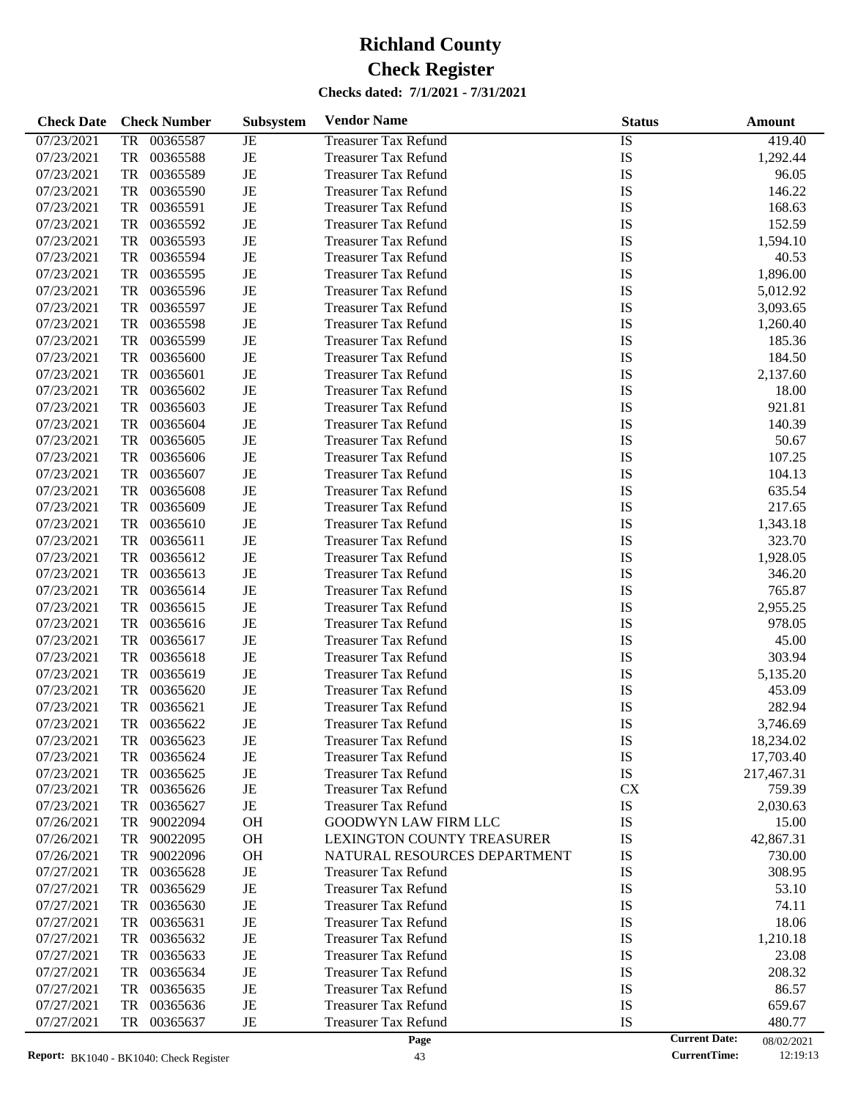| <b>Check Date</b> | <b>Check Number</b>   | Subsystem | <b>Vendor Name</b>           | <b>Status</b> | <b>Amount</b>                      |
|-------------------|-----------------------|-----------|------------------------------|---------------|------------------------------------|
| 07/23/2021        | 00365587<br>TR        | JE        | <b>Treasurer Tax Refund</b>  | IS            | 419.40                             |
| 07/23/2021        | TR<br>00365588        | JE        | <b>Treasurer Tax Refund</b>  | IS            | 1,292.44                           |
| 07/23/2021        | TR<br>00365589        | JE        | <b>Treasurer Tax Refund</b>  | IS            | 96.05                              |
| 07/23/2021        | TR<br>00365590        | JE        | <b>Treasurer Tax Refund</b>  | IS            | 146.22                             |
| 07/23/2021        | TR<br>00365591        | $\rm{JE}$ | <b>Treasurer Tax Refund</b>  | IS            | 168.63                             |
| 07/23/2021        | TR<br>00365592        | JE        | <b>Treasurer Tax Refund</b>  | IS            | 152.59                             |
| 07/23/2021        | TR<br>00365593        | JE        | <b>Treasurer Tax Refund</b>  | IS            | 1,594.10                           |
| 07/23/2021        | TR<br>00365594        | JE        | <b>Treasurer Tax Refund</b>  | IS            | 40.53                              |
| 07/23/2021        | TR<br>00365595        | JE        | <b>Treasurer Tax Refund</b>  | IS            | 1,896.00                           |
| 07/23/2021        | TR<br>00365596        | JE        | <b>Treasurer Tax Refund</b>  | IS            | 5,012.92                           |
| 07/23/2021        | TR<br>00365597        | JE        | <b>Treasurer Tax Refund</b>  | IS            | 3,093.65                           |
| 07/23/2021        | TR<br>00365598        | JE        | <b>Treasurer Tax Refund</b>  | IS            | 1,260.40                           |
| 07/23/2021        | TR<br>00365599        | $\rm{JE}$ | <b>Treasurer Tax Refund</b>  | IS            | 185.36                             |
| 07/23/2021        | TR<br>00365600        | JE        | <b>Treasurer Tax Refund</b>  | IS            | 184.50                             |
| 07/23/2021        | TR<br>00365601        | JE        | <b>Treasurer Tax Refund</b>  | IS            | 2,137.60                           |
| 07/23/2021        | TR<br>00365602        | JE        | <b>Treasurer Tax Refund</b>  | IS            | 18.00                              |
| 07/23/2021        | TR<br>00365603        | $\rm{JE}$ | <b>Treasurer Tax Refund</b>  | IS            | 921.81                             |
| 07/23/2021        | TR<br>00365604        | JE        | <b>Treasurer Tax Refund</b>  | IS            | 140.39                             |
| 07/23/2021        | TR<br>00365605        | JE        | <b>Treasurer Tax Refund</b>  | IS            | 50.67                              |
| 07/23/2021        | TR<br>00365606        | JE        | <b>Treasurer Tax Refund</b>  | IS            | 107.25                             |
| 07/23/2021        | TR<br>00365607        | $\rm{JE}$ | <b>Treasurer Tax Refund</b>  | IS            | 104.13                             |
| 07/23/2021        | TR<br>00365608        | $\rm{JE}$ | <b>Treasurer Tax Refund</b>  | IS            | 635.54                             |
| 07/23/2021        | TR<br>00365609        | JE        | <b>Treasurer Tax Refund</b>  | IS            | 217.65                             |
| 07/23/2021        | TR<br>00365610        | JE        | <b>Treasurer Tax Refund</b>  | IS            | 1,343.18                           |
| 07/23/2021        | TR<br>00365611        | $\rm{JE}$ | <b>Treasurer Tax Refund</b>  | IS            | 323.70                             |
| 07/23/2021        | TR<br>00365612        | JE        | <b>Treasurer Tax Refund</b>  | IS            | 1,928.05                           |
| 07/23/2021        | TR<br>00365613        | JE        | <b>Treasurer Tax Refund</b>  | IS            | 346.20                             |
| 07/23/2021        | TR<br>00365614        | JE        | <b>Treasurer Tax Refund</b>  | IS            | 765.87                             |
| 07/23/2021        | TR<br>00365615        | $\rm{JE}$ | <b>Treasurer Tax Refund</b>  | IS            | 2,955.25                           |
| 07/23/2021        | TR<br>00365616        | $\rm{JE}$ | <b>Treasurer Tax Refund</b>  | IS            | 978.05                             |
| 07/23/2021        | TR<br>00365617        | JE        | <b>Treasurer Tax Refund</b>  | IS            | 45.00                              |
| 07/23/2021        | TR<br>00365618        | JE        | <b>Treasurer Tax Refund</b>  | IS            | 303.94                             |
| 07/23/2021        | TR<br>00365619        | JE        | <b>Treasurer Tax Refund</b>  | IS            | 5,135.20                           |
| 07/23/2021        | TR<br>00365620        | JE        | <b>Treasurer Tax Refund</b>  | IS            | 453.09                             |
| 07/23/2021        | <b>TR</b><br>00365621 | JE        | <b>Treasurer Tax Refund</b>  | IS            | 282.94                             |
| 07/23/2021        | TR<br>00365622        | JE        | <b>Treasurer Tax Refund</b>  | IS            | 3,746.69                           |
| 07/23/2021        | 00365623<br>TR        | JE        | <b>Treasurer Tax Refund</b>  | IS            | 18,234.02                          |
| 07/23/2021        | TR<br>00365624        | JE        | <b>Treasurer Tax Refund</b>  | IS            | 17,703.40                          |
| 07/23/2021        | TR<br>00365625        | JE        | <b>Treasurer Tax Refund</b>  | IS            | 217,467.31                         |
| 07/23/2021        | 00365626<br>TR        | JE        | <b>Treasurer Tax Refund</b>  | <b>CX</b>     | 759.39                             |
| 07/23/2021        | TR<br>00365627        | JE        | <b>Treasurer Tax Refund</b>  | IS            | 2,030.63                           |
| 07/26/2021        | TR<br>90022094        | <b>OH</b> | <b>GOODWYN LAW FIRM LLC</b>  | IS            | 15.00                              |
| 07/26/2021        | TR<br>90022095        | <b>OH</b> | LEXINGTON COUNTY TREASURER   | IS            | 42,867.31                          |
| 07/26/2021        | 90022096<br>TR        | <b>OH</b> | NATURAL RESOURCES DEPARTMENT | IS            | 730.00                             |
| 07/27/2021        | TR<br>00365628        | JE        | <b>Treasurer Tax Refund</b>  | IS            | 308.95                             |
| 07/27/2021        | TR<br>00365629        | JE        | <b>Treasurer Tax Refund</b>  | IS            | 53.10                              |
| 07/27/2021        | TR<br>00365630        | JE        | <b>Treasurer Tax Refund</b>  | IS            | 74.11                              |
| 07/27/2021        | TR<br>00365631        | JE        | <b>Treasurer Tax Refund</b>  | IS            | 18.06                              |
| 07/27/2021        | TR<br>00365632        | JE        | <b>Treasurer Tax Refund</b>  | IS            | 1,210.18                           |
| 07/27/2021        | TR<br>00365633        | JE        | <b>Treasurer Tax Refund</b>  | IS            | 23.08                              |
| 07/27/2021        | TR<br>00365634        | JE        | <b>Treasurer Tax Refund</b>  | IS            | 208.32                             |
| 07/27/2021        | TR<br>00365635        | JE        | <b>Treasurer Tax Refund</b>  | IS            | 86.57                              |
| 07/27/2021        | TR<br>00365636        | JE        | <b>Treasurer Tax Refund</b>  | IS            | 659.67                             |
| 07/27/2021        | TR<br>00365637        | JE        | <b>Treasurer Tax Refund</b>  | IS            | 480.77                             |
|                   |                       |           | Page                         |               | <b>Current Date:</b><br>08/02/2021 |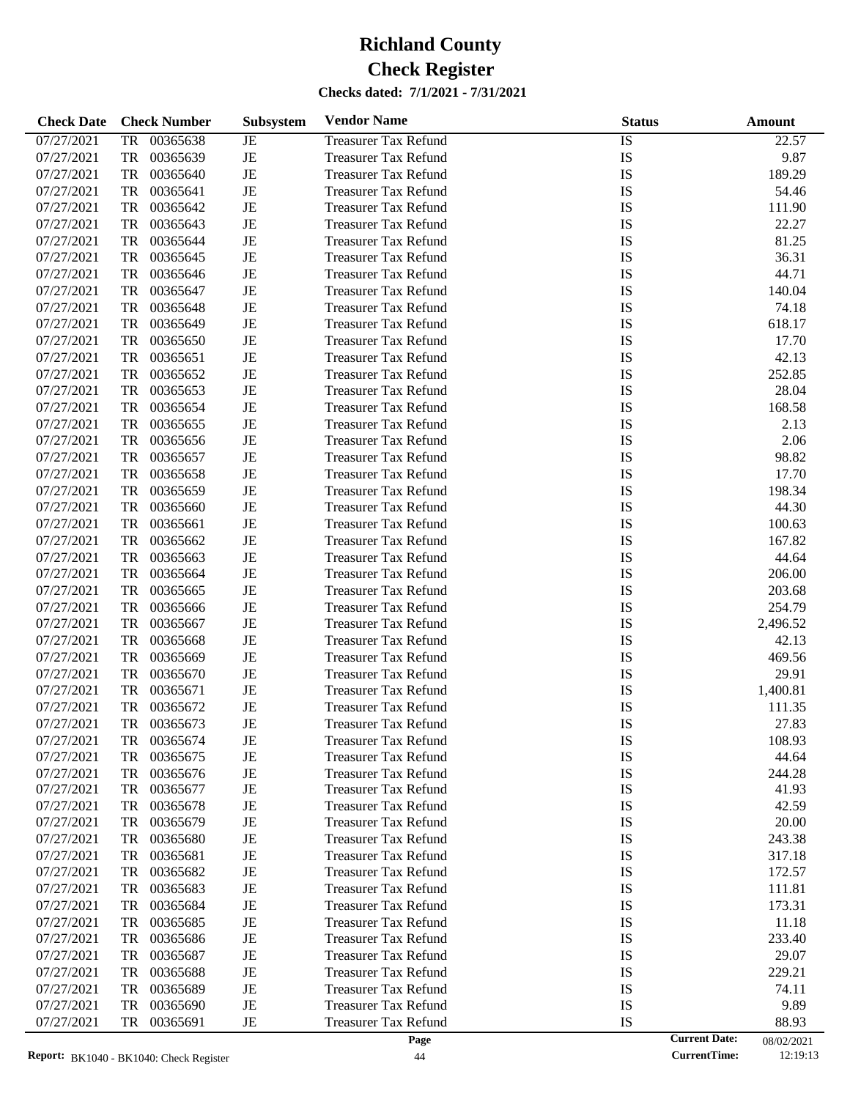| <b>Check Date</b> | <b>Check Number</b>   | Subsystem | <b>Vendor Name</b>          | <b>Status</b> | <b>Amount</b>                      |
|-------------------|-----------------------|-----------|-----------------------------|---------------|------------------------------------|
| 07/27/2021        | 00365638<br>TR        | JE        | <b>Treasurer Tax Refund</b> | IS            | 22.57                              |
| 07/27/2021        | TR<br>00365639        | JE        | <b>Treasurer Tax Refund</b> | IS            | 9.87                               |
| 07/27/2021        | TR<br>00365640        | JE        | <b>Treasurer Tax Refund</b> | IS            | 189.29                             |
| 07/27/2021        | TR<br>00365641        | JE        | <b>Treasurer Tax Refund</b> | IS            | 54.46                              |
| 07/27/2021        | TR<br>00365642        | JE        | <b>Treasurer Tax Refund</b> | IS            | 111.90                             |
| 07/27/2021        | TR<br>00365643        | JE        | <b>Treasurer Tax Refund</b> | IS            | 22.27                              |
| 07/27/2021        | TR<br>00365644        | JE        | <b>Treasurer Tax Refund</b> | IS            | 81.25                              |
| 07/27/2021        | TR<br>00365645        | JE        | <b>Treasurer Tax Refund</b> | IS            | 36.31                              |
| 07/27/2021        | TR<br>00365646        | JE        | <b>Treasurer Tax Refund</b> | IS            | 44.71                              |
| 07/27/2021        | TR<br>00365647        | JE        | <b>Treasurer Tax Refund</b> | IS            | 140.04                             |
| 07/27/2021        | TR<br>00365648        | JE        | <b>Treasurer Tax Refund</b> | IS            | 74.18                              |
| 07/27/2021        | TR<br>00365649        | JE        | <b>Treasurer Tax Refund</b> | IS            | 618.17                             |
| 07/27/2021        | TR<br>00365650        | JE        | <b>Treasurer Tax Refund</b> | IS            | 17.70                              |
| 07/27/2021        | TR<br>00365651        | JE        | <b>Treasurer Tax Refund</b> | IS            | 42.13                              |
| 07/27/2021        | TR<br>00365652        | JE        | <b>Treasurer Tax Refund</b> | IS            | 252.85                             |
| 07/27/2021        | TR<br>00365653        | JE        | <b>Treasurer Tax Refund</b> | IS            | 28.04                              |
| 07/27/2021        | TR<br>00365654        | JE        | <b>Treasurer Tax Refund</b> | IS            | 168.58                             |
| 07/27/2021        | TR<br>00365655        | JE        | <b>Treasurer Tax Refund</b> | IS            | 2.13                               |
| 07/27/2021        | TR<br>00365656        | JE        | <b>Treasurer Tax Refund</b> | IS            | 2.06                               |
| 07/27/2021        | TR<br>00365657        | JE        | <b>Treasurer Tax Refund</b> | IS            | 98.82                              |
| 07/27/2021        | TR<br>00365658        | JE        | <b>Treasurer Tax Refund</b> | IS            | 17.70                              |
| 07/27/2021        | TR<br>00365659        | JE        | <b>Treasurer Tax Refund</b> | IS            | 198.34                             |
| 07/27/2021        | TR<br>00365660        | JE        | <b>Treasurer Tax Refund</b> | IS            | 44.30                              |
| 07/27/2021        | TR<br>00365661        | JE        | <b>Treasurer Tax Refund</b> | IS            | 100.63                             |
| 07/27/2021        | TR<br>00365662        | JE        | <b>Treasurer Tax Refund</b> | IS            | 167.82                             |
| 07/27/2021        | TR<br>00365663        | JE        | <b>Treasurer Tax Refund</b> | IS            | 44.64                              |
| 07/27/2021        | TR<br>00365664        | JE        | <b>Treasurer Tax Refund</b> | IS            | 206.00                             |
| 07/27/2021        | TR<br>00365665        | JE        | <b>Treasurer Tax Refund</b> | IS            | 203.68                             |
| 07/27/2021        | TR<br>00365666        | JE        | <b>Treasurer Tax Refund</b> | IS            | 254.79                             |
| 07/27/2021        | TR<br>00365667        | JE        | <b>Treasurer Tax Refund</b> | IS            | 2,496.52                           |
| 07/27/2021        | TR<br>00365668        | JE        | <b>Treasurer Tax Refund</b> | IS            | 42.13                              |
| 07/27/2021        | TR<br>00365669        | JE        | <b>Treasurer Tax Refund</b> | IS            | 469.56                             |
| 07/27/2021        | TR<br>00365670        | JE        | <b>Treasurer Tax Refund</b> | IS            | 29.91                              |
| 07/27/2021        | TR<br>00365671        | JE        | <b>Treasurer Tax Refund</b> | IS            | 1,400.81                           |
| 07/27/2021        | <b>TR</b><br>00365672 | JE        | <b>Treasurer Tax Refund</b> | IS            | 111.35                             |
| 07/27/2021        | TR<br>00365673        | JE        | <b>Treasurer Tax Refund</b> | IS            | 27.83                              |
| 07/27/2021        | 00365674<br>TR        | JE        | <b>Treasurer Tax Refund</b> | IS            | 108.93                             |
| 07/27/2021        | TR<br>00365675        | JE        | <b>Treasurer Tax Refund</b> | IS            | 44.64                              |
| 07/27/2021        | TR<br>00365676        | JE        | <b>Treasurer Tax Refund</b> | IS            | 244.28                             |
| 07/27/2021        | 00365677<br>TR        | JE        | <b>Treasurer Tax Refund</b> | IS            | 41.93                              |
| 07/27/2021        | TR<br>00365678        | JE        | <b>Treasurer Tax Refund</b> | IS            | 42.59                              |
| 07/27/2021        | TR<br>00365679        | JE        | <b>Treasurer Tax Refund</b> | IS            | 20.00                              |
| 07/27/2021        | TR<br>00365680        | JE        | <b>Treasurer Tax Refund</b> | IS            | 243.38                             |
| 07/27/2021        | TR<br>00365681        | JE        | <b>Treasurer Tax Refund</b> | IS            | 317.18                             |
| 07/27/2021        | TR<br>00365682        | JE        | <b>Treasurer Tax Refund</b> | IS            | 172.57                             |
| 07/27/2021        | TR<br>00365683        | JE        | <b>Treasurer Tax Refund</b> | IS            | 111.81                             |
| 07/27/2021        | TR<br>00365684        | JE        | <b>Treasurer Tax Refund</b> | IS            | 173.31                             |
| 07/27/2021        | TR<br>00365685        | JE        | <b>Treasurer Tax Refund</b> | IS            | 11.18                              |
| 07/27/2021        | TR<br>00365686        | JE        | <b>Treasurer Tax Refund</b> | IS            | 233.40                             |
| 07/27/2021        | TR<br>00365687        | JE        | <b>Treasurer Tax Refund</b> | IS            | 29.07                              |
| 07/27/2021        | TR<br>00365688        | JE        | <b>Treasurer Tax Refund</b> | IS            | 229.21                             |
| 07/27/2021        | TR<br>00365689        | JE        | <b>Treasurer Tax Refund</b> | IS            | 74.11                              |
| 07/27/2021        | TR<br>00365690        | JE        | <b>Treasurer Tax Refund</b> | IS            | 9.89                               |
| 07/27/2021        | 00365691<br>TR        | JE        | <b>Treasurer Tax Refund</b> | IS            | 88.93                              |
|                   |                       |           | Page                        |               | <b>Current Date:</b><br>08/02/2021 |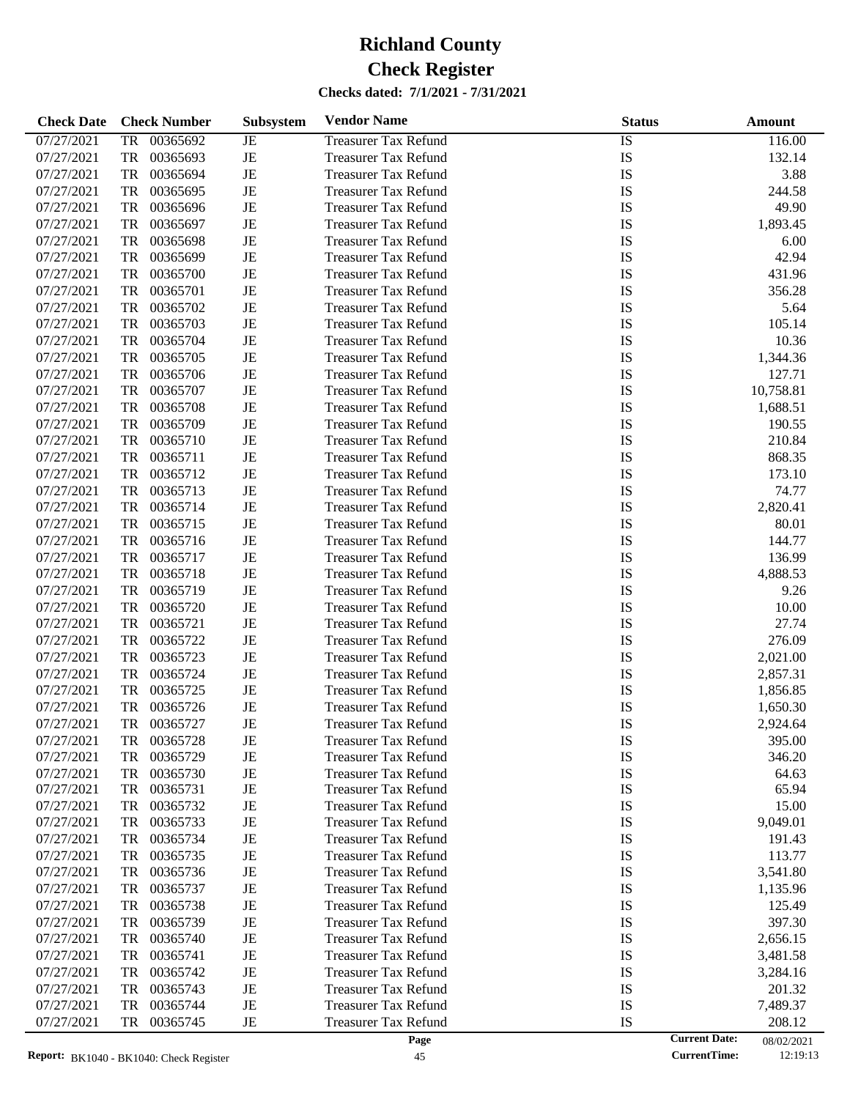| <b>Check Date</b> | <b>Check Number</b>   | Subsystem | <b>Vendor Name</b>          | <b>Status</b> | <b>Amount</b>                      |  |
|-------------------|-----------------------|-----------|-----------------------------|---------------|------------------------------------|--|
| 07/27/2021        | 00365692<br>TR        | JE        | <b>Treasurer Tax Refund</b> | IS            | 116.00                             |  |
| 07/27/2021        | TR<br>00365693        | $\rm{JE}$ | <b>Treasurer Tax Refund</b> | IS            | 132.14                             |  |
| 07/27/2021        | TR<br>00365694        | $\rm{JE}$ | <b>Treasurer Tax Refund</b> | IS            | 3.88                               |  |
| 07/27/2021        | TR<br>00365695        | JE        | <b>Treasurer Tax Refund</b> | IS            | 244.58                             |  |
| 07/27/2021        | TR<br>00365696        | $\rm{JE}$ | <b>Treasurer Tax Refund</b> | IS            | 49.90                              |  |
| 07/27/2021        | TR<br>00365697        | $\rm{JE}$ | <b>Treasurer Tax Refund</b> | IS            | 1,893.45                           |  |
| 07/27/2021        | TR<br>00365698        | $\rm{JE}$ | <b>Treasurer Tax Refund</b> | IS            | 6.00                               |  |
| 07/27/2021        | TR<br>00365699        | JE        | <b>Treasurer Tax Refund</b> | IS            | 42.94                              |  |
| 07/27/2021        | TR<br>00365700        | $\rm{JE}$ | <b>Treasurer Tax Refund</b> | IS            | 431.96                             |  |
| 07/27/2021        | TR<br>00365701        | $\rm{JE}$ | <b>Treasurer Tax Refund</b> | IS            | 356.28                             |  |
| 07/27/2021        | TR<br>00365702        | $\rm{JE}$ | <b>Treasurer Tax Refund</b> | IS            | 5.64                               |  |
| 07/27/2021        | TR<br>00365703        | JE        | <b>Treasurer Tax Refund</b> | IS            | 105.14                             |  |
| 07/27/2021        | TR<br>00365704        | $\rm{JE}$ | <b>Treasurer Tax Refund</b> | IS            | 10.36                              |  |
| 07/27/2021        | TR<br>00365705        | $\rm{JE}$ | <b>Treasurer Tax Refund</b> | IS            | 1,344.36                           |  |
| 07/27/2021        | TR<br>00365706        | $\rm{JE}$ | <b>Treasurer Tax Refund</b> | IS            | 127.71                             |  |
| 07/27/2021        | TR<br>00365707        | JE        | <b>Treasurer Tax Refund</b> | IS            | 10,758.81                          |  |
| 07/27/2021        | TR<br>00365708        | $\rm{JE}$ | <b>Treasurer Tax Refund</b> | IS            | 1,688.51                           |  |
| 07/27/2021        | TR<br>00365709        | $\rm{JE}$ | <b>Treasurer Tax Refund</b> | IS            | 190.55                             |  |
| 07/27/2021        | TR<br>00365710        | $\rm{JE}$ | <b>Treasurer Tax Refund</b> | IS            | 210.84                             |  |
| 07/27/2021        | TR<br>00365711        | JE        | <b>Treasurer Tax Refund</b> | IS            | 868.35                             |  |
| 07/27/2021        | TR<br>00365712        | $\rm{JE}$ | <b>Treasurer Tax Refund</b> | IS            | 173.10                             |  |
| 07/27/2021        | TR<br>00365713        | $\rm{JE}$ | <b>Treasurer Tax Refund</b> | IS            | 74.77                              |  |
| 07/27/2021        | TR<br>00365714        | $\rm{JE}$ | <b>Treasurer Tax Refund</b> | IS            | 2,820.41                           |  |
| 07/27/2021        | TR<br>00365715        | JE        | <b>Treasurer Tax Refund</b> | IS            | 80.01                              |  |
| 07/27/2021        | TR<br>00365716        | $\rm{JE}$ | <b>Treasurer Tax Refund</b> | IS            | 144.77                             |  |
| 07/27/2021        | TR<br>00365717        | $\rm{JE}$ | <b>Treasurer Tax Refund</b> | IS            | 136.99                             |  |
| 07/27/2021        | TR<br>00365718        | $\rm{JE}$ | <b>Treasurer Tax Refund</b> | IS            | 4,888.53                           |  |
| 07/27/2021        | TR<br>00365719        | JE        | <b>Treasurer Tax Refund</b> | IS            | 9.26                               |  |
| 07/27/2021        | TR<br>00365720        | $\rm{JE}$ | <b>Treasurer Tax Refund</b> | IS            | 10.00                              |  |
| 07/27/2021        | TR<br>00365721        | $\rm{JE}$ | <b>Treasurer Tax Refund</b> | IS            | 27.74                              |  |
| 07/27/2021        | TR<br>00365722        | $\rm{JE}$ | <b>Treasurer Tax Refund</b> | IS            | 276.09                             |  |
| 07/27/2021        | TR<br>00365723        | JE        | <b>Treasurer Tax Refund</b> | IS            | 2,021.00                           |  |
| 07/27/2021        | TR<br>00365724        | $\rm{JE}$ | <b>Treasurer Tax Refund</b> | IS            | 2,857.31                           |  |
| 07/27/2021        | TR<br>00365725        | JE        | <b>Treasurer Tax Refund</b> | IS            | 1,856.85                           |  |
| 07/27/2021        | <b>TR</b><br>00365726 | JE        | <b>Treasurer Tax Refund</b> | IS            | 1,650.30                           |  |
| 07/27/2021        | TR<br>00365727        | JE        | <b>Treasurer Tax Refund</b> | IS            | 2,924.64                           |  |
| 07/27/2021        | 00365728<br>TR        | JE        | <b>Treasurer Tax Refund</b> | IS            | 395.00                             |  |
| 07/27/2021        | 00365729<br>TR        | JE        | <b>Treasurer Tax Refund</b> | IS            | 346.20                             |  |
| 07/27/2021        | TR<br>00365730        | JE        | <b>Treasurer Tax Refund</b> | IS            | 64.63                              |  |
| 07/27/2021        | 00365731<br>TR        | JE        | Treasurer Tax Refund        | IS            | 65.94                              |  |
| 07/27/2021        | 00365732<br>TR        | JE        | <b>Treasurer Tax Refund</b> | IS            | 15.00                              |  |
| 07/27/2021        | TR<br>00365733        | JE        | <b>Treasurer Tax Refund</b> | IS            | 9,049.01                           |  |
| 07/27/2021        | 00365734<br>TR        | JE        | <b>Treasurer Tax Refund</b> | IS            | 191.43                             |  |
| 07/27/2021        | 00365735<br>TR        | JE        | <b>Treasurer Tax Refund</b> | IS            | 113.77                             |  |
| 07/27/2021        | TR<br>00365736        | JE        | <b>Treasurer Tax Refund</b> | IS            | 3,541.80                           |  |
| 07/27/2021        | TR<br>00365737        | JE        | <b>Treasurer Tax Refund</b> | IS            | 1,135.96                           |  |
| 07/27/2021        | 00365738<br>TR        | JE        | <b>Treasurer Tax Refund</b> | IS            | 125.49                             |  |
| 07/27/2021        | 00365739<br>TR        | JE        | <b>Treasurer Tax Refund</b> | IS            | 397.30                             |  |
| 07/27/2021        | TR<br>00365740        | JE        | <b>Treasurer Tax Refund</b> | IS            | 2,656.15                           |  |
| 07/27/2021        | TR<br>00365741        | JE        | <b>Treasurer Tax Refund</b> | IS            | 3,481.58                           |  |
| 07/27/2021        | 00365742<br>TR        | JE        | <b>Treasurer Tax Refund</b> | IS            | 3,284.16                           |  |
| 07/27/2021        | 00365743<br>TR        | JE        | <b>Treasurer Tax Refund</b> | IS            | 201.32                             |  |
| 07/27/2021        | 00365744<br>TR        | JE        | <b>Treasurer Tax Refund</b> | IS            | 7,489.37                           |  |
| 07/27/2021        | 00365745<br>TR        | JE        | <b>Treasurer Tax Refund</b> | IS            | 208.12                             |  |
|                   |                       |           | Page                        |               | <b>Current Date:</b><br>08/02/2021 |  |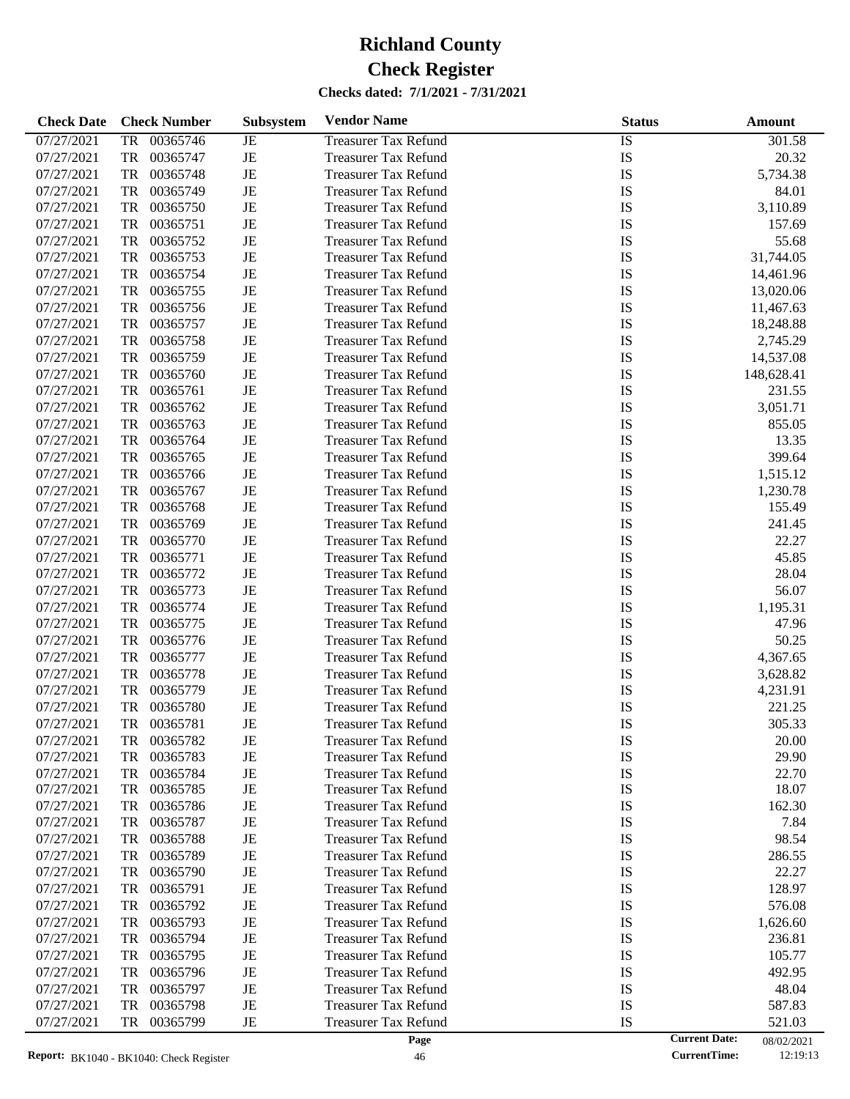| <b>Check Date</b> | <b>Check Number</b>   | Subsystem | <b>Vendor Name</b>          | <b>Status</b> | <b>Amount</b>                      |
|-------------------|-----------------------|-----------|-----------------------------|---------------|------------------------------------|
| 07/27/2021        | 00365746<br>TR        | JE        | <b>Treasurer Tax Refund</b> | IS            | 301.58                             |
| 07/27/2021        | TR<br>00365747        | $\rm{JE}$ | <b>Treasurer Tax Refund</b> | IS            | 20.32                              |
| 07/27/2021        | TR<br>00365748        | $\rm{JE}$ | <b>Treasurer Tax Refund</b> | IS            | 5,734.38                           |
| 07/27/2021        | TR<br>00365749        | JE        | <b>Treasurer Tax Refund</b> | IS            | 84.01                              |
| 07/27/2021        | TR<br>00365750        | $\rm{JE}$ | <b>Treasurer Tax Refund</b> | IS            | 3,110.89                           |
| 07/27/2021        | TR<br>00365751        | $\rm{JE}$ | <b>Treasurer Tax Refund</b> | IS            | 157.69                             |
| 07/27/2021        | TR<br>00365752        | $\rm{JE}$ | <b>Treasurer Tax Refund</b> | IS            | 55.68                              |
| 07/27/2021        | TR<br>00365753        | $\rm{JE}$ | <b>Treasurer Tax Refund</b> | IS            | 31,744.05                          |
| 07/27/2021        | TR<br>00365754        | $\rm{JE}$ | <b>Treasurer Tax Refund</b> | IS            | 14,461.96                          |
| 07/27/2021        | TR<br>00365755        | $\rm{JE}$ | <b>Treasurer Tax Refund</b> | IS            | 13,020.06                          |
| 07/27/2021        | TR<br>00365756        | JE        | <b>Treasurer Tax Refund</b> | IS            | 11,467.63                          |
| 07/27/2021        | TR<br>00365757        | $\rm{JE}$ | <b>Treasurer Tax Refund</b> | IS            | 18,248.88                          |
| 07/27/2021        | TR<br>00365758        | $\rm{JE}$ | <b>Treasurer Tax Refund</b> | IS            | 2,745.29                           |
| 07/27/2021        | TR<br>00365759        | $\rm{JE}$ | <b>Treasurer Tax Refund</b> | IS            | 14,537.08                          |
| 07/27/2021        | TR<br>00365760        | $\rm{JE}$ | <b>Treasurer Tax Refund</b> | IS            | 148,628.41                         |
| 07/27/2021        | TR<br>00365761        | $\rm{JE}$ | <b>Treasurer Tax Refund</b> | IS            | 231.55                             |
| 07/27/2021        | TR<br>00365762        | $\rm{JE}$ | <b>Treasurer Tax Refund</b> | IS            | 3,051.71                           |
| 07/27/2021        | TR<br>00365763        | $\rm{JE}$ | <b>Treasurer Tax Refund</b> | IS            | 855.05                             |
| 07/27/2021        | TR<br>00365764        | $\rm{JE}$ | <b>Treasurer Tax Refund</b> | IS            | 13.35                              |
| 07/27/2021        | TR<br>00365765        | $\rm{JE}$ | <b>Treasurer Tax Refund</b> | IS            | 399.64                             |
| 07/27/2021        | TR<br>00365766        | $\rm{JE}$ | <b>Treasurer Tax Refund</b> | IS            | 1,515.12                           |
| 07/27/2021        | TR<br>00365767        | $\rm{JE}$ | <b>Treasurer Tax Refund</b> | IS            | 1,230.78                           |
| 07/27/2021        | TR<br>00365768        | $\rm{JE}$ | <b>Treasurer Tax Refund</b> | IS            | 155.49                             |
| 07/27/2021        | TR<br>00365769        | $\rm{JE}$ | <b>Treasurer Tax Refund</b> | IS            | 241.45                             |
| 07/27/2021        | TR<br>00365770        | $\rm{JE}$ | <b>Treasurer Tax Refund</b> | IS            | 22.27                              |
| 07/27/2021        | TR<br>00365771        | $\rm{JE}$ | <b>Treasurer Tax Refund</b> | IS            | 45.85                              |
| 07/27/2021        | TR<br>00365772        | $\rm{JE}$ | <b>Treasurer Tax Refund</b> | IS            | 28.04                              |
| 07/27/2021        | TR<br>00365773        | $\rm{JE}$ | <b>Treasurer Tax Refund</b> | IS            | 56.07                              |
| 07/27/2021        | TR<br>00365774        | $\rm{JE}$ | <b>Treasurer Tax Refund</b> | IS            | 1,195.31                           |
| 07/27/2021        | TR<br>00365775        | $\rm{JE}$ | <b>Treasurer Tax Refund</b> | IS            | 47.96                              |
| 07/27/2021        | TR<br>00365776        | $\rm{JE}$ | <b>Treasurer Tax Refund</b> | IS            | 50.25                              |
| 07/27/2021        | TR<br>00365777        | $\rm{JE}$ | <b>Treasurer Tax Refund</b> | IS            | 4,367.65                           |
| 07/27/2021        | TR<br>00365778        | JE        | <b>Treasurer Tax Refund</b> | IS            | 3,628.82                           |
| 07/27/2021        | TR<br>00365779        | JE        | <b>Treasurer Tax Refund</b> | IS            | 4,231.91                           |
| 07/27/2021        | <b>TR</b><br>00365780 | $\rm{JE}$ | <b>Treasurer Tax Refund</b> | IS            | 221.25                             |
| 07/27/2021        | TR<br>00365781        | JE        | <b>Treasurer Tax Refund</b> | IS            | 305.33                             |
| 07/27/2021        | 00365782<br>TR        | JE        | <b>Treasurer Tax Refund</b> | IS            | 20.00                              |
| 07/27/2021        | 00365783<br>TR        | JE        | <b>Treasurer Tax Refund</b> | IS            | 29.90                              |
| 07/27/2021        | 00365784<br>TR        | JE        | <b>Treasurer Tax Refund</b> | IS            | 22.70                              |
| 07/27/2021        | 00365785<br>TR        | JE        | <b>Treasurer Tax Refund</b> | IS            | 18.07                              |
| 07/27/2021        | 00365786<br>TR        | JE        | <b>Treasurer Tax Refund</b> | IS            | 162.30                             |
| 07/27/2021        | 00365787<br>TR        | JE        | <b>Treasurer Tax Refund</b> | IS            | 7.84                               |
| 07/27/2021        | 00365788<br>TR        | JE        | <b>Treasurer Tax Refund</b> | IS            | 98.54                              |
| 07/27/2021        | 00365789<br>TR        | JE        | <b>Treasurer Tax Refund</b> | IS            | 286.55                             |
| 07/27/2021        | 00365790<br>TR        | JE        | <b>Treasurer Tax Refund</b> | IS            | 22.27                              |
| 07/27/2021        | 00365791<br>TR        | JE        | <b>Treasurer Tax Refund</b> | IS            | 128.97                             |
| 07/27/2021        | 00365792<br>TR        | JE        | <b>Treasurer Tax Refund</b> | IS            | 576.08                             |
| 07/27/2021        | TR<br>00365793        | JE        | <b>Treasurer Tax Refund</b> | IS            | 1,626.60                           |
| 07/27/2021        | 00365794<br>TR        | JE        | <b>Treasurer Tax Refund</b> | IS            | 236.81                             |
| 07/27/2021        | 00365795<br>TR        | JE        | <b>Treasurer Tax Refund</b> | IS            | 105.77                             |
| 07/27/2021        | 00365796<br>TR        | JE        | <b>Treasurer Tax Refund</b> | IS            | 492.95                             |
| 07/27/2021        | 00365797<br>TR        | JE        | <b>Treasurer Tax Refund</b> | IS            | 48.04                              |
| 07/27/2021        | 00365798<br>TR        | JE        | <b>Treasurer Tax Refund</b> | IS            | 587.83                             |
| 07/27/2021        | 00365799<br>TR        | JE        | <b>Treasurer Tax Refund</b> | IS            | 521.03                             |
|                   |                       |           | Page                        |               | <b>Current Date:</b><br>08/02/2021 |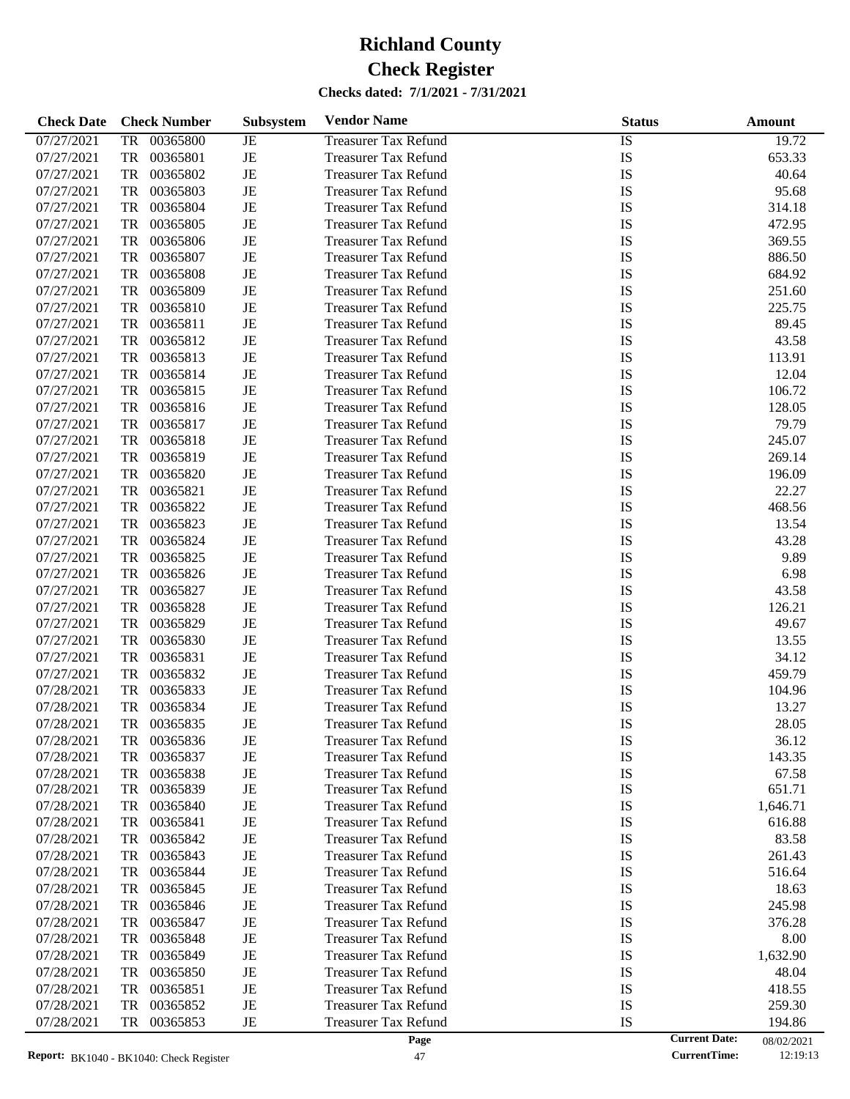| <b>Check Date</b> | <b>Check Number</b> | Subsystem | <b>Vendor Name</b>          | <b>Status</b> |                      | Amount     |
|-------------------|---------------------|-----------|-----------------------------|---------------|----------------------|------------|
| 07/27/2021        | 00365800<br>TR      | JE        | <b>Treasurer Tax Refund</b> | IS            |                      | 19.72      |
| 07/27/2021        | TR<br>00365801      | JE        | <b>Treasurer Tax Refund</b> | IS            |                      | 653.33     |
| 07/27/2021        | TR<br>00365802      | JE        | <b>Treasurer Tax Refund</b> | IS            |                      | 40.64      |
| 07/27/2021        | 00365803<br>TR      | JE        | <b>Treasurer Tax Refund</b> | IS            |                      | 95.68      |
| 07/27/2021        | TR<br>00365804      | JE        | <b>Treasurer Tax Refund</b> | IS            |                      | 314.18     |
| 07/27/2021        | TR<br>00365805      | JE        | <b>Treasurer Tax Refund</b> | IS            |                      | 472.95     |
| 07/27/2021        | TR<br>00365806      | JE        | <b>Treasurer Tax Refund</b> | IS            |                      | 369.55     |
| 07/27/2021        | TR<br>00365807      | JE        | <b>Treasurer Tax Refund</b> | IS            |                      | 886.50     |
| 07/27/2021        | TR<br>00365808      | JE        | <b>Treasurer Tax Refund</b> | IS            |                      | 684.92     |
| 07/27/2021        | TR<br>00365809      | JE        | <b>Treasurer Tax Refund</b> | IS            |                      | 251.60     |
| 07/27/2021        | TR<br>00365810      | JE        | <b>Treasurer Tax Refund</b> | IS            |                      | 225.75     |
| 07/27/2021        | TR<br>00365811      | JE        | <b>Treasurer Tax Refund</b> | IS            |                      | 89.45      |
| 07/27/2021        | TR<br>00365812      | JE        | <b>Treasurer Tax Refund</b> | IS            |                      | 43.58      |
| 07/27/2021        | TR<br>00365813      | JE        | <b>Treasurer Tax Refund</b> | IS            |                      | 113.91     |
| 07/27/2021        | TR<br>00365814      | JE        | <b>Treasurer Tax Refund</b> | IS            |                      | 12.04      |
| 07/27/2021        | 00365815<br>TR      | JE        | <b>Treasurer Tax Refund</b> | IS            |                      | 106.72     |
| 07/27/2021        | TR<br>00365816      | JE        | <b>Treasurer Tax Refund</b> | IS            |                      | 128.05     |
| 07/27/2021        | TR<br>00365817      | JE        | <b>Treasurer Tax Refund</b> | IS            |                      | 79.79      |
| 07/27/2021        | TR<br>00365818      | JE        | <b>Treasurer Tax Refund</b> | IS            |                      | 245.07     |
| 07/27/2021        | 00365819<br>TR      | JE        | <b>Treasurer Tax Refund</b> | IS            |                      | 269.14     |
| 07/27/2021        | TR<br>00365820      | JE        | <b>Treasurer Tax Refund</b> | IS            |                      | 196.09     |
| 07/27/2021        | TR<br>00365821      | JE        | <b>Treasurer Tax Refund</b> | IS            |                      | 22.27      |
| 07/27/2021        | TR<br>00365822      | JE        | <b>Treasurer Tax Refund</b> | IS            |                      | 468.56     |
| 07/27/2021        | 00365823<br>TR      | JE        | <b>Treasurer Tax Refund</b> | IS            |                      | 13.54      |
| 07/27/2021        | TR<br>00365824      | JE        | <b>Treasurer Tax Refund</b> | IS            |                      | 43.28      |
| 07/27/2021        | TR<br>00365825      | JE        | <b>Treasurer Tax Refund</b> | IS            |                      | 9.89       |
| 07/27/2021        | TR<br>00365826      | JE        | <b>Treasurer Tax Refund</b> | IS            |                      | 6.98       |
| 07/27/2021        | 00365827<br>TR      | JE        | <b>Treasurer Tax Refund</b> | IS            |                      | 43.58      |
| 07/27/2021        | TR<br>00365828      | JE        | <b>Treasurer Tax Refund</b> | IS            |                      | 126.21     |
| 07/27/2021        | TR<br>00365829      | JE        | <b>Treasurer Tax Refund</b> | IS            |                      | 49.67      |
| 07/27/2021        | TR<br>00365830      | JE        | <b>Treasurer Tax Refund</b> | IS            |                      | 13.55      |
| 07/27/2021        | TR<br>00365831      | JE        | <b>Treasurer Tax Refund</b> | IS            |                      | 34.12      |
| 07/27/2021        | TR<br>00365832      | JE        | <b>Treasurer Tax Refund</b> | IS            |                      | 459.79     |
| 07/28/2021        | TR<br>00365833      | JE        | <b>Treasurer Tax Refund</b> | IS            |                      | 104.96     |
| 07/28/2021        | 00365834<br>TR      | JE        | <b>Treasurer Tax Refund</b> | IS            |                      | 13.27      |
| 07/28/2021        | TR<br>00365835      | JE        | <b>Treasurer Tax Refund</b> | IS            |                      | 28.05      |
| 07/28/2021        | 00365836<br>TR      | JE        | <b>Treasurer Tax Refund</b> | IS            |                      | 36.12      |
| 07/28/2021        | TR<br>00365837      | JE        | <b>Treasurer Tax Refund</b> | IS            |                      | 143.35     |
| 07/28/2021        | TR<br>00365838      | JE        | <b>Treasurer Tax Refund</b> | IS            |                      | 67.58      |
| 07/28/2021        | 00365839<br>TR      | JE        | <b>Treasurer Tax Refund</b> | IS            |                      | 651.71     |
| 07/28/2021        | TR<br>00365840      | JE        | <b>Treasurer Tax Refund</b> | IS            |                      | 1,646.71   |
| 07/28/2021        | 00365841<br>TR      | JE        | <b>Treasurer Tax Refund</b> | IS            |                      | 616.88     |
| 07/28/2021        | TR<br>00365842      | JE        | <b>Treasurer Tax Refund</b> | IS            |                      | 83.58      |
| 07/28/2021        | TR<br>00365843      | JE        | <b>Treasurer Tax Refund</b> | IS            |                      | 261.43     |
| 07/28/2021        | TR<br>00365844      | JE        | <b>Treasurer Tax Refund</b> | IS            |                      | 516.64     |
| 07/28/2021        | 00365845<br>TR      | JE        | <b>Treasurer Tax Refund</b> | IS            |                      | 18.63      |
| 07/28/2021        | TR<br>00365846      | JE        | <b>Treasurer Tax Refund</b> | IS            |                      | 245.98     |
| 07/28/2021        | TR<br>00365847      | JE        | <b>Treasurer Tax Refund</b> | IS            |                      | 376.28     |
| 07/28/2021        | TR<br>00365848      | JE        | <b>Treasurer Tax Refund</b> | IS            |                      | 8.00       |
| 07/28/2021        | 00365849<br>TR      | JE        | <b>Treasurer Tax Refund</b> | IS            |                      | 1,632.90   |
| 07/28/2021        | TR<br>00365850      | JE        | <b>Treasurer Tax Refund</b> | IS            |                      | 48.04      |
| 07/28/2021        | TR<br>00365851      | JE        | <b>Treasurer Tax Refund</b> | IS            |                      | 418.55     |
| 07/28/2021        | TR<br>00365852      | JE        | <b>Treasurer Tax Refund</b> | IS            |                      | 259.30     |
| 07/28/2021        | 00365853<br>TR      | JE        | <b>Treasurer Tax Refund</b> | IS            |                      | 194.86     |
|                   |                     |           | Page                        |               | <b>Current Date:</b> | 08/02/2021 |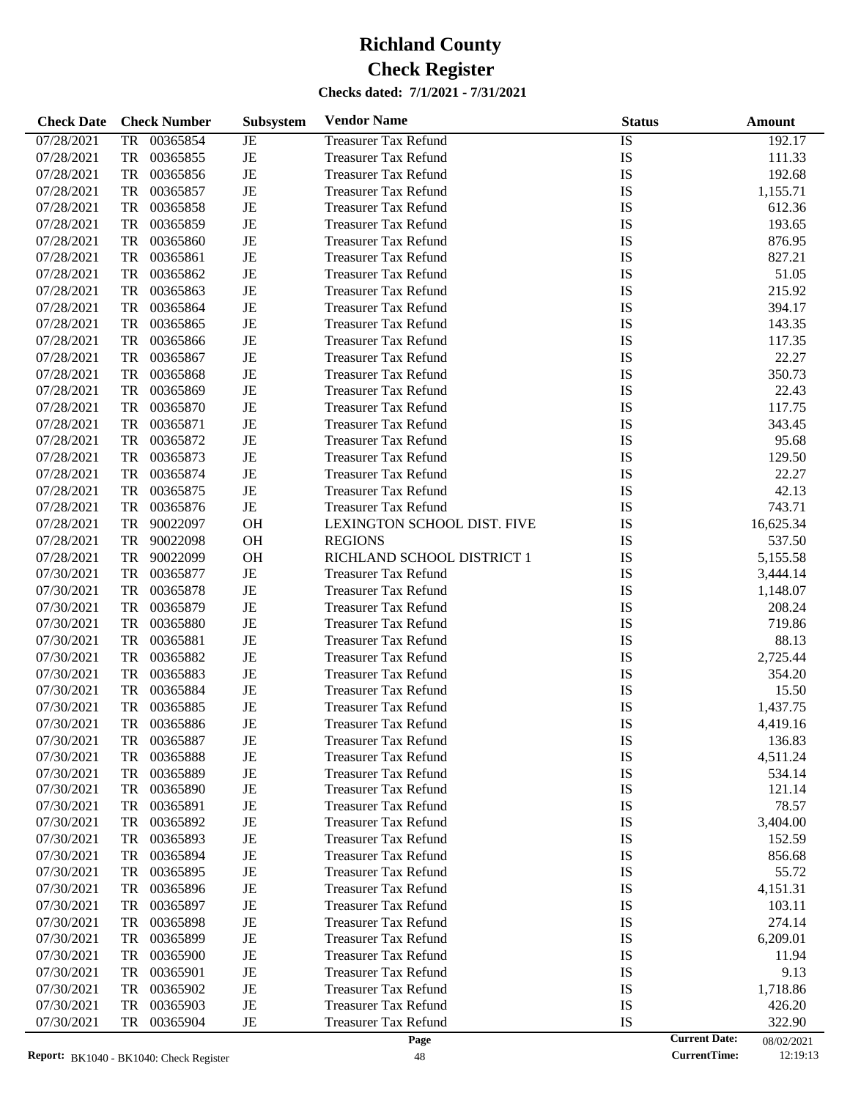| <b>Check Date</b> | <b>Check Number</b>   | Subsystem   | <b>Vendor Name</b>          | <b>Status</b> | Amount                             |
|-------------------|-----------------------|-------------|-----------------------------|---------------|------------------------------------|
| 07/28/2021        | 00365854<br>TR        | JE          | <b>Treasurer Tax Refund</b> | <b>IS</b>     | 192.17                             |
| 07/28/2021        | 00365855<br>TR        | $_{\rm JE}$ | <b>Treasurer Tax Refund</b> | IS            | 111.33                             |
| 07/28/2021        | <b>TR</b><br>00365856 | $_{\rm JE}$ | <b>Treasurer Tax Refund</b> | IS            | 192.68                             |
| 07/28/2021        | 00365857<br>TR        | $_{\rm JE}$ | <b>Treasurer Tax Refund</b> | IS            | 1,155.71                           |
| 07/28/2021        | 00365858<br>TR        | JE          | <b>Treasurer Tax Refund</b> | IS            | 612.36                             |
| 07/28/2021        | TR<br>00365859        | JE          | <b>Treasurer Tax Refund</b> | IS            | 193.65                             |
| 07/28/2021        | 00365860<br>TR        | $_{\rm JE}$ | <b>Treasurer Tax Refund</b> | IS            | 876.95                             |
| 07/28/2021        | 00365861<br>TR        | $_{\rm JE}$ | <b>Treasurer Tax Refund</b> | IS            | 827.21                             |
| 07/28/2021        | <b>TR</b><br>00365862 | JE          | <b>Treasurer Tax Refund</b> | IS            | 51.05                              |
| 07/28/2021        | <b>TR</b><br>00365863 | $_{\rm JE}$ | <b>Treasurer Tax Refund</b> | IS            | 215.92                             |
| 07/28/2021        | 00365864<br>TR        | $_{\rm JE}$ | <b>Treasurer Tax Refund</b> | IS            | 394.17                             |
| 07/28/2021        | 00365865<br>TR        | JE          | <b>Treasurer Tax Refund</b> | IS            | 143.35                             |
| 07/28/2021        | TR<br>00365866        | $_{\rm JE}$ | <b>Treasurer Tax Refund</b> | IS            | 117.35                             |
| 07/28/2021        | 00365867<br>TR        | $_{\rm JE}$ | <b>Treasurer Tax Refund</b> | IS            | 22.27                              |
| 07/28/2021        | 00365868<br>TR        | JE          | <b>Treasurer Tax Refund</b> | IS            | 350.73                             |
| 07/28/2021        | <b>TR</b><br>00365869 | $_{\rm JE}$ | <b>Treasurer Tax Refund</b> | IS            | 22.43                              |
| 07/28/2021        | 00365870<br>TR        | $_{\rm JE}$ | <b>Treasurer Tax Refund</b> | IS            | 117.75                             |
| 07/28/2021        | 00365871<br>TR        | $_{\rm JE}$ | <b>Treasurer Tax Refund</b> | IS            | 343.45                             |
| 07/28/2021        | <b>TR</b><br>00365872 | $_{\rm JE}$ | <b>Treasurer Tax Refund</b> | IS            | 95.68                              |
| 07/28/2021        | <b>TR</b><br>00365873 | $_{\rm JE}$ | <b>Treasurer Tax Refund</b> | IS            | 129.50                             |
| 07/28/2021        | 00365874<br>TR        | $_{\rm JE}$ | <b>Treasurer Tax Refund</b> | IS            | 22.27                              |
| 07/28/2021        | <b>TR</b><br>00365875 | $_{\rm JE}$ | <b>Treasurer Tax Refund</b> | IS            | 42.13                              |
| 07/28/2021        | <b>TR</b><br>00365876 | $_{\rm JE}$ | <b>Treasurer Tax Refund</b> | IS            | 743.71                             |
| 07/28/2021        | 90022097<br>TR        | <b>OH</b>   | LEXINGTON SCHOOL DIST. FIVE | IS            | 16,625.34                          |
| 07/28/2021        | <b>TR</b><br>90022098 | <b>OH</b>   | <b>REGIONS</b>              | IS            | 537.50                             |
| 07/28/2021        | <b>TR</b><br>90022099 | <b>OH</b>   | RICHLAND SCHOOL DISTRICT 1  | IS            | 5,155.58                           |
| 07/30/2021        | 00365877<br>TR        | $_{\rm JE}$ | <b>Treasurer Tax Refund</b> | IS            | 3,444.14                           |
| 07/30/2021        | 00365878<br>TR        | $_{\rm JE}$ | <b>Treasurer Tax Refund</b> | IS            | 1,148.07                           |
| 07/30/2021        | <b>TR</b><br>00365879 | $_{\rm JE}$ | <b>Treasurer Tax Refund</b> | IS            | 208.24                             |
| 07/30/2021        | 00365880<br>TR        | $_{\rm JE}$ | <b>Treasurer Tax Refund</b> | IS            | 719.86                             |
| 07/30/2021        | 00365881<br>TR        | $_{\rm JE}$ | <b>Treasurer Tax Refund</b> | IS            | 88.13                              |
| 07/30/2021        | <b>TR</b><br>00365882 | JE          | <b>Treasurer Tax Refund</b> | IS            | 2,725.44                           |
| 07/30/2021        | 00365883<br>TR        | $_{\rm JE}$ | <b>Treasurer Tax Refund</b> | IS            | 354.20                             |
| 07/30/2021        | 00365884<br>TR        | $_{\rm JE}$ | <b>Treasurer Tax Refund</b> | IS            | 15.50                              |
| 07/30/2021        | 00365885<br>TR        | JE          | <b>Treasurer Tax Refund</b> | IS            | 1,437.75                           |
| 07/30/2021        | TR<br>00365886        | JE          | <b>Treasurer Tax Refund</b> | IS            | 4,419.16                           |
| 07/30/2021        | 00365887<br>TR        | JE          | <b>Treasurer Tax Refund</b> | IS            | 136.83                             |
| 07/30/2021        | 00365888<br>TR        | JE          | <b>Treasurer Tax Refund</b> | IS            | 4,511.24                           |
| 07/30/2021        | 00365889<br>TR        | JE          | <b>Treasurer Tax Refund</b> | IS            | 534.14                             |
| 07/30/2021        | 00365890<br>TR        | JE          | <b>Treasurer Tax Refund</b> | IS            | 121.14                             |
| 07/30/2021        | TR<br>00365891        | JE          | <b>Treasurer Tax Refund</b> | IS            | 78.57                              |
| 07/30/2021        | 00365892<br>TR        | JE          | <b>Treasurer Tax Refund</b> | IS            | 3,404.00                           |
| 07/30/2021        | 00365893<br>TR        | JE          | <b>Treasurer Tax Refund</b> | IS            | 152.59                             |
| 07/30/2021        | 00365894<br>TR        | JE          | <b>Treasurer Tax Refund</b> | IS            | 856.68                             |
| 07/30/2021        | 00365895<br>TR        | JE          | <b>Treasurer Tax Refund</b> | IS            | 55.72                              |
| 07/30/2021        | 00365896<br>TR        | JE          | <b>Treasurer Tax Refund</b> | IS            | 4,151.31                           |
| 07/30/2021        | 00365897<br>TR        | JE          | <b>Treasurer Tax Refund</b> | IS            | 103.11                             |
| 07/30/2021        | 00365898<br>TR        | JE          | <b>Treasurer Tax Refund</b> | IS            | 274.14                             |
| 07/30/2021        | 00365899<br>TR        | JE          | <b>Treasurer Tax Refund</b> | IS            | 6,209.01                           |
| 07/30/2021        | 00365900<br>TR        | JE          | <b>Treasurer Tax Refund</b> | IS            | 11.94                              |
| 07/30/2021        | 00365901<br>TR        | JE          | <b>Treasurer Tax Refund</b> | IS            | 9.13                               |
| 07/30/2021        | 00365902<br>TR        | JE          | <b>Treasurer Tax Refund</b> | IS            | 1,718.86                           |
| 07/30/2021        | 00365903<br>TR        | $\rm{JE}$   | <b>Treasurer Tax Refund</b> | IS            | 426.20                             |
| 07/30/2021        | 00365904<br>TR        | $_{\rm JE}$ | <b>Treasurer Tax Refund</b> | IS            | 322.90                             |
|                   |                       |             | Page                        |               | <b>Current Date:</b><br>08/02/2021 |